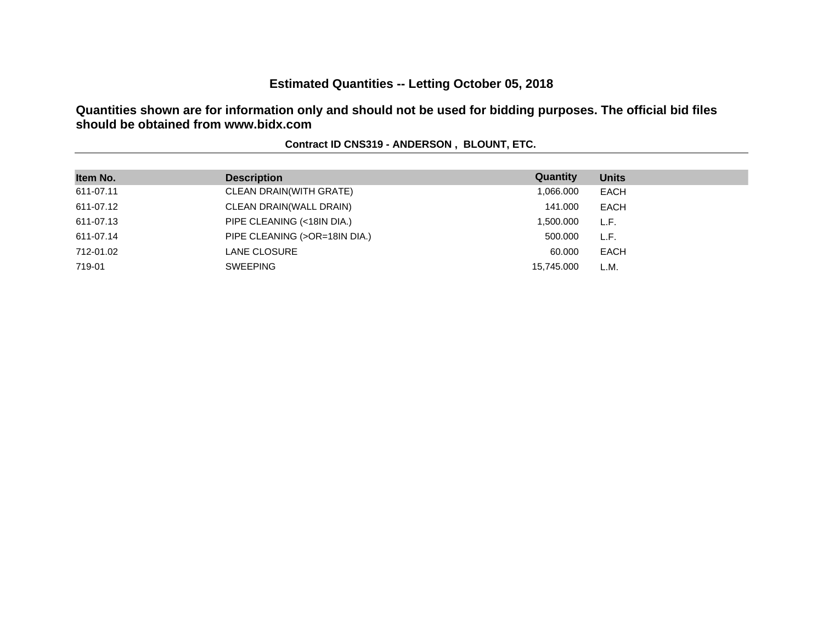# **Estimated Quantities -- Letting October 05, 2018**

**Quantities shown are for information only and should not be used for bidding purposes. The official bid files should be obtained from www.bidx.com**

| Item No.  | <b>Description</b>            | Quantity   | <b>Units</b> |
|-----------|-------------------------------|------------|--------------|
| 611-07.11 | CLEAN DRAIN(WITH GRATE)       | 1,066.000  | EACH         |
| 611-07.12 | CLEAN DRAIN(WALL DRAIN)       | 141.000    | EACH         |
| 611-07.13 | PIPE CLEANING (<18IN DIA.)    | 1,500.000  | L.F.         |
| 611-07.14 | PIPE CLEANING (>OR=18IN DIA.) | 500,000    | L.F.         |
| 712-01.02 | LANE CLOSURE                  | 60.000     | EACH         |
| 719-01    | <b>SWEEPING</b>               | 15.745.000 | L.M.         |

### **Contract ID CNS319 - ANDERSON , BLOUNT, ETC.**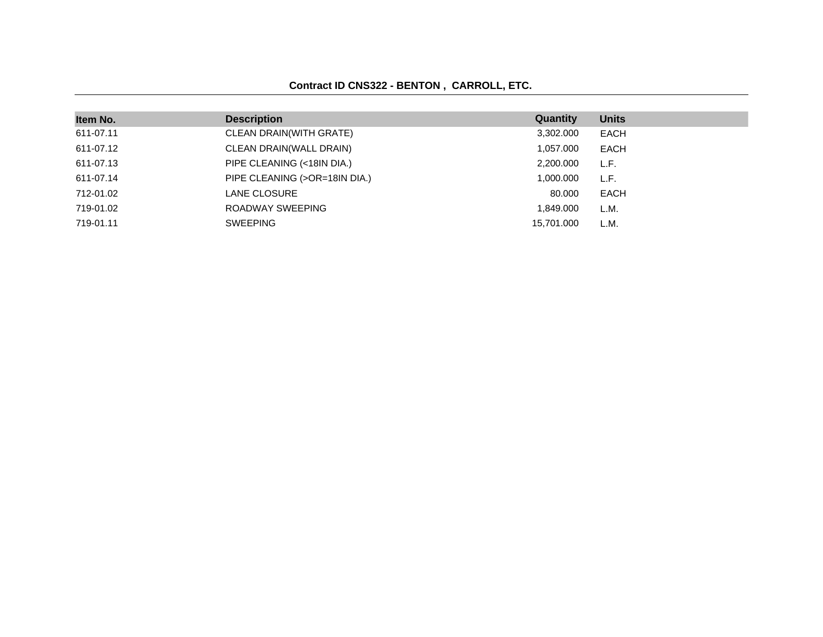### **Contract ID CNS322 - BENTON , CARROLL, ETC.**

| Item No.  | <b>Description</b>            | Quantity   | <b>Units</b> |
|-----------|-------------------------------|------------|--------------|
|           |                               |            |              |
| 611-07.11 | CLEAN DRAIN(WITH GRATE)       | 3,302.000  | <b>EACH</b>  |
| 611-07.12 | CLEAN DRAIN(WALL DRAIN)       | 1,057.000  | EACH         |
| 611-07.13 | PIPE CLEANING (<18IN DIA.)    | 2,200.000  | L.F.         |
| 611-07.14 | PIPE CLEANING (>OR=18IN DIA.) | 1,000.000  | L.F.         |
| 712-01.02 | <b>LANE CLOSURE</b>           | 80,000     | <b>EACH</b>  |
| 719-01.02 | ROADWAY SWEEPING              | 1,849.000  | L.M.         |
| 719-01.11 | <b>SWEEPING</b>               | 15.701.000 | L.M.         |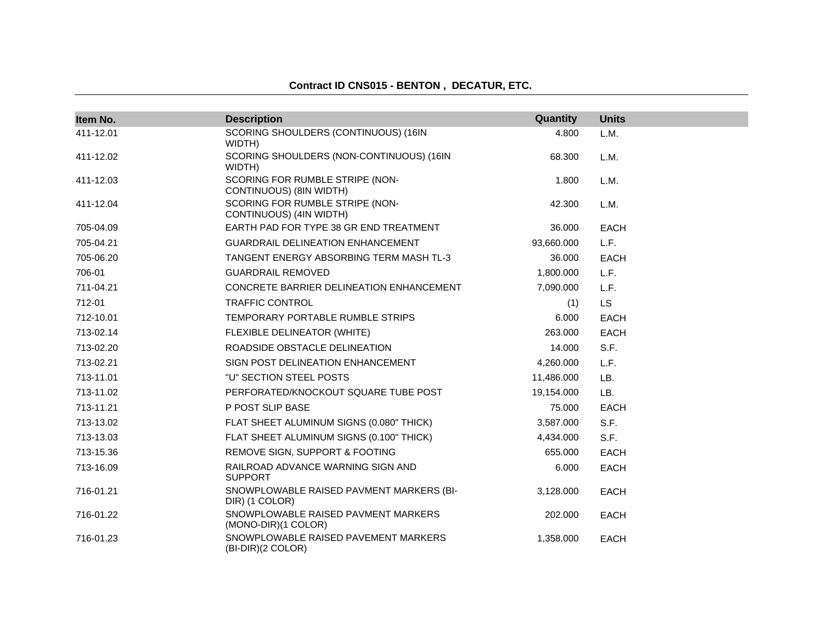| Item No.  | <b>Description</b>                                         | Quantity   | <b>Units</b> |
|-----------|------------------------------------------------------------|------------|--------------|
| 411-12.01 | SCORING SHOULDERS (CONTINUOUS) (16IN<br>WIDTH)             | 4.800      | L.M.         |
| 411-12.02 | SCORING SHOULDERS (NON-CONTINUOUS) (16IN<br>WIDTH)         | 68.300     | L.M.         |
| 411-12.03 | SCORING FOR RUMBLE STRIPE (NON-<br>CONTINUOUS) (8IN WIDTH) | 1.800      | L.M.         |
| 411-12.04 | SCORING FOR RUMBLE STRIPE (NON-<br>CONTINUOUS) (4IN WIDTH) | 42.300     | L.M.         |
| 705-04.09 | EARTH PAD FOR TYPE 38 GR END TREATMENT                     | 36.000     | <b>EACH</b>  |
| 705-04.21 | <b>GUARDRAIL DELINEATION ENHANCEMENT</b>                   | 93,660.000 | L.F.         |
| 705-06.20 | TANGENT ENERGY ABSORBING TERM MASH TL-3                    | 36.000     | <b>EACH</b>  |
| 706-01    | <b>GUARDRAIL REMOVED</b>                                   | 1,800.000  | L.F.         |
| 711-04.21 | CONCRETE BARRIER DELINEATION ENHANCEMENT                   | 7,090.000  | L.F.         |
| 712-01    | <b>TRAFFIC CONTROL</b>                                     | (1)        | <b>LS</b>    |
| 712-10.01 | TEMPORARY PORTABLE RUMBLE STRIPS                           | 6.000      | <b>EACH</b>  |
| 713-02.14 | FLEXIBLE DELINEATOR (WHITE)                                | 263.000    | <b>EACH</b>  |
| 713-02.20 | ROADSIDE OBSTACLE DELINEATION                              | 14.000     | S.F.         |
| 713-02.21 | SIGN POST DELINEATION ENHANCEMENT                          | 4,260.000  | L.F.         |
| 713-11.01 | "U" SECTION STEEL POSTS                                    | 11,486.000 | LB.          |
| 713-11.02 | PERFORATED/KNOCKOUT SQUARE TUBE POST                       | 19,154.000 | LB.          |
| 713-11.21 | P POST SLIP BASE                                           | 75.000     | <b>EACH</b>  |
| 713-13.02 | FLAT SHEET ALUMINUM SIGNS (0.080" THICK)                   | 3,587.000  | S.F.         |
| 713-13.03 | FLAT SHEET ALUMINUM SIGNS (0.100" THICK)                   | 4,434.000  | S.F.         |
| 713-15.36 | REMOVE SIGN, SUPPORT & FOOTING                             | 655.000    | <b>EACH</b>  |
| 713-16.09 | RAILROAD ADVANCE WARNING SIGN AND<br><b>SUPPORT</b>        | 6.000      | <b>EACH</b>  |
| 716-01.21 | SNOWPLOWABLE RAISED PAVMENT MARKERS (BI-<br>DIR) (1 COLOR) | 3,128,000  | <b>EACH</b>  |
| 716-01.22 | SNOWPLOWABLE RAISED PAVMENT MARKERS<br>(MONO-DIR)(1 COLOR) | 202.000    | <b>EACH</b>  |
| 716-01.23 | SNOWPLOWABLE RAISED PAVEMENT MARKERS<br>(BI-DIR)(2 COLOR)  | 1,358.000  | <b>EACH</b>  |

### **Contract ID CNS015 - BENTON , DECATUR, ETC.**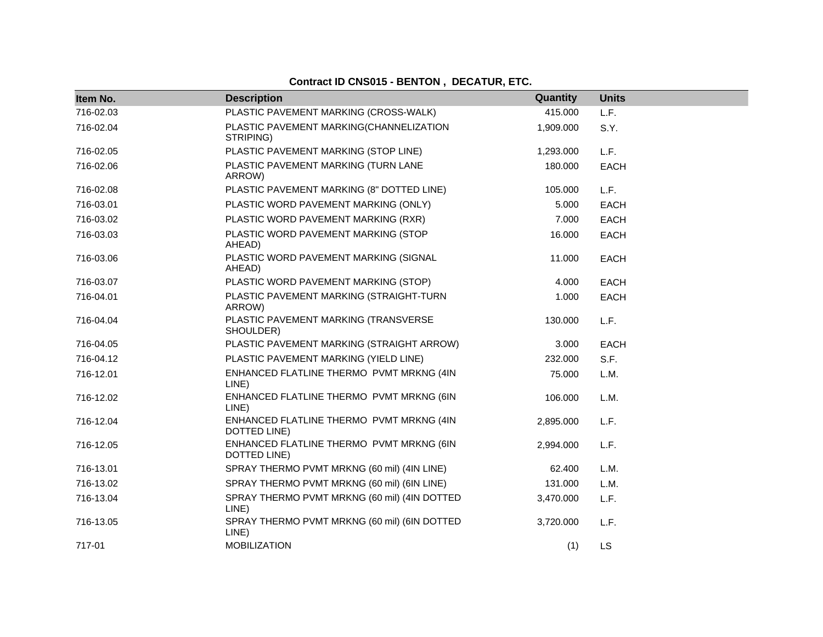## **Contract ID CNS015 - BENTON , DECATUR, ETC.**

| Item No.  | <b>Description</b>                                       | Quantity  | <b>Units</b> |
|-----------|----------------------------------------------------------|-----------|--------------|
| 716-02.03 | PLASTIC PAVEMENT MARKING (CROSS-WALK)                    | 415.000   | L.F.         |
| 716-02.04 | PLASTIC PAVEMENT MARKING(CHANNELIZATION<br>STRIPING)     | 1,909.000 | S.Y.         |
| 716-02.05 | PLASTIC PAVEMENT MARKING (STOP LINE)                     | 1,293.000 | L.F.         |
| 716-02.06 | PLASTIC PAVEMENT MARKING (TURN LANE<br>ARROW)            | 180.000   | <b>EACH</b>  |
| 716-02.08 | PLASTIC PAVEMENT MARKING (8" DOTTED LINE)                | 105.000   | L.F.         |
| 716-03.01 | PLASTIC WORD PAVEMENT MARKING (ONLY)                     | 5.000     | <b>EACH</b>  |
| 716-03.02 | PLASTIC WORD PAVEMENT MARKING (RXR)                      | 7.000     | <b>EACH</b>  |
| 716-03.03 | PLASTIC WORD PAVEMENT MARKING (STOP<br>AHEAD)            | 16.000    | <b>EACH</b>  |
| 716-03.06 | PLASTIC WORD PAVEMENT MARKING (SIGNAL<br>AHEAD)          | 11.000    | <b>EACH</b>  |
| 716-03.07 | PLASTIC WORD PAVEMENT MARKING (STOP)                     | 4.000     | <b>EACH</b>  |
| 716-04.01 | PLASTIC PAVEMENT MARKING (STRAIGHT-TURN<br>ARROW)        | 1.000     | <b>EACH</b>  |
| 716-04.04 | PLASTIC PAVEMENT MARKING (TRANSVERSE<br>SHOULDER)        | 130.000   | L.F.         |
| 716-04.05 | PLASTIC PAVEMENT MARKING (STRAIGHT ARROW)                | 3.000     | EACH         |
| 716-04.12 | PLASTIC PAVEMENT MARKING (YIELD LINE)                    | 232.000   | S.F.         |
| 716-12.01 | ENHANCED FLATLINE THERMO PVMT MRKNG (4IN<br>LINE)        | 75.000    | L.M.         |
| 716-12.02 | ENHANCED FLATLINE THERMO PVMT MRKNG (6IN<br>LINE)        | 106.000   | L.M.         |
| 716-12.04 | ENHANCED FLATLINE THERMO PVMT MRKNG (4IN<br>DOTTED LINE) | 2,895.000 | L.F.         |
| 716-12.05 | ENHANCED FLATLINE THERMO PVMT MRKNG (6IN<br>DOTTED LINE) | 2,994.000 | L.F.         |
| 716-13.01 | SPRAY THERMO PVMT MRKNG (60 mil) (4IN LINE)              | 62.400    | L.M.         |
| 716-13.02 | SPRAY THERMO PVMT MRKNG (60 mil) (6IN LINE)              | 131.000   | L.M.         |
| 716-13.04 | SPRAY THERMO PVMT MRKNG (60 mil) (4IN DOTTED<br>LINE)    | 3,470.000 | L.F.         |
| 716-13.05 | SPRAY THERMO PVMT MRKNG (60 mil) (6IN DOTTED<br>LINE)    | 3,720.000 | L.F.         |
| 717-01    | <b>MOBILIZATION</b>                                      | (1)       | <b>LS</b>    |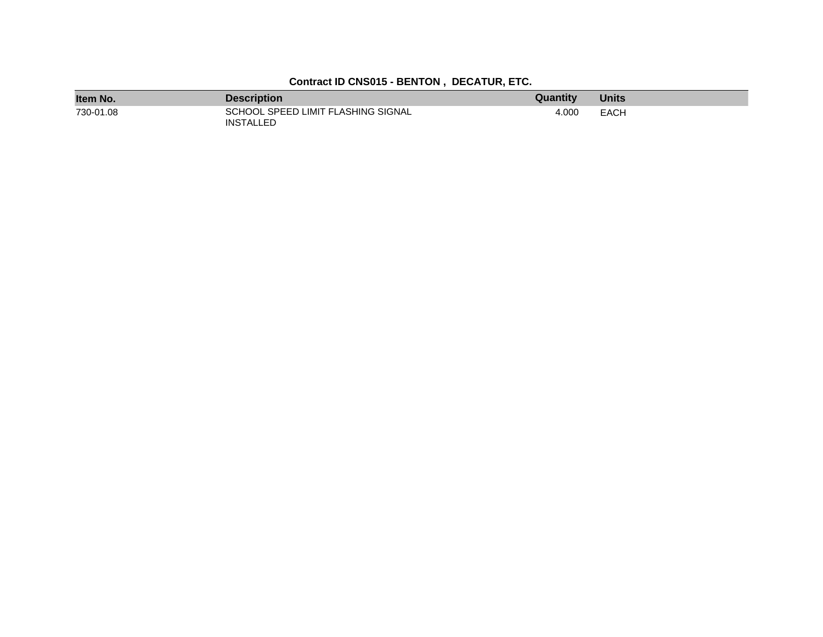| Item No.  | <b>Description</b>                                     | Quantity | <b>Units</b> |
|-----------|--------------------------------------------------------|----------|--------------|
| 730-01.08 | SCHOOL SPEED LIMIT FLASHING SIGNAL<br><b>INSTALLED</b> | 4.000    | <b>EACH</b>  |

## **Contract ID CNS015 - BENTON , DECATUR, ETC.**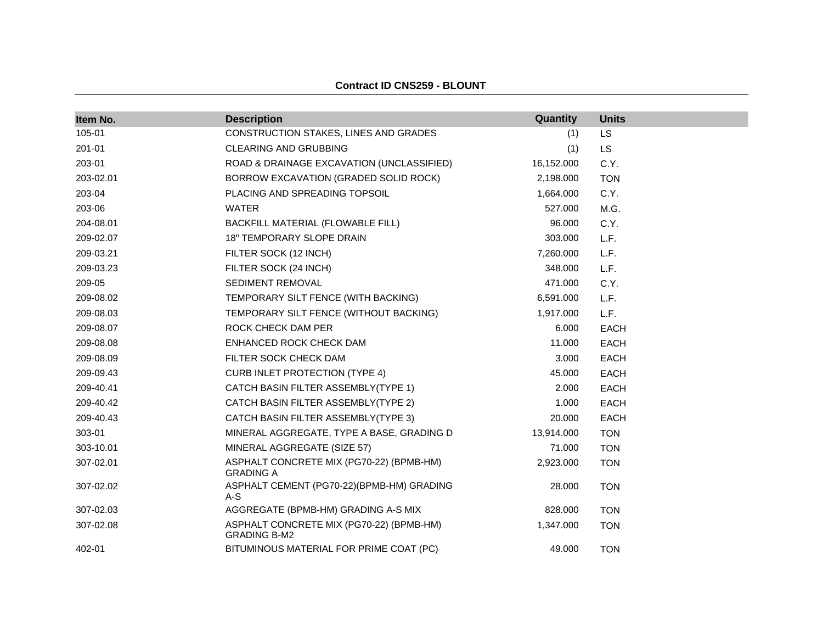| Item No.  | <b>Description</b>                                              | Quantity   | <b>Units</b> |
|-----------|-----------------------------------------------------------------|------------|--------------|
| 105-01    | CONSTRUCTION STAKES, LINES AND GRADES                           | (1)        | <b>LS</b>    |
| 201-01    | <b>CLEARING AND GRUBBING</b>                                    | (1)        | <b>LS</b>    |
| 203-01    | ROAD & DRAINAGE EXCAVATION (UNCLASSIFIED)                       | 16,152.000 | C.Y.         |
| 203-02.01 | BORROW EXCAVATION (GRADED SOLID ROCK)                           | 2,198.000  | <b>TON</b>   |
| 203-04    | PLACING AND SPREADING TOPSOIL                                   | 1,664.000  | C.Y.         |
| 203-06    | <b>WATER</b>                                                    | 527.000    | M.G.         |
| 204-08.01 | BACKFILL MATERIAL (FLOWABLE FILL)                               | 96.000     | C.Y.         |
| 209-02.07 | <b>18" TEMPORARY SLOPE DRAIN</b>                                | 303.000    | L.F.         |
| 209-03.21 | FILTER SOCK (12 INCH)                                           | 7,260.000  | L.F.         |
| 209-03.23 | FILTER SOCK (24 INCH)                                           | 348.000    | L.F.         |
| 209-05    | SEDIMENT REMOVAL                                                | 471.000    | C.Y.         |
| 209-08.02 | TEMPORARY SILT FENCE (WITH BACKING)                             | 6,591.000  | L.F.         |
| 209-08.03 | TEMPORARY SILT FENCE (WITHOUT BACKING)                          | 1,917.000  | L.F.         |
| 209-08.07 | ROCK CHECK DAM PER                                              | 6.000      | <b>EACH</b>  |
| 209-08.08 | ENHANCED ROCK CHECK DAM                                         | 11.000     | <b>EACH</b>  |
| 209-08.09 | FILTER SOCK CHECK DAM                                           | 3.000      | <b>EACH</b>  |
| 209-09.43 | <b>CURB INLET PROTECTION (TYPE 4)</b>                           | 45.000     | <b>EACH</b>  |
| 209-40.41 | CATCH BASIN FILTER ASSEMBLY(TYPE 1)                             | 2.000      | <b>EACH</b>  |
| 209-40.42 | CATCH BASIN FILTER ASSEMBLY(TYPE 2)                             | 1.000      | <b>EACH</b>  |
| 209-40.43 | CATCH BASIN FILTER ASSEMBLY(TYPE 3)                             | 20.000     | <b>EACH</b>  |
| 303-01    | MINERAL AGGREGATE, TYPE A BASE, GRADING D                       | 13,914.000 | <b>TON</b>   |
| 303-10.01 | MINERAL AGGREGATE (SIZE 57)                                     | 71.000     | <b>TON</b>   |
| 307-02.01 | ASPHALT CONCRETE MIX (PG70-22) (BPMB-HM)<br><b>GRADING A</b>    | 2,923.000  | <b>TON</b>   |
| 307-02.02 | ASPHALT CEMENT (PG70-22)(BPMB-HM) GRADING<br>A-S                | 28.000     | <b>TON</b>   |
| 307-02.03 | AGGREGATE (BPMB-HM) GRADING A-S MIX                             | 828.000    | <b>TON</b>   |
| 307-02.08 | ASPHALT CONCRETE MIX (PG70-22) (BPMB-HM)<br><b>GRADING B-M2</b> | 1,347.000  | <b>TON</b>   |
| 402-01    | BITUMINOUS MATERIAL FOR PRIME COAT (PC)                         | 49.000     | <b>TON</b>   |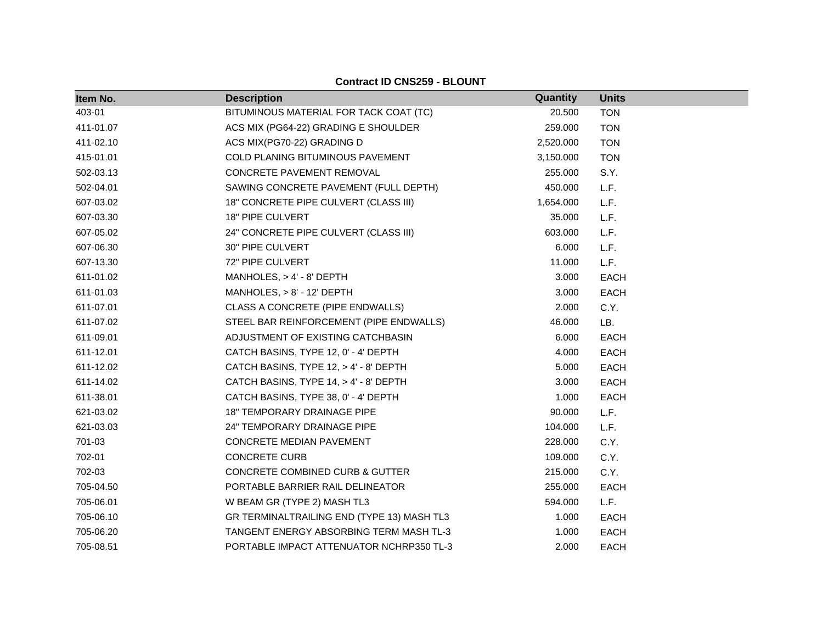| Item No.  | <b>Description</b>                         | Quantity  | <b>Units</b> |
|-----------|--------------------------------------------|-----------|--------------|
| 403-01    | BITUMINOUS MATERIAL FOR TACK COAT (TC)     | 20.500    | <b>TON</b>   |
| 411-01.07 | ACS MIX (PG64-22) GRADING E SHOULDER       | 259.000   | <b>TON</b>   |
| 411-02.10 | ACS MIX(PG70-22) GRADING D                 | 2,520.000 | <b>TON</b>   |
| 415-01.01 | COLD PLANING BITUMINOUS PAVEMENT           | 3,150.000 | <b>TON</b>   |
| 502-03.13 | CONCRETE PAVEMENT REMOVAL                  | 255.000   | S.Y.         |
| 502-04.01 | SAWING CONCRETE PAVEMENT (FULL DEPTH)      | 450.000   | L.F.         |
| 607-03.02 | 18" CONCRETE PIPE CULVERT (CLASS III)      | 1,654.000 | L.F.         |
| 607-03.30 | 18" PIPE CULVERT                           | 35.000    | L.F.         |
| 607-05.02 | 24" CONCRETE PIPE CULVERT (CLASS III)      | 603.000   | L.F.         |
| 607-06.30 | 30" PIPE CULVERT                           | 6.000     | L.F.         |
| 607-13.30 | 72" PIPE CULVERT                           | 11.000    | L.F.         |
| 611-01.02 | MANHOLES, $> 4' - 8'$ DEPTH                | 3.000     | <b>EACH</b>  |
| 611-01.03 | MANHOLES, $> 8'$ - 12' DEPTH               | 3.000     | <b>EACH</b>  |
| 611-07.01 | CLASS A CONCRETE (PIPE ENDWALLS)           | 2.000     | C.Y.         |
| 611-07.02 | STEEL BAR REINFORCEMENT (PIPE ENDWALLS)    | 46.000    | LB.          |
| 611-09.01 | ADJUSTMENT OF EXISTING CATCHBASIN          | 6.000     | <b>EACH</b>  |
| 611-12.01 | CATCH BASINS, TYPE 12, 0' - 4' DEPTH       | 4.000     | <b>EACH</b>  |
| 611-12.02 | CATCH BASINS, TYPE 12, > 4' - 8' DEPTH     | 5.000     | <b>EACH</b>  |
| 611-14.02 | CATCH BASINS, TYPE 14, > 4' - 8' DEPTH     | 3.000     | <b>EACH</b>  |
| 611-38.01 | CATCH BASINS, TYPE 38, 0' - 4' DEPTH       | 1.000     | <b>EACH</b>  |
| 621-03.02 | <b>18" TEMPORARY DRAINAGE PIPE</b>         | 90.000    | L.F.         |
| 621-03.03 | 24" TEMPORARY DRAINAGE PIPE                | 104.000   | L.F.         |
| 701-03    | CONCRETE MEDIAN PAVEMENT                   | 228.000   | C.Y.         |
| 702-01    | <b>CONCRETE CURB</b>                       | 109.000   | C.Y.         |
| 702-03    | CONCRETE COMBINED CURB & GUTTER            | 215.000   | C.Y.         |
| 705-04.50 | PORTABLE BARRIER RAIL DELINEATOR           | 255.000   | <b>EACH</b>  |
| 705-06.01 | W BEAM GR (TYPE 2) MASH TL3                | 594.000   | L.F.         |
| 705-06.10 | GR TERMINALTRAILING END (TYPE 13) MASH TL3 | 1.000     | <b>EACH</b>  |
| 705-06.20 | TANGENT ENERGY ABSORBING TERM MASH TL-3    | 1.000     | <b>EACH</b>  |
| 705-08.51 | PORTABLE IMPACT ATTENUATOR NCHRP350 TL-3   | 2.000     | <b>EACH</b>  |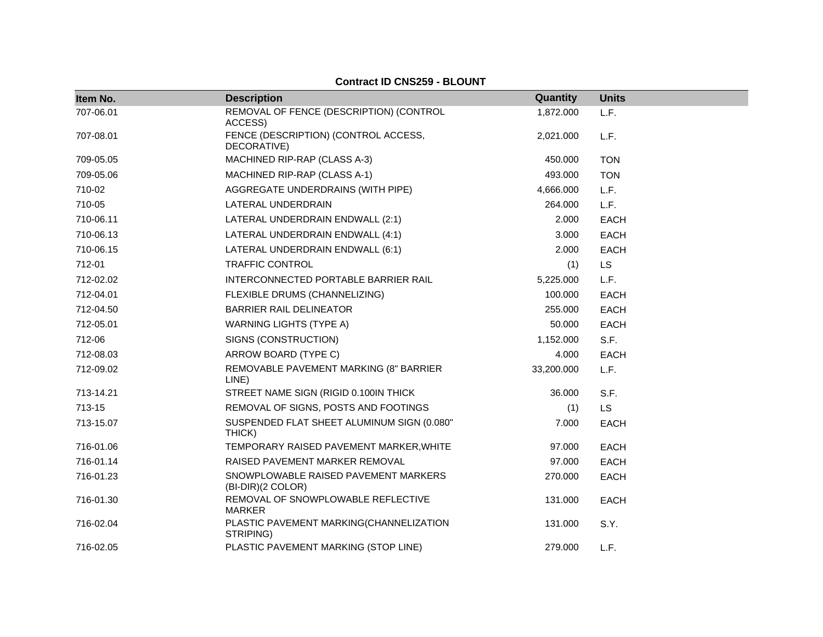| Item No.  | <b>Description</b>                                        | Quantity   | <b>Units</b> |
|-----------|-----------------------------------------------------------|------------|--------------|
| 707-06.01 | REMOVAL OF FENCE (DESCRIPTION) (CONTROL<br>ACCESS)        | 1,872.000  | L.F.         |
| 707-08.01 | FENCE (DESCRIPTION) (CONTROL ACCESS,<br>DECORATIVE)       | 2,021.000  | L.F.         |
| 709-05.05 | MACHINED RIP-RAP (CLASS A-3)                              | 450.000    | <b>TON</b>   |
| 709-05.06 | MACHINED RIP-RAP (CLASS A-1)                              | 493.000    | <b>TON</b>   |
| 710-02    | AGGREGATE UNDERDRAINS (WITH PIPE)                         | 4,666.000  | L.F.         |
| 710-05    | LATERAL UNDERDRAIN                                        | 264.000    | L.F.         |
| 710-06.11 | LATERAL UNDERDRAIN ENDWALL (2:1)                          | 2.000      | <b>EACH</b>  |
| 710-06.13 | LATERAL UNDERDRAIN ENDWALL (4:1)                          | 3.000      | <b>EACH</b>  |
| 710-06.15 | LATERAL UNDERDRAIN ENDWALL (6:1)                          | 2.000      | <b>EACH</b>  |
| 712-01    | <b>TRAFFIC CONTROL</b>                                    | (1)        | <b>LS</b>    |
| 712-02.02 | INTERCONNECTED PORTABLE BARRIER RAIL                      | 5,225.000  | L.F.         |
| 712-04.01 | FLEXIBLE DRUMS (CHANNELIZING)                             | 100.000    | <b>EACH</b>  |
| 712-04.50 | <b>BARRIER RAIL DELINEATOR</b>                            | 255.000    | <b>EACH</b>  |
| 712-05.01 | <b>WARNING LIGHTS (TYPE A)</b>                            | 50.000     | <b>EACH</b>  |
| 712-06    | SIGNS (CONSTRUCTION)                                      | 1,152.000  | S.F.         |
| 712-08.03 | ARROW BOARD (TYPE C)                                      | 4.000      | <b>EACH</b>  |
| 712-09.02 | REMOVABLE PAVEMENT MARKING (8" BARRIER<br>LINE)           | 33,200.000 | L.F.         |
| 713-14.21 | STREET NAME SIGN (RIGID 0.100IN THICK)                    | 36.000     | S.F.         |
| 713-15    | REMOVAL OF SIGNS, POSTS AND FOOTINGS                      | (1)        | <b>LS</b>    |
| 713-15.07 | SUSPENDED FLAT SHEET ALUMINUM SIGN (0.080"<br>THICK)      | 7.000      | <b>EACH</b>  |
| 716-01.06 | TEMPORARY RAISED PAVEMENT MARKER, WHITE                   | 97.000     | <b>EACH</b>  |
| 716-01.14 | RAISED PAVEMENT MARKER REMOVAL                            | 97.000     | <b>EACH</b>  |
| 716-01.23 | SNOWPLOWABLE RAISED PAVEMENT MARKERS<br>(BI-DIR)(2 COLOR) | 270.000    | <b>EACH</b>  |
| 716-01.30 | REMOVAL OF SNOWPLOWABLE REFLECTIVE<br><b>MARKER</b>       | 131.000    | <b>EACH</b>  |
| 716-02.04 | PLASTIC PAVEMENT MARKING(CHANNELIZATION<br>STRIPING)      | 131.000    | S.Y.         |
| 716-02.05 | PLASTIC PAVEMENT MARKING (STOP LINE)                      | 279.000    | L.F.         |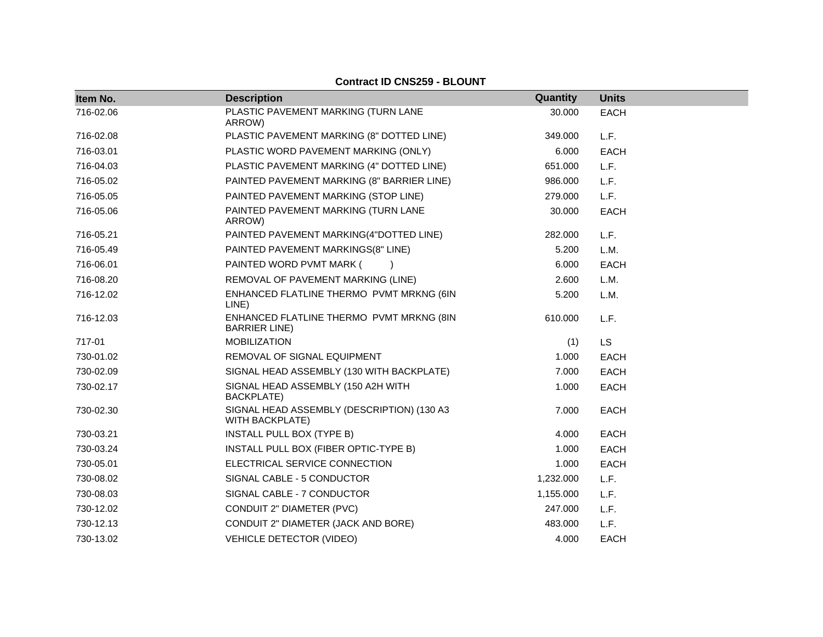| Item No.  | <b>Description</b>                                                   | Quantity  | <b>Units</b> |
|-----------|----------------------------------------------------------------------|-----------|--------------|
| 716-02.06 | PLASTIC PAVEMENT MARKING (TURN LANE<br>ARROW)                        | 30.000    | <b>EACH</b>  |
| 716-02.08 | PLASTIC PAVEMENT MARKING (8" DOTTED LINE)                            | 349.000   | L.F.         |
| 716-03.01 | PLASTIC WORD PAVEMENT MARKING (ONLY)                                 | 6.000     | <b>EACH</b>  |
| 716-04.03 | PLASTIC PAVEMENT MARKING (4" DOTTED LINE)                            | 651.000   | L.F.         |
| 716-05.02 | PAINTED PAVEMENT MARKING (8" BARRIER LINE)                           | 986.000   | L.F.         |
| 716-05.05 | PAINTED PAVEMENT MARKING (STOP LINE)                                 | 279.000   | L.F.         |
| 716-05.06 | PAINTED PAVEMENT MARKING (TURN LANE<br>ARROW)                        | 30.000    | <b>EACH</b>  |
| 716-05.21 | PAINTED PAVEMENT MARKING(4"DOTTED LINE)                              | 282.000   | L.F.         |
| 716-05.49 | PAINTED PAVEMENT MARKINGS(8" LINE)                                   | 5.200     | L.M.         |
| 716-06.01 | PAINTED WORD PVMT MARK (                                             | 6.000     | <b>EACH</b>  |
| 716-08.20 | REMOVAL OF PAVEMENT MARKING (LINE)                                   | 2.600     | L.M.         |
| 716-12.02 | ENHANCED FLATLINE THERMO PVMT MRKNG (6IN<br>LINE)                    | 5.200     | L.M.         |
| 716-12.03 | ENHANCED FLATLINE THERMO PVMT MRKNG (8IN<br><b>BARRIER LINE</b> )    | 610.000   | L.F.         |
| 717-01    | <b>MOBILIZATION</b>                                                  | (1)       | <b>LS</b>    |
| 730-01.02 | REMOVAL OF SIGNAL EQUIPMENT                                          | 1.000     | <b>EACH</b>  |
| 730-02.09 | SIGNAL HEAD ASSEMBLY (130 WITH BACKPLATE)                            | 7.000     | <b>EACH</b>  |
| 730-02.17 | SIGNAL HEAD ASSEMBLY (150 A2H WITH<br><b>BACKPLATE)</b>              | 1.000     | <b>EACH</b>  |
| 730-02.30 | SIGNAL HEAD ASSEMBLY (DESCRIPTION) (130 A3<br><b>WITH BACKPLATE)</b> | 7.000     | <b>EACH</b>  |
| 730-03.21 | INSTALL PULL BOX (TYPE B)                                            | 4.000     | <b>EACH</b>  |
| 730-03.24 | INSTALL PULL BOX (FIBER OPTIC-TYPE B)                                | 1.000     | <b>EACH</b>  |
| 730-05.01 | ELECTRICAL SERVICE CONNECTION                                        | 1.000     | <b>EACH</b>  |
| 730-08.02 | SIGNAL CABLE - 5 CONDUCTOR                                           | 1,232.000 | L.F.         |
| 730-08.03 | SIGNAL CABLE - 7 CONDUCTOR                                           | 1,155.000 | L.F.         |
| 730-12.02 | CONDUIT 2" DIAMETER (PVC)                                            | 247.000   | L.F.         |
| 730-12.13 | CONDUIT 2" DIAMETER (JACK AND BORE)                                  | 483.000   | L.F.         |
| 730-13.02 | <b>VEHICLE DETECTOR (VIDEO)</b>                                      | 4.000     | <b>EACH</b>  |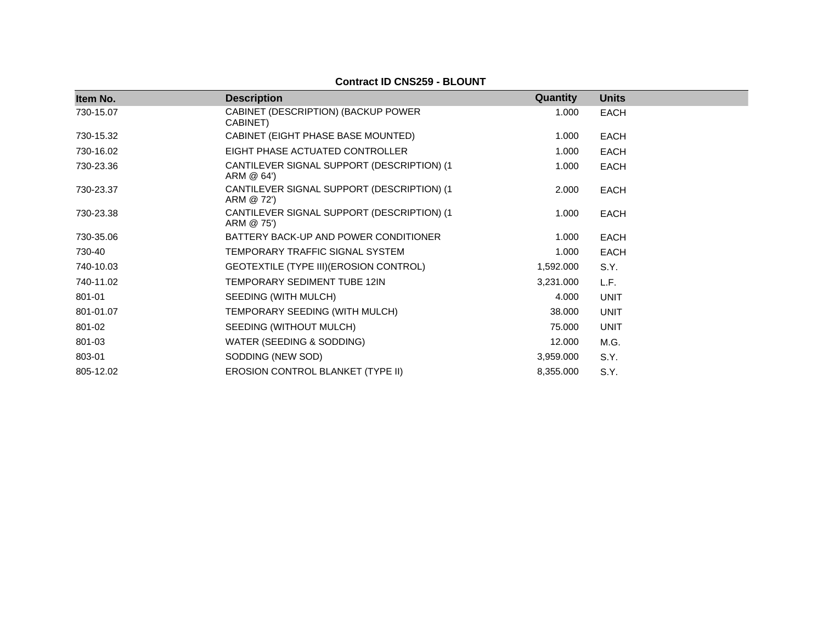| Item No.  | <b>Description</b>                                        | Quantity  | <b>Units</b> |
|-----------|-----------------------------------------------------------|-----------|--------------|
| 730-15.07 | CABINET (DESCRIPTION) (BACKUP POWER<br>CABINET)           | 1.000     | <b>EACH</b>  |
| 730-15.32 | CABINET (EIGHT PHASE BASE MOUNTED)                        | 1.000     | <b>EACH</b>  |
| 730-16.02 | EIGHT PHASE ACTUATED CONTROLLER                           | 1.000     | <b>EACH</b>  |
| 730-23.36 | CANTILEVER SIGNAL SUPPORT (DESCRIPTION) (1<br>ARM @ 64')  | 1.000     | <b>EACH</b>  |
| 730-23.37 | CANTILEVER SIGNAL SUPPORT (DESCRIPTION) (1)<br>ARM @ 72') | 2.000     | EACH         |
| 730-23.38 | CANTILEVER SIGNAL SUPPORT (DESCRIPTION) (1)<br>ARM @ 75') | 1.000     | <b>EACH</b>  |
| 730-35.06 | BATTERY BACK-UP AND POWER CONDITIONER                     | 1.000     | <b>EACH</b>  |
| 730-40    | TEMPORARY TRAFFIC SIGNAL SYSTEM                           | 1.000     | <b>EACH</b>  |
| 740-10.03 | GEOTEXTILE (TYPE III) (EROSION CONTROL)                   | 1,592.000 | S.Y.         |
| 740-11.02 | TEMPORARY SEDIMENT TUBE 12IN                              | 3,231.000 | L.F.         |
| 801-01    | SEEDING (WITH MULCH)                                      | 4.000     | <b>UNIT</b>  |
| 801-01.07 | TEMPORARY SEEDING (WITH MULCH)                            | 38.000    | <b>UNIT</b>  |
| 801-02    | SEEDING (WITHOUT MULCH)                                   | 75.000    | <b>UNIT</b>  |
| 801-03    | WATER (SEEDING & SODDING)                                 | 12.000    | M.G.         |
| 803-01    | SODDING (NEW SOD)                                         | 3,959.000 | S.Y.         |
| 805-12.02 | EROSION CONTROL BLANKET (TYPE II)                         | 8,355.000 | S.Y.         |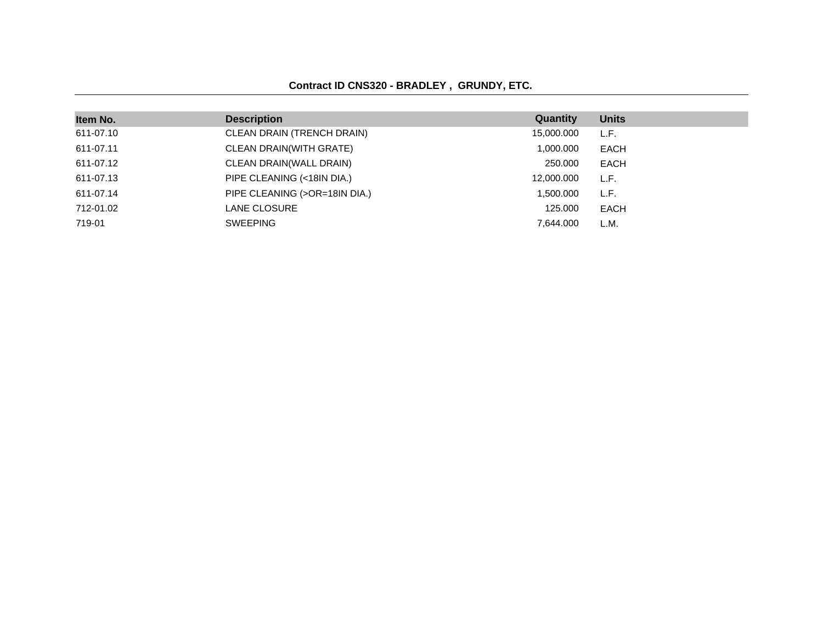### **Contract ID CNS320 - BRADLEY , GRUNDY, ETC.**

| Item No.  | <b>Description</b>            | Quantity   | <b>Units</b> |
|-----------|-------------------------------|------------|--------------|
| 611-07.10 | CLEAN DRAIN (TRENCH DRAIN)    | 15,000.000 | L.F.         |
| 611-07.11 | CLEAN DRAIN(WITH GRATE)       | 1,000.000  | <b>EACH</b>  |
| 611-07.12 | CLEAN DRAIN(WALL DRAIN)       | 250,000    | EACH         |
| 611-07.13 | PIPE CLEANING (<18IN DIA.)    | 12,000.000 | L.F.         |
| 611-07.14 | PIPE CLEANING (>OR=18IN DIA.) | 1.500.000  | L.F.         |
| 712-01.02 | LANE CLOSURE                  | 125,000    | EACH         |
| 719-01    | <b>SWEEPING</b>               | 7.644.000  | L.M.         |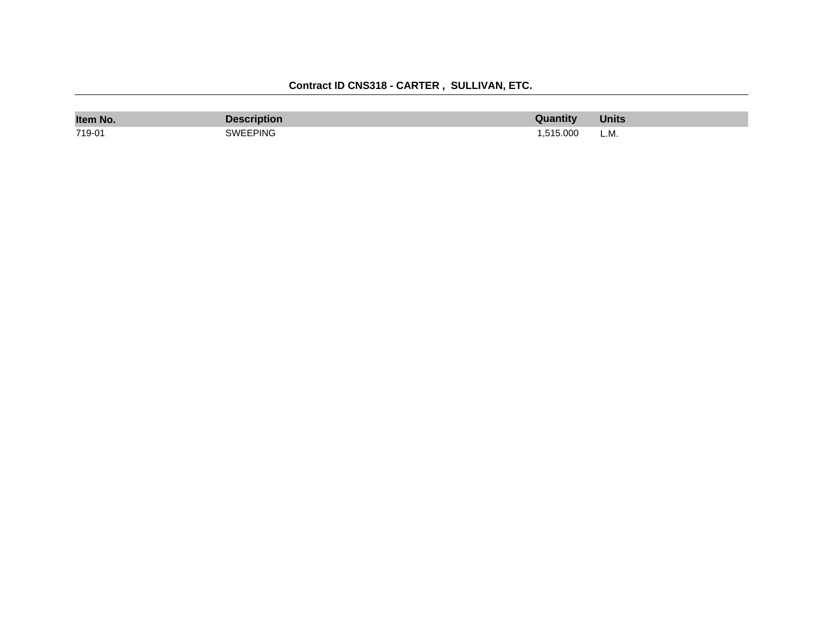| Item No. | scription? | antıtv   | Units |
|----------|------------|----------|-------|
| 719-01   | SWEEPING   | .515.000 | L.M.  |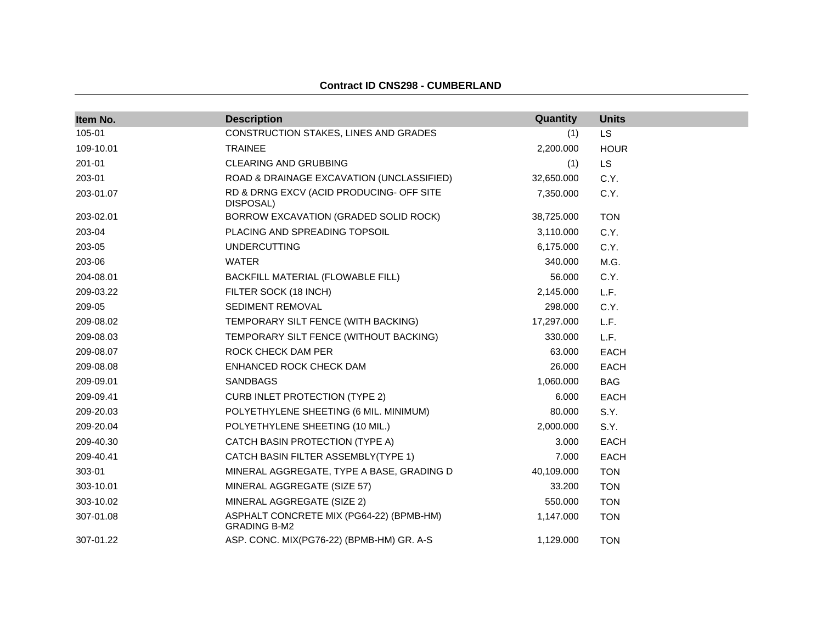| Item No.  | <b>Description</b>                                              | Quantity   | <b>Units</b> |
|-----------|-----------------------------------------------------------------|------------|--------------|
| 105-01    | CONSTRUCTION STAKES, LINES AND GRADES                           | (1)        | <b>LS</b>    |
| 109-10.01 | <b>TRAINEE</b>                                                  | 2,200.000  | <b>HOUR</b>  |
| 201-01    | <b>CLEARING AND GRUBBING</b>                                    | (1)        | LS.          |
| 203-01    | ROAD & DRAINAGE EXCAVATION (UNCLASSIFIED)                       | 32,650.000 | C.Y.         |
| 203-01.07 | RD & DRNG EXCV (ACID PRODUCING- OFF SITE<br>DISPOSAL)           | 7,350.000  | C.Y.         |
| 203-02.01 | BORROW EXCAVATION (GRADED SOLID ROCK)                           | 38,725.000 | <b>TON</b>   |
| 203-04    | PLACING AND SPREADING TOPSOIL                                   | 3,110.000  | C.Y.         |
| 203-05    | <b>UNDERCUTTING</b>                                             | 6,175.000  | C.Y.         |
| 203-06    | <b>WATER</b>                                                    | 340.000    | M.G.         |
| 204-08.01 | BACKFILL MATERIAL (FLOWABLE FILL)                               | 56.000     | C.Y.         |
| 209-03.22 | FILTER SOCK (18 INCH)                                           | 2,145.000  | L.F.         |
| 209-05    | SEDIMENT REMOVAL                                                | 298.000    | C.Y.         |
| 209-08.02 | TEMPORARY SILT FENCE (WITH BACKING)                             | 17,297.000 | L.F.         |
| 209-08.03 | TEMPORARY SILT FENCE (WITHOUT BACKING)                          | 330.000    | L.F.         |
| 209-08.07 | ROCK CHECK DAM PER                                              | 63.000     | <b>EACH</b>  |
| 209-08.08 | ENHANCED ROCK CHECK DAM                                         | 26.000     | <b>EACH</b>  |
| 209-09.01 | <b>SANDBAGS</b>                                                 | 1,060.000  | <b>BAG</b>   |
| 209-09.41 | <b>CURB INLET PROTECTION (TYPE 2)</b>                           | 6.000      | <b>EACH</b>  |
| 209-20.03 | POLYETHYLENE SHEETING (6 MIL. MINIMUM)                          | 80.000     | S.Y.         |
| 209-20.04 | POLYETHYLENE SHEETING (10 MIL.)                                 | 2,000.000  | S.Y.         |
| 209-40.30 | CATCH BASIN PROTECTION (TYPE A)                                 | 3.000      | EACH         |
| 209-40.41 | CATCH BASIN FILTER ASSEMBLY(TYPE 1)                             | 7.000      | <b>EACH</b>  |
| 303-01    | MINERAL AGGREGATE, TYPE A BASE, GRADING D                       | 40,109.000 | <b>TON</b>   |
| 303-10.01 | MINERAL AGGREGATE (SIZE 57)                                     | 33.200     | <b>TON</b>   |
| 303-10.02 | MINERAL AGGREGATE (SIZE 2)                                      | 550.000    | <b>TON</b>   |
| 307-01.08 | ASPHALT CONCRETE MIX (PG64-22) (BPMB-HM)<br><b>GRADING B-M2</b> | 1,147.000  | <b>TON</b>   |
| 307-01.22 | ASP. CONC. MIX(PG76-22) (BPMB-HM) GR. A-S                       | 1,129.000  | <b>TON</b>   |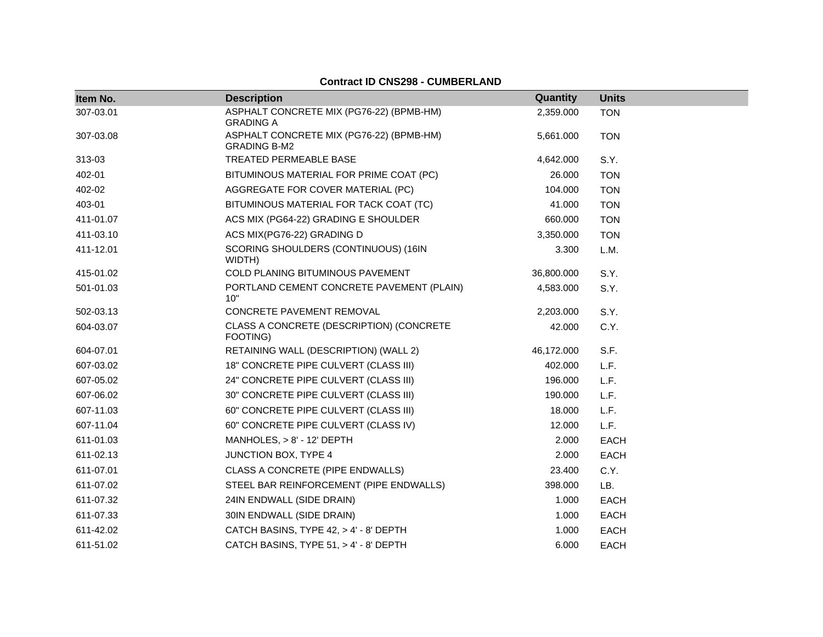| Item No.  | <b>Description</b>                                              | Quantity   | <b>Units</b> |
|-----------|-----------------------------------------------------------------|------------|--------------|
| 307-03.01 | ASPHALT CONCRETE MIX (PG76-22) (BPMB-HM)<br><b>GRADING A</b>    | 2,359.000  | <b>TON</b>   |
| 307-03.08 | ASPHALT CONCRETE MIX (PG76-22) (BPMB-HM)<br><b>GRADING B-M2</b> | 5,661.000  | <b>TON</b>   |
| 313-03    | <b>TREATED PERMEABLE BASE</b>                                   | 4,642.000  | S.Y.         |
| 402-01    | BITUMINOUS MATERIAL FOR PRIME COAT (PC)                         | 26.000     | <b>TON</b>   |
| 402-02    | AGGREGATE FOR COVER MATERIAL (PC)                               | 104.000    | <b>TON</b>   |
| 403-01    | BITUMINOUS MATERIAL FOR TACK COAT (TC)                          | 41.000     | <b>TON</b>   |
| 411-01.07 | ACS MIX (PG64-22) GRADING E SHOULDER                            | 660.000    | <b>TON</b>   |
| 411-03.10 | ACS MIX(PG76-22) GRADING D                                      | 3,350.000  | <b>TON</b>   |
| 411-12.01 | SCORING SHOULDERS (CONTINUOUS) (16IN<br>WIDTH)                  | 3.300      | L.M.         |
| 415-01.02 | COLD PLANING BITUMINOUS PAVEMENT                                | 36,800.000 | S.Y.         |
| 501-01.03 | PORTLAND CEMENT CONCRETE PAVEMENT (PLAIN)<br>10"                | 4,583.000  | S.Y.         |
| 502-03.13 | CONCRETE PAVEMENT REMOVAL                                       | 2,203.000  | S.Y.         |
| 604-03.07 | CLASS A CONCRETE (DESCRIPTION) (CONCRETE<br>FOOTING)            | 42.000     | C.Y.         |
| 604-07.01 | RETAINING WALL (DESCRIPTION) (WALL 2)                           | 46,172.000 | S.F.         |
| 607-03.02 | 18" CONCRETE PIPE CULVERT (CLASS III)                           | 402.000    | L.F.         |
| 607-05.02 | 24" CONCRETE PIPE CULVERT (CLASS III)                           | 196.000    | L.F.         |
| 607-06.02 | 30" CONCRETE PIPE CULVERT (CLASS III)                           | 190.000    | L.F.         |
| 607-11.03 | 60" CONCRETE PIPE CULVERT (CLASS III)                           | 18.000     | L.F.         |
| 607-11.04 | 60" CONCRETE PIPE CULVERT (CLASS IV)                            | 12.000     | L.F.         |
| 611-01.03 | MANHOLES, $> 8'$ - 12' DEPTH                                    | 2.000      | <b>EACH</b>  |
| 611-02.13 | JUNCTION BOX, TYPE 4                                            | 2.000      | <b>EACH</b>  |
| 611-07.01 | CLASS A CONCRETE (PIPE ENDWALLS)                                | 23.400     | C.Y.         |
| 611-07.02 | STEEL BAR REINFORCEMENT (PIPE ENDWALLS)                         | 398.000    | LB.          |
| 611-07.32 | 24IN ENDWALL (SIDE DRAIN)                                       | 1.000      | <b>EACH</b>  |
| 611-07.33 | 30IN ENDWALL (SIDE DRAIN)                                       | 1.000      | <b>EACH</b>  |
| 611-42.02 | CATCH BASINS, TYPE 42, > 4' - 8' DEPTH                          | 1.000      | <b>EACH</b>  |
| 611-51.02 | CATCH BASINS, TYPE 51, > 4' - 8' DEPTH                          | 6.000      | <b>EACH</b>  |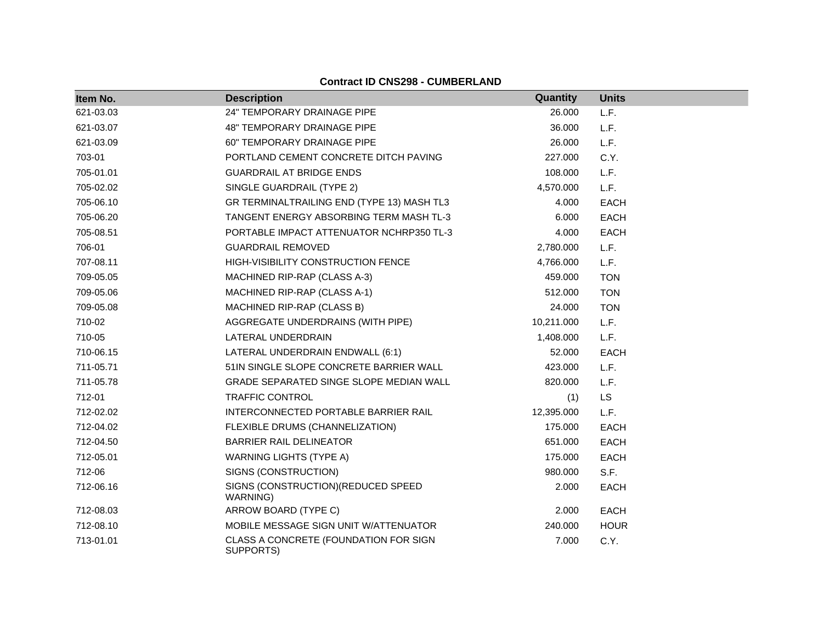| Item No.  | <b>Description</b>                                 | Quantity   | <b>Units</b> |
|-----------|----------------------------------------------------|------------|--------------|
| 621-03.03 | 24" TEMPORARY DRAINAGE PIPE                        | 26.000     | L.F.         |
| 621-03.07 | 48" TEMPORARY DRAINAGE PIPE                        | 36.000     | L.F.         |
| 621-03.09 | <b>60" TEMPORARY DRAINAGE PIPE</b>                 | 26.000     | L.F.         |
| 703-01    | PORTLAND CEMENT CONCRETE DITCH PAVING              | 227,000    | C.Y.         |
| 705-01.01 | <b>GUARDRAIL AT BRIDGE ENDS</b>                    | 108.000    | L.F.         |
| 705-02.02 | SINGLE GUARDRAIL (TYPE 2)                          | 4,570.000  | L.F.         |
| 705-06.10 | GR TERMINALTRAILING END (TYPE 13) MASH TL3         | 4.000      | <b>EACH</b>  |
| 705-06.20 | <b>TANGENT ENERGY ABSORBING TERM MASH TL-3</b>     | 6.000      | <b>EACH</b>  |
| 705-08.51 | PORTABLE IMPACT ATTENUATOR NCHRP350 TL-3           | 4.000      | <b>EACH</b>  |
| 706-01    | <b>GUARDRAIL REMOVED</b>                           | 2,780.000  | L.F.         |
| 707-08.11 | HIGH-VISIBILITY CONSTRUCTION FENCE                 | 4,766.000  | L.F.         |
| 709-05.05 | MACHINED RIP-RAP (CLASS A-3)                       | 459.000    | <b>TON</b>   |
| 709-05.06 | MACHINED RIP-RAP (CLASS A-1)                       | 512.000    | <b>TON</b>   |
| 709-05.08 | MACHINED RIP-RAP (CLASS B)                         | 24.000     | <b>TON</b>   |
| 710-02    | AGGREGATE UNDERDRAINS (WITH PIPE)                  | 10,211.000 | L.F.         |
| 710-05    | LATERAL UNDERDRAIN                                 | 1,408.000  | L.F.         |
| 710-06.15 | LATERAL UNDERDRAIN ENDWALL (6:1)                   | 52.000     | <b>EACH</b>  |
| 711-05.71 | 51IN SINGLE SLOPE CONCRETE BARRIER WALL            | 423.000    | L.F.         |
| 711-05.78 | GRADE SEPARATED SINGE SLOPE MEDIAN WALL            | 820.000    | L.F.         |
| 712-01    | <b>TRAFFIC CONTROL</b>                             | (1)        | <b>LS</b>    |
| 712-02.02 | INTERCONNECTED PORTABLE BARRIER RAIL               | 12,395.000 | L.F.         |
| 712-04.02 | FLEXIBLE DRUMS (CHANNELIZATION)                    | 175.000    | <b>EACH</b>  |
| 712-04.50 | <b>BARRIER RAIL DELINEATOR</b>                     | 651.000    | <b>EACH</b>  |
| 712-05.01 | <b>WARNING LIGHTS (TYPE A)</b>                     | 175.000    | <b>EACH</b>  |
| 712-06    | SIGNS (CONSTRUCTION)                               | 980.000    | S.F.         |
| 712-06.16 | SIGNS (CONSTRUCTION) (REDUCED SPEED<br>WARNING)    | 2.000      | <b>EACH</b>  |
| 712-08.03 | ARROW BOARD (TYPE C)                               | 2.000      | <b>EACH</b>  |
| 712-08.10 | MOBILE MESSAGE SIGN UNIT W/ATTENUATOR              | 240.000    | <b>HOUR</b>  |
| 713-01.01 | CLASS A CONCRETE (FOUNDATION FOR SIGN<br>SUPPORTS) | 7.000      | C.Y.         |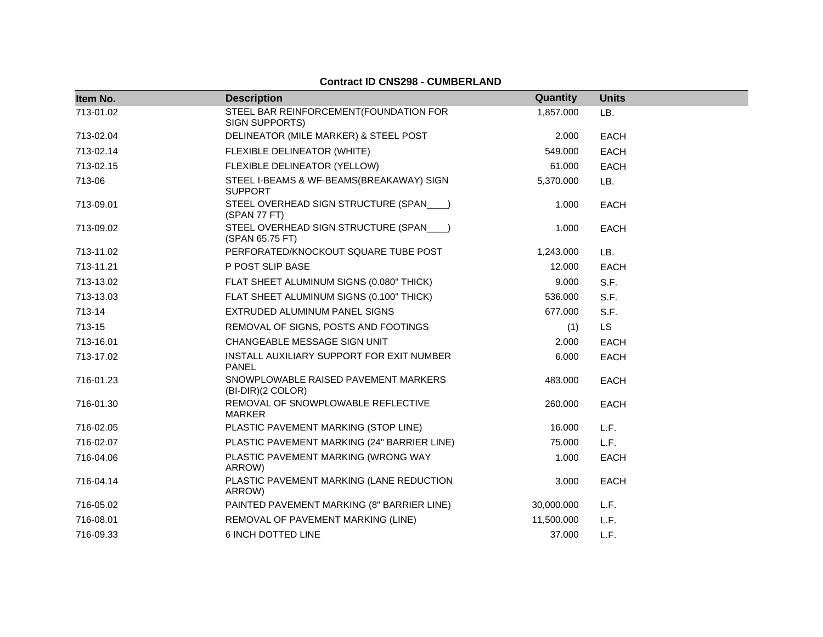| Item No.  | <b>Description</b>                                         | Quantity   | <b>Units</b> |
|-----------|------------------------------------------------------------|------------|--------------|
| 713-01.02 | STEEL BAR REINFORCEMENT (FOUNDATION FOR<br>SIGN SUPPORTS)  | 1,857.000  | LB.          |
| 713-02.04 | DELINEATOR (MILE MARKER) & STEEL POST                      | 2.000      | <b>EACH</b>  |
| 713-02.14 | FLEXIBLE DELINEATOR (WHITE)                                | 549.000    | <b>EACH</b>  |
| 713-02.15 | FLEXIBLE DELINEATOR (YELLOW)                               | 61.000     | <b>EACH</b>  |
| 713-06    | STEEL I-BEAMS & WF-BEAMS(BREAKAWAY) SIGN<br><b>SUPPORT</b> | 5,370.000  | LB.          |
| 713-09.01 | STEEL OVERHEAD SIGN STRUCTURE (SPAN___)<br>(SPAN 77 FT)    | 1.000      | <b>EACH</b>  |
| 713-09.02 | STEEL OVERHEAD SIGN STRUCTURE (SPAN___)<br>(SPAN 65.75 FT) | 1.000      | <b>EACH</b>  |
| 713-11.02 | PERFORATED/KNOCKOUT SQUARE TUBE POST                       | 1,243.000  | LB.          |
| 713-11.21 | P POST SLIP BASE                                           | 12.000     | EACH         |
| 713-13.02 | FLAT SHEET ALUMINUM SIGNS (0.080" THICK)                   | 9.000      | S.F.         |
| 713-13.03 | FLAT SHEET ALUMINUM SIGNS (0.100" THICK)                   | 536,000    | S.F.         |
| 713-14    | EXTRUDED ALUMINUM PANEL SIGNS                              | 677.000    | S.F.         |
| 713-15    | REMOVAL OF SIGNS, POSTS AND FOOTINGS                       | (1)        | <b>LS</b>    |
| 713-16.01 | CHANGEABLE MESSAGE SIGN UNIT                               | 2.000      | <b>EACH</b>  |
| 713-17.02 | INSTALL AUXILIARY SUPPORT FOR EXIT NUMBER<br><b>PANEL</b>  | 6.000      | <b>EACH</b>  |
| 716-01.23 | SNOWPLOWABLE RAISED PAVEMENT MARKERS<br>(BI-DIR)(2 COLOR)  | 483.000    | <b>EACH</b>  |
| 716-01.30 | REMOVAL OF SNOWPLOWABLE REFLECTIVE<br><b>MARKER</b>        | 260.000    | <b>EACH</b>  |
| 716-02.05 | PLASTIC PAVEMENT MARKING (STOP LINE)                       | 16.000     | L.F.         |
| 716-02.07 | PLASTIC PAVEMENT MARKING (24" BARRIER LINE)                | 75.000     | L.F.         |
| 716-04.06 | PLASTIC PAVEMENT MARKING (WRONG WAY<br>ARROW)              | 1.000      | <b>EACH</b>  |
| 716-04.14 | PLASTIC PAVEMENT MARKING (LANE REDUCTION<br>ARROW)         | 3.000      | <b>EACH</b>  |
| 716-05.02 | PAINTED PAVEMENT MARKING (8" BARRIER LINE)                 | 30,000.000 | L.F.         |
| 716-08.01 | REMOVAL OF PAVEMENT MARKING (LINE)                         | 11,500.000 | L.F.         |
| 716-09.33 | 6 INCH DOTTED LINE                                         | 37.000     | L.F.         |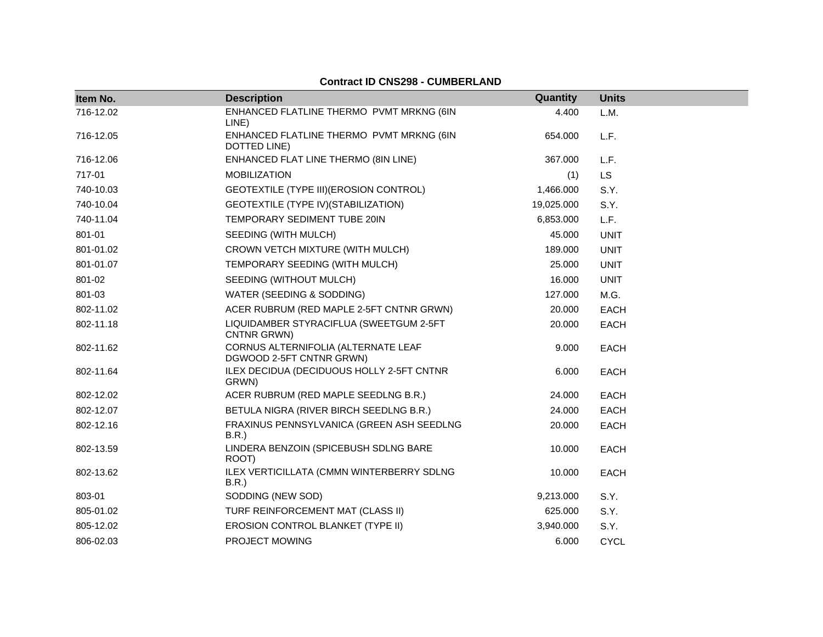| Item No.  | <b>Description</b>                                              | Quantity   | <b>Units</b> |
|-----------|-----------------------------------------------------------------|------------|--------------|
| 716-12.02 | ENHANCED FLATLINE THERMO PVMT MRKNG (6IN<br>LINE)               | 4.400      | L.M.         |
| 716-12.05 | ENHANCED FLATLINE THERMO PVMT MRKNG (6IN<br>DOTTED LINE)        | 654.000    | L.F.         |
| 716-12.06 | ENHANCED FLAT LINE THERMO (8IN LINE)                            | 367.000    | L.F.         |
| 717-01    | <b>MOBILIZATION</b>                                             | (1)        | <b>LS</b>    |
| 740-10.03 | GEOTEXTILE (TYPE III) (EROSION CONTROL)                         | 1,466.000  | S.Y.         |
| 740-10.04 | GEOTEXTILE (TYPE IV) (STABILIZATION)                            | 19,025.000 | S.Y.         |
| 740-11.04 | TEMPORARY SEDIMENT TUBE 20IN                                    | 6,853.000  | L.F.         |
| 801-01    | SEEDING (WITH MULCH)                                            | 45.000     | <b>UNIT</b>  |
| 801-01.02 | CROWN VETCH MIXTURE (WITH MULCH)                                | 189.000    | <b>UNIT</b>  |
| 801-01.07 | TEMPORARY SEEDING (WITH MULCH)                                  | 25,000     | <b>UNIT</b>  |
| 801-02    | SEEDING (WITHOUT MULCH)                                         | 16.000     | <b>UNIT</b>  |
| 801-03    | WATER (SEEDING & SODDING)                                       | 127.000    | M.G.         |
| 802-11.02 | ACER RUBRUM (RED MAPLE 2-5FT CNTNR GRWN)                        | 20.000     | <b>EACH</b>  |
| 802-11.18 | LIQUIDAMBER STYRACIFLUA (SWEETGUM 2-5FT<br>CNTNR GRWN)          | 20.000     | <b>EACH</b>  |
| 802-11.62 | CORNUS ALTERNIFOLIA (ALTERNATE LEAF<br>DGWOOD 2-5FT CNTNR GRWN) | 9.000      | <b>EACH</b>  |
| 802-11.64 | ILEX DECIDUA (DECIDUOUS HOLLY 2-5FT CNTNR<br>GRWN)              | 6.000      | <b>EACH</b>  |
| 802-12.02 | ACER RUBRUM (RED MAPLE SEEDLNG B.R.)                            | 24.000     | <b>EACH</b>  |
| 802-12.07 | BETULA NIGRA (RIVER BIRCH SEEDLNG B.R.)                         | 24.000     | <b>EACH</b>  |
| 802-12.16 | FRAXINUS PENNSYLVANICA (GREEN ASH SEEDLNG<br>B.R.               | 20.000     | <b>EACH</b>  |
| 802-13.59 | LINDERA BENZOIN (SPICEBUSH SDLNG BARE<br>ROOT)                  | 10.000     | <b>EACH</b>  |
| 802-13.62 | <b>ILEX VERTICILLATA (CMMN WINTERBERRY SDLNG</b><br>B.R.        | 10.000     | <b>EACH</b>  |
| 803-01    | SODDING (NEW SOD)                                               | 9,213.000  | S.Y.         |
| 805-01.02 | TURF REINFORCEMENT MAT (CLASS II)                               | 625.000    | S.Y.         |
| 805-12.02 | EROSION CONTROL BLANKET (TYPE II)                               | 3,940.000  | S.Y.         |
| 806-02.03 | PROJECT MOWING                                                  | 6.000      | <b>CYCL</b>  |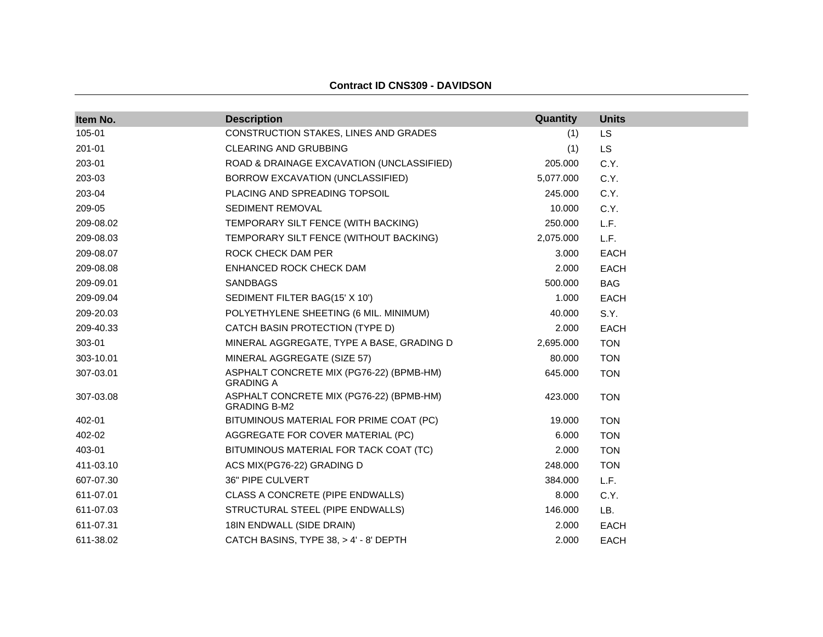| Item No.  | <b>Description</b>                                              | Quantity  | <b>Units</b> |
|-----------|-----------------------------------------------------------------|-----------|--------------|
| 105-01    | CONSTRUCTION STAKES, LINES AND GRADES                           | (1)       | LS           |
| 201-01    | CLEARING AND GRUBBING                                           | (1)       | <b>LS</b>    |
| 203-01    | ROAD & DRAINAGE EXCAVATION (UNCLASSIFIED)                       | 205.000   | C.Y.         |
| 203-03    | BORROW EXCAVATION (UNCLASSIFIED)                                | 5,077.000 | C.Y.         |
| 203-04    | PLACING AND SPREADING TOPSOIL                                   | 245.000   | C.Y.         |
| 209-05    | SEDIMENT REMOVAL                                                | 10.000    | C.Y.         |
| 209-08.02 | TEMPORARY SILT FENCE (WITH BACKING)                             | 250.000   | L.F.         |
| 209-08.03 | TEMPORARY SILT FENCE (WITHOUT BACKING)                          | 2,075.000 | L.F.         |
| 209-08.07 | ROCK CHECK DAM PER                                              | 3.000     | <b>EACH</b>  |
| 209-08.08 | ENHANCED ROCK CHECK DAM                                         | 2.000     | <b>EACH</b>  |
| 209-09.01 | <b>SANDBAGS</b>                                                 | 500.000   | <b>BAG</b>   |
| 209-09.04 | SEDIMENT FILTER BAG(15' X 10')                                  | 1.000     | <b>EACH</b>  |
| 209-20.03 | POLYETHYLENE SHEETING (6 MIL. MINIMUM)                          | 40.000    | S.Y.         |
| 209-40.33 | CATCH BASIN PROTECTION (TYPE D)                                 | 2.000     | <b>EACH</b>  |
| 303-01    | MINERAL AGGREGATE, TYPE A BASE, GRADING D                       | 2,695.000 | <b>TON</b>   |
| 303-10.01 | MINERAL AGGREGATE (SIZE 57)                                     | 80.000    | <b>TON</b>   |
| 307-03.01 | ASPHALT CONCRETE MIX (PG76-22) (BPMB-HM)<br><b>GRADING A</b>    | 645.000   | <b>TON</b>   |
| 307-03.08 | ASPHALT CONCRETE MIX (PG76-22) (BPMB-HM)<br><b>GRADING B-M2</b> | 423.000   | <b>TON</b>   |
| 402-01    | BITUMINOUS MATERIAL FOR PRIME COAT (PC)                         | 19.000    | <b>TON</b>   |
| 402-02    | AGGREGATE FOR COVER MATERIAL (PC)                               | 6.000     | <b>TON</b>   |
| 403-01    | BITUMINOUS MATERIAL FOR TACK COAT (TC)                          | 2.000     | <b>TON</b>   |
| 411-03.10 | ACS MIX(PG76-22) GRADING D                                      | 248.000   | <b>TON</b>   |
| 607-07.30 | 36" PIPE CULVERT                                                | 384.000   | L.F.         |
| 611-07.01 | CLASS A CONCRETE (PIPE ENDWALLS)                                | 8.000     | C.Y.         |
| 611-07.03 | STRUCTURAL STEEL (PIPE ENDWALLS)                                | 146.000   | LB.          |
| 611-07.31 | 18IN ENDWALL (SIDE DRAIN)                                       | 2.000     | EACH         |
| 611-38.02 | CATCH BASINS, TYPE 38, > 4' - 8' DEPTH                          | 2.000     | <b>EACH</b>  |

#### **Contract ID CNS309 - DAVIDSON**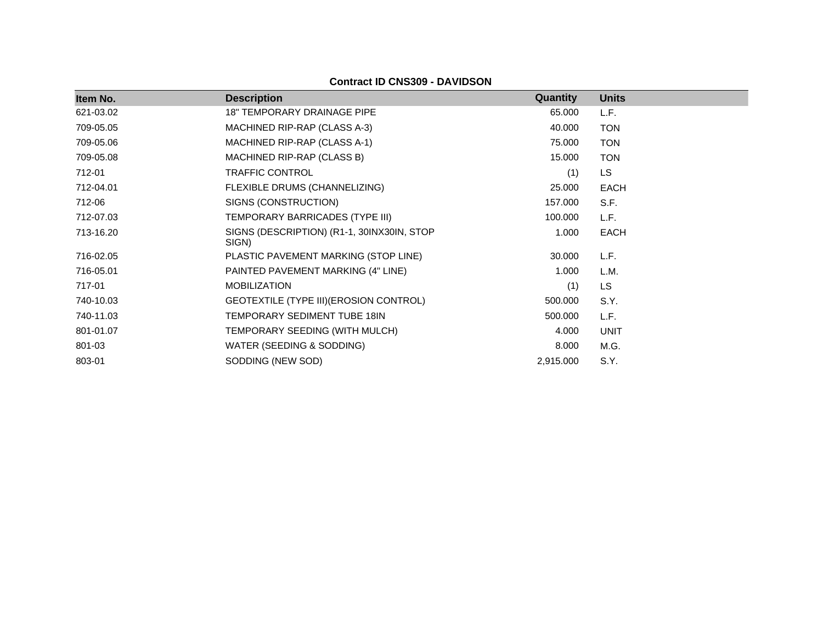**Contract ID CNS309 - DAVIDSON**

| Item No.  | <b>Description</b>                                  | <b>Quantity</b> | <b>Units</b> |
|-----------|-----------------------------------------------------|-----------------|--------------|
| 621-03.02 | <b>18" TEMPORARY DRAINAGE PIPE</b>                  | 65.000          | L.F.         |
| 709-05.05 | MACHINED RIP-RAP (CLASS A-3)                        | 40.000          | <b>TON</b>   |
| 709-05.06 | MACHINED RIP-RAP (CLASS A-1)                        | 75.000          | <b>TON</b>   |
| 709-05.08 | MACHINED RIP-RAP (CLASS B)                          | 15.000          | <b>TON</b>   |
| 712-01    | TRAFFIC CONTROL                                     | (1)             | <b>LS</b>    |
| 712-04.01 | FLEXIBLE DRUMS (CHANNELIZING)                       | 25.000          | <b>EACH</b>  |
| 712-06    | SIGNS (CONSTRUCTION)                                | 157.000         | S.F.         |
| 712-07.03 | TEMPORARY BARRICADES (TYPE III)                     | 100.000         | L.F.         |
| 713-16.20 | SIGNS (DESCRIPTION) (R1-1, 30INX30IN, STOP<br>SIGN) | 1.000           | <b>EACH</b>  |
| 716-02.05 | PLASTIC PAVEMENT MARKING (STOP LINE)                | 30.000          | L.F.         |
| 716-05.01 | PAINTED PAVEMENT MARKING (4" LINE)                  | 1.000           | L.M.         |
| 717-01    | <b>MOBILIZATION</b>                                 | (1)             | LS           |
| 740-10.03 | GEOTEXTILE (TYPE III) (EROSION CONTROL)             | 500.000         | S.Y.         |
| 740-11.03 | TEMPORARY SEDIMENT TUBE 18IN                        | 500.000         | L.F.         |
| 801-01.07 | TEMPORARY SEEDING (WITH MULCH)                      | 4.000           | <b>UNIT</b>  |
| 801-03    | WATER (SEEDING & SODDING)                           | 8.000           | M.G.         |
| 803-01    | SODDING (NEW SOD)                                   | 2,915.000       | S.Y.         |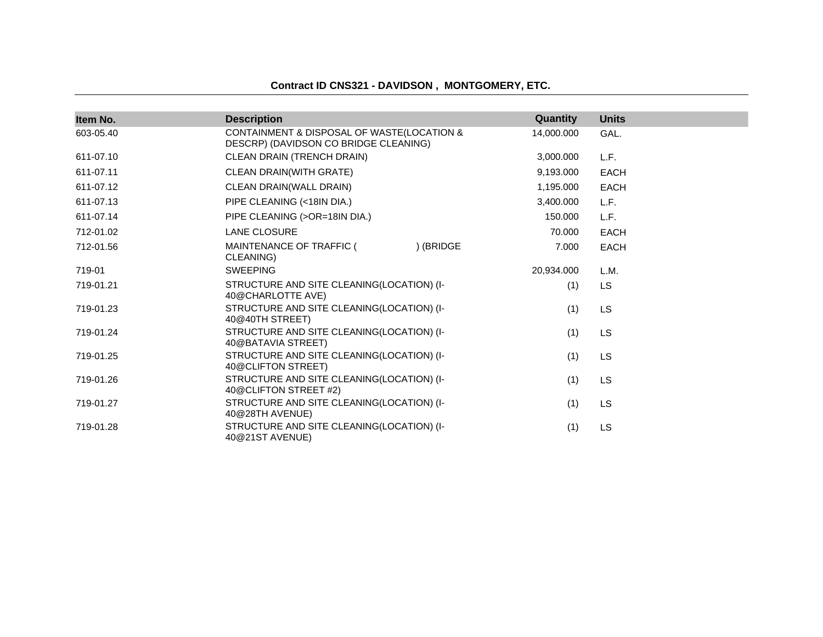### **Contract ID CNS321 - DAVIDSON , MONTGOMERY, ETC.**

| Item No.  | <b>Description</b>                                                                  | Quantity   | <b>Units</b> |
|-----------|-------------------------------------------------------------------------------------|------------|--------------|
| 603-05.40 | CONTAINMENT & DISPOSAL OF WASTE(LOCATION &<br>DESCRP) (DAVIDSON CO BRIDGE CLEANING) | 14,000.000 | GAL.         |
| 611-07.10 | CLEAN DRAIN (TRENCH DRAIN)                                                          | 3,000.000  | L.F.         |
| 611-07.11 | CLEAN DRAIN(WITH GRATE)                                                             | 9,193.000  | <b>EACH</b>  |
| 611-07.12 | CLEAN DRAIN(WALL DRAIN)                                                             | 1,195.000  | <b>EACH</b>  |
| 611-07.13 | PIPE CLEANING (<18IN DIA.)                                                          | 3,400.000  | L.F.         |
| 611-07.14 | PIPE CLEANING (>OR=18IN DIA.)                                                       | 150.000    | L.F.         |
| 712-01.02 | <b>LANE CLOSURE</b>                                                                 | 70.000     | <b>EACH</b>  |
| 712-01.56 | ) (BRIDGE<br>MAINTENANCE OF TRAFFIC (<br>CLEANING)                                  | 7.000      | <b>EACH</b>  |
| 719-01    | <b>SWEEPING</b>                                                                     | 20,934.000 | L.M.         |
| 719-01.21 | STRUCTURE AND SITE CLEANING(LOCATION) (I-<br>40@CHARLOTTE AVE)                      | (1)        | <b>LS</b>    |
| 719-01.23 | STRUCTURE AND SITE CLEANING(LOCATION) (I-<br>40@40TH STREET)                        | (1)        | LS           |
| 719-01.24 | STRUCTURE AND SITE CLEANING(LOCATION) (I-<br>40@BATAVIA STREET)                     | (1)        | <b>LS</b>    |
| 719-01.25 | STRUCTURE AND SITE CLEANING(LOCATION) (I-<br>40@CLIFTON STREET)                     | (1)        | <b>LS</b>    |
| 719-01.26 | STRUCTURE AND SITE CLEANING(LOCATION) (I-<br>40@CLIFTON STREET #2)                  | (1)        | LS           |
| 719-01.27 | STRUCTURE AND SITE CLEANING(LOCATION) (I-<br>40@28TH AVENUE)                        | (1)        | LS           |
| 719-01.28 | STRUCTURE AND SITE CLEANING(LOCATION) (I-<br>40@21ST AVENUE)                        | (1)        | <b>LS</b>    |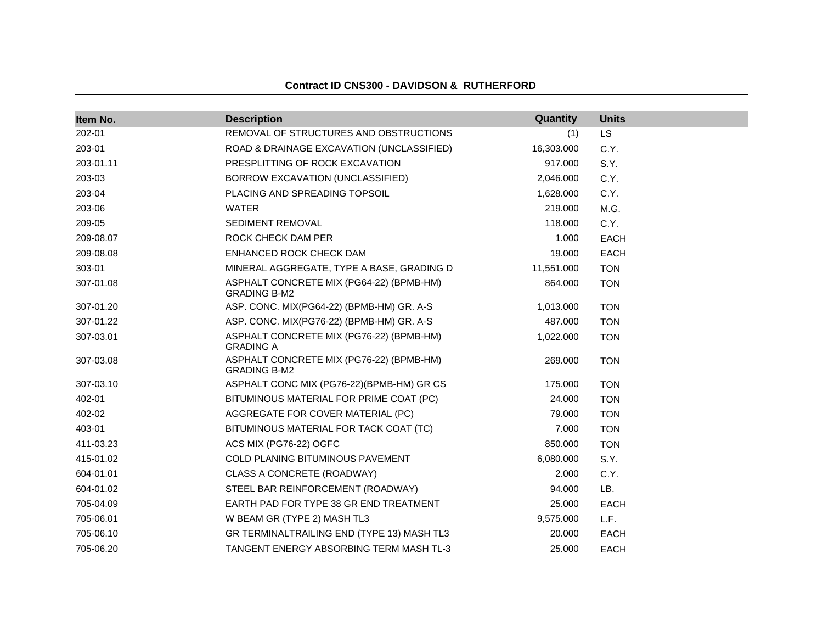| Item No.  | <b>Description</b>                                              | Quantity   | <b>Units</b> |
|-----------|-----------------------------------------------------------------|------------|--------------|
| 202-01    | REMOVAL OF STRUCTURES AND OBSTRUCTIONS                          | (1)        | LS.          |
| 203-01    | ROAD & DRAINAGE EXCAVATION (UNCLASSIFIED)                       | 16,303.000 | C.Y.         |
| 203-01.11 | PRESPLITTING OF ROCK EXCAVATION                                 | 917.000    | S.Y.         |
| 203-03    | BORROW EXCAVATION (UNCLASSIFIED)                                | 2,046.000  | C.Y.         |
| 203-04    | PLACING AND SPREADING TOPSOIL                                   | 1,628.000  | C.Y.         |
| 203-06    | <b>WATER</b>                                                    | 219.000    | M.G.         |
| 209-05    | SEDIMENT REMOVAL                                                | 118.000    | C.Y.         |
| 209-08.07 | ROCK CHECK DAM PER                                              | 1.000      | <b>EACH</b>  |
| 209-08.08 | ENHANCED ROCK CHECK DAM                                         | 19.000     | <b>EACH</b>  |
| 303-01    | MINERAL AGGREGATE, TYPE A BASE, GRADING D                       | 11,551.000 | <b>TON</b>   |
| 307-01.08 | ASPHALT CONCRETE MIX (PG64-22) (BPMB-HM)<br><b>GRADING B-M2</b> | 864.000    | <b>TON</b>   |
| 307-01.20 | ASP. CONC. MIX(PG64-22) (BPMB-HM) GR. A-S                       | 1,013.000  | <b>TON</b>   |
| 307-01.22 | ASP. CONC. MIX(PG76-22) (BPMB-HM) GR. A-S                       | 487.000    | <b>TON</b>   |
| 307-03.01 | ASPHALT CONCRETE MIX (PG76-22) (BPMB-HM)<br><b>GRADING A</b>    | 1,022.000  | <b>TON</b>   |
| 307-03.08 | ASPHALT CONCRETE MIX (PG76-22) (BPMB-HM)<br><b>GRADING B-M2</b> | 269.000    | <b>TON</b>   |
| 307-03.10 | ASPHALT CONC MIX (PG76-22)(BPMB-HM) GR CS                       | 175.000    | <b>TON</b>   |
| 402-01    | BITUMINOUS MATERIAL FOR PRIME COAT (PC)                         | 24.000     | <b>TON</b>   |
| 402-02    | AGGREGATE FOR COVER MATERIAL (PC)                               | 79.000     | <b>TON</b>   |
| 403-01    | BITUMINOUS MATERIAL FOR TACK COAT (TC)                          | 7.000      | <b>TON</b>   |
| 411-03.23 | ACS MIX (PG76-22) OGFC                                          | 850.000    | <b>TON</b>   |
| 415-01.02 | COLD PLANING BITUMINOUS PAVEMENT                                | 6,080.000  | S.Y.         |
| 604-01.01 | CLASS A CONCRETE (ROADWAY)                                      | 2.000      | C.Y.         |
| 604-01.02 | STEEL BAR REINFORCEMENT (ROADWAY)                               | 94.000     | LB.          |
| 705-04.09 | EARTH PAD FOR TYPE 38 GR END TREATMENT                          | 25.000     | <b>EACH</b>  |
| 705-06.01 | W BEAM GR (TYPE 2) MASH TL3                                     | 9,575.000  | L.F.         |
| 705-06.10 | GR TERMINALTRAILING END (TYPE 13) MASH TL3                      | 20.000     | <b>EACH</b>  |
| 705-06.20 | TANGENT ENERGY ABSORBING TERM MASH TL-3                         | 25.000     | <b>EACH</b>  |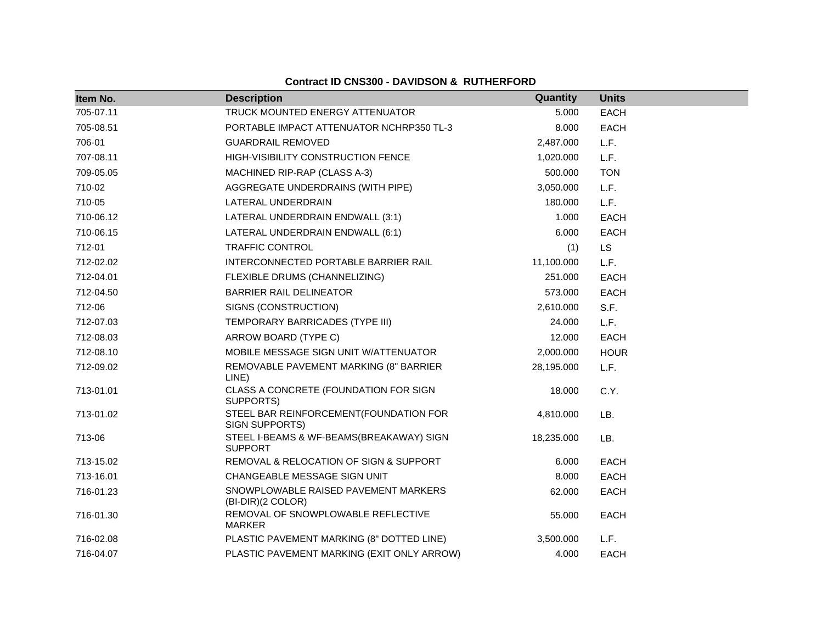| Item No.  | <b>Description</b>                                         | Quantity   | <b>Units</b> |
|-----------|------------------------------------------------------------|------------|--------------|
| 705-07.11 | TRUCK MOUNTED ENERGY ATTENUATOR                            | 5.000      | <b>EACH</b>  |
| 705-08.51 | PORTABLE IMPACT ATTENUATOR NCHRP350 TL-3                   | 8.000      | <b>EACH</b>  |
| 706-01    | <b>GUARDRAIL REMOVED</b>                                   | 2,487.000  | L.F.         |
| 707-08.11 | HIGH-VISIBILITY CONSTRUCTION FENCE                         | 1,020.000  | L.F.         |
| 709-05.05 | MACHINED RIP-RAP (CLASS A-3)                               | 500.000    | <b>TON</b>   |
| 710-02    | AGGREGATE UNDERDRAINS (WITH PIPE)                          | 3,050.000  | L.F.         |
| 710-05    | LATERAL UNDERDRAIN                                         | 180.000    | L.F.         |
| 710-06.12 | LATERAL UNDERDRAIN ENDWALL (3:1)                           | 1.000      | EACH         |
| 710-06.15 | LATERAL UNDERDRAIN ENDWALL (6:1)                           | 6.000      | EACH         |
| 712-01    | <b>TRAFFIC CONTROL</b>                                     | (1)        | <b>LS</b>    |
| 712-02.02 | INTERCONNECTED PORTABLE BARRIER RAIL                       | 11,100.000 | L.F.         |
| 712-04.01 | FLEXIBLE DRUMS (CHANNELIZING)                              | 251.000    | <b>EACH</b>  |
| 712-04.50 | <b>BARRIER RAIL DELINEATOR</b>                             | 573.000    | <b>EACH</b>  |
| 712-06    | SIGNS (CONSTRUCTION)                                       | 2,610.000  | S.F.         |
| 712-07.03 | TEMPORARY BARRICADES (TYPE III)                            | 24.000     | L.F.         |
| 712-08.03 | ARROW BOARD (TYPE C)                                       | 12.000     | <b>EACH</b>  |
| 712-08.10 | MOBILE MESSAGE SIGN UNIT W/ATTENUATOR                      | 2,000.000  | <b>HOUR</b>  |
| 712-09.02 | REMOVABLE PAVEMENT MARKING (8" BARRIER<br>LINE)            | 28,195.000 | L.F.         |
| 713-01.01 | CLASS A CONCRETE (FOUNDATION FOR SIGN<br>SUPPORTS)         | 18.000     | C.Y.         |
| 713-01.02 | STEEL BAR REINFORCEMENT(FOUNDATION FOR<br>SIGN SUPPORTS)   | 4,810.000  | LB.          |
| 713-06    | STEEL I-BEAMS & WF-BEAMS(BREAKAWAY) SIGN<br><b>SUPPORT</b> | 18,235.000 | LB.          |
| 713-15.02 | REMOVAL & RELOCATION OF SIGN & SUPPORT                     | 6.000      | <b>EACH</b>  |
| 713-16.01 | CHANGEABLE MESSAGE SIGN UNIT                               | 8.000      | <b>EACH</b>  |
| 716-01.23 | SNOWPLOWABLE RAISED PAVEMENT MARKERS<br>(BI-DIR)(2 COLOR)  | 62.000     | <b>EACH</b>  |
| 716-01.30 | REMOVAL OF SNOWPLOWABLE REFLECTIVE<br><b>MARKER</b>        | 55.000     | <b>EACH</b>  |
| 716-02.08 | PLASTIC PAVEMENT MARKING (8" DOTTED LINE)                  | 3,500.000  | L.F.         |
| 716-04.07 | PLASTIC PAVEMENT MARKING (EXIT ONLY ARROW)                 | 4.000      | <b>EACH</b>  |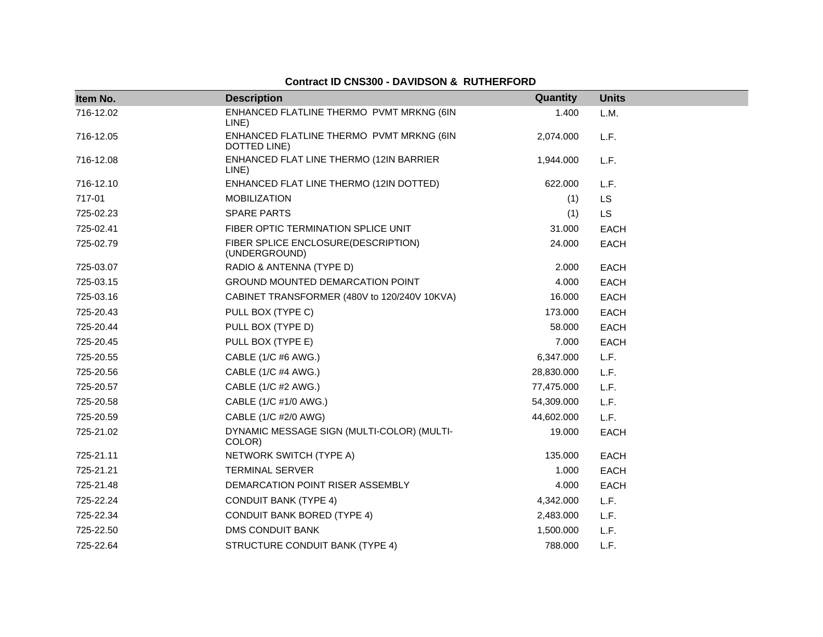| Item No.  | <b>Description</b>                                       | Quantity   | <b>Units</b> |
|-----------|----------------------------------------------------------|------------|--------------|
| 716-12.02 | ENHANCED FLATLINE THERMO PVMT MRKNG (6IN<br>LINE)        | 1.400      | L.M.         |
| 716-12.05 | ENHANCED FLATLINE THERMO PVMT MRKNG (6IN<br>DOTTED LINE) | 2,074.000  | L.F.         |
| 716-12.08 | ENHANCED FLAT LINE THERMO (12IN BARRIER<br>LINE)         | 1,944.000  | L.F.         |
| 716-12.10 | ENHANCED FLAT LINE THERMO (12IN DOTTED)                  | 622.000    | L.F.         |
| 717-01    | <b>MOBILIZATION</b>                                      | (1)        | LS           |
| 725-02.23 | <b>SPARE PARTS</b>                                       | (1)        | <b>LS</b>    |
| 725-02.41 | FIBER OPTIC TERMINATION SPLICE UNIT                      | 31.000     | <b>EACH</b>  |
| 725-02.79 | FIBER SPLICE ENCLOSURE(DESCRIPTION)<br>(UNDERGROUND)     | 24.000     | <b>EACH</b>  |
| 725-03.07 | RADIO & ANTENNA (TYPE D)                                 | 2.000      | <b>EACH</b>  |
| 725-03.15 | GROUND MOUNTED DEMARCATION POINT                         | 4.000      | <b>EACH</b>  |
| 725-03.16 | CABINET TRANSFORMER (480V to 120/240V 10KVA)             | 16.000     | <b>EACH</b>  |
| 725-20.43 | PULL BOX (TYPE C)                                        | 173.000    | <b>EACH</b>  |
| 725-20.44 | PULL BOX (TYPE D)                                        | 58.000     | <b>EACH</b>  |
| 725-20.45 | PULL BOX (TYPE E)                                        | 7.000      | <b>EACH</b>  |
| 725-20.55 | CABLE (1/C #6 AWG.)                                      | 6,347.000  | L.F.         |
| 725-20.56 | CABLE (1/C #4 AWG.)                                      | 28,830.000 | L.F.         |
| 725-20.57 | CABLE (1/C #2 AWG.)                                      | 77,475.000 | L.F.         |
| 725-20.58 | CABLE (1/C #1/0 AWG.)                                    | 54,309.000 | L.F.         |
| 725-20.59 | CABLE (1/C #2/0 AWG)                                     | 44,602.000 | L.F.         |
| 725-21.02 | DYNAMIC MESSAGE SIGN (MULTI-COLOR) (MULTI-<br>COLOR)     | 19.000     | <b>EACH</b>  |
| 725-21.11 | NETWORK SWITCH (TYPE A)                                  | 135.000    | <b>EACH</b>  |
| 725-21.21 | <b>TERMINAL SERVER</b>                                   | 1.000      | <b>EACH</b>  |
| 725-21.48 | DEMARCATION POINT RISER ASSEMBLY                         | 4.000      | <b>EACH</b>  |
| 725-22.24 | <b>CONDUIT BANK (TYPE 4)</b>                             | 4,342.000  | L.F.         |
| 725-22.34 | <b>CONDUIT BANK BORED (TYPE 4)</b>                       | 2,483.000  | L.F.         |
| 725-22.50 | <b>DMS CONDUIT BANK</b>                                  | 1,500.000  | L.F.         |
| 725-22.64 | STRUCTURE CONDUIT BANK (TYPE 4)                          | 788.000    | L.F.         |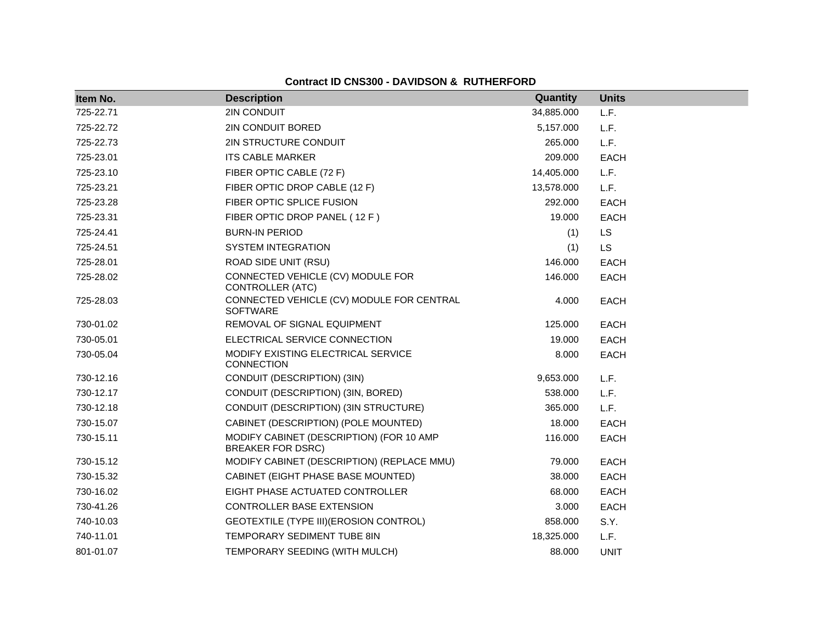| Item No.  | <b>Description</b>                                                   | Quantity   | <b>Units</b> |
|-----------|----------------------------------------------------------------------|------------|--------------|
| 725-22.71 | 2IN CONDUIT                                                          | 34,885.000 | L.F.         |
| 725-22.72 | 2IN CONDUIT BORED                                                    | 5,157.000  | L.F.         |
| 725-22.73 | 2IN STRUCTURE CONDUIT                                                | 265.000    | L.F.         |
| 725-23.01 | <b>ITS CABLE MARKER</b>                                              | 209.000    | <b>EACH</b>  |
| 725-23.10 | FIBER OPTIC CABLE (72 F)                                             | 14,405.000 | L.F.         |
| 725-23.21 | FIBER OPTIC DROP CABLE (12 F)                                        | 13,578.000 | L.F.         |
| 725-23.28 | FIBER OPTIC SPLICE FUSION                                            | 292.000    | <b>EACH</b>  |
| 725-23.31 | FIBER OPTIC DROP PANEL (12 F)                                        | 19.000     | <b>EACH</b>  |
| 725-24.41 | <b>BURN-IN PERIOD</b>                                                | (1)        | <b>LS</b>    |
| 725-24.51 | <b>SYSTEM INTEGRATION</b>                                            | (1)        | <b>LS</b>    |
| 725-28.01 | ROAD SIDE UNIT (RSU)                                                 | 146.000    | <b>EACH</b>  |
| 725-28.02 | CONNECTED VEHICLE (CV) MODULE FOR<br><b>CONTROLLER (ATC)</b>         | 146.000    | <b>EACH</b>  |
| 725-28.03 | CONNECTED VEHICLE (CV) MODULE FOR CENTRAL<br><b>SOFTWARE</b>         | 4.000      | <b>EACH</b>  |
| 730-01.02 | REMOVAL OF SIGNAL EQUIPMENT                                          | 125.000    | <b>EACH</b>  |
| 730-05.01 | ELECTRICAL SERVICE CONNECTION                                        | 19.000     | <b>EACH</b>  |
| 730-05.04 | MODIFY EXISTING ELECTRICAL SERVICE<br><b>CONNECTION</b>              | 8.000      | <b>EACH</b>  |
| 730-12.16 | CONDUIT (DESCRIPTION) (3IN)                                          | 9,653.000  | L.F.         |
| 730-12.17 | CONDUIT (DESCRIPTION) (3IN, BORED)                                   | 538.000    | L.F.         |
| 730-12.18 | CONDUIT (DESCRIPTION) (3IN STRUCTURE)                                | 365.000    | L.F.         |
| 730-15.07 | CABINET (DESCRIPTION) (POLE MOUNTED)                                 | 18.000     | <b>EACH</b>  |
| 730-15.11 | MODIFY CABINET (DESCRIPTION) (FOR 10 AMP<br><b>BREAKER FOR DSRC)</b> | 116.000    | <b>EACH</b>  |
| 730-15.12 | MODIFY CABINET (DESCRIPTION) (REPLACE MMU)                           | 79.000     | <b>EACH</b>  |
| 730-15.32 | CABINET (EIGHT PHASE BASE MOUNTED)                                   | 38.000     | <b>EACH</b>  |
| 730-16.02 | EIGHT PHASE ACTUATED CONTROLLER                                      | 68.000     | <b>EACH</b>  |
| 730-41.26 | CONTROLLER BASE EXTENSION                                            | 3.000      | <b>EACH</b>  |
| 740-10.03 | GEOTEXTILE (TYPE III) (EROSION CONTROL)                              | 858.000    | S.Y.         |
| 740-11.01 | <b>TEMPORARY SEDIMENT TUBE 8IN</b>                                   | 18,325.000 | L.F.         |
| 801-01.07 | TEMPORARY SEEDING (WITH MULCH)                                       | 88,000     | <b>UNIT</b>  |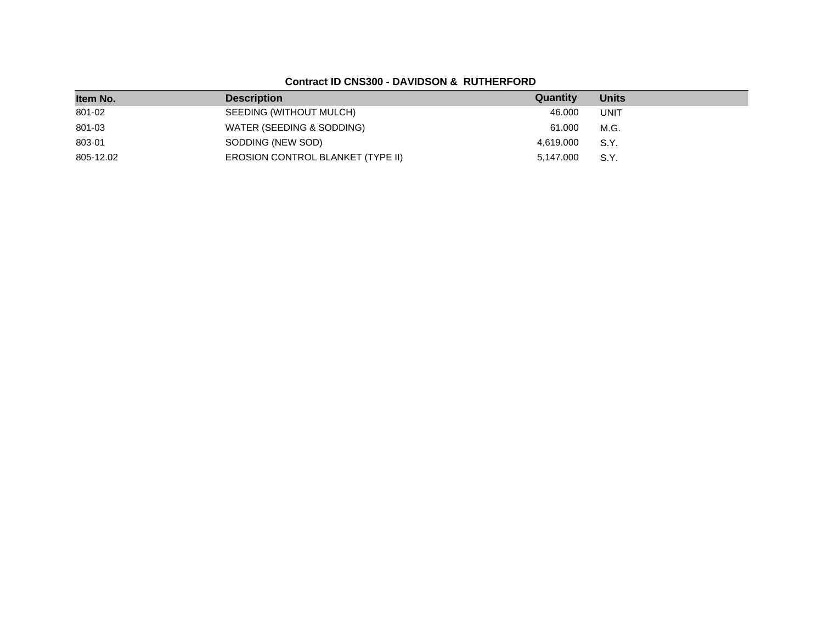| Item No.  | <b>Description</b>                       | Quantity  | <b>Units</b> |
|-----------|------------------------------------------|-----------|--------------|
| 801-02    | SEEDING (WITHOUT MULCH)                  | 46.000    | <b>UNIT</b>  |
| 801-03    | WATER (SEEDING & SODDING)                | 61.000    | M.G.         |
| 803-01    | SODDING (NEW SOD)                        | 4,619.000 | S.Y.         |
| 805-12.02 | <b>EROSION CONTROL BLANKET (TYPE II)</b> | 5.147.000 | S.Y.         |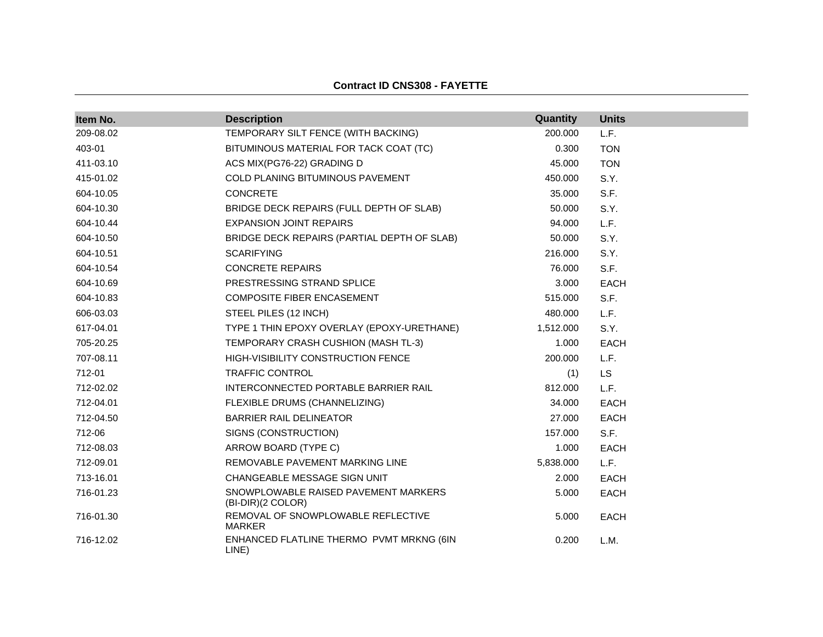#### **Contract ID CNS308 - FAYETTE**

| Item No.  | <b>Description</b>                                        | Quantity  | <b>Units</b> |
|-----------|-----------------------------------------------------------|-----------|--------------|
| 209-08.02 | TEMPORARY SILT FENCE (WITH BACKING)                       | 200.000   | L.F.         |
| 403-01    | BITUMINOUS MATERIAL FOR TACK COAT (TC)                    | 0.300     | <b>TON</b>   |
| 411-03.10 | ACS MIX(PG76-22) GRADING D                                | 45.000    | <b>TON</b>   |
| 415-01.02 | COLD PLANING BITUMINOUS PAVEMENT                          | 450.000   | S.Y.         |
| 604-10.05 | <b>CONCRETE</b>                                           | 35.000    | S.F.         |
| 604-10.30 | BRIDGE DECK REPAIRS (FULL DEPTH OF SLAB)                  | 50.000    | S.Y.         |
| 604-10.44 | <b>EXPANSION JOINT REPAIRS</b>                            | 94.000    | L.F.         |
| 604-10.50 | BRIDGE DECK REPAIRS (PARTIAL DEPTH OF SLAB)               | 50.000    | S.Y.         |
| 604-10.51 | <b>SCARIFYING</b>                                         | 216.000   | S.Y.         |
| 604-10.54 | <b>CONCRETE REPAIRS</b>                                   | 76.000    | S.F.         |
| 604-10.69 | PRESTRESSING STRAND SPLICE                                | 3.000     | <b>EACH</b>  |
| 604-10.83 | COMPOSITE FIBER ENCASEMENT                                | 515.000   | S.F.         |
| 606-03.03 | STEEL PILES (12 INCH)                                     | 480.000   | L.F.         |
| 617-04.01 | TYPE 1 THIN EPOXY OVERLAY (EPOXY-URETHANE)                | 1,512.000 | S.Y.         |
| 705-20.25 | TEMPORARY CRASH CUSHION (MASH TL-3)                       | 1.000     | <b>EACH</b>  |
| 707-08.11 | HIGH-VISIBILITY CONSTRUCTION FENCE                        | 200.000   | L.F.         |
| 712-01    | <b>TRAFFIC CONTROL</b>                                    | (1)       | <b>LS</b>    |
| 712-02.02 | INTERCONNECTED PORTABLE BARRIER RAIL                      | 812.000   | L.F.         |
| 712-04.01 | FLEXIBLE DRUMS (CHANNELIZING)                             | 34.000    | <b>EACH</b>  |
| 712-04.50 | <b>BARRIER RAIL DELINEATOR</b>                            | 27.000    | <b>EACH</b>  |
| 712-06    | SIGNS (CONSTRUCTION)                                      | 157.000   | S.F.         |
| 712-08.03 | ARROW BOARD (TYPE C)                                      | 1.000     | <b>EACH</b>  |
| 712-09.01 | REMOVABLE PAVEMENT MARKING LINE                           | 5,838.000 | L.F.         |
| 713-16.01 | CHANGEABLE MESSAGE SIGN UNIT                              | 2.000     | <b>EACH</b>  |
| 716-01.23 | SNOWPLOWABLE RAISED PAVEMENT MARKERS<br>(BI-DIR)(2 COLOR) | 5.000     | <b>EACH</b>  |
| 716-01.30 | REMOVAL OF SNOWPLOWABLE REFLECTIVE<br><b>MARKER</b>       | 5.000     | <b>EACH</b>  |
| 716-12.02 | ENHANCED FLATLINE THERMO PVMT MRKNG (6IN<br>LINE)         | 0.200     | L.M.         |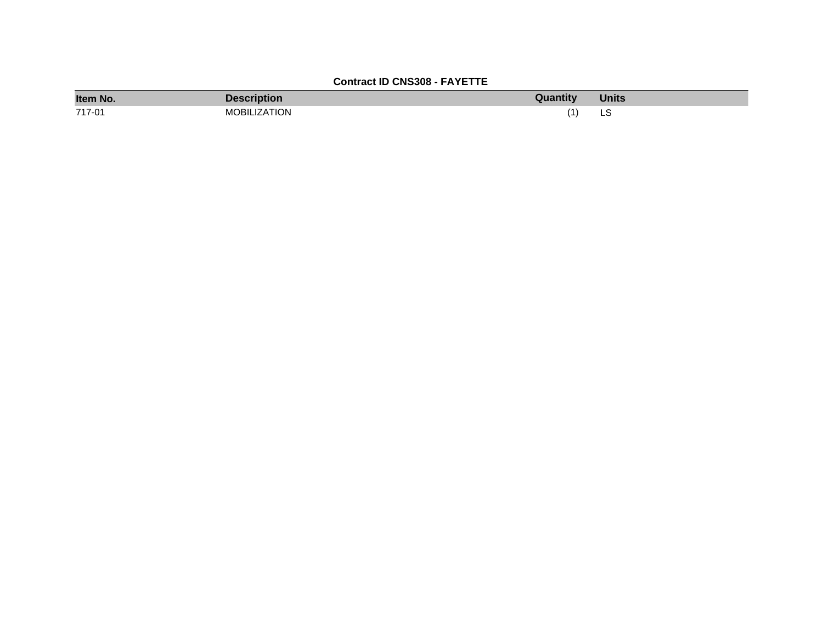## **Contract ID CNS308 - FAYETTE**

| Item No. | <b>Description</b>  | Quantity | <b>Units</b> |
|----------|---------------------|----------|--------------|
| 717-01   | <b>MOBILIZATION</b> |          | نب           |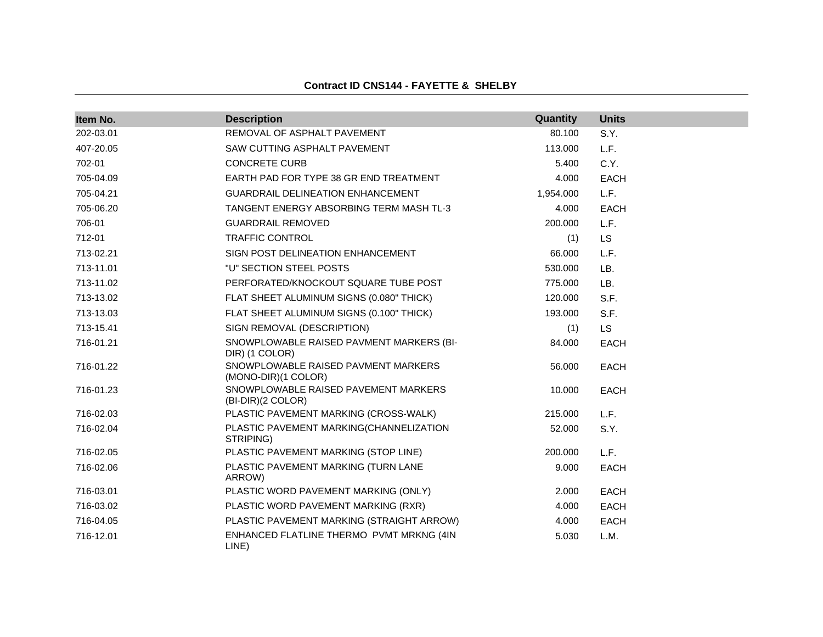#### **Contract ID CNS144 - FAYETTE & SHELBY**

| Item No.  | <b>Description</b>                                         | Quantity  | <b>Units</b> |
|-----------|------------------------------------------------------------|-----------|--------------|
| 202-03.01 | REMOVAL OF ASPHALT PAVEMENT                                | 80.100    | S.Y.         |
| 407-20.05 | SAW CUTTING ASPHALT PAVEMENT                               | 113.000   | L.F.         |
| 702-01    | <b>CONCRETE CURB</b>                                       | 5.400     | C.Y.         |
| 705-04.09 | EARTH PAD FOR TYPE 38 GR END TREATMENT                     | 4.000     | <b>EACH</b>  |
| 705-04.21 | <b>GUARDRAIL DELINEATION ENHANCEMENT</b>                   | 1,954.000 | L.F.         |
| 705-06.20 | TANGENT ENERGY ABSORBING TERM MASH TL-3                    | 4.000     | <b>EACH</b>  |
| 706-01    | <b>GUARDRAIL REMOVED</b>                                   | 200.000   | L.F.         |
| 712-01    | <b>TRAFFIC CONTROL</b>                                     | (1)       | <b>LS</b>    |
| 713-02.21 | SIGN POST DELINEATION ENHANCEMENT                          | 66.000    | L.F.         |
| 713-11.01 | "U" SECTION STEEL POSTS                                    | 530.000   | LB.          |
| 713-11.02 | PERFORATED/KNOCKOUT SQUARE TUBE POST                       | 775.000   | LB.          |
| 713-13.02 | FLAT SHEET ALUMINUM SIGNS (0.080" THICK)                   | 120.000   | S.F.         |
| 713-13.03 | FLAT SHEET ALUMINUM SIGNS (0.100" THICK)                   | 193.000   | S.F.         |
| 713-15.41 | SIGN REMOVAL (DESCRIPTION)                                 | (1)       | <b>LS</b>    |
| 716-01.21 | SNOWPLOWABLE RAISED PAVMENT MARKERS (BI-<br>DIR) (1 COLOR) | 84.000    | <b>EACH</b>  |
| 716-01.22 | SNOWPLOWABLE RAISED PAVMENT MARKERS<br>(MONO-DIR)(1 COLOR) | 56.000    | <b>EACH</b>  |
| 716-01.23 | SNOWPLOWABLE RAISED PAVEMENT MARKERS<br>(BI-DIR)(2 COLOR)  | 10.000    | <b>EACH</b>  |
| 716-02.03 | PLASTIC PAVEMENT MARKING (CROSS-WALK)                      | 215.000   | L.F.         |
| 716-02.04 | PLASTIC PAVEMENT MARKING(CHANNELIZATION<br>STRIPING)       | 52.000    | S.Y.         |
| 716-02.05 | PLASTIC PAVEMENT MARKING (STOP LINE)                       | 200.000   | L.F.         |
| 716-02.06 | PLASTIC PAVEMENT MARKING (TURN LANE<br>ARROW)              | 9.000     | <b>EACH</b>  |
| 716-03.01 | PLASTIC WORD PAVEMENT MARKING (ONLY)                       | 2.000     | <b>EACH</b>  |
| 716-03.02 | PLASTIC WORD PAVEMENT MARKING (RXR)                        | 4.000     | <b>EACH</b>  |
| 716-04.05 | PLASTIC PAVEMENT MARKING (STRAIGHT ARROW)                  | 4.000     | <b>EACH</b>  |
| 716-12.01 | ENHANCED FLATLINE THERMO PVMT MRKNG (4IN<br>LINE)          | 5.030     | L.M.         |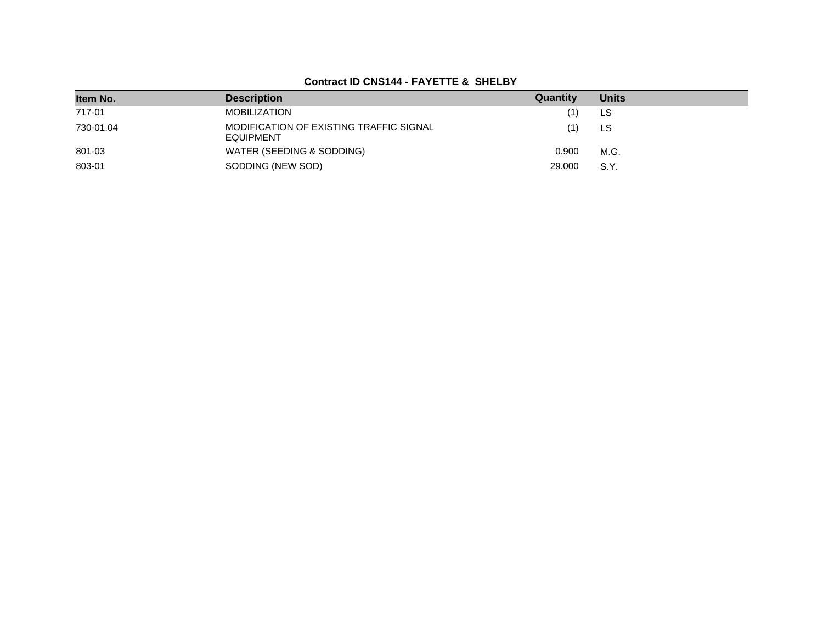### **Contract ID CNS144 - FAYETTE & SHELBY**

| Item No.  | <b>Description</b>                                          | Quantity | <b>Units</b> |
|-----------|-------------------------------------------------------------|----------|--------------|
| 717-01    | <b>MOBILIZATION</b>                                         |          | LS           |
| 730-01.04 | MODIFICATION OF EXISTING TRAFFIC SIGNAL<br><b>EQUIPMENT</b> |          | LS           |
| 801-03    | WATER (SEEDING & SODDING)                                   | 0.900    | M.G.         |
| 803-01    | SODDING (NEW SOD)                                           | 29,000   | S.Y.         |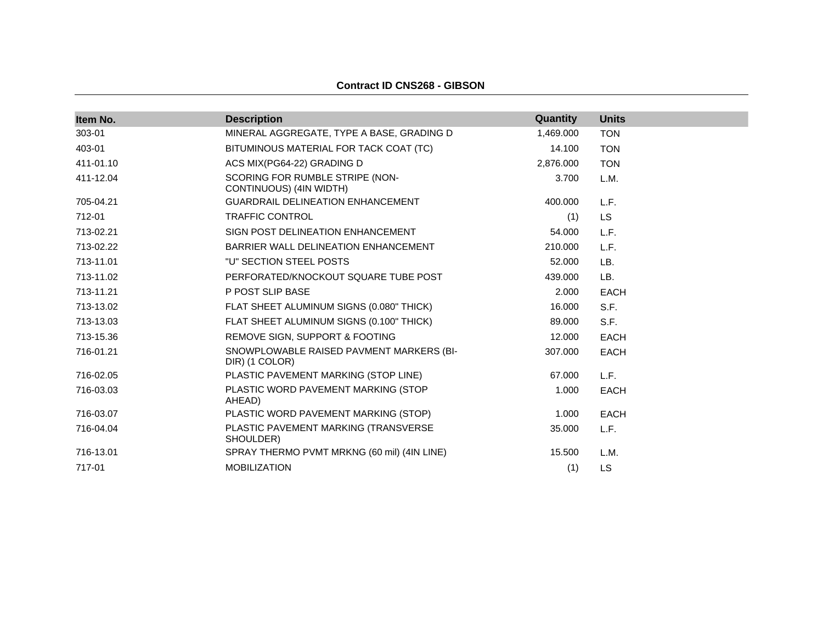#### **Contract ID CNS268 - GIBSON**

| Item No.  | <b>Description</b>                                         | Quantity  | <b>Units</b> |
|-----------|------------------------------------------------------------|-----------|--------------|
| 303-01    | MINERAL AGGREGATE, TYPE A BASE, GRADING D                  | 1,469.000 | <b>TON</b>   |
| 403-01    | BITUMINOUS MATERIAL FOR TACK COAT (TC)                     | 14.100    | <b>TON</b>   |
| 411-01.10 | ACS MIX(PG64-22) GRADING D                                 | 2,876.000 | <b>TON</b>   |
| 411-12.04 | SCORING FOR RUMBLE STRIPE (NON-<br>CONTINUOUS) (4IN WIDTH) | 3.700     | L.M.         |
| 705-04.21 | <b>GUARDRAIL DELINEATION ENHANCEMENT</b>                   | 400.000   | L.F.         |
| 712-01    | <b>TRAFFIC CONTROL</b>                                     | (1)       | <b>LS</b>    |
| 713-02.21 | SIGN POST DELINEATION ENHANCEMENT                          | 54.000    | L.F.         |
| 713-02.22 | BARRIER WALL DELINEATION ENHANCEMENT                       | 210.000   | L.F.         |
| 713-11.01 | "U" SECTION STEEL POSTS                                    | 52.000    | LB.          |
| 713-11.02 | PERFORATED/KNOCKOUT SQUARE TUBE POST                       | 439.000   | LB.          |
| 713-11.21 | P POST SLIP BASE                                           | 2.000     | <b>EACH</b>  |
| 713-13.02 | FLAT SHEET ALUMINUM SIGNS (0.080" THICK)                   | 16.000    | S.F.         |
| 713-13.03 | FLAT SHEET ALUMINUM SIGNS (0.100" THICK)                   | 89.000    | S.F.         |
| 713-15.36 | REMOVE SIGN, SUPPORT & FOOTING                             | 12.000    | <b>EACH</b>  |
| 716-01.21 | SNOWPLOWABLE RAISED PAVMENT MARKERS (BI-<br>DIR) (1 COLOR) | 307.000   | <b>EACH</b>  |
| 716-02.05 | PLASTIC PAVEMENT MARKING (STOP LINE)                       | 67.000    | L.F.         |
| 716-03.03 | PLASTIC WORD PAVEMENT MARKING (STOP<br>AHEAD)              | 1.000     | <b>EACH</b>  |
| 716-03.07 | PLASTIC WORD PAVEMENT MARKING (STOP)                       | 1.000     | <b>EACH</b>  |
| 716-04.04 | PLASTIC PAVEMENT MARKING (TRANSVERSE<br>SHOULDER)          | 35.000    | L.F.         |
| 716-13.01 | SPRAY THERMO PVMT MRKNG (60 mil) (4IN LINE)                | 15.500    | L.M.         |
| 717-01    | <b>MOBILIZATION</b>                                        | (1)       | <b>LS</b>    |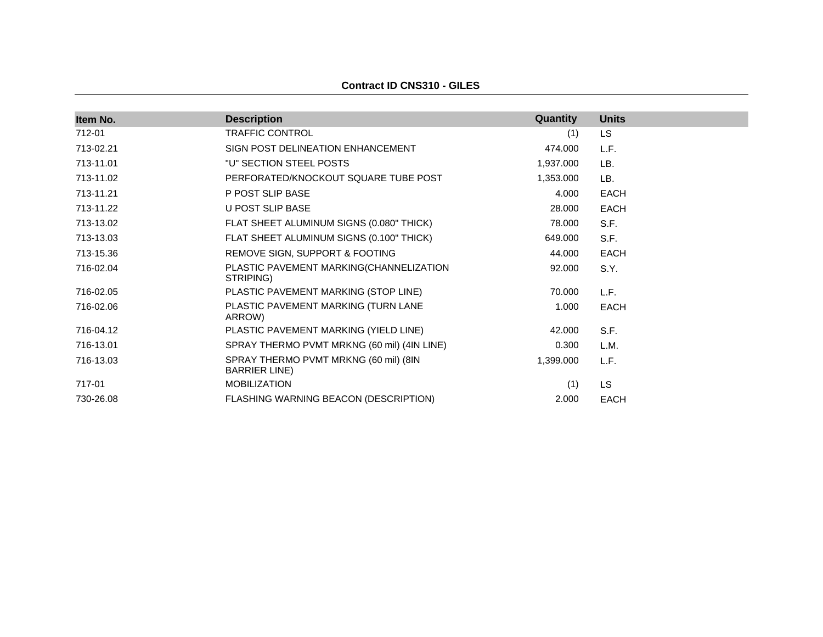**Contract ID CNS310 - GILES**

| <b>Description</b>                                             | <b>Quantity</b> | <b>Units</b> |
|----------------------------------------------------------------|-----------------|--------------|
| <b>TRAFFIC CONTROL</b>                                         | (1)             | <b>LS</b>    |
| SIGN POST DELINEATION ENHANCEMENT                              | 474.000         | L.F.         |
| "U" SECTION STEEL POSTS                                        | 1,937.000       | LB.          |
| PERFORATED/KNOCKOUT SQUARE TUBE POST                           | 1,353.000       | LB.          |
| P POST SLIP BASE                                               | 4.000           | <b>EACH</b>  |
| U POST SLIP BASE                                               | 28.000          | <b>EACH</b>  |
| FLAT SHEET ALUMINUM SIGNS (0.080" THICK)                       | 78.000          | S.F.         |
| FLAT SHEET ALUMINUM SIGNS (0.100" THICK)                       | 649.000         | S.F.         |
| REMOVE SIGN, SUPPORT & FOOTING                                 | 44.000          | <b>EACH</b>  |
| PLASTIC PAVEMENT MARKING(CHANNELIZATION<br>STRIPING)           | 92.000          | S.Y.         |
| PLASTIC PAVEMENT MARKING (STOP LINE)                           | 70.000          | L.F.         |
| PLASTIC PAVEMENT MARKING (TURN LANE<br>ARROW)                  | 1.000           | <b>EACH</b>  |
| PLASTIC PAVEMENT MARKING (YIELD LINE)                          | 42.000          | S.F.         |
| SPRAY THERMO PVMT MRKNG (60 mil) (4IN LINE)                    | 0.300           | L.M.         |
| SPRAY THERMO PVMT MRKNG (60 mil) (8IN<br><b>BARRIER LINE</b> ) | 1,399.000       | L.F.         |
| <b>MOBILIZATION</b>                                            | (1)             | LS.          |
| FLASHING WARNING BEACON (DESCRIPTION)                          | 2.000           | EACH         |
|                                                                |                 |              |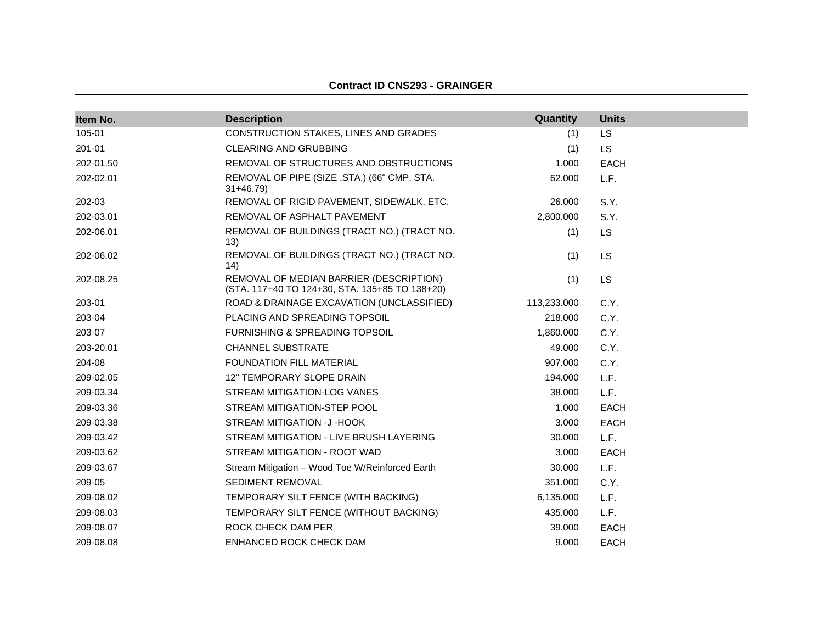| Item No.  | <b>Description</b>                                                                        | Quantity    | <b>Units</b> |
|-----------|-------------------------------------------------------------------------------------------|-------------|--------------|
| 105-01    | CONSTRUCTION STAKES, LINES AND GRADES                                                     | (1)         | LS           |
| 201-01    | <b>CLEARING AND GRUBBING</b>                                                              | (1)         | <b>LS</b>    |
| 202-01.50 | REMOVAL OF STRUCTURES AND OBSTRUCTIONS                                                    | 1.000       | <b>EACH</b>  |
| 202-02.01 | REMOVAL OF PIPE (SIZE, STA.) (66" CMP, STA.<br>$31+46.79$                                 | 62.000      | L.F.         |
| 202-03    | REMOVAL OF RIGID PAVEMENT, SIDEWALK, ETC.                                                 | 26.000      | S.Y.         |
| 202-03.01 | REMOVAL OF ASPHALT PAVEMENT                                                               | 2,800.000   | S.Y.         |
| 202-06.01 | REMOVAL OF BUILDINGS (TRACT NO.) (TRACT NO.<br>(13)                                       | (1)         | <b>LS</b>    |
| 202-06.02 | REMOVAL OF BUILDINGS (TRACT NO.) (TRACT NO.<br>14)                                        | (1)         | LS           |
| 202-08.25 | REMOVAL OF MEDIAN BARRIER (DESCRIPTION)<br>(STA. 117+40 TO 124+30, STA. 135+85 TO 138+20) | (1)         | <b>LS</b>    |
| 203-01    | ROAD & DRAINAGE EXCAVATION (UNCLASSIFIED)                                                 | 113,233.000 | C.Y.         |
| 203-04    | PLACING AND SPREADING TOPSOIL                                                             | 218.000     | C.Y.         |
| 203-07    | FURNISHING & SPREADING TOPSOIL                                                            | 1,860.000   | C.Y.         |
| 203-20.01 | <b>CHANNEL SUBSTRATE</b>                                                                  | 49.000      | C.Y.         |
| 204-08    | FOUNDATION FILL MATERIAL                                                                  | 907.000     | C.Y.         |
| 209-02.05 | <b>12" TEMPORARY SLOPE DRAIN</b>                                                          | 194.000     | L.F.         |
| 209-03.34 | STREAM MITIGATION-LOG VANES                                                               | 38.000      | L.F.         |
| 209-03.36 | STREAM MITIGATION-STEP POOL                                                               | 1.000       | <b>EACH</b>  |
| 209-03.38 | STREAM MITIGATION -J-HOOK                                                                 | 3.000       | <b>EACH</b>  |
| 209-03.42 | STREAM MITIGATION - LIVE BRUSH LAYERING                                                   | 30,000      | L.F.         |
| 209-03.62 | STREAM MITIGATION - ROOT WAD                                                              | 3.000       | <b>EACH</b>  |
| 209-03.67 | Stream Mitigation - Wood Toe W/Reinforced Earth                                           | 30.000      | L.F.         |
| 209-05    | SEDIMENT REMOVAL                                                                          | 351.000     | C.Y.         |
| 209-08.02 | TEMPORARY SILT FENCE (WITH BACKING)                                                       | 6,135,000   | L.F.         |
| 209-08.03 | TEMPORARY SILT FENCE (WITHOUT BACKING)                                                    | 435.000     | L.F.         |
| 209-08.07 | ROCK CHECK DAM PER                                                                        | 39.000      | <b>EACH</b>  |
| 209-08.08 | ENHANCED ROCK CHECK DAM                                                                   | 9.000       | <b>EACH</b>  |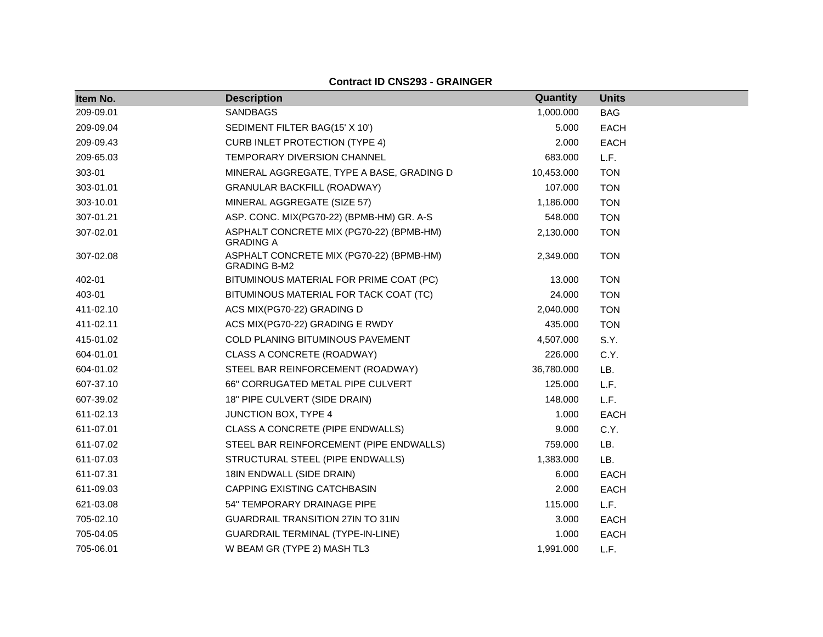| Item No.  | <b>Description</b>                                              | Quantity   | <b>Units</b> |
|-----------|-----------------------------------------------------------------|------------|--------------|
| 209-09.01 | <b>SANDBAGS</b>                                                 | 1,000.000  | <b>BAG</b>   |
| 209-09.04 | SEDIMENT FILTER BAG(15' X 10')                                  | 5.000      | <b>EACH</b>  |
| 209-09.43 | <b>CURB INLET PROTECTION (TYPE 4)</b>                           | 2.000      | <b>EACH</b>  |
| 209-65.03 | TEMPORARY DIVERSION CHANNEL                                     | 683.000    | L.F.         |
| 303-01    | MINERAL AGGREGATE, TYPE A BASE, GRADING D                       | 10,453.000 | <b>TON</b>   |
| 303-01.01 | <b>GRANULAR BACKFILL (ROADWAY)</b>                              | 107.000    | <b>TON</b>   |
| 303-10.01 | MINERAL AGGREGATE (SIZE 57)                                     | 1,186.000  | <b>TON</b>   |
| 307-01.21 | ASP. CONC. MIX(PG70-22) (BPMB-HM) GR. A-S                       | 548.000    | <b>TON</b>   |
| 307-02.01 | ASPHALT CONCRETE MIX (PG70-22) (BPMB-HM)<br><b>GRADING A</b>    | 2,130.000  | <b>TON</b>   |
| 307-02.08 | ASPHALT CONCRETE MIX (PG70-22) (BPMB-HM)<br><b>GRADING B-M2</b> | 2,349.000  | <b>TON</b>   |
| 402-01    | BITUMINOUS MATERIAL FOR PRIME COAT (PC)                         | 13.000     | <b>TON</b>   |
| 403-01    | BITUMINOUS MATERIAL FOR TACK COAT (TC)                          | 24.000     | <b>TON</b>   |
| 411-02.10 | ACS MIX(PG70-22) GRADING D                                      | 2,040.000  | <b>TON</b>   |
| 411-02.11 | ACS MIX(PG70-22) GRADING E RWDY                                 | 435.000    | <b>TON</b>   |
| 415-01.02 | COLD PLANING BITUMINOUS PAVEMENT                                | 4,507.000  | S.Y.         |
| 604-01.01 | CLASS A CONCRETE (ROADWAY)                                      | 226.000    | C.Y.         |
| 604-01.02 | STEEL BAR REINFORCEMENT (ROADWAY)                               | 36,780.000 | LB.          |
| 607-37.10 | 66" CORRUGATED METAL PIPE CULVERT                               | 125.000    | L.F.         |
| 607-39.02 | 18" PIPE CULVERT (SIDE DRAIN)                                   | 148.000    | L.F.         |
| 611-02.13 | JUNCTION BOX, TYPE 4                                            | 1.000      | <b>EACH</b>  |
| 611-07.01 | CLASS A CONCRETE (PIPE ENDWALLS)                                | 9.000      | C.Y.         |
| 611-07.02 | STEEL BAR REINFORCEMENT (PIPE ENDWALLS)                         | 759.000    | LB.          |
| 611-07.03 | STRUCTURAL STEEL (PIPE ENDWALLS)                                | 1,383.000  | LB.          |
| 611-07.31 | 18IN ENDWALL (SIDE DRAIN)                                       | 6.000      | <b>EACH</b>  |
| 611-09.03 | CAPPING EXISTING CATCHBASIN                                     | 2.000      | <b>EACH</b>  |
| 621-03.08 | 54" TEMPORARY DRAINAGE PIPE                                     | 115.000    | L.F.         |
| 705-02.10 | <b>GUARDRAIL TRANSITION 27IN TO 31IN</b>                        | 3.000      | <b>EACH</b>  |
| 705-04.05 | GUARDRAIL TERMINAL (TYPE-IN-LINE)                               | 1.000      | <b>EACH</b>  |
| 705-06.01 | W BEAM GR (TYPE 2) MASH TL3                                     | 1,991.000  | L.F.         |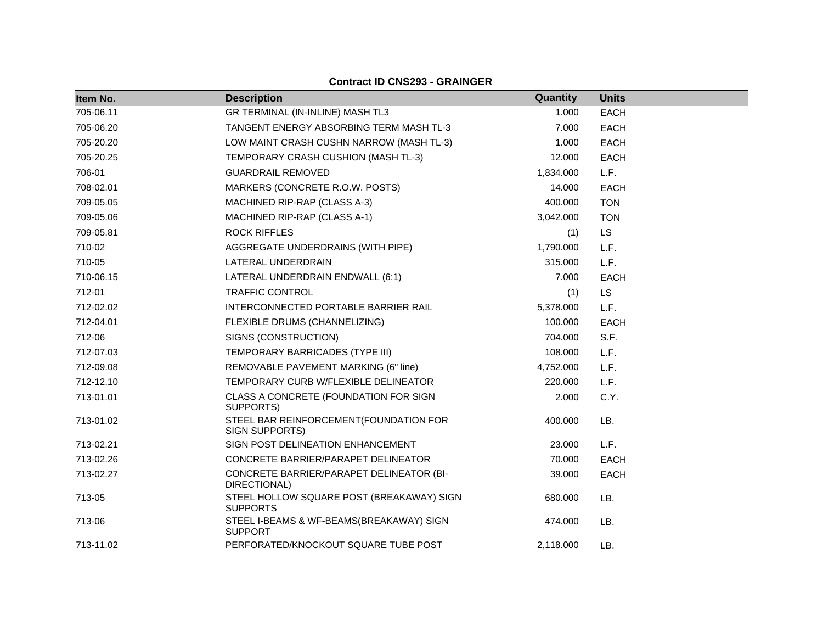| Item No.  | <b>Description</b>                                           | Quantity  | <b>Units</b> |
|-----------|--------------------------------------------------------------|-----------|--------------|
| 705-06.11 | GR TERMINAL (IN-INLINE) MASH TL3                             | 1.000     | EACH         |
| 705-06.20 | TANGENT ENERGY ABSORBING TERM MASH TL-3                      | 7.000     | EACH         |
| 705-20.20 | LOW MAINT CRASH CUSHN NARROW (MASH TL-3)                     | 1.000     | <b>EACH</b>  |
| 705-20.25 | TEMPORARY CRASH CUSHION (MASH TL-3)                          | 12.000    | <b>EACH</b>  |
| 706-01    | <b>GUARDRAIL REMOVED</b>                                     | 1,834.000 | L.F.         |
| 708-02.01 | MARKERS (CONCRETE R.O.W. POSTS)                              | 14.000    | <b>EACH</b>  |
| 709-05.05 | MACHINED RIP-RAP (CLASS A-3)                                 | 400.000   | <b>TON</b>   |
| 709-05.06 | MACHINED RIP-RAP (CLASS A-1)                                 | 3,042.000 | <b>TON</b>   |
| 709-05.81 | <b>ROCK RIFFLES</b>                                          | (1)       | <b>LS</b>    |
| 710-02    | AGGREGATE UNDERDRAINS (WITH PIPE)                            | 1,790.000 | L.F.         |
| 710-05    | LATERAL UNDERDRAIN                                           | 315.000   | L.F.         |
| 710-06.15 | LATERAL UNDERDRAIN ENDWALL (6:1)                             | 7.000     | <b>EACH</b>  |
| 712-01    | <b>TRAFFIC CONTROL</b>                                       | (1)       | <b>LS</b>    |
| 712-02.02 | INTERCONNECTED PORTABLE BARRIER RAIL                         | 5,378.000 | L.F.         |
| 712-04.01 | FLEXIBLE DRUMS (CHANNELIZING)                                | 100.000   | <b>EACH</b>  |
| 712-06    | SIGNS (CONSTRUCTION)                                         | 704.000   | S.F.         |
| 712-07.03 | TEMPORARY BARRICADES (TYPE III)                              | 108.000   | L.F.         |
| 712-09.08 | REMOVABLE PAVEMENT MARKING (6" line)                         | 4,752.000 | L.F.         |
| 712-12.10 | TEMPORARY CURB W/FLEXIBLE DELINEATOR                         | 220.000   | L.F.         |
| 713-01.01 | CLASS A CONCRETE (FOUNDATION FOR SIGN<br>SUPPORTS)           | 2.000     | C.Y.         |
| 713-01.02 | STEEL BAR REINFORCEMENT(FOUNDATION FOR<br>SIGN SUPPORTS)     | 400.000   | LB.          |
| 713-02.21 | SIGN POST DELINEATION ENHANCEMENT                            | 23,000    | L.F.         |
| 713-02.26 | CONCRETE BARRIER/PARAPET DELINEATOR                          | 70.000    | <b>EACH</b>  |
| 713-02.27 | CONCRETE BARRIER/PARAPET DELINEATOR (BI-<br>DIRECTIONAL)     | 39.000    | EACH         |
| 713-05    | STEEL HOLLOW SQUARE POST (BREAKAWAY) SIGN<br><b>SUPPORTS</b> | 680,000   | LB.          |
| 713-06    | STEEL I-BEAMS & WF-BEAMS(BREAKAWAY) SIGN<br><b>SUPPORT</b>   | 474.000   | LB.          |
| 713-11.02 | PERFORATED/KNOCKOUT SQUARE TUBE POST                         | 2,118.000 | LB.          |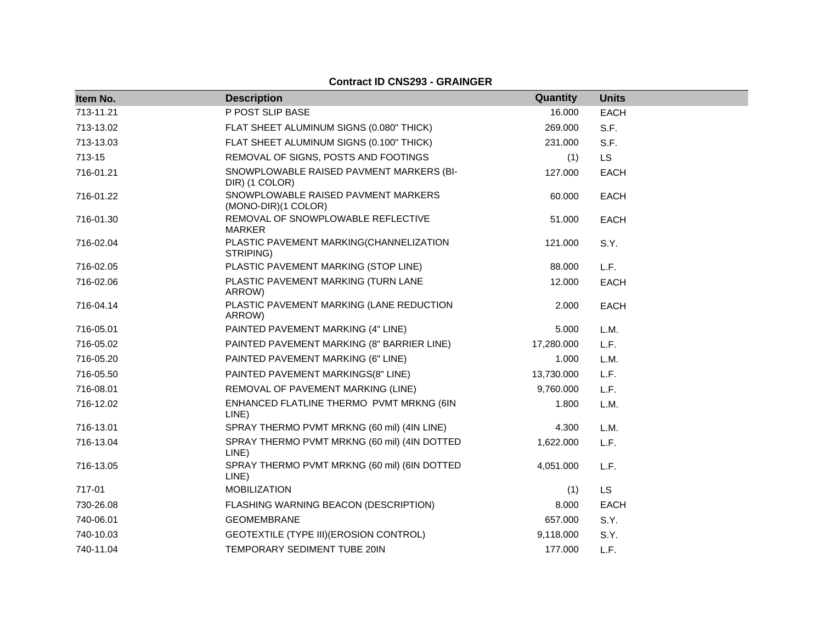| Item No.  | <b>Description</b>                                         | Quantity   | <b>Units</b> |
|-----------|------------------------------------------------------------|------------|--------------|
| 713-11.21 | P POST SLIP BASE                                           | 16.000     | <b>EACH</b>  |
| 713-13.02 | FLAT SHEET ALUMINUM SIGNS (0.080" THICK)                   | 269.000    | S.F.         |
| 713-13.03 | FLAT SHEET ALUMINUM SIGNS (0.100" THICK)                   | 231.000    | S.F.         |
| 713-15    | REMOVAL OF SIGNS, POSTS AND FOOTINGS                       | (1)        | <b>LS</b>    |
| 716-01.21 | SNOWPLOWABLE RAISED PAVMENT MARKERS (BI-<br>DIR) (1 COLOR) | 127.000    | <b>EACH</b>  |
| 716-01.22 | SNOWPLOWABLE RAISED PAVMENT MARKERS<br>(MONO-DIR)(1 COLOR) | 60.000     | <b>EACH</b>  |
| 716-01.30 | REMOVAL OF SNOWPLOWABLE REFLECTIVE<br><b>MARKER</b>        | 51.000     | <b>EACH</b>  |
| 716-02.04 | PLASTIC PAVEMENT MARKING(CHANNELIZATION<br>STRIPING)       | 121.000    | S.Y.         |
| 716-02.05 | PLASTIC PAVEMENT MARKING (STOP LINE)                       | 88.000     | L.F.         |
| 716-02.06 | PLASTIC PAVEMENT MARKING (TURN LANE<br>ARROW)              | 12.000     | EACH         |
| 716-04.14 | PLASTIC PAVEMENT MARKING (LANE REDUCTION<br>ARROW)         | 2.000      | <b>EACH</b>  |
| 716-05.01 | PAINTED PAVEMENT MARKING (4" LINE)                         | 5.000      | L.M.         |
| 716-05.02 | PAINTED PAVEMENT MARKING (8" BARRIER LINE)                 | 17,280.000 | L.F.         |
| 716-05.20 | PAINTED PAVEMENT MARKING (6" LINE)                         | 1.000      | L.M.         |
| 716-05.50 | PAINTED PAVEMENT MARKINGS(8" LINE)                         | 13,730.000 | L.F.         |
| 716-08.01 | REMOVAL OF PAVEMENT MARKING (LINE)                         | 9,760.000  | L.F.         |
| 716-12.02 | ENHANCED FLATLINE THERMO PVMT MRKNG (6IN<br>LINE)          | 1.800      | L.M.         |
| 716-13.01 | SPRAY THERMO PVMT MRKNG (60 mil) (4IN LINE)                | 4.300      | L.M.         |
| 716-13.04 | SPRAY THERMO PVMT MRKNG (60 mil) (4IN DOTTED<br>LINE)      | 1,622.000  | L.F.         |
| 716-13.05 | SPRAY THERMO PVMT MRKNG (60 mil) (6IN DOTTED<br>LINE)      | 4,051.000  | L.F.         |
| 717-01    | <b>MOBILIZATION</b>                                        | (1)        | <b>LS</b>    |
| 730-26.08 | FLASHING WARNING BEACON (DESCRIPTION)                      | 8.000      | <b>EACH</b>  |
| 740-06.01 | <b>GEOMEMBRANE</b>                                         | 657.000    | S.Y.         |
| 740-10.03 | GEOTEXTILE (TYPE III) (EROSION CONTROL)                    | 9,118.000  | S.Y.         |
| 740-11.04 | TEMPORARY SEDIMENT TUBE 20IN                               | 177.000    | L.F.         |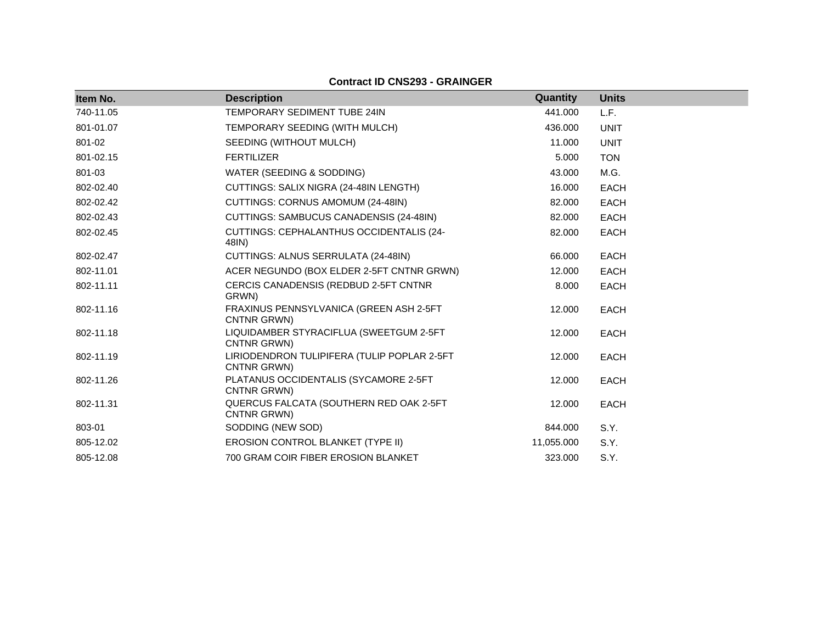| Item No.  | <b>Description</b>                                         | Quantity   | <b>Units</b> |
|-----------|------------------------------------------------------------|------------|--------------|
| 740-11.05 | TEMPORARY SEDIMENT TUBE 24IN                               | 441.000    | L.F.         |
| 801-01.07 | TEMPORARY SEEDING (WITH MULCH)                             | 436.000    | <b>UNIT</b>  |
| 801-02    | SEEDING (WITHOUT MULCH)                                    | 11.000     | <b>UNIT</b>  |
| 801-02.15 | <b>FERTILIZER</b>                                          | 5.000      | <b>TON</b>   |
| 801-03    | WATER (SEEDING & SODDING)                                  | 43.000     | M.G.         |
| 802-02.40 | CUTTINGS: SALIX NIGRA (24-48IN LENGTH)                     | 16.000     | <b>EACH</b>  |
| 802-02.42 | CUTTINGS: CORNUS AMOMUM (24-48IN)                          | 82.000     | <b>EACH</b>  |
| 802-02.43 | CUTTINGS: SAMBUCUS CANADENSIS (24-48IN)                    | 82.000     | <b>EACH</b>  |
| 802-02.45 | <b>CUTTINGS: CEPHALANTHUS OCCIDENTALIS (24-</b><br>48IN)   | 82.000     | <b>EACH</b>  |
| 802-02.47 | CUTTINGS: ALNUS SERRULATA (24-48IN)                        | 66,000     | <b>EACH</b>  |
| 802-11.01 | ACER NEGUNDO (BOX ELDER 2-5FT CNTNR GRWN)                  | 12.000     | <b>EACH</b>  |
| 802-11.11 | CERCIS CANADENSIS (REDBUD 2-5FT CNTNR<br>GRWN)             | 8.000      | <b>EACH</b>  |
| 802-11.16 | FRAXINUS PENNSYLVANICA (GREEN ASH 2-5FT<br>CNTNR GRWN)     | 12.000     | <b>EACH</b>  |
| 802-11.18 | LIQUIDAMBER STYRACIFLUA (SWEETGUM 2-5FT<br>CNTNR GRWN)     | 12.000     | <b>EACH</b>  |
| 802-11.19 | LIRIODENDRON TULIPIFERA (TULIP POPLAR 2-5FT<br>CNTNR GRWN) | 12.000     | <b>EACH</b>  |
| 802-11.26 | PLATANUS OCCIDENTALIS (SYCAMORE 2-5FT<br>CNTNR GRWN)       | 12.000     | <b>EACH</b>  |
| 802-11.31 | QUERCUS FALCATA (SOUTHERN RED OAK 2-5FT<br>CNTNR GRWN)     | 12.000     | <b>EACH</b>  |
| 803-01    | SODDING (NEW SOD)                                          | 844.000    | S.Y.         |
| 805-12.02 | <b>EROSION CONTROL BLANKET (TYPE II)</b>                   | 11,055.000 | S.Y.         |
| 805-12.08 | 700 GRAM COIR FIBER EROSION BLANKET                        | 323.000    | S.Y.         |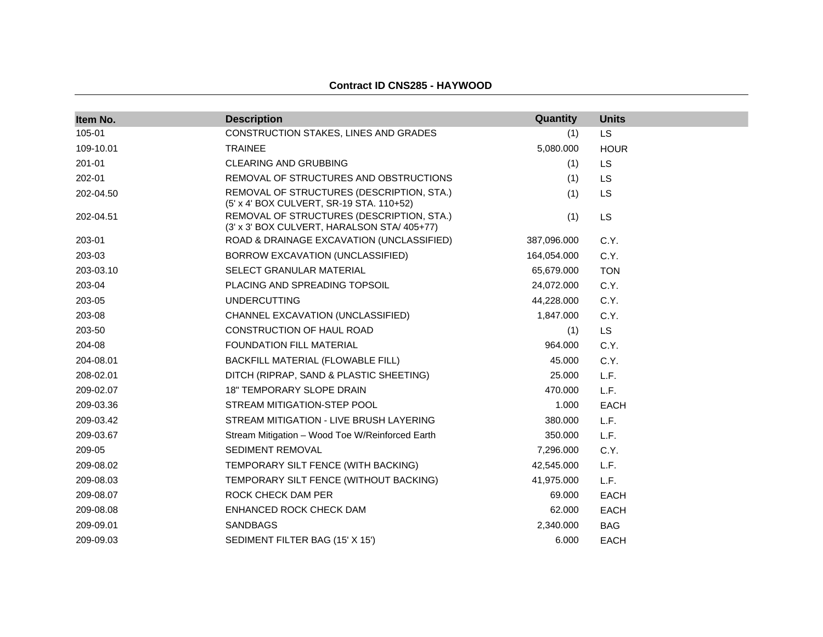| Item No.  | <b>Description</b>                                                                       | Quantity    | <b>Units</b> |
|-----------|------------------------------------------------------------------------------------------|-------------|--------------|
| 105-01    | CONSTRUCTION STAKES, LINES AND GRADES                                                    | (1)         | <b>LS</b>    |
| 109-10.01 | <b>TRAINEE</b>                                                                           | 5,080.000   | <b>HOUR</b>  |
| 201-01    | <b>CLEARING AND GRUBBING</b>                                                             | (1)         | <b>LS</b>    |
| 202-01    | REMOVAL OF STRUCTURES AND OBSTRUCTIONS                                                   | (1)         | LS           |
| 202-04.50 | REMOVAL OF STRUCTURES (DESCRIPTION, STA.)<br>(5' x 4' BOX CULVERT, SR-19 STA. 110+52)    | (1)         | LS           |
| 202-04.51 | REMOVAL OF STRUCTURES (DESCRIPTION, STA.)<br>(3' x 3' BOX CULVERT, HARALSON STA/ 405+77) | (1)         | <b>LS</b>    |
| 203-01    | ROAD & DRAINAGE EXCAVATION (UNCLASSIFIED)                                                | 387,096.000 | C.Y.         |
| 203-03    | BORROW EXCAVATION (UNCLASSIFIED)                                                         | 164,054.000 | C.Y.         |
| 203-03.10 | SELECT GRANULAR MATERIAL                                                                 | 65,679.000  | <b>TON</b>   |
| 203-04    | PLACING AND SPREADING TOPSOIL                                                            | 24,072.000  | C.Y.         |
| 203-05    | <b>UNDERCUTTING</b>                                                                      | 44,228.000  | C.Y.         |
| 203-08    | CHANNEL EXCAVATION (UNCLASSIFIED)                                                        | 1,847.000   | C.Y.         |
| 203-50    | <b>CONSTRUCTION OF HAUL ROAD</b>                                                         | (1)         | <b>LS</b>    |
| 204-08    | FOUNDATION FILL MATERIAL                                                                 | 964.000     | C.Y.         |
| 204-08.01 | BACKFILL MATERIAL (FLOWABLE FILL)                                                        | 45.000      | C.Y.         |
| 208-02.01 | DITCH (RIPRAP, SAND & PLASTIC SHEETING)                                                  | 25.000      | L.F.         |
| 209-02.07 | <b>18" TEMPORARY SLOPE DRAIN</b>                                                         | 470.000     | L.F.         |
| 209-03.36 | STREAM MITIGATION-STEP POOL                                                              | 1.000       | <b>EACH</b>  |
| 209-03.42 | STREAM MITIGATION - LIVE BRUSH LAYERING                                                  | 380.000     | L.F.         |
| 209-03.67 | Stream Mitigation - Wood Toe W/Reinforced Earth                                          | 350.000     | L.F.         |
| 209-05    | <b>SEDIMENT REMOVAL</b>                                                                  | 7,296.000   | C.Y.         |
| 209-08.02 | TEMPORARY SILT FENCE (WITH BACKING)                                                      | 42,545.000  | L.F.         |
| 209-08.03 | TEMPORARY SILT FENCE (WITHOUT BACKING)                                                   | 41,975.000  | L.F.         |
| 209-08.07 | ROCK CHECK DAM PER                                                                       | 69.000      | <b>EACH</b>  |
| 209-08.08 | ENHANCED ROCK CHECK DAM                                                                  | 62.000      | <b>EACH</b>  |
| 209-09.01 | <b>SANDBAGS</b>                                                                          | 2,340.000   | <b>BAG</b>   |
| 209-09.03 | SEDIMENT FILTER BAG (15' X 15')                                                          | 6.000       | <b>EACH</b>  |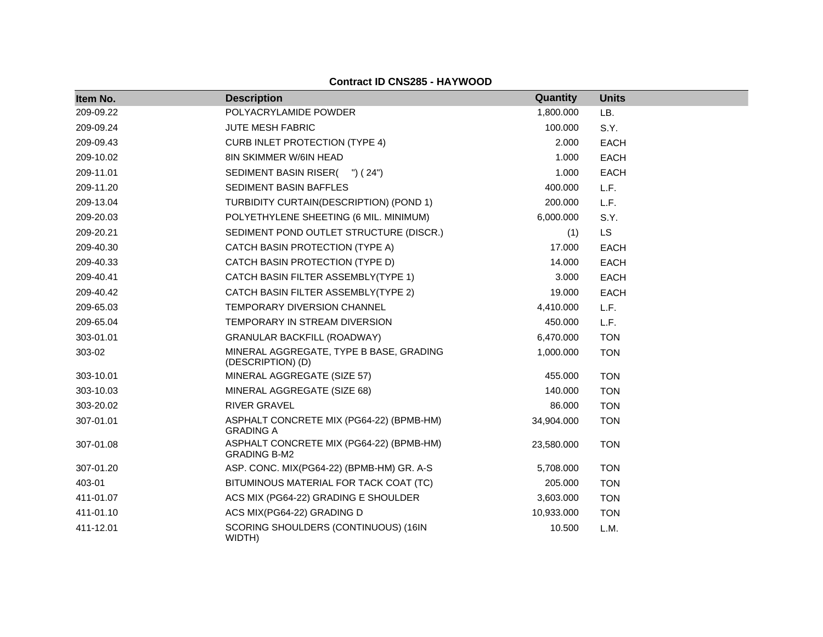| Item No.  | <b>Description</b>                                              | Quantity   | <b>Units</b> |
|-----------|-----------------------------------------------------------------|------------|--------------|
| 209-09.22 | POLYACRYLAMIDE POWDER                                           | 1,800.000  | LB.          |
| 209-09.24 | <b>JUTE MESH FABRIC</b>                                         | 100.000    | S.Y.         |
| 209-09.43 | <b>CURB INLET PROTECTION (TYPE 4)</b>                           | 2.000      | <b>EACH</b>  |
| 209-10.02 | 8IN SKIMMER W/6IN HEAD                                          | 1.000      | <b>EACH</b>  |
| 209-11.01 | SEDIMENT BASIN RISER( ") (24")                                  | 1.000      | <b>EACH</b>  |
| 209-11.20 | SEDIMENT BASIN BAFFLES                                          | 400.000    | L.F.         |
| 209-13.04 | TURBIDITY CURTAIN(DESCRIPTION) (POND 1)                         | 200.000    | L.F.         |
| 209-20.03 | POLYETHYLENE SHEETING (6 MIL. MINIMUM)                          | 6,000.000  | S.Y.         |
| 209-20.21 | SEDIMENT POND OUTLET STRUCTURE (DISCR.)                         | (1)        | <b>LS</b>    |
| 209-40.30 | CATCH BASIN PROTECTION (TYPE A)                                 | 17.000     | <b>EACH</b>  |
| 209-40.33 | CATCH BASIN PROTECTION (TYPE D)                                 | 14.000     | <b>EACH</b>  |
| 209-40.41 | CATCH BASIN FILTER ASSEMBLY(TYPE 1)                             | 3.000      | <b>EACH</b>  |
| 209-40.42 | CATCH BASIN FILTER ASSEMBLY(TYPE 2)                             | 19.000     | <b>EACH</b>  |
| 209-65.03 | TEMPORARY DIVERSION CHANNEL                                     | 4,410.000  | L.F.         |
| 209-65.04 | TEMPORARY IN STREAM DIVERSION                                   | 450.000    | L.F.         |
| 303-01.01 | <b>GRANULAR BACKFILL (ROADWAY)</b>                              | 6,470.000  | <b>TON</b>   |
| 303-02    | MINERAL AGGREGATE, TYPE B BASE, GRADING<br>(DESCRIPTION) (D)    | 1,000.000  | <b>TON</b>   |
| 303-10.01 | MINERAL AGGREGATE (SIZE 57)                                     | 455.000    | <b>TON</b>   |
| 303-10.03 | MINERAL AGGREGATE (SIZE 68)                                     | 140.000    | <b>TON</b>   |
| 303-20.02 | <b>RIVER GRAVEL</b>                                             | 86.000     | <b>TON</b>   |
| 307-01.01 | ASPHALT CONCRETE MIX (PG64-22) (BPMB-HM)<br><b>GRADING A</b>    | 34,904.000 | <b>TON</b>   |
| 307-01.08 | ASPHALT CONCRETE MIX (PG64-22) (BPMB-HM)<br><b>GRADING B-M2</b> | 23,580.000 | <b>TON</b>   |
| 307-01.20 | ASP. CONC. MIX(PG64-22) (BPMB-HM) GR. A-S                       | 5,708.000  | <b>TON</b>   |
| 403-01    | BITUMINOUS MATERIAL FOR TACK COAT (TC)                          | 205.000    | <b>TON</b>   |
| 411-01.07 | ACS MIX (PG64-22) GRADING E SHOULDER                            | 3,603.000  | <b>TON</b>   |
| 411-01.10 | ACS MIX(PG64-22) GRADING D                                      | 10,933.000 | <b>TON</b>   |
| 411-12.01 | SCORING SHOULDERS (CONTINUOUS) (16IN<br>WIDTH)                  | 10.500     | L.M.         |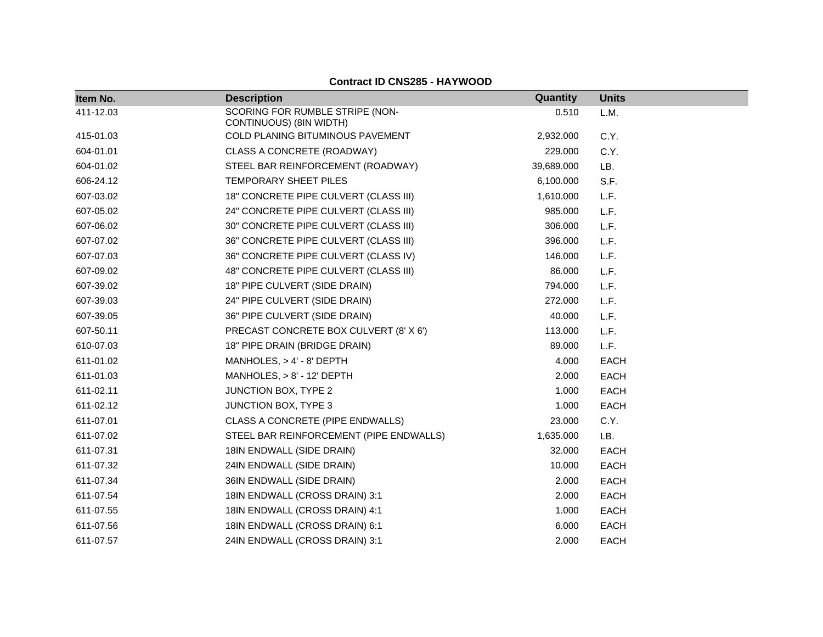| Item No.  | <b>Description</b>                                         | Quantity   | <b>Units</b> |
|-----------|------------------------------------------------------------|------------|--------------|
| 411-12.03 | SCORING FOR RUMBLE STRIPE (NON-<br>CONTINUOUS) (8IN WIDTH) | 0.510      | L.M.         |
| 415-01.03 | COLD PLANING BITUMINOUS PAVEMENT                           | 2,932.000  | C.Y.         |
| 604-01.01 | CLASS A CONCRETE (ROADWAY)                                 | 229.000    | C.Y.         |
| 604-01.02 | STEEL BAR REINFORCEMENT (ROADWAY)                          | 39,689.000 | LB.          |
| 606-24.12 | TEMPORARY SHEET PILES                                      | 6,100.000  | S.F.         |
| 607-03.02 | 18" CONCRETE PIPE CULVERT (CLASS III)                      | 1,610.000  | L.F.         |
| 607-05.02 | 24" CONCRETE PIPE CULVERT (CLASS III)                      | 985.000    | L.F.         |
| 607-06.02 | 30" CONCRETE PIPE CULVERT (CLASS III)                      | 306.000    | L.F.         |
| 607-07.02 | 36" CONCRETE PIPE CULVERT (CLASS III)                      | 396,000    | L.F.         |
| 607-07.03 | 36" CONCRETE PIPE CULVERT (CLASS IV)                       | 146.000    | L.F.         |
| 607-09.02 | 48" CONCRETE PIPE CULVERT (CLASS III)                      | 86.000     | L.F.         |
| 607-39.02 | 18" PIPE CULVERT (SIDE DRAIN)                              | 794.000    | L.F.         |
| 607-39.03 | 24" PIPE CULVERT (SIDE DRAIN)                              | 272,000    | L.F.         |
| 607-39.05 | 36" PIPE CULVERT (SIDE DRAIN)                              | 40.000     | L.F.         |
| 607-50.11 | PRECAST CONCRETE BOX CULVERT (8' X 6')                     | 113.000    | L.F.         |
| 610-07.03 | 18" PIPE DRAIN (BRIDGE DRAIN)                              | 89.000     | L.F.         |
| 611-01.02 | MANHOLES, $> 4' - 8'$ DEPTH                                | 4.000      | <b>EACH</b>  |
| 611-01.03 | MANHOLES, > 8' - 12' DEPTH                                 | 2.000      | EACH         |
| 611-02.11 | <b>JUNCTION BOX, TYPE 2</b>                                | 1.000      | <b>EACH</b>  |
| 611-02.12 | JUNCTION BOX, TYPE 3                                       | 1.000      | <b>EACH</b>  |
| 611-07.01 | CLASS A CONCRETE (PIPE ENDWALLS)                           | 23.000     | C.Y.         |
| 611-07.02 | STEEL BAR REINFORCEMENT (PIPE ENDWALLS)                    | 1,635.000  | LB.          |
| 611-07.31 | 18IN ENDWALL (SIDE DRAIN)                                  | 32.000     | <b>EACH</b>  |
| 611-07.32 | 24IN ENDWALL (SIDE DRAIN)                                  | 10.000     | <b>EACH</b>  |
| 611-07.34 | 36IN ENDWALL (SIDE DRAIN)                                  | 2.000      | EACH         |
| 611-07.54 | 18IN ENDWALL (CROSS DRAIN) 3:1                             | 2.000      | <b>EACH</b>  |
| 611-07.55 | 18IN ENDWALL (CROSS DRAIN) 4:1                             | 1.000      | <b>EACH</b>  |
| 611-07.56 | 18IN ENDWALL (CROSS DRAIN) 6:1                             | 6.000      | <b>EACH</b>  |
| 611-07.57 | 24IN ENDWALL (CROSS DRAIN) 3:1                             | 2.000      | <b>EACH</b>  |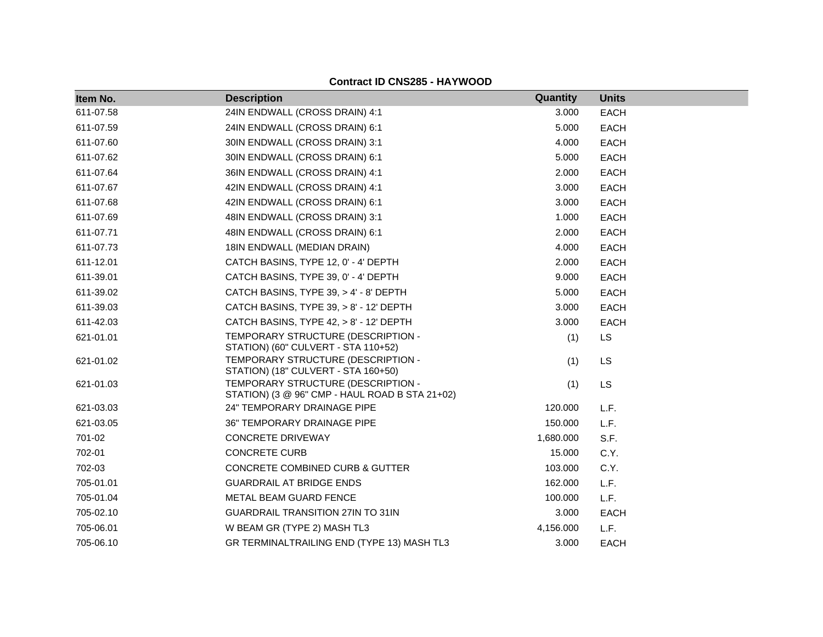| <b>Contract ID CNS285 - HAYWOOD</b> |  |
|-------------------------------------|--|
|-------------------------------------|--|

| Item No.  | <b>Description</b>                                                                   | Quantity  | <b>Units</b> |
|-----------|--------------------------------------------------------------------------------------|-----------|--------------|
| 611-07.58 | 24IN ENDWALL (CROSS DRAIN) 4:1                                                       | 3.000     | <b>EACH</b>  |
| 611-07.59 | 24IN ENDWALL (CROSS DRAIN) 6:1                                                       | 5.000     | EACH         |
| 611-07.60 | 30IN ENDWALL (CROSS DRAIN) 3:1                                                       | 4.000     | <b>EACH</b>  |
| 611-07.62 | 30IN ENDWALL (CROSS DRAIN) 6:1                                                       | 5.000     | EACH         |
| 611-07.64 | 36IN ENDWALL (CROSS DRAIN) 4:1                                                       | 2.000     | EACH         |
| 611-07.67 | 42IN ENDWALL (CROSS DRAIN) 4:1                                                       | 3.000     | EACH         |
| 611-07.68 | 42IN ENDWALL (CROSS DRAIN) 6:1                                                       | 3.000     | EACH         |
| 611-07.69 | 48IN ENDWALL (CROSS DRAIN) 3:1                                                       | 1.000     | <b>EACH</b>  |
| 611-07.71 | 48IN ENDWALL (CROSS DRAIN) 6:1                                                       | 2.000     | <b>EACH</b>  |
| 611-07.73 | 18IN ENDWALL (MEDIAN DRAIN)                                                          | 4.000     | EACH         |
| 611-12.01 | CATCH BASINS, TYPE 12, 0' - 4' DEPTH                                                 | 2.000     | EACH         |
| 611-39.01 | CATCH BASINS, TYPE 39, 0' - 4' DEPTH                                                 | 9.000     | <b>EACH</b>  |
| 611-39.02 | CATCH BASINS, TYPE 39, > 4' - 8' DEPTH                                               | 5.000     | EACH         |
| 611-39.03 | CATCH BASINS, TYPE 39, > 8' - 12' DEPTH                                              | 3.000     | EACH         |
| 611-42.03 | CATCH BASINS, TYPE 42, > 8' - 12' DEPTH                                              | 3.000     | EACH         |
| 621-01.01 | TEMPORARY STRUCTURE (DESCRIPTION -<br>STATION) (60" CULVERT - STA 110+52)            | (1)       | <b>LS</b>    |
| 621-01.02 | TEMPORARY STRUCTURE (DESCRIPTION -<br>STATION) (18" CULVERT - STA 160+50)            | (1)       | <b>LS</b>    |
| 621-01.03 | TEMPORARY STRUCTURE (DESCRIPTION -<br>STATION) (3 @ 96" CMP - HAUL ROAD B STA 21+02) | (1)       | <b>LS</b>    |
| 621-03.03 | 24" TEMPORARY DRAINAGE PIPE                                                          | 120.000   | L.F.         |
| 621-03.05 | 36" TEMPORARY DRAINAGE PIPE                                                          | 150.000   | L.F.         |
| 701-02    | <b>CONCRETE DRIVEWAY</b>                                                             | 1,680.000 | S.F.         |
| 702-01    | <b>CONCRETE CURB</b>                                                                 | 15.000    | C.Y.         |
| 702-03    | <b>CONCRETE COMBINED CURB &amp; GUTTER</b>                                           | 103.000   | C.Y.         |
| 705-01.01 | <b>GUARDRAIL AT BRIDGE ENDS</b>                                                      | 162.000   | L.F.         |
| 705-01.04 | METAL BEAM GUARD FENCE                                                               | 100.000   | L.F.         |
| 705-02.10 | <b>GUARDRAIL TRANSITION 27IN TO 31IN</b>                                             | 3.000     | EACH         |
| 705-06.01 | W BEAM GR (TYPE 2) MASH TL3                                                          | 4,156.000 | L.F.         |
| 705-06.10 | GR TERMINALTRAILING END (TYPE 13) MASH TL3                                           | 3.000     | <b>EACH</b>  |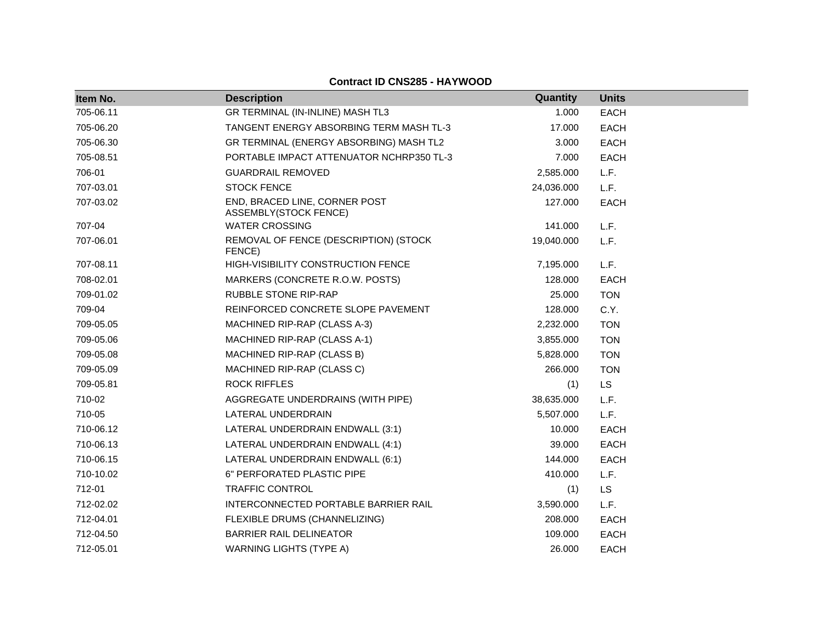| Item No.  | <b>Description</b>                                     | Quantity   | <b>Units</b> |
|-----------|--------------------------------------------------------|------------|--------------|
| 705-06.11 | GR TERMINAL (IN-INLINE) MASH TL3                       | 1.000      | <b>EACH</b>  |
| 705-06.20 | TANGENT ENERGY ABSORBING TERM MASH TL-3                | 17.000     | <b>EACH</b>  |
| 705-06.30 | GR TERMINAL (ENERGY ABSORBING) MASH TL2                | 3.000      | <b>EACH</b>  |
| 705-08.51 | PORTABLE IMPACT ATTENUATOR NCHRP350 TL-3               | 7.000      | <b>EACH</b>  |
| 706-01    | <b>GUARDRAIL REMOVED</b>                               | 2,585.000  | L.F.         |
| 707-03.01 | <b>STOCK FENCE</b>                                     | 24,036.000 | L.F.         |
| 707-03.02 | END, BRACED LINE, CORNER POST<br>ASSEMBLY(STOCK FENCE) | 127.000    | <b>EACH</b>  |
| 707-04    | <b>WATER CROSSING</b>                                  | 141.000    | L.F.         |
| 707-06.01 | REMOVAL OF FENCE (DESCRIPTION) (STOCK<br>FENCE)        | 19,040.000 | L.F.         |
| 707-08.11 | HIGH-VISIBILITY CONSTRUCTION FENCE                     | 7,195.000  | L.F.         |
| 708-02.01 | MARKERS (CONCRETE R.O.W. POSTS)                        | 128.000    | <b>EACH</b>  |
| 709-01.02 | <b>RUBBLE STONE RIP-RAP</b>                            | 25.000     | <b>TON</b>   |
| 709-04    | REINFORCED CONCRETE SLOPE PAVEMENT                     | 128.000    | C.Y.         |
| 709-05.05 | MACHINED RIP-RAP (CLASS A-3)                           | 2,232.000  | <b>TON</b>   |
| 709-05.06 | MACHINED RIP-RAP (CLASS A-1)                           | 3,855.000  | <b>TON</b>   |
| 709-05.08 | MACHINED RIP-RAP (CLASS B)                             | 5,828,000  | <b>TON</b>   |
| 709-05.09 | MACHINED RIP-RAP (CLASS C)                             | 266,000    | <b>TON</b>   |
| 709-05.81 | <b>ROCK RIFFLES</b>                                    | (1)        | LS           |
| 710-02    | AGGREGATE UNDERDRAINS (WITH PIPE)                      | 38,635.000 | L.F.         |
| 710-05    | LATERAL UNDERDRAIN                                     | 5,507.000  | L.F.         |
| 710-06.12 | LATERAL UNDERDRAIN ENDWALL (3:1)                       | 10.000     | <b>EACH</b>  |
| 710-06.13 | LATERAL UNDERDRAIN ENDWALL (4:1)                       | 39.000     | <b>EACH</b>  |
| 710-06.15 | LATERAL UNDERDRAIN ENDWALL (6:1)                       | 144.000    | <b>EACH</b>  |
| 710-10.02 | 6" PERFORATED PLASTIC PIPE                             | 410.000    | L.F.         |
| 712-01    | <b>TRAFFIC CONTROL</b>                                 | (1)        | <b>LS</b>    |
| 712-02.02 | INTERCONNECTED PORTABLE BARRIER RAIL                   | 3,590.000  | L.F.         |
| 712-04.01 | FLEXIBLE DRUMS (CHANNELIZING)                          | 208.000    | <b>EACH</b>  |
| 712-04.50 | <b>BARRIER RAIL DELINEATOR</b>                         | 109.000    | <b>EACH</b>  |
| 712-05.01 | <b>WARNING LIGHTS (TYPE A)</b>                         | 26.000     | <b>EACH</b>  |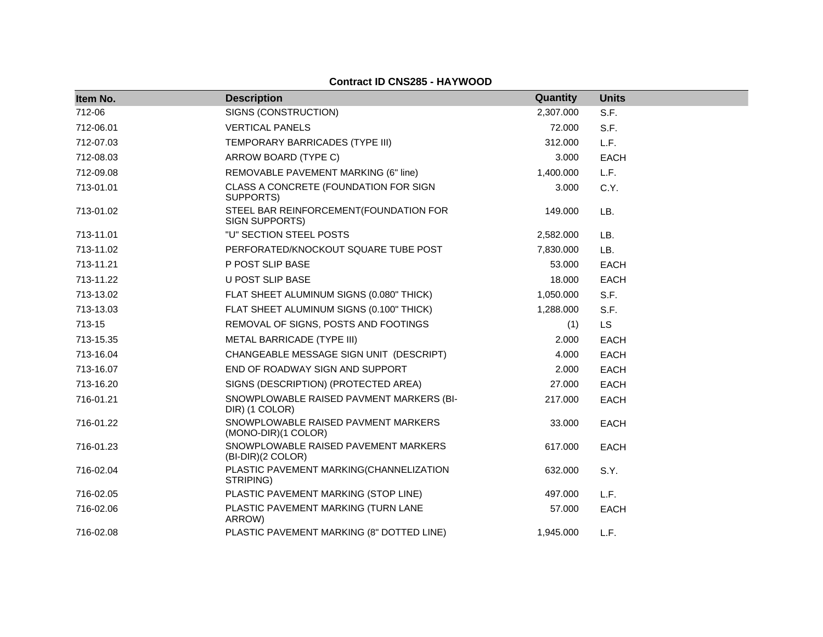| Item No.  | <b>Description</b>                                         | Quantity  | <b>Units</b> |
|-----------|------------------------------------------------------------|-----------|--------------|
| 712-06    | SIGNS (CONSTRUCTION)                                       | 2,307.000 | S.F.         |
| 712-06.01 | <b>VERTICAL PANELS</b>                                     | 72.000    | S.F.         |
| 712-07.03 | TEMPORARY BARRICADES (TYPE III)                            | 312.000   | L.F.         |
| 712-08.03 | ARROW BOARD (TYPE C)                                       | 3.000     | EACH         |
| 712-09.08 | REMOVABLE PAVEMENT MARKING (6" line)                       | 1,400.000 | L.F.         |
| 713-01.01 | CLASS A CONCRETE (FOUNDATION FOR SIGN<br>SUPPORTS)         | 3.000     | C.Y.         |
| 713-01.02 | STEEL BAR REINFORCEMENT(FOUNDATION FOR<br>SIGN SUPPORTS)   | 149.000   | LB.          |
| 713-11.01 | "U" SECTION STEEL POSTS                                    | 2,582.000 | LB.          |
| 713-11.02 | PERFORATED/KNOCKOUT SQUARE TUBE POST                       | 7,830.000 | LB.          |
| 713-11.21 | P POST SLIP BASE                                           | 53.000    | EACH         |
| 713-11.22 | U POST SLIP BASE                                           | 18.000    | <b>EACH</b>  |
| 713-13.02 | FLAT SHEET ALUMINUM SIGNS (0.080" THICK)                   | 1,050.000 | S.F.         |
| 713-13.03 | FLAT SHEET ALUMINUM SIGNS (0.100" THICK)                   | 1,288.000 | S.F.         |
| 713-15    | REMOVAL OF SIGNS, POSTS AND FOOTINGS                       | (1)       | <b>LS</b>    |
| 713-15.35 | METAL BARRICADE (TYPE III)                                 | 2.000     | <b>EACH</b>  |
| 713-16.04 | CHANGEABLE MESSAGE SIGN UNIT (DESCRIPT)                    | 4.000     | <b>EACH</b>  |
| 713-16.07 | END OF ROADWAY SIGN AND SUPPORT                            | 2.000     | <b>EACH</b>  |
| 713-16.20 | SIGNS (DESCRIPTION) (PROTECTED AREA)                       | 27.000    | EACH         |
| 716-01.21 | SNOWPLOWABLE RAISED PAVMENT MARKERS (BI-<br>DIR) (1 COLOR) | 217.000   | <b>EACH</b>  |
| 716-01.22 | SNOWPLOWABLE RAISED PAVMENT MARKERS<br>(MONO-DIR)(1 COLOR) | 33.000    | <b>EACH</b>  |
| 716-01.23 | SNOWPLOWABLE RAISED PAVEMENT MARKERS<br>(BI-DIR)(2 COLOR)  | 617.000   | <b>EACH</b>  |
| 716-02.04 | PLASTIC PAVEMENT MARKING(CHANNELIZATION<br>STRIPING)       | 632.000   | S.Y.         |
| 716-02.05 | PLASTIC PAVEMENT MARKING (STOP LINE)                       | 497.000   | L.F.         |
| 716-02.06 | PLASTIC PAVEMENT MARKING (TURN LANE<br>ARROW)              | 57.000    | EACH         |
| 716-02.08 | PLASTIC PAVEMENT MARKING (8" DOTTED LINE)                  | 1,945.000 | L.F.         |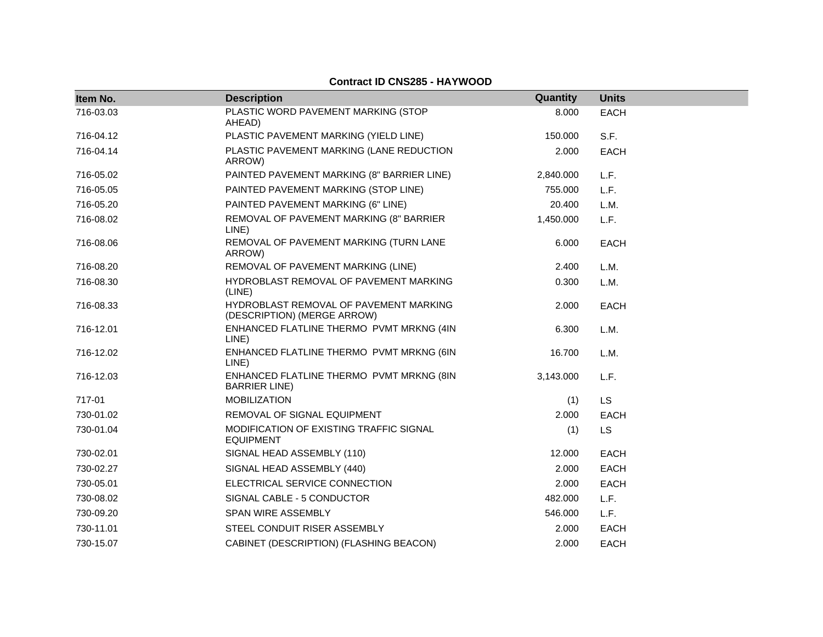| Item No.  | <b>Description</b>                                                    | Quantity  | <b>Units</b> |  |
|-----------|-----------------------------------------------------------------------|-----------|--------------|--|
| 716-03.03 | PLASTIC WORD PAVEMENT MARKING (STOP<br>AHEAD)                         | 8.000     | <b>EACH</b>  |  |
| 716-04.12 | PLASTIC PAVEMENT MARKING (YIELD LINE)                                 | 150.000   | S.F.         |  |
| 716-04.14 | PLASTIC PAVEMENT MARKING (LANE REDUCTION<br>ARROW)                    | 2.000     | <b>EACH</b>  |  |
| 716-05.02 | PAINTED PAVEMENT MARKING (8" BARRIER LINE)                            | 2,840.000 | L.F.         |  |
| 716-05.05 | PAINTED PAVEMENT MARKING (STOP LINE)                                  | 755.000   | L.F.         |  |
| 716-05.20 | PAINTED PAVEMENT MARKING (6" LINE)                                    | 20.400    | L.M.         |  |
| 716-08.02 | REMOVAL OF PAVEMENT MARKING (8" BARRIER<br>LINE)                      | 1,450.000 | L.F.         |  |
| 716-08.06 | REMOVAL OF PAVEMENT MARKING (TURN LANE<br>ARROW)                      | 6.000     | <b>EACH</b>  |  |
| 716-08.20 | REMOVAL OF PAVEMENT MARKING (LINE)                                    | 2.400     | L.M.         |  |
| 716-08.30 | HYDROBLAST REMOVAL OF PAVEMENT MARKING<br>(LINE)                      | 0.300     | L.M.         |  |
| 716-08.33 | HYDROBLAST REMOVAL OF PAVEMENT MARKING<br>(DESCRIPTION) (MERGE ARROW) | 2.000     | <b>EACH</b>  |  |
| 716-12.01 | ENHANCED FLATLINE THERMO PVMT MRKNG (4IN<br>LINE)                     | 6.300     | L.M.         |  |
| 716-12.02 | ENHANCED FLATLINE THERMO PVMT MRKNG (6IN<br>LINE)                     | 16.700    | L.M.         |  |
| 716-12.03 | ENHANCED FLATLINE THERMO PVMT MRKNG (8IN<br><b>BARRIER LINE)</b>      | 3,143.000 | L.F.         |  |
| 717-01    | <b>MOBILIZATION</b>                                                   | (1)       | LS           |  |
| 730-01.02 | REMOVAL OF SIGNAL EQUIPMENT                                           | 2.000     | <b>EACH</b>  |  |
| 730-01.04 | MODIFICATION OF EXISTING TRAFFIC SIGNAL<br><b>EQUIPMENT</b>           | (1)       | <b>LS</b>    |  |
| 730-02.01 | SIGNAL HEAD ASSEMBLY (110)                                            | 12.000    | <b>EACH</b>  |  |
| 730-02.27 | SIGNAL HEAD ASSEMBLY (440)                                            | 2.000     | EACH         |  |
| 730-05.01 | ELECTRICAL SERVICE CONNECTION                                         | 2.000     | <b>EACH</b>  |  |
| 730-08.02 | SIGNAL CABLE - 5 CONDUCTOR                                            | 482.000   | L.F.         |  |
| 730-09.20 | <b>SPAN WIRE ASSEMBLY</b>                                             | 546.000   | L.F.         |  |
| 730-11.01 | STEEL CONDUIT RISER ASSEMBLY                                          | 2.000     | <b>EACH</b>  |  |
| 730-15.07 | CABINET (DESCRIPTION) (FLASHING BEACON)                               | 2.000     | <b>EACH</b>  |  |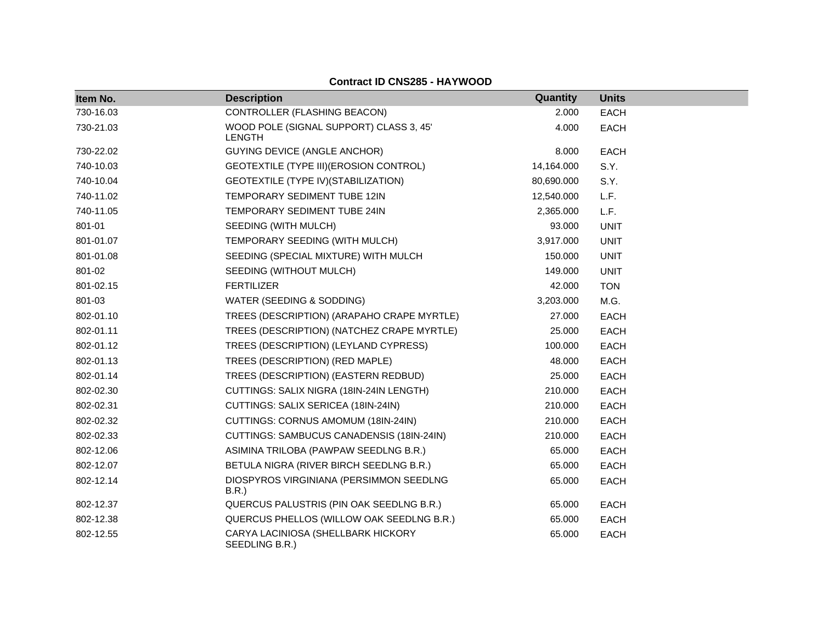| Item No.  | <b>Description</b>                                       | Quantity   | <b>Units</b> |
|-----------|----------------------------------------------------------|------------|--------------|
| 730-16.03 | CONTROLLER (FLASHING BEACON)                             | 2.000      | <b>EACH</b>  |
| 730-21.03 | WOOD POLE (SIGNAL SUPPORT) CLASS 3, 45'<br><b>LENGTH</b> | 4.000      | <b>EACH</b>  |
| 730-22.02 | <b>GUYING DEVICE (ANGLE ANCHOR)</b>                      | 8.000      | <b>EACH</b>  |
| 740-10.03 | GEOTEXTILE (TYPE III) (EROSION CONTROL)                  | 14,164.000 | S.Y.         |
| 740-10.04 | GEOTEXTILE (TYPE IV) (STABILIZATION)                     | 80,690.000 | S.Y.         |
| 740-11.02 | TEMPORARY SEDIMENT TUBE 12IN                             | 12,540.000 | L.F.         |
| 740-11.05 | TEMPORARY SEDIMENT TUBE 24IN                             | 2,365.000  | L.F.         |
| 801-01    | SEEDING (WITH MULCH)                                     | 93.000     | <b>UNIT</b>  |
| 801-01.07 | TEMPORARY SEEDING (WITH MULCH)                           | 3,917.000  | <b>UNIT</b>  |
| 801-01.08 | SEEDING (SPECIAL MIXTURE) WITH MULCH                     | 150.000    | <b>UNIT</b>  |
| 801-02    | SEEDING (WITHOUT MULCH)                                  | 149.000    | <b>UNIT</b>  |
| 801-02.15 | <b>FERTILIZER</b>                                        | 42.000     | <b>TON</b>   |
| 801-03    | WATER (SEEDING & SODDING)                                | 3,203.000  | M.G.         |
| 802-01.10 | TREES (DESCRIPTION) (ARAPAHO CRAPE MYRTLE)               | 27.000     | <b>EACH</b>  |
| 802-01.11 | TREES (DESCRIPTION) (NATCHEZ CRAPE MYRTLE)               | 25.000     | <b>EACH</b>  |
| 802-01.12 | TREES (DESCRIPTION) (LEYLAND CYPRESS)                    | 100.000    | <b>EACH</b>  |
| 802-01.13 | TREES (DESCRIPTION) (RED MAPLE)                          | 48.000     | <b>EACH</b>  |
| 802-01.14 | TREES (DESCRIPTION) (EASTERN REDBUD)                     | 25.000     | <b>EACH</b>  |
| 802-02.30 | CUTTINGS: SALIX NIGRA (18IN-24IN LENGTH)                 | 210.000    | <b>EACH</b>  |
| 802-02.31 | CUTTINGS: SALIX SERICEA (18IN-24IN)                      | 210.000    | <b>EACH</b>  |
| 802-02.32 | CUTTINGS: CORNUS AMOMUM (18IN-24IN)                      | 210.000    | <b>EACH</b>  |
| 802-02.33 | CUTTINGS: SAMBUCUS CANADENSIS (18IN-24IN)                | 210.000    | <b>EACH</b>  |
| 802-12.06 | ASIMINA TRILOBA (PAWPAW SEEDLNG B.R.)                    | 65.000     | <b>EACH</b>  |
| 802-12.07 | BETULA NIGRA (RIVER BIRCH SEEDLNG B.R.)                  | 65.000     | <b>EACH</b>  |
| 802-12.14 | DIOSPYROS VIRGINIANA (PERSIMMON SEEDLNG<br>B.R.          | 65.000     | <b>EACH</b>  |
| 802-12.37 | QUERCUS PALUSTRIS (PIN OAK SEEDLNG B.R.)                 | 65.000     | <b>EACH</b>  |
| 802-12.38 | QUERCUS PHELLOS (WILLOW OAK SEEDLNG B.R.)                | 65.000     | <b>EACH</b>  |
| 802-12.55 | CARYA LACINIOSA (SHELLBARK HICKORY<br>SEEDLING B.R.)     | 65.000     | <b>EACH</b>  |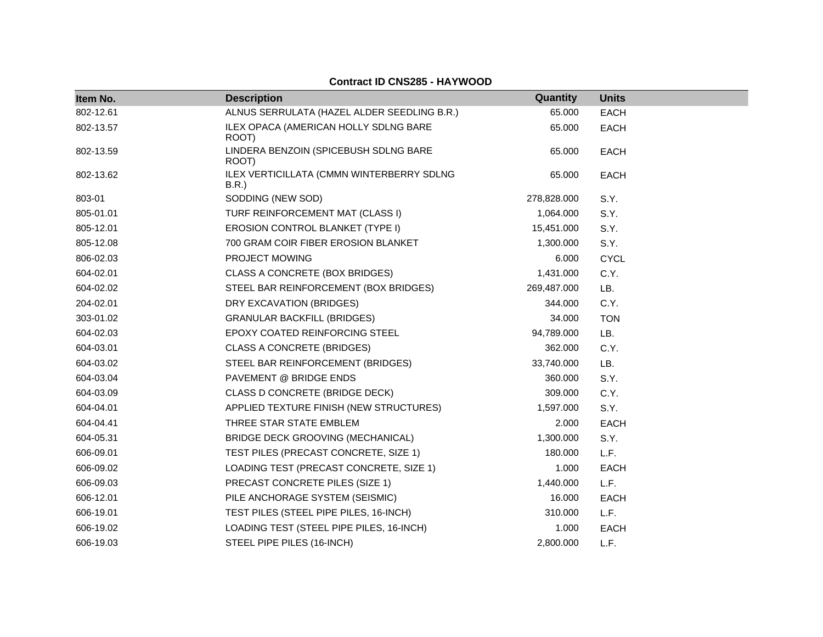| Item No.  | <b>Description</b>                                | Quantity    | <b>Units</b> |
|-----------|---------------------------------------------------|-------------|--------------|
| 802-12.61 | ALNUS SERRULATA (HAZEL ALDER SEEDLING B.R.)       | 65.000      | <b>EACH</b>  |
| 802-13.57 | ILEX OPACA (AMERICAN HOLLY SDLNG BARE<br>ROOT)    | 65.000      | <b>EACH</b>  |
| 802-13.59 | LINDERA BENZOIN (SPICEBUSH SDLNG BARE<br>ROOT)    | 65,000      | <b>EACH</b>  |
| 802-13.62 | ILEX VERTICILLATA (CMMN WINTERBERRY SDLNG<br>B.R. | 65.000      | <b>EACH</b>  |
| 803-01    | SODDING (NEW SOD)                                 | 278,828.000 | S.Y.         |
| 805-01.01 | TURF REINFORCEMENT MAT (CLASS I)                  | 1,064.000   | S.Y.         |
| 805-12.01 | EROSION CONTROL BLANKET (TYPE I)                  | 15,451.000  | S.Y.         |
| 805-12.08 | 700 GRAM COIR FIBER EROSION BLANKET               | 1,300.000   | S.Y.         |
| 806-02.03 | PROJECT MOWING                                    | 6.000       | <b>CYCL</b>  |
| 604-02.01 | CLASS A CONCRETE (BOX BRIDGES)                    | 1,431.000   | C.Y.         |
| 604-02.02 | STEEL BAR REINFORCEMENT (BOX BRIDGES)             | 269,487.000 | LB.          |
| 204-02.01 | DRY EXCAVATION (BRIDGES)                          | 344.000     | C.Y.         |
| 303-01.02 | <b>GRANULAR BACKFILL (BRIDGES)</b>                | 34.000      | <b>TON</b>   |
| 604-02.03 | EPOXY COATED REINFORCING STEEL                    | 94,789.000  | LB.          |
| 604-03.01 | <b>CLASS A CONCRETE (BRIDGES)</b>                 | 362.000     | C.Y.         |
| 604-03.02 | STEEL BAR REINFORCEMENT (BRIDGES)                 | 33,740.000  | LB.          |
| 604-03.04 | PAVEMENT @ BRIDGE ENDS                            | 360.000     | S.Y.         |
| 604-03.09 | CLASS D CONCRETE (BRIDGE DECK)                    | 309.000     | C.Y.         |
| 604-04.01 | APPLIED TEXTURE FINISH (NEW STRUCTURES)           | 1,597.000   | S.Y.         |
| 604-04.41 | THREE STAR STATE EMBLEM                           | 2.000       | <b>EACH</b>  |
| 604-05.31 | BRIDGE DECK GROOVING (MECHANICAL)                 | 1,300.000   | S.Y.         |
| 606-09.01 | TEST PILES (PRECAST CONCRETE, SIZE 1)             | 180.000     | L.F.         |
| 606-09.02 | LOADING TEST (PRECAST CONCRETE, SIZE 1)           | 1.000       | <b>EACH</b>  |
| 606-09.03 | PRECAST CONCRETE PILES (SIZE 1)                   | 1,440.000   | L.F.         |
| 606-12.01 | PILE ANCHORAGE SYSTEM (SEISMIC)                   | 16.000      | EACH         |
| 606-19.01 | TEST PILES (STEEL PIPE PILES, 16-INCH)            | 310.000     | L.F.         |
| 606-19.02 | LOADING TEST (STEEL PIPE PILES, 16-INCH)          | 1.000       | <b>EACH</b>  |
| 606-19.03 | STEEL PIPE PILES (16-INCH)                        | 2,800.000   | L.F.         |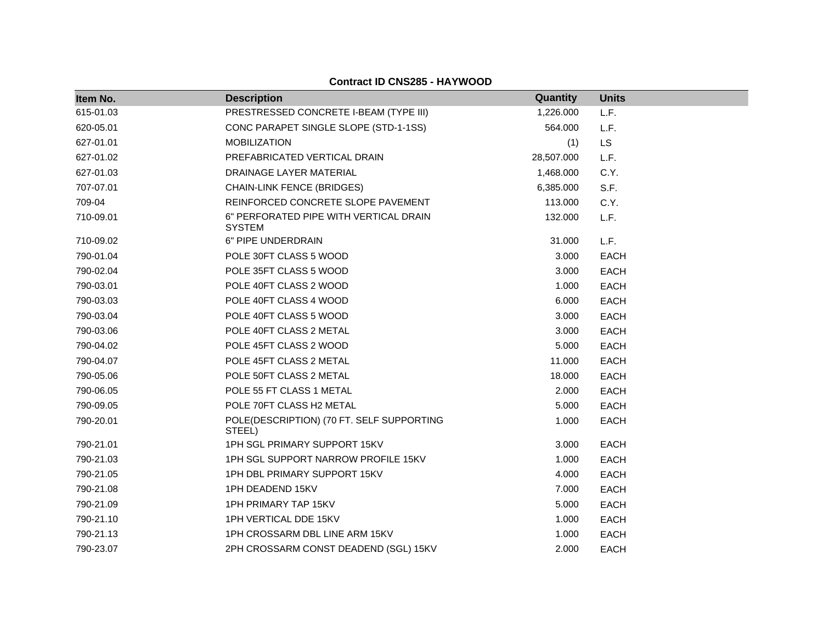| Item No.  | <b>Description</b>                                      | <b>Quantity</b> | <b>Units</b> |
|-----------|---------------------------------------------------------|-----------------|--------------|
| 615-01.03 | PRESTRESSED CONCRETE I-BEAM (TYPE III)                  | 1,226.000       | L.F.         |
| 620-05.01 | CONC PARAPET SINGLE SLOPE (STD-1-1SS)                   | 564.000         | L.F.         |
| 627-01.01 | <b>MOBILIZATION</b>                                     | (1)             | <b>LS</b>    |
| 627-01.02 | PREFABRICATED VERTICAL DRAIN                            | 28,507.000      | L.F.         |
| 627-01.03 | DRAINAGE LAYER MATERIAL                                 | 1,468.000       | C.Y.         |
| 707-07.01 | <b>CHAIN-LINK FENCE (BRIDGES)</b>                       | 6,385.000       | S.F.         |
| 709-04    | REINFORCED CONCRETE SLOPE PAVEMENT                      | 113.000         | C.Y.         |
| 710-09.01 | 6" PERFORATED PIPE WITH VERTICAL DRAIN<br><b>SYSTEM</b> | 132,000         | L.F.         |
| 710-09.02 | 6" PIPE UNDERDRAIN                                      | 31.000          | L.F.         |
| 790-01.04 | POLE 30FT CLASS 5 WOOD                                  | 3.000           | <b>EACH</b>  |
| 790-02.04 | POLE 35FT CLASS 5 WOOD                                  | 3.000           | <b>EACH</b>  |
| 790-03.01 | POLE 40FT CLASS 2 WOOD                                  | 1.000           | <b>EACH</b>  |
| 790-03.03 | POLE 40FT CLASS 4 WOOD                                  | 6.000           | <b>EACH</b>  |
| 790-03.04 | POLE 40FT CLASS 5 WOOD                                  | 3.000           | <b>EACH</b>  |
| 790-03.06 | POLE 40FT CLASS 2 METAL                                 | 3.000           | <b>EACH</b>  |
| 790-04.02 | POLE 45FT CLASS 2 WOOD                                  | 5.000           | <b>EACH</b>  |
| 790-04.07 | POLE 45FT CLASS 2 METAL                                 | 11.000          | <b>EACH</b>  |
| 790-05.06 | POLE 50FT CLASS 2 METAL                                 | 18.000          | <b>EACH</b>  |
| 790-06.05 | POLE 55 FT CLASS 1 METAL                                | 2.000           | <b>EACH</b>  |
| 790-09.05 | POLE 70FT CLASS H2 METAL                                | 5.000           | <b>EACH</b>  |
| 790-20.01 | POLE(DESCRIPTION) (70 FT. SELF SUPPORTING<br>STEEL)     | 1.000           | <b>EACH</b>  |
| 790-21.01 | 1PH SGL PRIMARY SUPPORT 15KV                            | 3.000           | <b>EACH</b>  |
| 790-21.03 | 1PH SGL SUPPORT NARROW PROFILE 15KV                     | 1.000           | <b>EACH</b>  |
| 790-21.05 | 1PH DBL PRIMARY SUPPORT 15KV                            | 4.000           | <b>EACH</b>  |
| 790-21.08 | 1PH DEADEND 15KV                                        | 7.000           | <b>EACH</b>  |
| 790-21.09 | 1PH PRIMARY TAP 15KV                                    | 5.000           | <b>EACH</b>  |
| 790-21.10 | 1PH VERTICAL DDE 15KV                                   | 1.000           | <b>EACH</b>  |
| 790-21.13 | 1PH CROSSARM DBL LINE ARM 15KV                          | 1.000           | <b>EACH</b>  |
| 790-23.07 | 2PH CROSSARM CONST DEADEND (SGL) 15KV                   | 2.000           | <b>EACH</b>  |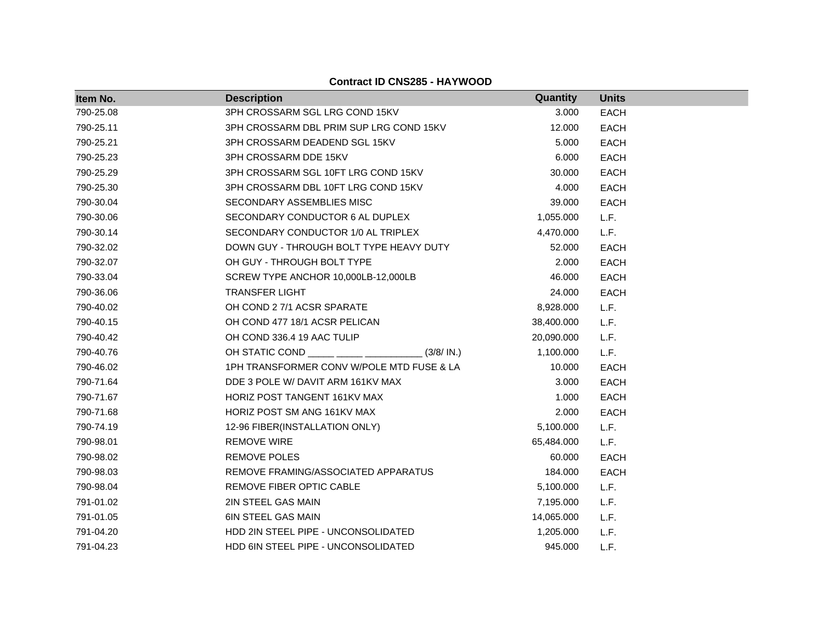**Item No. Description Quantity Units** 790-25.08 3PH CROSSARM SGL LRG COND 15KV 3.000 EACH 790-25.11 3PH CROSSARM DBL PRIM SUP LRG COND 15KV 12.000 EACH 790-25.21 3PH CROSSARM DEADEND SGL 15KV 5.000 EACH 790-25.23 3PH CROSSARM DDE 15KV 6.000 EACH 790-25.29 3PH CROSSARM SGL 10FT LRG COND 15KV 30.000 EACH 790-25.30 3PH CROSSARM DBL 10FT LRG COND 15KV 4.000 EACH 790-30.04 SECONDARY ASSEMBLIES MISC 39.000 EACH 790-30.06 SECONDARY CONDUCTOR 6 AL DUPLEX 1,055.000 L.F. 790-30.14 SECONDARY CONDUCTOR 1/0 AL TRIPLEX 4,470.000 L.F. 790-32.02 **DOWN GUY - THROUGH BOLT TYPE HEAVY DUTY** 52.000 EACH 790-32.07 OH GUY - THROUGH BOLT TYPE 2.000 EACH 790-33.04 SCREW TYPE ANCHOR 10,000LB-12,000LB 46.000 EACH 790-36.06 TRANSFER LIGHT 24.000 EACH 790-40.02 OH COND 2 7/1 ACSR SPARATE 8,928.000 L.F. 790-40.15 OH COND 477 18/1 ACSR PELICAN 38,400.000 L.F. 790-40.42 OH COND 336.4 19 AAC TULIP 20,090.000 L.F. 790-40.76 OH STATIC COND \_\_\_\_\_ \_\_\_\_\_ \_\_\_\_\_\_\_\_\_\_\_ (3/8/ IN.) 1,100.000 L.F. 790-46.02 1PH TRANSFORMER CONV W/POLE MTD FUSE & LA 10.000 EACH 790-71.64 DDE 3 POLE W/ DAVIT ARM 161KV MAX 3.000 EACH 790-71.67 HORIZ POST TANGENT 161KV MAX 1.000 EACH 790-71.68 HORIZ POST SM ANG 161KV MAX 2.000 EACH 790-74.19 12-96 FIBER(INSTALLATION ONLY) 5,100.000 L.F. 790-98.01 REMOVE WIRE 65,484.000 L.F. 790-98.02 REMOVE POLES 60.000 EACH 790-98.03 REMOVE FRAMING/ASSOCIATED APPARATUS 184.000 EACH 790-98.04 REMOVE FIBER OPTIC CABLE 5,100.000 L.F. 791-01.02 2IN STEEL GAS MAIN 7,195.000 L.F. 791-01.05 6IN STEEL GAS MAIN 14,065.000 L.F. 791-04.20 HDD 2IN STEEL PIPE - UNCONSOLIDATED 1,205.000 L.F. 791-04.23 HDD 6IN STEEL PIPE - UNCONSOLIDATED 945.000 L.F.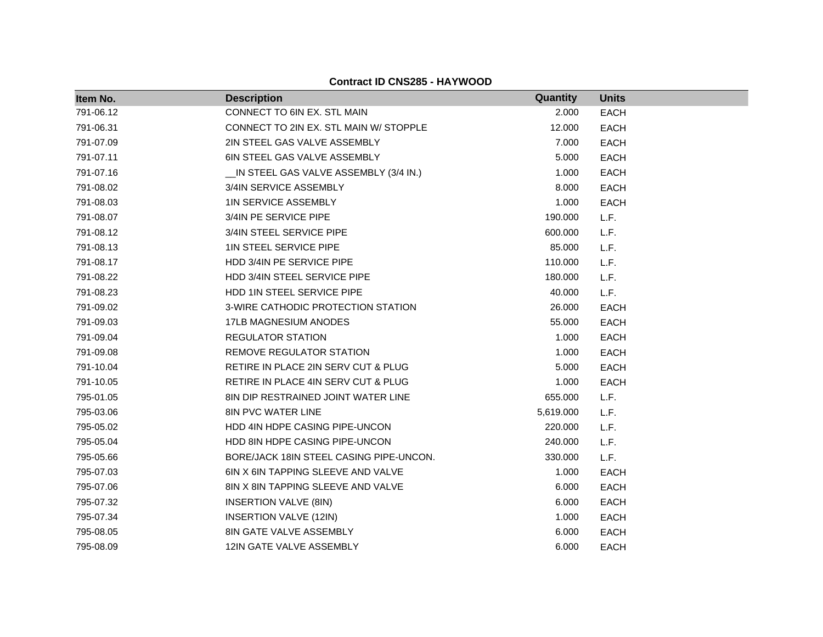| Item No.  | <b>Description</b>                         | Quantity  | <b>Units</b> |
|-----------|--------------------------------------------|-----------|--------------|
| 791-06.12 | CONNECT TO 6IN EX. STL MAIN                | 2.000     | <b>EACH</b>  |
| 791-06.31 | CONNECT TO 2IN EX. STL MAIN W/ STOPPLE     | 12.000    | <b>EACH</b>  |
| 791-07.09 | 2IN STEEL GAS VALVE ASSEMBLY               | 7.000     | <b>EACH</b>  |
| 791-07.11 | 6IN STEEL GAS VALVE ASSEMBLY               | 5.000     | <b>EACH</b>  |
| 791-07.16 | __IN STEEL GAS VALVE ASSEMBLY (3/4 IN.)    | 1.000     | <b>EACH</b>  |
| 791-08.02 | 3/4IN SERVICE ASSEMBLY                     | 8.000     | <b>EACH</b>  |
| 791-08.03 | <b>1IN SERVICE ASSEMBLY</b>                | 1.000     | <b>EACH</b>  |
| 791-08.07 | 3/4IN PE SERVICE PIPE                      | 190.000   | L.F.         |
| 791-08.12 | 3/4IN STEEL SERVICE PIPE                   | 600.000   | L.F.         |
| 791-08.13 | 1IN STEEL SERVICE PIPE                     | 85.000    | L.F.         |
| 791-08.17 | HDD 3/4IN PE SERVICE PIPE                  | 110.000   | L.F.         |
| 791-08.22 | HDD 3/4IN STEEL SERVICE PIPE               | 180.000   | L.F.         |
| 791-08.23 | HDD 1IN STEEL SERVICE PIPE                 | 40.000    | L.F.         |
| 791-09.02 | 3-WIRE CATHODIC PROTECTION STATION         | 26.000    | <b>EACH</b>  |
| 791-09.03 | 17LB MAGNESIUM ANODES                      | 55.000    | <b>EACH</b>  |
| 791-09.04 | <b>REGULATOR STATION</b>                   | 1.000     | <b>EACH</b>  |
| 791-09.08 | REMOVE REGULATOR STATION                   | 1.000     | <b>EACH</b>  |
| 791-10.04 | RETIRE IN PLACE 2IN SERV CUT & PLUG        | 5.000     | <b>EACH</b>  |
| 791-10.05 | RETIRE IN PLACE 4IN SERV CUT & PLUG        | 1.000     | <b>EACH</b>  |
| 795-01.05 | <b>8IN DIP RESTRAINED JOINT WATER LINE</b> | 655.000   | L.F.         |
| 795-03.06 | <b>8IN PVC WATER LINE</b>                  | 5,619.000 | L.F.         |
| 795-05.02 | HDD 4IN HDPE CASING PIPE-UNCON             | 220.000   | L.F.         |
| 795-05.04 | HDD 8IN HDPE CASING PIPE-UNCON             | 240.000   | L.F.         |
| 795-05.66 | BORE/JACK 18IN STEEL CASING PIPE-UNCON.    | 330.000   | L.F.         |
| 795-07.03 | 6IN X 6IN TAPPING SLEEVE AND VALVE         | 1.000     | <b>EACH</b>  |
| 795-07.06 | 8IN X 8IN TAPPING SLEEVE AND VALVE         | 6.000     | <b>EACH</b>  |
| 795-07.32 | INSERTION VALVE (8IN)                      | 6.000     | <b>EACH</b>  |
| 795-07.34 | <b>INSERTION VALVE (12IN)</b>              | 1.000     | <b>EACH</b>  |
| 795-08.05 | 8IN GATE VALVE ASSEMBLY                    | 6.000     | <b>EACH</b>  |
| 795-08.09 | 12IN GATE VALVE ASSEMBLY                   | 6.000     | <b>EACH</b>  |

**Contract ID CNS285 - HAYWOOD**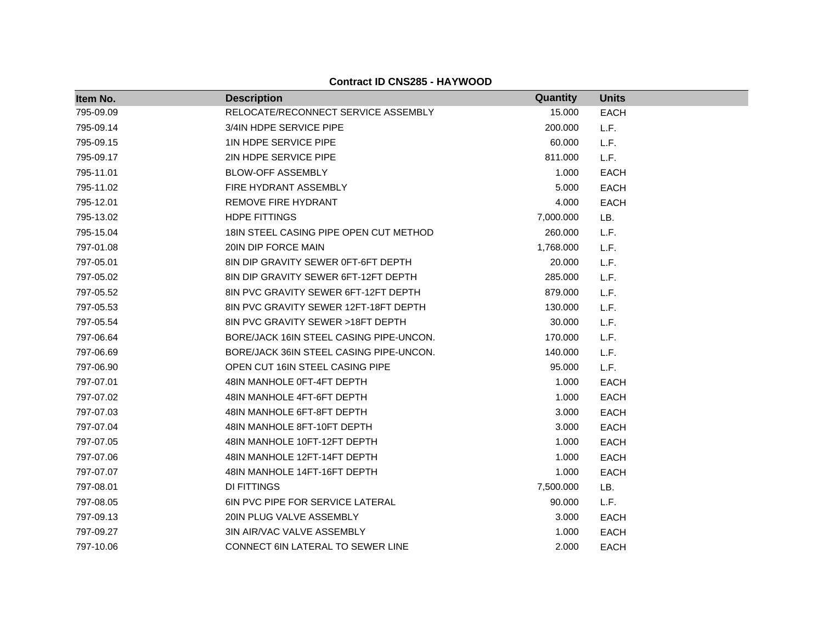| Item No.  | <b>Description</b>                      | Quantity  | <b>Units</b> |
|-----------|-----------------------------------------|-----------|--------------|
| 795-09.09 | RELOCATE/RECONNECT SERVICE ASSEMBLY     | 15.000    | <b>EACH</b>  |
| 795-09.14 | 3/4IN HDPE SERVICE PIPE                 | 200.000   | L.F.         |
| 795-09.15 | 1IN HDPE SERVICE PIPE                   | 60.000    | L.F.         |
| 795-09.17 | 2IN HDPE SERVICE PIPE                   | 811.000   | L.F.         |
| 795-11.01 | <b>BLOW-OFF ASSEMBLY</b>                | 1.000     | <b>EACH</b>  |
| 795-11.02 | <b>FIRE HYDRANT ASSEMBLY</b>            | 5.000     | <b>EACH</b>  |
| 795-12.01 | REMOVE FIRE HYDRANT                     | 4.000     | <b>EACH</b>  |
| 795-13.02 | HDPE FITTINGS                           | 7,000.000 | LB.          |
| 795-15.04 | 18IN STEEL CASING PIPE OPEN CUT METHOD  | 260.000   | L.F.         |
| 797-01.08 | 20IN DIP FORCE MAIN                     | 1,768.000 | L.F.         |
| 797-05.01 | 8IN DIP GRAVITY SEWER 0FT-6FT DEPTH     | 20.000    | L.F.         |
| 797-05.02 | 8IN DIP GRAVITY SEWER 6FT-12FT DEPTH    | 285.000   | L.F.         |
| 797-05.52 | 8IN PVC GRAVITY SEWER 6FT-12FT DEPTH    | 879.000   | L.F.         |
| 797-05.53 | 8IN PVC GRAVITY SEWER 12FT-18FT DEPTH   | 130.000   | L.F.         |
| 797-05.54 | 8IN PVC GRAVITY SEWER >18FT DEPTH       | 30.000    | L.F.         |
| 797-06.64 | BORE/JACK 16IN STEEL CASING PIPE-UNCON. | 170.000   | L.F.         |
| 797-06.69 | BORE/JACK 36IN STEEL CASING PIPE-UNCON. | 140.000   | L.F.         |
| 797-06.90 | OPEN CUT 16IN STEEL CASING PIPE         | 95,000    | L.F.         |
| 797-07.01 | 48IN MANHOLE 0FT-4FT DEPTH              | 1.000     | <b>EACH</b>  |
| 797-07.02 | 48IN MANHOLE 4FT-6FT DEPTH              | 1.000     | <b>EACH</b>  |
| 797-07.03 | 48IN MANHOLE 6FT-8FT DEPTH              | 3.000     | <b>EACH</b>  |
| 797-07.04 | 48IN MANHOLE 8FT-10FT DEPTH             | 3.000     | EACH         |
| 797-07.05 | 48IN MANHOLE 10FT-12FT DEPTH            | 1.000     | <b>EACH</b>  |
| 797-07.06 | 48IN MANHOLE 12FT-14FT DEPTH            | 1.000     | <b>EACH</b>  |
| 797-07.07 | 48IN MANHOLE 14FT-16FT DEPTH            | 1.000     | <b>EACH</b>  |
| 797-08.01 | <b>DI FITTINGS</b>                      | 7,500.000 | LB.          |
| 797-08.05 | <b>6IN PVC PIPE FOR SERVICE LATERAL</b> | 90.000    | L.F.         |
| 797-09.13 | 20IN PLUG VALVE ASSEMBLY                | 3.000     | <b>EACH</b>  |
| 797-09.27 | 3IN AIR/VAC VALVE ASSEMBLY              | 1.000     | <b>EACH</b>  |
| 797-10.06 | CONNECT 6IN LATERAL TO SEWER LINE       | 2.000     | <b>EACH</b>  |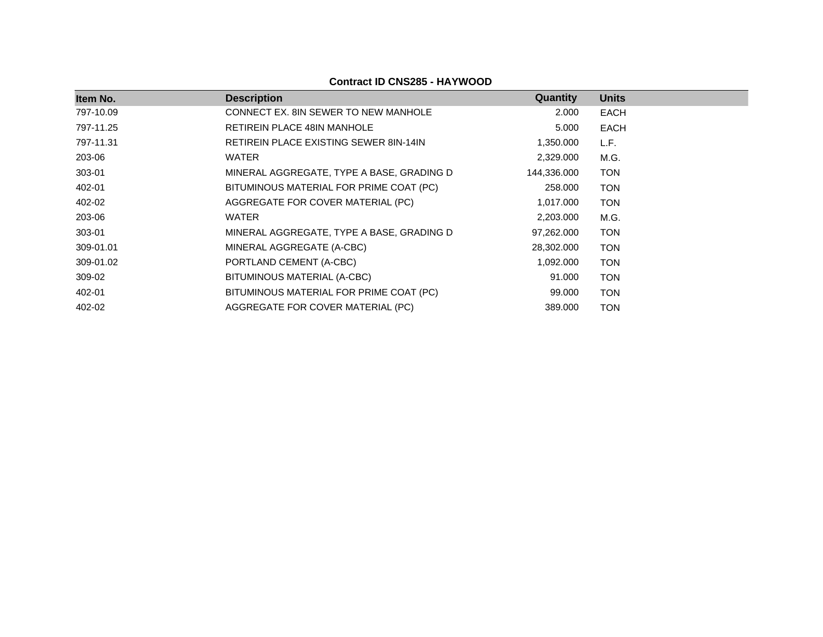| Item No.  | <b>Description</b>                            | Quantity    | <b>Units</b> |
|-----------|-----------------------------------------------|-------------|--------------|
| 797-10.09 | CONNECT EX. 8IN SEWER TO NEW MANHOLE          | 2.000       | EACH         |
| 797-11.25 | RETIREIN PLACE 48IN MANHOLE                   | 5.000       | EACH         |
| 797-11.31 | <b>RETIREIN PLACE EXISTING SEWER 8IN-14IN</b> | 1,350.000   | L.F.         |
| 203-06    | WATER                                         | 2,329.000   | M.G.         |
| 303-01    | MINERAL AGGREGATE, TYPE A BASE, GRADING D     | 144,336.000 | <b>TON</b>   |
| 402-01    | BITUMINOUS MATERIAL FOR PRIME COAT (PC)       | 258.000     | <b>TON</b>   |
| 402-02    | AGGREGATE FOR COVER MATERIAL (PC)             | 1,017.000   | <b>TON</b>   |
| 203-06    | <b>WATER</b>                                  | 2,203.000   | M.G.         |
| 303-01    | MINERAL AGGREGATE, TYPE A BASE, GRADING D     | 97,262.000  | <b>TON</b>   |
| 309-01.01 | MINERAL AGGREGATE (A-CBC)                     | 28,302.000  | <b>TON</b>   |
| 309-01.02 | PORTLAND CEMENT (A-CBC)                       | 1,092.000   | <b>TON</b>   |
| 309-02    | BITUMINOUS MATERIAL (A-CBC)                   | 91.000      | <b>TON</b>   |
| 402-01    | BITUMINOUS MATERIAL FOR PRIME COAT (PC)       | 99.000      | <b>TON</b>   |
| 402-02    | AGGREGATE FOR COVER MATERIAL (PC)             | 389,000     | <b>TON</b>   |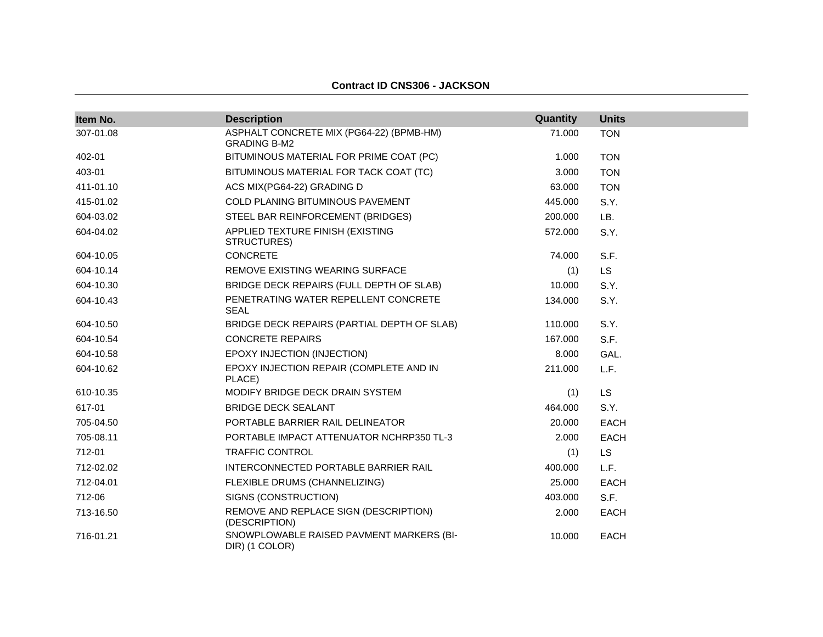#### **Contract ID CNS306 - JACKSON**

| Item No.  | <b>Description</b>                                              | Quantity | <b>Units</b> |
|-----------|-----------------------------------------------------------------|----------|--------------|
| 307-01.08 | ASPHALT CONCRETE MIX (PG64-22) (BPMB-HM)<br><b>GRADING B-M2</b> | 71.000   | <b>TON</b>   |
| 402-01    | BITUMINOUS MATERIAL FOR PRIME COAT (PC)                         | 1.000    | <b>TON</b>   |
| 403-01    | BITUMINOUS MATERIAL FOR TACK COAT (TC)                          | 3.000    | <b>TON</b>   |
| 411-01.10 | ACS MIX(PG64-22) GRADING D                                      | 63.000   | <b>TON</b>   |
| 415-01.02 | COLD PLANING BITUMINOUS PAVEMENT                                | 445.000  | S.Y.         |
| 604-03.02 | STEEL BAR REINFORCEMENT (BRIDGES)                               | 200.000  | LB.          |
| 604-04.02 | APPLIED TEXTURE FINISH (EXISTING<br>STRUCTURES)                 | 572.000  | S.Y.         |
| 604-10.05 | <b>CONCRETE</b>                                                 | 74.000   | S.F.         |
| 604-10.14 | REMOVE EXISTING WEARING SURFACE                                 | (1)      | <b>LS</b>    |
| 604-10.30 | BRIDGE DECK REPAIRS (FULL DEPTH OF SLAB)                        | 10.000   | S.Y.         |
| 604-10.43 | PENETRATING WATER REPELLENT CONCRETE<br><b>SEAL</b>             | 134.000  | S.Y.         |
| 604-10.50 | BRIDGE DECK REPAIRS (PARTIAL DEPTH OF SLAB)                     | 110.000  | S.Y.         |
| 604-10.54 | <b>CONCRETE REPAIRS</b>                                         | 167.000  | S.F.         |
| 604-10.58 | EPOXY INJECTION (INJECTION)                                     | 8.000    | GAL.         |
| 604-10.62 | EPOXY INJECTION REPAIR (COMPLETE AND IN<br>PLACE)               | 211.000  | L.F.         |
| 610-10.35 | MODIFY BRIDGE DECK DRAIN SYSTEM                                 | (1)      | <b>LS</b>    |
| 617-01    | <b>BRIDGE DECK SEALANT</b>                                      | 464.000  | S.Y.         |
| 705-04.50 | PORTABLE BARRIER RAIL DELINEATOR                                | 20.000   | <b>EACH</b>  |
| 705-08.11 | PORTABLE IMPACT ATTENUATOR NCHRP350 TL-3                        | 2.000    | <b>EACH</b>  |
| 712-01    | <b>TRAFFIC CONTROL</b>                                          | (1)      | LS.          |
| 712-02.02 | INTERCONNECTED PORTABLE BARRIER RAIL                            | 400.000  | L.F.         |
| 712-04.01 | FLEXIBLE DRUMS (CHANNELIZING)                                   | 25.000   | EACH         |
| 712-06    | SIGNS (CONSTRUCTION)                                            | 403.000  | S.F.         |
| 713-16.50 | REMOVE AND REPLACE SIGN (DESCRIPTION)<br>(DESCRIPTION)          | 2.000    | <b>EACH</b>  |
| 716-01.21 | SNOWPLOWABLE RAISED PAVMENT MARKERS (BI-<br>DIR) (1 COLOR)      | 10.000   | <b>EACH</b>  |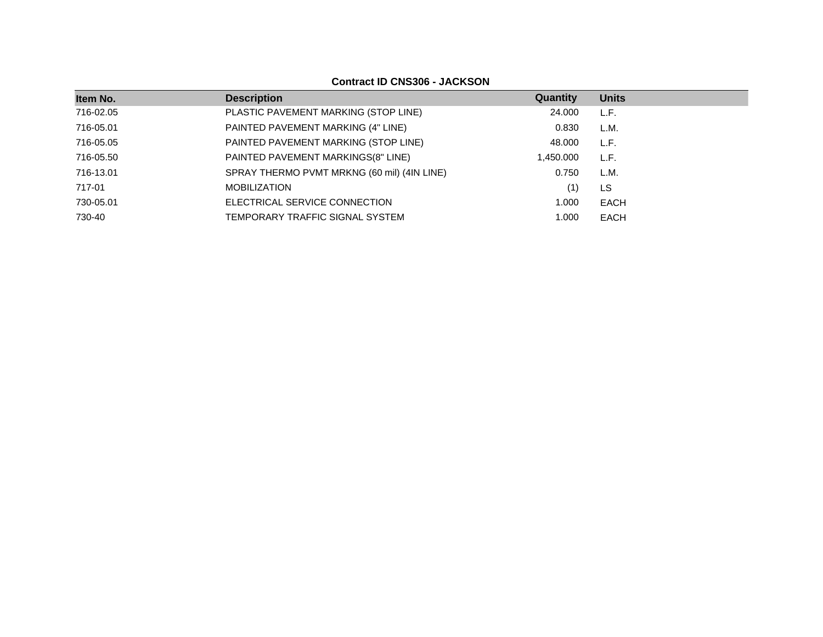**Contract ID CNS306 - JACKSON**

| Item No.  | <b>Description</b>                          | Quantity | <b>Units</b> |
|-----------|---------------------------------------------|----------|--------------|
| 716-02.05 | PLASTIC PAVEMENT MARKING (STOP LINE)        | 24.000   | L.F.         |
| 716-05.01 | PAINTED PAVEMENT MARKING (4" LINE)          | 0.830    | L.M.         |
| 716-05.05 | PAINTED PAVEMENT MARKING (STOP LINE)        | 48.000   | L.F.         |
| 716-05.50 | PAINTED PAVEMENT MARKINGS(8" LINE)          | .450.000 | L.F.         |
| 716-13.01 | SPRAY THERMO PVMT MRKNG (60 mil) (4IN LINE) | 0.750    | L.M.         |
| 717-01    | <b>MOBILIZATION</b>                         | (1)      | LS           |
| 730-05.01 | ELECTRICAL SERVICE CONNECTION               | 1.000    | EACH         |
| 730-40    | TEMPORARY TRAFFIC SIGNAL SYSTEM             | 1.000    | EACH         |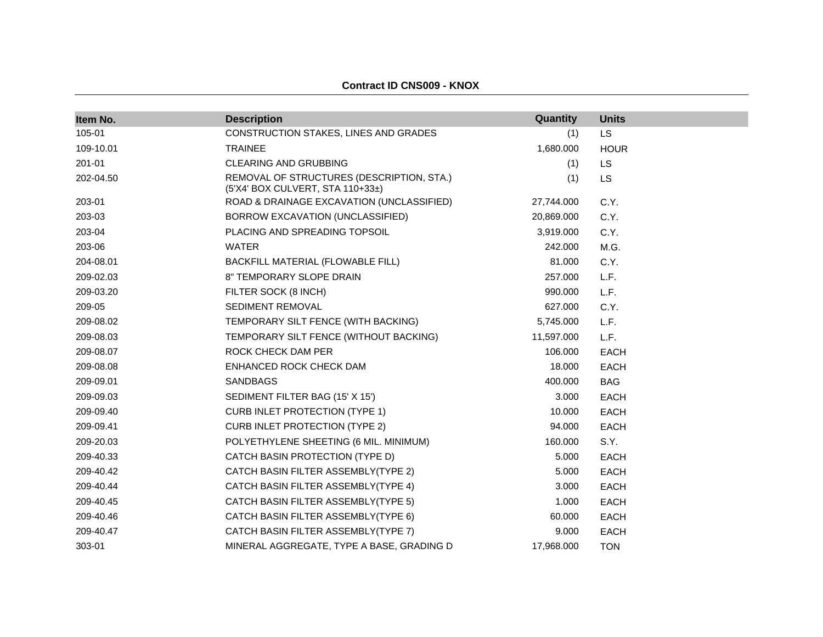| Item No.  | <b>Description</b>                                                            | Quantity   | <b>Units</b> |
|-----------|-------------------------------------------------------------------------------|------------|--------------|
| 105-01    | CONSTRUCTION STAKES, LINES AND GRADES                                         | (1)        | LS           |
| 109-10.01 | <b>TRAINEE</b>                                                                | 1,680.000  | <b>HOUR</b>  |
| 201-01    | <b>CLEARING AND GRUBBING</b>                                                  | (1)        | LS           |
| 202-04.50 | REMOVAL OF STRUCTURES (DESCRIPTION, STA.)<br>(5'X4' BOX CULVERT, STA 110+33±) | (1)        | LS           |
| 203-01    | ROAD & DRAINAGE EXCAVATION (UNCLASSIFIED)                                     | 27,744.000 | C.Y.         |
| 203-03    | BORROW EXCAVATION (UNCLASSIFIED)                                              | 20,869.000 | C.Y.         |
| 203-04    | PLACING AND SPREADING TOPSOIL                                                 | 3,919.000  | C.Y.         |
| 203-06    | <b>WATER</b>                                                                  | 242.000    | M.G.         |
| 204-08.01 | BACKFILL MATERIAL (FLOWABLE FILL)                                             | 81.000     | C.Y.         |
| 209-02.03 | 8" TEMPORARY SLOPE DRAIN                                                      | 257.000    | L.F.         |
| 209-03.20 | FILTER SOCK (8 INCH)                                                          | 990.000    | L.F.         |
| 209-05    | SEDIMENT REMOVAL                                                              | 627.000    | C.Y.         |
| 209-08.02 | TEMPORARY SILT FENCE (WITH BACKING)                                           | 5,745.000  | L.F.         |
| 209-08.03 | TEMPORARY SILT FENCE (WITHOUT BACKING)                                        | 11,597.000 | L.F.         |
| 209-08.07 | ROCK CHECK DAM PER                                                            | 106.000    | <b>EACH</b>  |
| 209-08.08 | ENHANCED ROCK CHECK DAM                                                       | 18.000     | <b>EACH</b>  |
| 209-09.01 | <b>SANDBAGS</b>                                                               | 400.000    | <b>BAG</b>   |
| 209-09.03 | SEDIMENT FILTER BAG (15' X 15')                                               | 3.000      | <b>EACH</b>  |
| 209-09.40 | <b>CURB INLET PROTECTION (TYPE 1)</b>                                         | 10.000     | <b>EACH</b>  |
| 209-09.41 | <b>CURB INLET PROTECTION (TYPE 2)</b>                                         | 94.000     | <b>EACH</b>  |
| 209-20.03 | POLYETHYLENE SHEETING (6 MIL. MINIMUM)                                        | 160.000    | S.Y.         |
| 209-40.33 | CATCH BASIN PROTECTION (TYPE D)                                               | 5.000      | <b>EACH</b>  |
| 209-40.42 | CATCH BASIN FILTER ASSEMBLY(TYPE 2)                                           | 5.000      | EACH         |
| 209-40.44 | CATCH BASIN FILTER ASSEMBLY(TYPE 4)                                           | 3.000      | <b>EACH</b>  |
| 209-40.45 | CATCH BASIN FILTER ASSEMBLY(TYPE 5)                                           | 1.000      | <b>EACH</b>  |
| 209-40.46 | CATCH BASIN FILTER ASSEMBLY(TYPE 6)                                           | 60.000     | <b>EACH</b>  |
| 209-40.47 | CATCH BASIN FILTER ASSEMBLY(TYPE 7)                                           | 9.000      | <b>EACH</b>  |
| 303-01    | MINERAL AGGREGATE, TYPE A BASE, GRADING D                                     | 17,968.000 | <b>TON</b>   |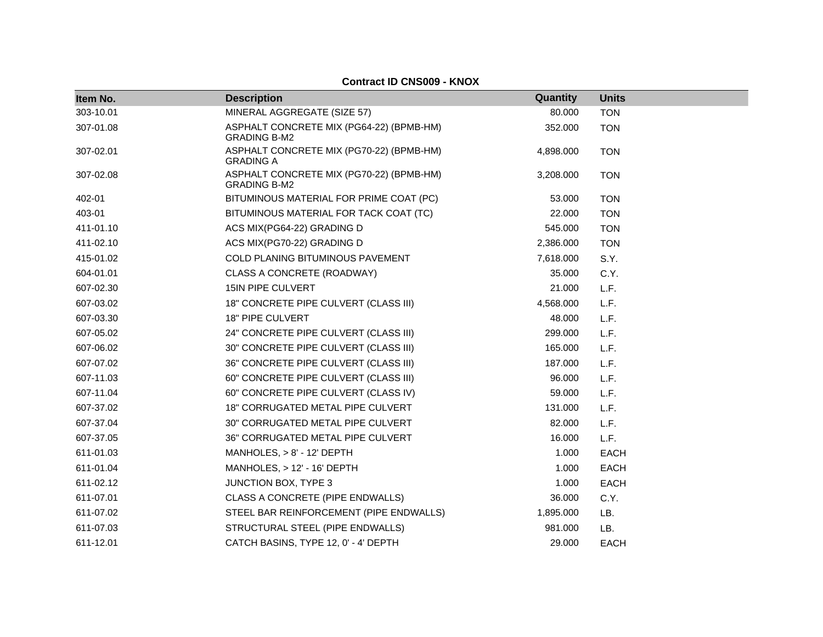| Item No.  | <b>Description</b>                                              | Quantity  | <b>Units</b> |
|-----------|-----------------------------------------------------------------|-----------|--------------|
| 303-10.01 | MINERAL AGGREGATE (SIZE 57)                                     | 80.000    | <b>TON</b>   |
| 307-01.08 | ASPHALT CONCRETE MIX (PG64-22) (BPMB-HM)<br><b>GRADING B-M2</b> | 352.000   | <b>TON</b>   |
| 307-02.01 | ASPHALT CONCRETE MIX (PG70-22) (BPMB-HM)<br><b>GRADING A</b>    | 4,898.000 | <b>TON</b>   |
| 307-02.08 | ASPHALT CONCRETE MIX (PG70-22) (BPMB-HM)<br><b>GRADING B-M2</b> | 3,208.000 | <b>TON</b>   |
| 402-01    | BITUMINOUS MATERIAL FOR PRIME COAT (PC)                         | 53.000    | <b>TON</b>   |
| 403-01    | BITUMINOUS MATERIAL FOR TACK COAT (TC)                          | 22.000    | <b>TON</b>   |
| 411-01.10 | ACS MIX(PG64-22) GRADING D                                      | 545.000   | <b>TON</b>   |
| 411-02.10 | ACS MIX(PG70-22) GRADING D                                      | 2,386.000 | <b>TON</b>   |
| 415-01.02 | COLD PLANING BITUMINOUS PAVEMENT                                | 7,618.000 | S.Y.         |
| 604-01.01 | CLASS A CONCRETE (ROADWAY)                                      | 35.000    | C.Y.         |
| 607-02.30 | 15IN PIPE CULVERT                                               | 21.000    | L.F.         |
| 607-03.02 | 18" CONCRETE PIPE CULVERT (CLASS III)                           | 4,568.000 | L.F.         |
| 607-03.30 | 18" PIPE CULVERT                                                | 48.000    | L.F.         |
| 607-05.02 | 24" CONCRETE PIPE CULVERT (CLASS III)                           | 299.000   | L.F.         |
| 607-06.02 | 30" CONCRETE PIPE CULVERT (CLASS III)                           | 165.000   | L.F.         |
| 607-07.02 | 36" CONCRETE PIPE CULVERT (CLASS III)                           | 187.000   | L.F.         |
| 607-11.03 | 60" CONCRETE PIPE CULVERT (CLASS III)                           | 96.000    | L.F.         |
| 607-11.04 | 60" CONCRETE PIPE CULVERT (CLASS IV)                            | 59.000    | L.F.         |
| 607-37.02 | 18" CORRUGATED METAL PIPE CULVERT                               | 131.000   | L.F.         |
| 607-37.04 | 30" CORRUGATED METAL PIPE CULVERT                               | 82.000    | L.F.         |
| 607-37.05 | 36" CORRUGATED METAL PIPE CULVERT                               | 16.000    | L.F.         |
| 611-01.03 | MANHOLES, $> 8'$ - 12' DEPTH                                    | 1.000     | <b>EACH</b>  |
| 611-01.04 | MANHOLES, > 12' - 16' DEPTH                                     | 1.000     | <b>EACH</b>  |
| 611-02.12 | JUNCTION BOX, TYPE 3                                            | 1.000     | <b>EACH</b>  |
| 611-07.01 | CLASS A CONCRETE (PIPE ENDWALLS)                                | 36.000    | C.Y.         |
| 611-07.02 | STEEL BAR REINFORCEMENT (PIPE ENDWALLS)                         | 1,895.000 | LB.          |
| 611-07.03 | STRUCTURAL STEEL (PIPE ENDWALLS)                                | 981.000   | LB.          |
| 611-12.01 | CATCH BASINS, TYPE 12, 0' - 4' DEPTH                            | 29.000    | EACH         |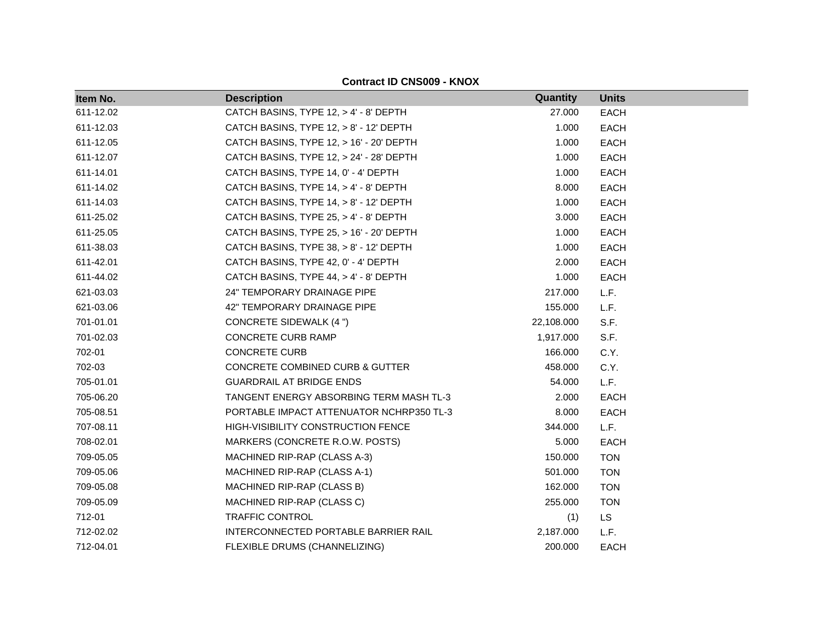| Item No.  | <b>Description</b>                       | Quantity   | <b>Units</b> |
|-----------|------------------------------------------|------------|--------------|
| 611-12.02 | CATCH BASINS, TYPE 12, > 4' - 8' DEPTH   | 27.000     | <b>EACH</b>  |
| 611-12.03 | CATCH BASINS, TYPE 12, > 8' - 12' DEPTH  | 1.000      | <b>EACH</b>  |
| 611-12.05 | CATCH BASINS, TYPE 12, > 16' - 20' DEPTH | 1.000      | <b>EACH</b>  |
| 611-12.07 | CATCH BASINS, TYPE 12, > 24' - 28' DEPTH | 1.000      | <b>EACH</b>  |
| 611-14.01 | CATCH BASINS, TYPE 14, 0' - 4' DEPTH     | 1.000      | <b>EACH</b>  |
| 611-14.02 | CATCH BASINS, TYPE 14, > 4' - 8' DEPTH   | 8.000      | <b>EACH</b>  |
| 611-14.03 | CATCH BASINS, TYPE 14, > 8' - 12' DEPTH  | 1.000      | <b>EACH</b>  |
| 611-25.02 | CATCH BASINS, TYPE 25, > 4' - 8' DEPTH   | 3.000      | <b>EACH</b>  |
| 611-25.05 | CATCH BASINS, TYPE 25, > 16' - 20' DEPTH | 1.000      | <b>EACH</b>  |
| 611-38.03 | CATCH BASINS, TYPE 38, > 8' - 12' DEPTH  | 1.000      | <b>EACH</b>  |
| 611-42.01 | CATCH BASINS, TYPE 42, 0' - 4' DEPTH     | 2.000      | <b>EACH</b>  |
| 611-44.02 | CATCH BASINS, TYPE 44, > 4' - 8' DEPTH   | 1.000      | <b>EACH</b>  |
| 621-03.03 | 24" TEMPORARY DRAINAGE PIPE              | 217.000    | L.F.         |
| 621-03.06 | 42" TEMPORARY DRAINAGE PIPE              | 155.000    | L.F.         |
| 701-01.01 | <b>CONCRETE SIDEWALK (4 ")</b>           | 22,108.000 | S.F.         |
| 701-02.03 | <b>CONCRETE CURB RAMP</b>                | 1,917.000  | S.F.         |
| 702-01    | <b>CONCRETE CURB</b>                     | 166.000    | C.Y.         |
| 702-03    | CONCRETE COMBINED CURB & GUTTER          | 458.000    | C.Y.         |
| 705-01.01 | <b>GUARDRAIL AT BRIDGE ENDS</b>          | 54.000     | L.F.         |
| 705-06.20 | TANGENT ENERGY ABSORBING TERM MASH TL-3  | 2.000      | <b>EACH</b>  |
| 705-08.51 | PORTABLE IMPACT ATTENUATOR NCHRP350 TL-3 | 8.000      | <b>EACH</b>  |
| 707-08.11 | HIGH-VISIBILITY CONSTRUCTION FENCE       | 344.000    | L.F.         |
| 708-02.01 | MARKERS (CONCRETE R.O.W. POSTS)          | 5.000      | <b>EACH</b>  |
| 709-05.05 | MACHINED RIP-RAP (CLASS A-3)             | 150.000    | <b>TON</b>   |
| 709-05.06 | MACHINED RIP-RAP (CLASS A-1)             | 501.000    | <b>TON</b>   |
| 709-05.08 | MACHINED RIP-RAP (CLASS B)               | 162.000    | <b>TON</b>   |
| 709-05.09 | MACHINED RIP-RAP (CLASS C)               | 255.000    | <b>TON</b>   |
| 712-01    | TRAFFIC CONTROL                          | (1)        | LS.          |
| 712-02.02 | INTERCONNECTED PORTABLE BARRIER RAIL     | 2,187.000  | L.F.         |
| 712-04.01 | FLEXIBLE DRUMS (CHANNELIZING)            | 200.000    | <b>EACH</b>  |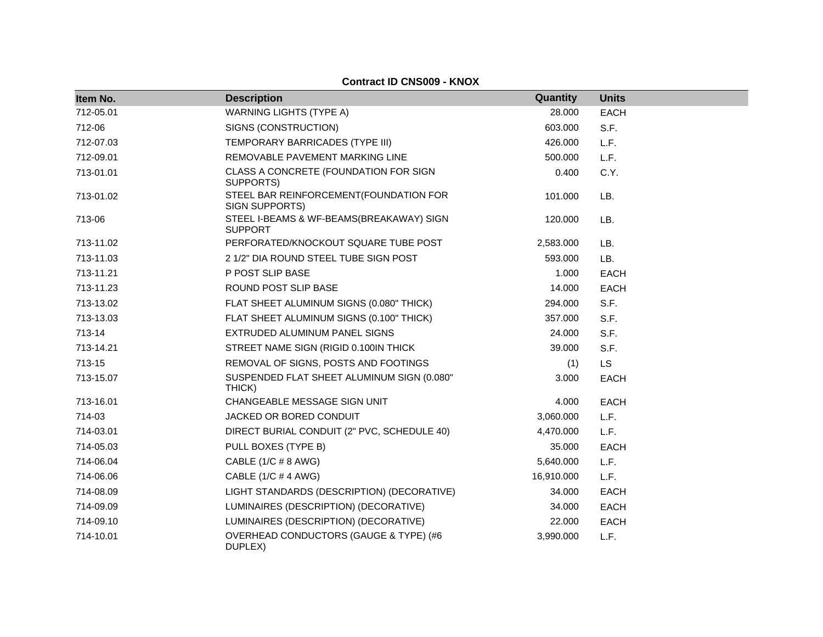| Item No.  | <b>Description</b>                                         | Quantity   | <b>Units</b> |
|-----------|------------------------------------------------------------|------------|--------------|
| 712-05.01 | <b>WARNING LIGHTS (TYPE A)</b>                             | 28.000     | <b>EACH</b>  |
| 712-06    | SIGNS (CONSTRUCTION)                                       | 603.000    | S.F.         |
| 712-07.03 | TEMPORARY BARRICADES (TYPE III)                            | 426.000    | L.F.         |
| 712-09.01 | REMOVABLE PAVEMENT MARKING LINE                            | 500.000    | L.F.         |
| 713-01.01 | CLASS A CONCRETE (FOUNDATION FOR SIGN<br>SUPPORTS)         | 0.400      | C.Y.         |
| 713-01.02 | STEEL BAR REINFORCEMENT(FOUNDATION FOR<br>SIGN SUPPORTS)   | 101.000    | LB.          |
| 713-06    | STEEL I-BEAMS & WF-BEAMS(BREAKAWAY) SIGN<br><b>SUPPORT</b> | 120.000    | LB.          |
| 713-11.02 | PERFORATED/KNOCKOUT SQUARE TUBE POST                       | 2,583.000  | LB.          |
| 713-11.03 | 2 1/2" DIA ROUND STEEL TUBE SIGN POST                      | 593.000    | LB.          |
| 713-11.21 | P POST SLIP BASE                                           | 1.000      | <b>EACH</b>  |
| 713-11.23 | ROUND POST SLIP BASE                                       | 14.000     | <b>EACH</b>  |
| 713-13.02 | FLAT SHEET ALUMINUM SIGNS (0.080" THICK)                   | 294.000    | S.F.         |
| 713-13.03 | FLAT SHEET ALUMINUM SIGNS (0.100" THICK)                   | 357.000    | S.F.         |
| 713-14    | EXTRUDED ALUMINUM PANEL SIGNS                              | 24.000     | S.F.         |
| 713-14.21 | STREET NAME SIGN (RIGID 0.100IN THICK                      | 39.000     | S.F.         |
| 713-15    | REMOVAL OF SIGNS, POSTS AND FOOTINGS                       | (1)        | <b>LS</b>    |
| 713-15.07 | SUSPENDED FLAT SHEET ALUMINUM SIGN (0.080"<br>THICK)       | 3.000      | <b>EACH</b>  |
| 713-16.01 | CHANGEABLE MESSAGE SIGN UNIT                               | 4.000      | EACH         |
| 714-03    | JACKED OR BORED CONDUIT                                    | 3,060.000  | L.F.         |
| 714-03.01 | DIRECT BURIAL CONDUIT (2" PVC, SCHEDULE 40)                | 4,470.000  | L.F.         |
| 714-05.03 | PULL BOXES (TYPE B)                                        | 35.000     | <b>EACH</b>  |
| 714-06.04 | CABLE $(1/C \# 8 \text{ AWG})$                             | 5,640.000  | L.F.         |
| 714-06.06 | CABLE (1/C # 4 AWG)                                        | 16,910.000 | L.F.         |
| 714-08.09 | LIGHT STANDARDS (DESCRIPTION) (DECORATIVE)                 | 34.000     | <b>EACH</b>  |
| 714-09.09 | LUMINAIRES (DESCRIPTION) (DECORATIVE)                      | 34.000     | EACH         |
| 714-09.10 | LUMINAIRES (DESCRIPTION) (DECORATIVE)                      | 22,000     | <b>EACH</b>  |
| 714-10.01 | OVERHEAD CONDUCTORS (GAUGE & TYPE) (#6<br>DUPLEX)          | 3,990.000  | L.F.         |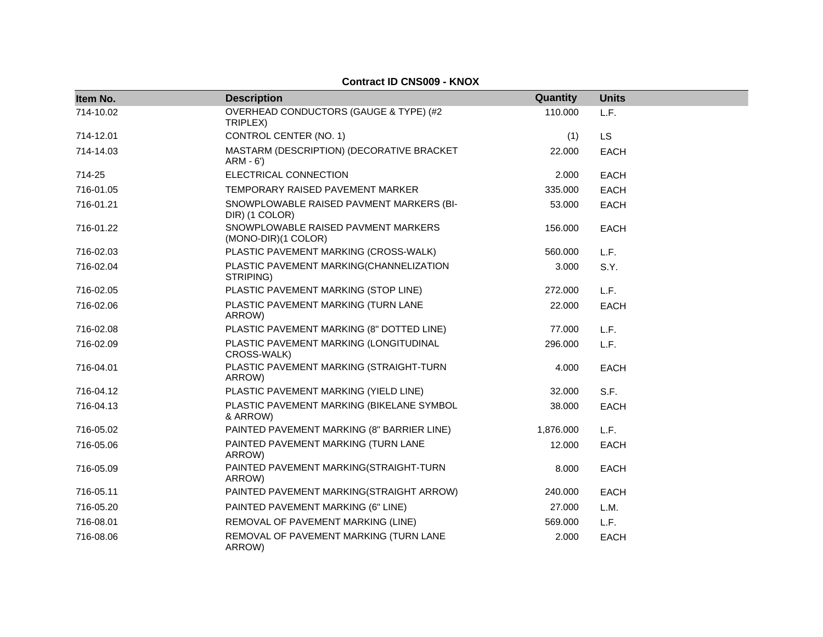| Item No.  | <b>Description</b>                                         | Quantity  | <b>Units</b> |
|-----------|------------------------------------------------------------|-----------|--------------|
| 714-10.02 | OVERHEAD CONDUCTORS (GAUGE & TYPE) (#2<br>TRIPLEX)         | 110.000   | L.F.         |
| 714-12.01 | CONTROL CENTER (NO. 1)                                     | (1)       | <b>LS</b>    |
| 714-14.03 | MASTARM (DESCRIPTION) (DECORATIVE BRACKET<br>$ARM - 6')$   | 22.000    | <b>EACH</b>  |
| 714-25    | ELECTRICAL CONNECTION                                      | 2.000     | <b>EACH</b>  |
| 716-01.05 | TEMPORARY RAISED PAVEMENT MARKER                           | 335.000   | <b>EACH</b>  |
| 716-01.21 | SNOWPLOWABLE RAISED PAVMENT MARKERS (BI-<br>DIR) (1 COLOR) | 53.000    | <b>EACH</b>  |
| 716-01.22 | SNOWPLOWABLE RAISED PAVMENT MARKERS<br>(MONO-DIR)(1 COLOR) | 156.000   | <b>EACH</b>  |
| 716-02.03 | PLASTIC PAVEMENT MARKING (CROSS-WALK)                      | 560,000   | L.F.         |
| 716-02.04 | PLASTIC PAVEMENT MARKING(CHANNELIZATION<br>STRIPING)       | 3.000     | S.Y.         |
| 716-02.05 | PLASTIC PAVEMENT MARKING (STOP LINE)                       | 272,000   | L.F.         |
| 716-02.06 | PLASTIC PAVEMENT MARKING (TURN LANE<br>ARROW)              | 22.000    | <b>EACH</b>  |
| 716-02.08 | PLASTIC PAVEMENT MARKING (8" DOTTED LINE)                  | 77.000    | L.F.         |
| 716-02.09 | PLASTIC PAVEMENT MARKING (LONGITUDINAL<br>CROSS-WALK)      | 296.000   | L.F.         |
| 716-04.01 | PLASTIC PAVEMENT MARKING (STRAIGHT-TURN<br>ARROW)          | 4.000     | <b>EACH</b>  |
| 716-04.12 | PLASTIC PAVEMENT MARKING (YIELD LINE)                      | 32.000    | S.F.         |
| 716-04.13 | PLASTIC PAVEMENT MARKING (BIKELANE SYMBOL<br>& ARROW)      | 38.000    | <b>EACH</b>  |
| 716-05.02 | PAINTED PAVEMENT MARKING (8" BARRIER LINE)                 | 1,876.000 | L.F.         |
| 716-05.06 | PAINTED PAVEMENT MARKING (TURN LANE<br>ARROW)              | 12.000    | <b>EACH</b>  |
| 716-05.09 | PAINTED PAVEMENT MARKING(STRAIGHT-TURN<br>ARROW)           | 8.000     | <b>EACH</b>  |
| 716-05.11 | PAINTED PAVEMENT MARKING(STRAIGHT ARROW)                   | 240.000   | <b>EACH</b>  |
| 716-05.20 | PAINTED PAVEMENT MARKING (6" LINE)                         | 27,000    | L.M.         |
| 716-08.01 | REMOVAL OF PAVEMENT MARKING (LINE)                         | 569.000   | L.F.         |
| 716-08.06 | REMOVAL OF PAVEMENT MARKING (TURN LANE<br>ARROW)           | 2.000     | <b>EACH</b>  |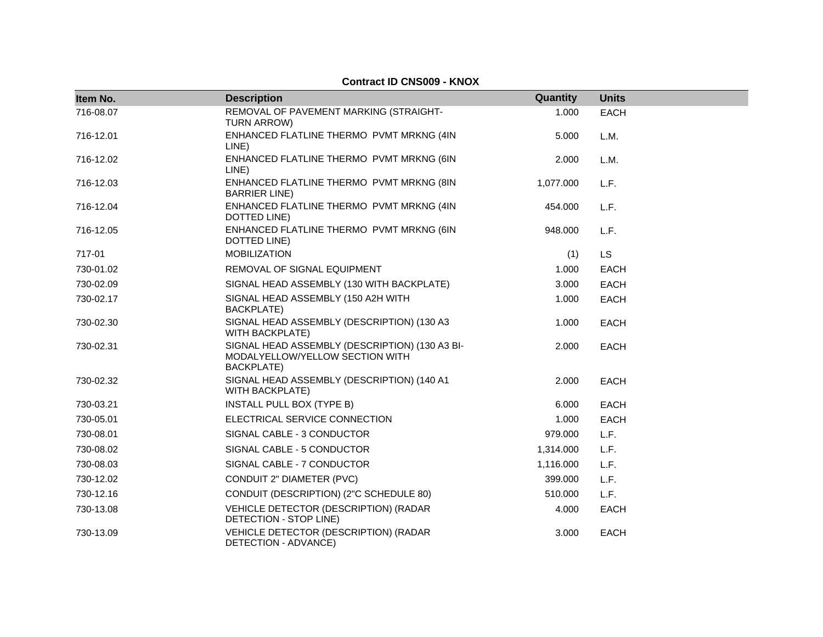| Item No.  | <b>Description</b>                                                                                     | Quantity  | <b>Units</b> |
|-----------|--------------------------------------------------------------------------------------------------------|-----------|--------------|
| 716-08.07 | REMOVAL OF PAVEMENT MARKING (STRAIGHT-<br>TURN ARROW)                                                  | 1.000     | <b>EACH</b>  |
| 716-12.01 | ENHANCED FLATLINE THERMO PVMT MRKNG (4IN<br>LINE)                                                      | 5.000     | L.M.         |
| 716-12.02 | ENHANCED FLATLINE THERMO PVMT MRKNG (6IN<br>LINE)                                                      | 2.000     | L.M.         |
| 716-12.03 | ENHANCED FLATLINE THERMO PVMT MRKNG (8IN<br><b>BARRIER LINE)</b>                                       | 1,077.000 | L.F.         |
| 716-12.04 | ENHANCED FLATLINE THERMO PVMT MRKNG (4IN<br>DOTTED LINE)                                               | 454.000   | L.F.         |
| 716-12.05 | ENHANCED FLATLINE THERMO PVMT MRKNG (6IN<br>DOTTED LINE)                                               | 948.000   | L.F.         |
| 717-01    | <b>MOBILIZATION</b>                                                                                    | (1)       | LS           |
| 730-01.02 | REMOVAL OF SIGNAL EQUIPMENT                                                                            | 1.000     | <b>EACH</b>  |
| 730-02.09 | SIGNAL HEAD ASSEMBLY (130 WITH BACKPLATE)                                                              | 3.000     | <b>EACH</b>  |
| 730-02.17 | SIGNAL HEAD ASSEMBLY (150 A2H WITH<br><b>BACKPLATE)</b>                                                | 1.000     | EACH         |
| 730-02.30 | SIGNAL HEAD ASSEMBLY (DESCRIPTION) (130 A3<br><b>WITH BACKPLATE)</b>                                   | 1.000     | <b>EACH</b>  |
| 730-02.31 | SIGNAL HEAD ASSEMBLY (DESCRIPTION) (130 A3 BI-<br>MODALYELLOW/YELLOW SECTION WITH<br><b>BACKPLATE)</b> | 2.000     | <b>EACH</b>  |
| 730-02.32 | SIGNAL HEAD ASSEMBLY (DESCRIPTION) (140 A1<br><b>WITH BACKPLATE)</b>                                   | 2.000     | <b>EACH</b>  |
| 730-03.21 | INSTALL PULL BOX (TYPE B)                                                                              | 6.000     | <b>EACH</b>  |
| 730-05.01 | ELECTRICAL SERVICE CONNECTION                                                                          | 1.000     | <b>EACH</b>  |
| 730-08.01 | SIGNAL CABLE - 3 CONDUCTOR                                                                             | 979.000   | L.F.         |
| 730-08.02 | SIGNAL CABLE - 5 CONDUCTOR                                                                             | 1,314.000 | L.F.         |
| 730-08.03 | SIGNAL CABLE - 7 CONDUCTOR                                                                             | 1,116.000 | L.F.         |
| 730-12.02 | CONDUIT 2" DIAMETER (PVC)                                                                              | 399.000   | L.F.         |
| 730-12.16 | CONDUIT (DESCRIPTION) (2"C SCHEDULE 80)                                                                | 510.000   | L.F.         |
| 730-13.08 | VEHICLE DETECTOR (DESCRIPTION) (RADAR<br>DETECTION - STOP LINE)                                        | 4.000     | <b>EACH</b>  |
| 730-13.09 | VEHICLE DETECTOR (DESCRIPTION) (RADAR<br>DETECTION - ADVANCE)                                          | 3.000     | <b>EACH</b>  |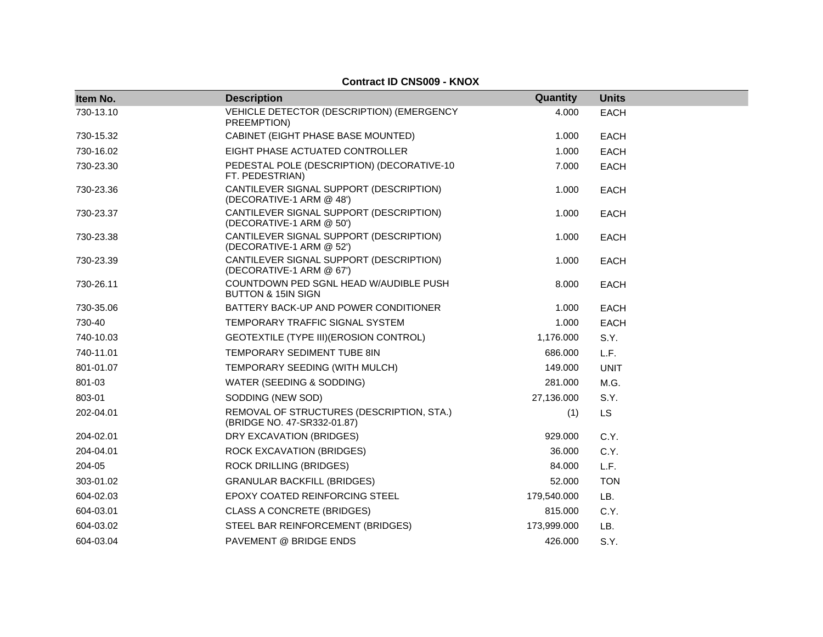|           |                                                                          | Quantity    |              |
|-----------|--------------------------------------------------------------------------|-------------|--------------|
| Item No.  | <b>Description</b>                                                       |             | <b>Units</b> |
| 730-13.10 | VEHICLE DETECTOR (DESCRIPTION) (EMERGENCY<br>PREEMPTION)                 | 4.000       | <b>EACH</b>  |
| 730-15.32 | CABINET (EIGHT PHASE BASE MOUNTED)                                       | 1.000       | <b>EACH</b>  |
| 730-16.02 | EIGHT PHASE ACTUATED CONTROLLER                                          | 1.000       | <b>EACH</b>  |
| 730-23.30 | PEDESTAL POLE (DESCRIPTION) (DECORATIVE-10<br>FT. PEDESTRIAN)            | 7.000       | <b>EACH</b>  |
| 730-23.36 | CANTILEVER SIGNAL SUPPORT (DESCRIPTION)<br>(DECORATIVE-1 ARM @ 48')      | 1.000       | <b>EACH</b>  |
| 730-23.37 | CANTILEVER SIGNAL SUPPORT (DESCRIPTION)<br>(DECORATIVE-1 ARM @ 50')      | 1.000       | <b>EACH</b>  |
| 730-23.38 | CANTILEVER SIGNAL SUPPORT (DESCRIPTION)<br>(DECORATIVE-1 ARM @ 52')      | 1.000       | <b>EACH</b>  |
| 730-23.39 | CANTILEVER SIGNAL SUPPORT (DESCRIPTION)<br>(DECORATIVE-1 ARM @ 67')      | 1.000       | <b>EACH</b>  |
| 730-26.11 | COUNTDOWN PED SGNL HEAD W/AUDIBLE PUSH<br><b>BUTTON &amp; 15IN SIGN</b>  | 8.000       | <b>EACH</b>  |
| 730-35.06 | BATTERY BACK-UP AND POWER CONDITIONER                                    | 1.000       | <b>EACH</b>  |
| 730-40    | TEMPORARY TRAFFIC SIGNAL SYSTEM                                          | 1.000       | <b>EACH</b>  |
| 740-10.03 | GEOTEXTILE (TYPE III) (EROSION CONTROL)                                  | 1,176.000   | S.Y.         |
| 740-11.01 | <b>TEMPORARY SEDIMENT TUBE 8IN</b>                                       | 686.000     | L.F.         |
| 801-01.07 | TEMPORARY SEEDING (WITH MULCH)                                           | 149.000     | <b>UNIT</b>  |
| 801-03    | WATER (SEEDING & SODDING)                                                | 281.000     | M.G.         |
| 803-01    | SODDING (NEW SOD)                                                        | 27,136.000  | S.Y.         |
| 202-04.01 | REMOVAL OF STRUCTURES (DESCRIPTION, STA.)<br>(BRIDGE NO. 47-SR332-01.87) | (1)         | <b>LS</b>    |
| 204-02.01 | DRY EXCAVATION (BRIDGES)                                                 | 929.000     | C.Y.         |
| 204-04.01 | ROCK EXCAVATION (BRIDGES)                                                | 36.000      | C.Y.         |
| 204-05    | <b>ROCK DRILLING (BRIDGES)</b>                                           | 84.000      | L.F.         |
| 303-01.02 | <b>GRANULAR BACKFILL (BRIDGES)</b>                                       | 52.000      | <b>TON</b>   |
| 604-02.03 | EPOXY COATED REINFORCING STEEL                                           | 179,540.000 | LB.          |
| 604-03.01 | CLASS A CONCRETE (BRIDGES)                                               | 815.000     | C.Y.         |
| 604-03.02 | STEEL BAR REINFORCEMENT (BRIDGES)                                        | 173,999.000 | LB.          |
| 604-03.04 | PAVEMENT @ BRIDGE ENDS                                                   | 426.000     | S.Y.         |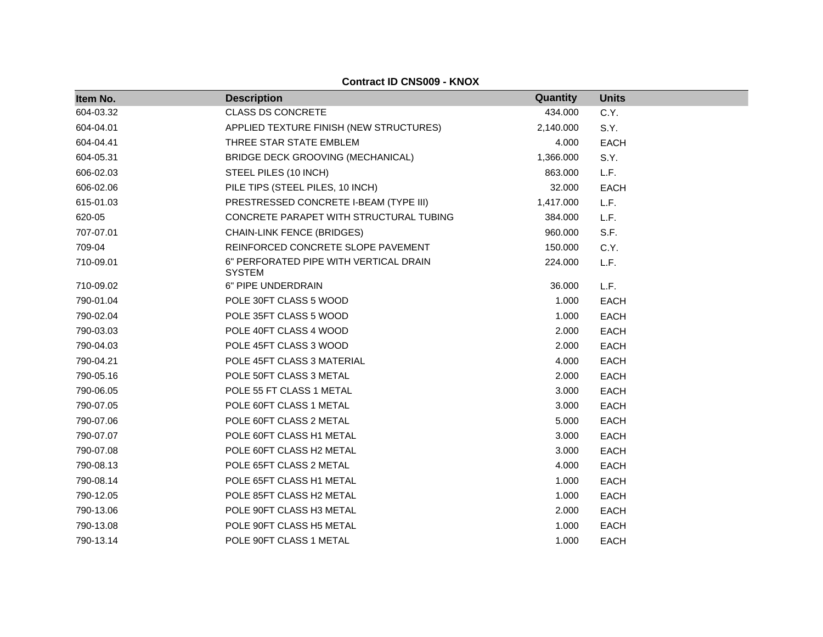| Item No.  | <b>Description</b>                                      | Quantity  | <b>Units</b> |
|-----------|---------------------------------------------------------|-----------|--------------|
| 604-03.32 | <b>CLASS DS CONCRETE</b>                                | 434.000   | C.Y.         |
| 604-04.01 | APPLIED TEXTURE FINISH (NEW STRUCTURES)                 | 2,140.000 | S.Y.         |
| 604-04.41 | THREE STAR STATE EMBLEM                                 | 4.000     | <b>EACH</b>  |
| 604-05.31 | BRIDGE DECK GROOVING (MECHANICAL)                       | 1,366.000 | S.Y.         |
| 606-02.03 | STEEL PILES (10 INCH)                                   | 863.000   | L.F.         |
| 606-02.06 | PILE TIPS (STEEL PILES, 10 INCH)                        | 32.000    | <b>EACH</b>  |
| 615-01.03 | PRESTRESSED CONCRETE I-BEAM (TYPE III)                  | 1,417.000 | L.F.         |
| 620-05    | CONCRETE PARAPET WITH STRUCTURAL TUBING                 | 384.000   | L.F.         |
| 707-07.01 | <b>CHAIN-LINK FENCE (BRIDGES)</b>                       | 960.000   | S.F.         |
| 709-04    | REINFORCED CONCRETE SLOPE PAVEMENT                      | 150.000   | C.Y.         |
| 710-09.01 | 6" PERFORATED PIPE WITH VERTICAL DRAIN<br><b>SYSTEM</b> | 224.000   | L.F.         |
| 710-09.02 | 6" PIPE UNDERDRAIN                                      | 36.000    | L.F.         |
| 790-01.04 | POLE 30FT CLASS 5 WOOD                                  | 1.000     | <b>EACH</b>  |
| 790-02.04 | POLE 35FT CLASS 5 WOOD                                  | 1.000     | <b>EACH</b>  |
| 790-03.03 | POLE 40FT CLASS 4 WOOD                                  | 2.000     | <b>EACH</b>  |
| 790-04.03 | POLE 45FT CLASS 3 WOOD                                  | 2.000     | <b>EACH</b>  |
| 790-04.21 | POLE 45FT CLASS 3 MATERIAL                              | 4.000     | <b>EACH</b>  |
| 790-05.16 | POLE 50FT CLASS 3 METAL                                 | 2.000     | <b>EACH</b>  |
| 790-06.05 | POLE 55 FT CLASS 1 METAL                                | 3.000     | <b>EACH</b>  |
| 790-07.05 | POLE 60FT CLASS 1 METAL                                 | 3.000     | <b>EACH</b>  |
| 790-07.06 | POLE 60FT CLASS 2 METAL                                 | 5.000     | <b>EACH</b>  |
| 790-07.07 | POLE 60FT CLASS H1 METAL                                | 3.000     | <b>EACH</b>  |
| 790-07.08 | POLE 60FT CLASS H2 METAL                                | 3.000     | <b>EACH</b>  |
| 790-08.13 | POLE 65FT CLASS 2 METAL                                 | 4.000     | <b>EACH</b>  |
| 790-08.14 | POLE 65FT CLASS H1 METAL                                | 1.000     | <b>EACH</b>  |
| 790-12.05 | POLE 85FT CLASS H2 METAL                                | 1.000     | <b>EACH</b>  |
| 790-13.06 | POLE 90FT CLASS H3 METAL                                | 2.000     | <b>EACH</b>  |
| 790-13.08 | POLE 90FT CLASS H5 METAL                                | 1.000     | <b>EACH</b>  |
| 790-13.14 | POLE 90FT CLASS 1 METAL                                 | 1.000     | <b>EACH</b>  |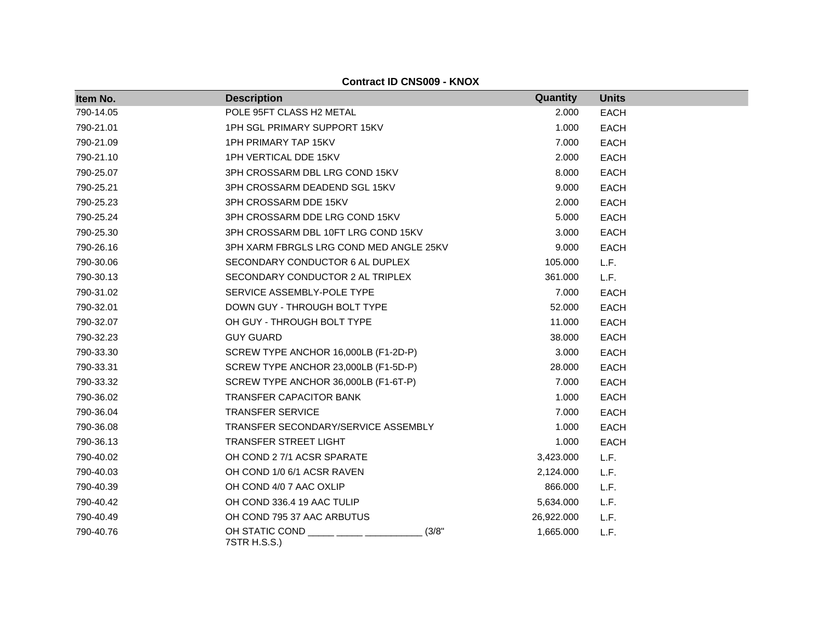| Item No.  | <b>Description</b>                      | Quantity   | <b>Units</b> |
|-----------|-----------------------------------------|------------|--------------|
| 790-14.05 | POLE 95FT CLASS H2 METAL                | 2.000      | <b>EACH</b>  |
| 790-21.01 | 1PH SGL PRIMARY SUPPORT 15KV            | 1.000      | <b>EACH</b>  |
| 790-21.09 | <b>1PH PRIMARY TAP 15KV</b>             | 7.000      | <b>EACH</b>  |
| 790-21.10 | 1PH VERTICAL DDE 15KV                   | 2.000      | <b>EACH</b>  |
| 790-25.07 | 3PH CROSSARM DBL LRG COND 15KV          | 8.000      | <b>EACH</b>  |
| 790-25.21 | 3PH CROSSARM DEADEND SGL 15KV           | 9.000      | <b>EACH</b>  |
| 790-25.23 | 3PH CROSSARM DDE 15KV                   | 2.000      | <b>EACH</b>  |
| 790-25.24 | 3PH CROSSARM DDE LRG COND 15KV          | 5.000      | <b>EACH</b>  |
| 790-25.30 | 3PH CROSSARM DBL 10FT LRG COND 15KV     | 3.000      | <b>EACH</b>  |
| 790-26.16 | 3PH XARM FBRGLS LRG COND MED ANGLE 25KV | 9.000      | <b>EACH</b>  |
| 790-30.06 | SECONDARY CONDUCTOR 6 AL DUPLEX         | 105.000    | L.F.         |
| 790-30.13 | SECONDARY CONDUCTOR 2 AL TRIPLEX        | 361.000    | L.F.         |
| 790-31.02 | SERVICE ASSEMBLY-POLE TYPE              | 7.000      | <b>EACH</b>  |
| 790-32.01 | DOWN GUY - THROUGH BOLT TYPE            | 52.000     | <b>EACH</b>  |
| 790-32.07 | OH GUY - THROUGH BOLT TYPE              | 11.000     | <b>EACH</b>  |
| 790-32.23 | <b>GUY GUARD</b>                        | 38.000     | <b>EACH</b>  |
| 790-33.30 | SCREW TYPE ANCHOR 16,000LB (F1-2D-P)    | 3.000      | <b>EACH</b>  |
| 790-33.31 | SCREW TYPE ANCHOR 23,000LB (F1-5D-P)    | 28.000     | <b>EACH</b>  |
| 790-33.32 | SCREW TYPE ANCHOR 36,000LB (F1-6T-P)    | 7.000      | <b>EACH</b>  |
| 790-36.02 | <b>TRANSFER CAPACITOR BANK</b>          | 1.000      | <b>EACH</b>  |
| 790-36.04 | <b>TRANSFER SERVICE</b>                 | 7.000      | <b>EACH</b>  |
| 790-36.08 | TRANSFER SECONDARY/SERVICE ASSEMBLY     | 1.000      | <b>EACH</b>  |
| 790-36.13 | <b>TRANSFER STREET LIGHT</b>            | 1.000      | <b>EACH</b>  |
| 790-40.02 | OH COND 2 7/1 ACSR SPARATE              | 3,423.000  | L.F.         |
| 790-40.03 | OH COND 1/0 6/1 ACSR RAVEN              | 2,124.000  | L.F.         |
| 790-40.39 | OH COND 4/0 7 AAC OXLIP                 | 866.000    | L.F.         |
| 790-40.42 | OH COND 336.4 19 AAC TULIP              | 5,634.000  | L.F.         |
| 790-40.49 | OH COND 795 37 AAC ARBUTUS              | 26,922.000 | L.F.         |
| 790-40.76 | OH STATIC COND<br>(3/8"<br>7STR H.S.S.) | 1,665.000  | L.F.         |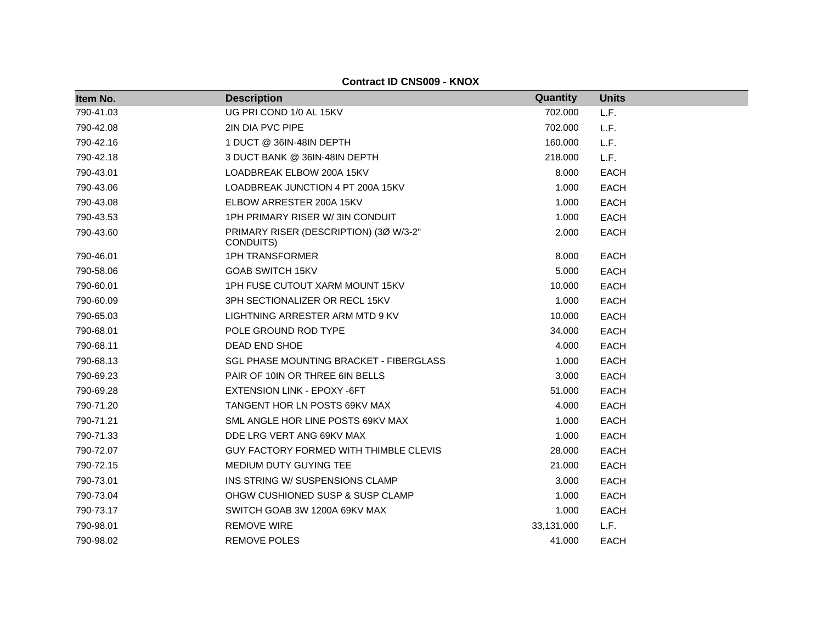| Item No.  | <b>Description</b>                                  | Quantity   | <b>Units</b> |
|-----------|-----------------------------------------------------|------------|--------------|
| 790-41.03 | UG PRI COND 1/0 AL 15KV                             | 702.000    | L.F.         |
| 790-42.08 | 2IN DIA PVC PIPE                                    | 702.000    | L.F.         |
| 790-42.16 | 1 DUCT @ 36IN-48IN DEPTH                            | 160.000    | L.F.         |
| 790-42.18 | 3 DUCT BANK @ 36IN-48IN DEPTH                       | 218.000    | L.F.         |
| 790-43.01 | LOADBREAK ELBOW 200A 15KV                           | 8.000      | <b>EACH</b>  |
| 790-43.06 | LOADBREAK JUNCTION 4 PT 200A 15KV                   | 1.000      | <b>EACH</b>  |
| 790-43.08 | ELBOW ARRESTER 200A 15KV                            | 1.000      | <b>EACH</b>  |
| 790-43.53 | 1PH PRIMARY RISER W/3IN CONDUIT                     | 1.000      | <b>EACH</b>  |
| 790-43.60 | PRIMARY RISER (DESCRIPTION) (3Ø W/3-2"<br>CONDUITS) | 2.000      | <b>EACH</b>  |
| 790-46.01 | <b>1PH TRANSFORMER</b>                              | 8.000      | <b>EACH</b>  |
| 790-58.06 | <b>GOAB SWITCH 15KV</b>                             | 5.000      | <b>EACH</b>  |
| 790-60.01 | 1PH FUSE CUTOUT XARM MOUNT 15KV                     | 10.000     | <b>EACH</b>  |
| 790-60.09 | 3PH SECTIONALIZER OR RECL 15KV                      | 1.000      | <b>EACH</b>  |
| 790-65.03 | LIGHTNING ARRESTER ARM MTD 9 KV                     | 10.000     | <b>EACH</b>  |
| 790-68.01 | POLE GROUND ROD TYPE                                | 34.000     | <b>EACH</b>  |
| 790-68.11 | <b>DEAD END SHOE</b>                                | 4.000      | <b>EACH</b>  |
| 790-68.13 | <b>SGL PHASE MOUNTING BRACKET - FIBERGLASS</b>      | 1.000      | <b>EACH</b>  |
| 790-69.23 | PAIR OF 10IN OR THREE 6IN BELLS                     | 3.000      | <b>EACH</b>  |
| 790-69.28 | EXTENSION LINK - EPOXY -6FT                         | 51.000     | <b>EACH</b>  |
| 790-71.20 | TANGENT HOR LN POSTS 69KV MAX                       | 4.000      | <b>EACH</b>  |
| 790-71.21 | SML ANGLE HOR LINE POSTS 69KV MAX                   | 1.000      | <b>EACH</b>  |
| 790-71.33 | DDE LRG VERT ANG 69KV MAX                           | 1.000      | <b>EACH</b>  |
| 790-72.07 | <b>GUY FACTORY FORMED WITH THIMBLE CLEVIS</b>       | 28.000     | <b>EACH</b>  |
| 790-72.15 | MEDIUM DUTY GUYING TEE                              | 21.000     | <b>EACH</b>  |
| 790-73.01 | INS STRING W/ SUSPENSIONS CLAMP                     | 3.000      | <b>EACH</b>  |
| 790-73.04 | OHGW CUSHIONED SUSP & SUSP CLAMP                    | 1.000      | <b>EACH</b>  |
| 790-73.17 | SWITCH GOAB 3W 1200A 69KV MAX                       | 1.000      | <b>EACH</b>  |
| 790-98.01 | <b>REMOVE WIRE</b>                                  | 33,131.000 | L.F.         |
| 790-98.02 | <b>REMOVE POLES</b>                                 | 41.000     | <b>EACH</b>  |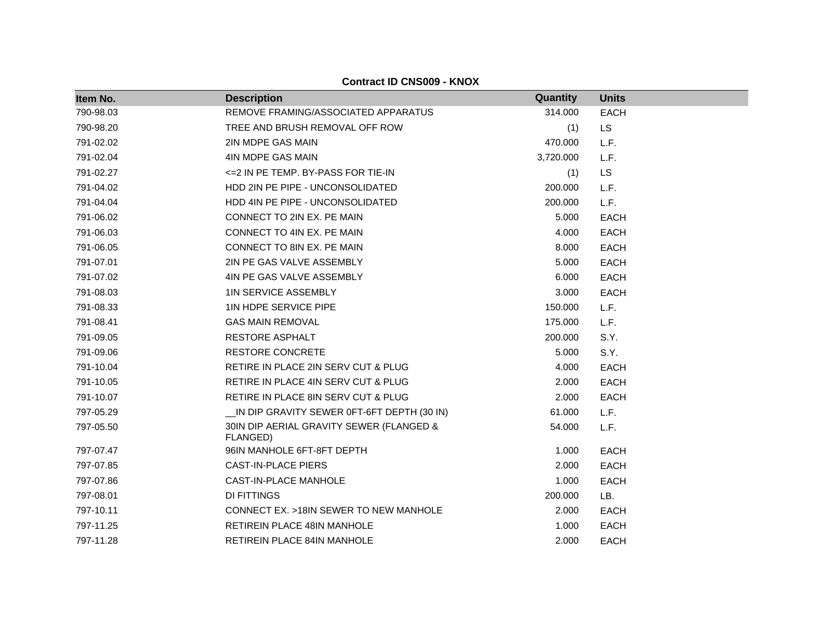|           | <b>Contract ID CNS009 - KNOX</b>                     |           |              |  |
|-----------|------------------------------------------------------|-----------|--------------|--|
| Item No.  | <b>Description</b>                                   | Quantity  | <b>Units</b> |  |
| 790-98.03 | REMOVE FRAMING/ASSOCIATED APPARATUS                  | 314.000   | <b>EACH</b>  |  |
| 790-98.20 | TREE AND BRUSH REMOVAL OFF ROW                       | (1)       | <b>LS</b>    |  |
| 791-02.02 | 2IN MDPE GAS MAIN                                    | 470.000   | L.F.         |  |
| 791-02.04 | 4IN MDPE GAS MAIN                                    | 3,720.000 | L.F.         |  |
| 791-02.27 | <= 2 IN PE TEMP. BY-PASS FOR TIE-IN                  | (1)       | <b>LS</b>    |  |
| 791-04.02 | HDD 2IN PE PIPE - UNCONSOLIDATED                     | 200.000   | L.F.         |  |
| 791-04.04 | HDD 4IN PE PIPE - UNCONSOLIDATED                     | 200.000   | L.F.         |  |
| 791-06.02 | CONNECT TO 2IN EX. PE MAIN                           | 5.000     | <b>EACH</b>  |  |
| 791-06.03 | CONNECT TO 4IN EX. PE MAIN                           | 4.000     | <b>EACH</b>  |  |
| 791-06.05 | CONNECT TO 8IN EX. PE MAIN                           | 8.000     | <b>EACH</b>  |  |
| 791-07.01 | 2IN PE GAS VALVE ASSEMBLY                            | 5.000     | <b>EACH</b>  |  |
| 791-07.02 | 4IN PE GAS VALVE ASSEMBLY                            | 6.000     | <b>EACH</b>  |  |
| 791-08.03 | <b>1IN SERVICE ASSEMBLY</b>                          | 3.000     | <b>EACH</b>  |  |
| 791-08.33 | 1IN HDPE SERVICE PIPE                                | 150.000   | L.F.         |  |
| 791-08.41 | <b>GAS MAIN REMOVAL</b>                              | 175.000   | L.F.         |  |
| 791-09.05 | <b>RESTORE ASPHALT</b>                               | 200.000   | S.Y.         |  |
| 791-09.06 | <b>RESTORE CONCRETE</b>                              | 5.000     | S.Y.         |  |
| 791-10.04 | RETIRE IN PLACE 2IN SERV CUT & PLUG                  | 4.000     | <b>EACH</b>  |  |
| 791-10.05 | RETIRE IN PLACE 4IN SERV CUT & PLUG                  | 2.000     | <b>EACH</b>  |  |
| 791-10.07 | RETIRE IN PLACE 8IN SERV CUT & PLUG                  | 2.000     | <b>EACH</b>  |  |
| 797-05.29 | IN DIP GRAVITY SEWER 0FT-6FT DEPTH (30 IN)           | 61.000    | L.F.         |  |
| 797-05.50 | 30IN DIP AERIAL GRAVITY SEWER (FLANGED &<br>FLANGED) | 54.000    | L.F.         |  |
| 797-07.47 | 96IN MANHOLE 6FT-8FT DEPTH                           | 1.000     | <b>EACH</b>  |  |
| 797-07.85 | <b>CAST-IN-PLACE PIERS</b>                           | 2.000     | <b>EACH</b>  |  |
| 797-07.86 | CAST-IN-PLACE MANHOLE                                | 1.000     | <b>EACH</b>  |  |
| 797-08.01 | <b>DI FITTINGS</b>                                   | 200.000   | LB.          |  |
| 797-10.11 | CONNECT EX. >18IN SEWER TO NEW MANHOLE               | 2.000     | <b>EACH</b>  |  |
| 797-11.25 | RETIREIN PLACE 48IN MANHOLE                          | 1.000     | <b>EACH</b>  |  |
| 797-11.28 | <b>RETIREIN PLACE 84IN MANHOLE</b>                   | 2.000     | <b>EACH</b>  |  |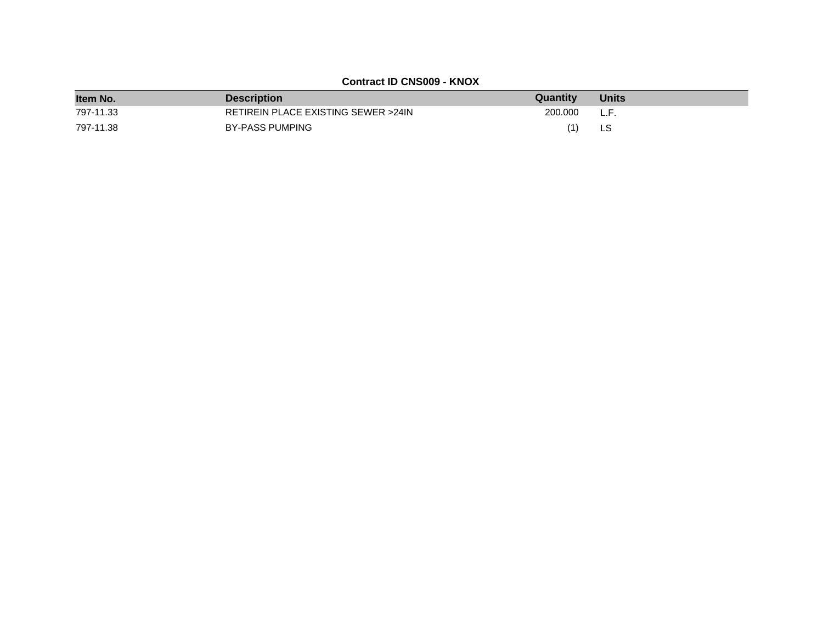| Item No.  | <b>Description</b>                  | Quantity | <b>Units</b> |
|-----------|-------------------------------------|----------|--------------|
| 797-11.33 | RETIREIN PLACE EXISTING SEWER >24IN | 200,000  | L.F.         |
| 797-11.38 | BY-PASS PUMPING                     | (1)      | LS           |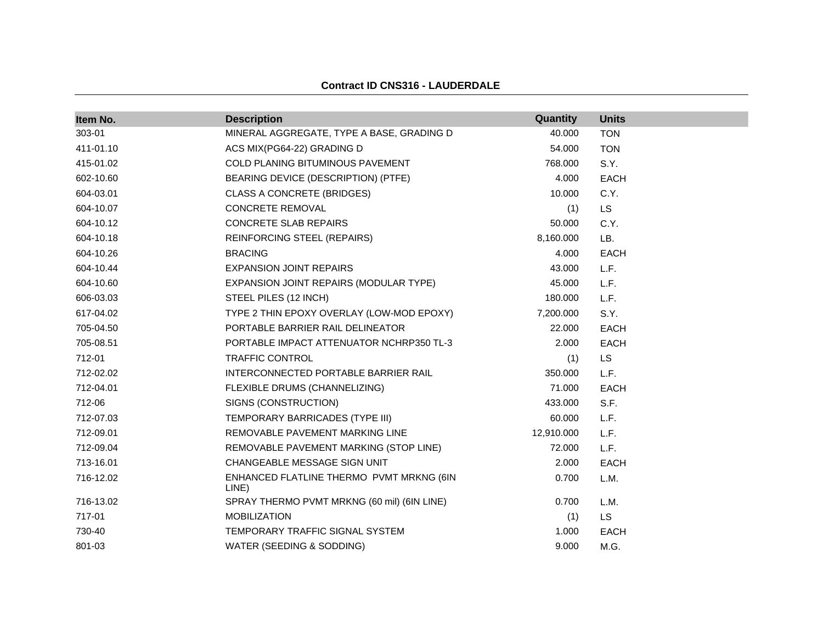# **Contract ID CNS316 - LAUDERDALE**

| Item No.  | <b>Description</b>                                | Quantity   | <b>Units</b> |
|-----------|---------------------------------------------------|------------|--------------|
| 303-01    | MINERAL AGGREGATE, TYPE A BASE, GRADING D         | 40.000     | <b>TON</b>   |
| 411-01.10 | ACS MIX(PG64-22) GRADING D                        | 54.000     | <b>TON</b>   |
| 415-01.02 | <b>COLD PLANING BITUMINOUS PAVEMENT</b>           | 768.000    | S.Y.         |
| 602-10.60 | BEARING DEVICE (DESCRIPTION) (PTFE)               | 4.000      | <b>EACH</b>  |
| 604-03.01 | CLASS A CONCRETE (BRIDGES)                        | 10.000     | C.Y.         |
| 604-10.07 | CONCRETE REMOVAL                                  | (1)        | <b>LS</b>    |
| 604-10.12 | CONCRETE SLAB REPAIRS                             | 50.000     | C.Y.         |
| 604-10.18 | <b>REINFORCING STEEL (REPAIRS)</b>                | 8,160.000  | LB.          |
| 604-10.26 | <b>BRACING</b>                                    | 4.000      | <b>EACH</b>  |
| 604-10.44 | <b>EXPANSION JOINT REPAIRS</b>                    | 43.000     | L.F.         |
| 604-10.60 | EXPANSION JOINT REPAIRS (MODULAR TYPE)            | 45.000     | L.F.         |
| 606-03.03 | STEEL PILES (12 INCH)                             | 180.000    | L.F.         |
| 617-04.02 | TYPE 2 THIN EPOXY OVERLAY (LOW-MOD EPOXY)         | 7,200.000  | S.Y.         |
| 705-04.50 | PORTABLE BARRIER RAIL DELINEATOR                  | 22.000     | <b>EACH</b>  |
| 705-08.51 | PORTABLE IMPACT ATTENUATOR NCHRP350 TL-3          | 2.000      | EACH         |
| 712-01    | TRAFFIC CONTROL                                   | (1)        | <b>LS</b>    |
| 712-02.02 | INTERCONNECTED PORTABLE BARRIER RAIL              | 350.000    | L.F.         |
| 712-04.01 | FLEXIBLE DRUMS (CHANNELIZING)                     | 71.000     | <b>EACH</b>  |
| 712-06    | SIGNS (CONSTRUCTION)                              | 433.000    | S.F.         |
| 712-07.03 | TEMPORARY BARRICADES (TYPE III)                   | 60.000     | L.F.         |
| 712-09.01 | REMOVABLE PAVEMENT MARKING LINE                   | 12,910.000 | L.F.         |
| 712-09.04 | REMOVABLE PAVEMENT MARKING (STOP LINE)            | 72.000     | L.F.         |
| 713-16.01 | CHANGEABLE MESSAGE SIGN UNIT                      | 2.000      | EACH         |
| 716-12.02 | ENHANCED FLATLINE THERMO PVMT MRKNG (6IN<br>LINE) | 0.700      | L.M.         |
| 716-13.02 | SPRAY THERMO PVMT MRKNG (60 mil) (6IN LINE)       | 0.700      | L.M.         |
| 717-01    | <b>MOBILIZATION</b>                               | (1)        | <b>LS</b>    |
| 730-40    | TEMPORARY TRAFFIC SIGNAL SYSTEM                   | 1.000      | <b>EACH</b>  |
| 801-03    | WATER (SEEDING & SODDING)                         | 9.000      | M.G.         |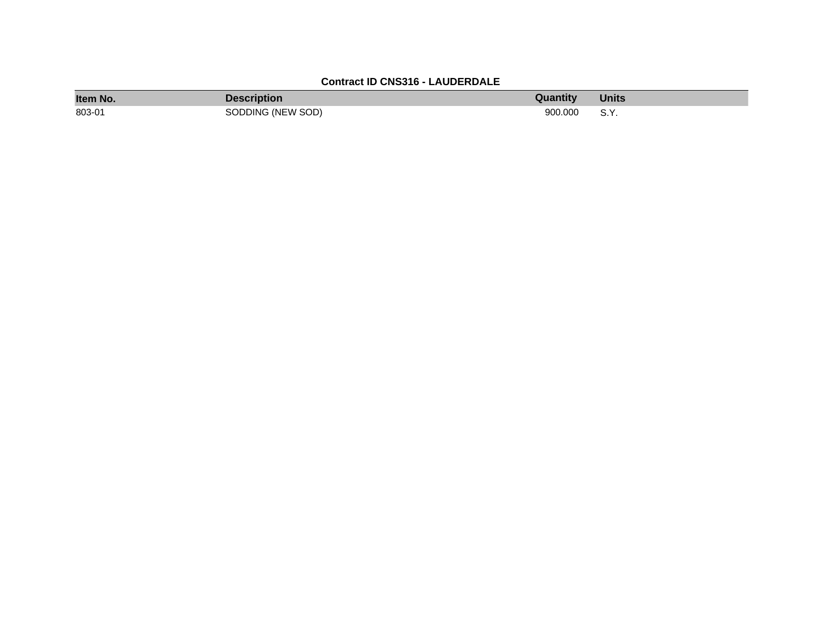# **Contract ID CNS316 - LAUDERDALE**

| Item No. | Description       | Quantity | <b>Units</b> |
|----------|-------------------|----------|--------------|
| 803-01   | SODDING (NEW SOD) | 900.000  | S.Y.         |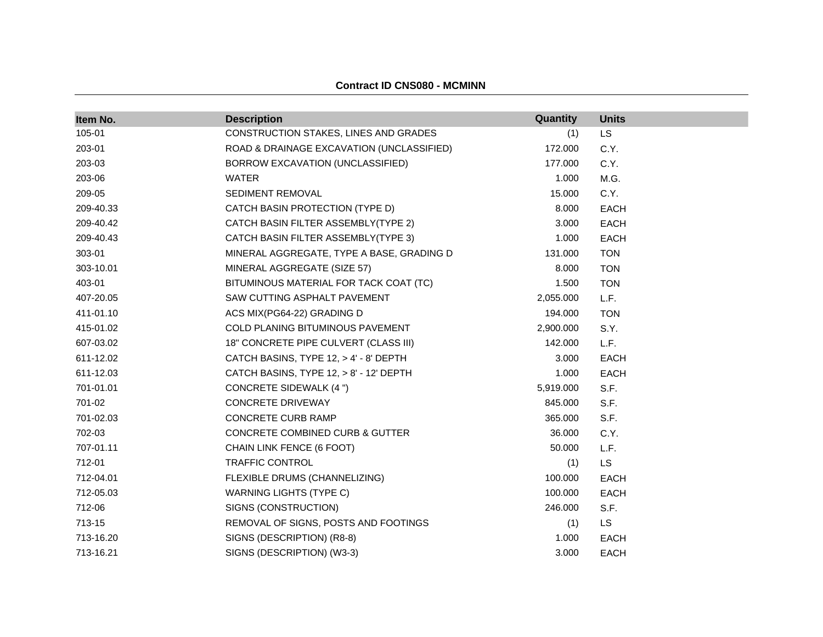| Item No.  | <b>Description</b>                        | Quantity  | <b>Units</b> |
|-----------|-------------------------------------------|-----------|--------------|
| 105-01    | CONSTRUCTION STAKES, LINES AND GRADES     | (1)       | LS           |
| 203-01    | ROAD & DRAINAGE EXCAVATION (UNCLASSIFIED) | 172.000   | C.Y.         |
| 203-03    | BORROW EXCAVATION (UNCLASSIFIED)          | 177.000   | C.Y.         |
| 203-06    | <b>WATER</b>                              | 1.000     | M.G.         |
| 209-05    | SEDIMENT REMOVAL                          | 15.000    | C.Y.         |
| 209-40.33 | CATCH BASIN PROTECTION (TYPE D)           | 8.000     | <b>EACH</b>  |
| 209-40.42 | CATCH BASIN FILTER ASSEMBLY(TYPE 2)       | 3.000     | <b>EACH</b>  |
| 209-40.43 | CATCH BASIN FILTER ASSEMBLY(TYPE 3)       | 1.000     | <b>EACH</b>  |
| 303-01    | MINERAL AGGREGATE, TYPE A BASE, GRADING D | 131.000   | <b>TON</b>   |
| 303-10.01 | MINERAL AGGREGATE (SIZE 57)               | 8.000     | <b>TON</b>   |
| 403-01    | BITUMINOUS MATERIAL FOR TACK COAT (TC)    | 1.500     | <b>TON</b>   |
| 407-20.05 | SAW CUTTING ASPHALT PAVEMENT              | 2,055.000 | L.F.         |
| 411-01.10 | ACS MIX(PG64-22) GRADING D                | 194.000   | <b>TON</b>   |
| 415-01.02 | COLD PLANING BITUMINOUS PAVEMENT          | 2,900.000 | S.Y.         |
| 607-03.02 | 18" CONCRETE PIPE CULVERT (CLASS III)     | 142.000   | L.F.         |
| 611-12.02 | CATCH BASINS, TYPE 12, > 4' - 8' DEPTH    | 3.000     | <b>EACH</b>  |
| 611-12.03 | CATCH BASINS, TYPE 12, > 8' - 12' DEPTH   | 1.000     | <b>EACH</b>  |
| 701-01.01 | <b>CONCRETE SIDEWALK (4 ")</b>            | 5,919.000 | S.F.         |
| 701-02    | <b>CONCRETE DRIVEWAY</b>                  | 845.000   | S.F.         |
| 701-02.03 | CONCRETE CURB RAMP                        | 365.000   | S.F.         |
| 702-03    | CONCRETE COMBINED CURB & GUTTER           | 36.000    | C.Y.         |
| 707-01.11 | CHAIN LINK FENCE (6 FOOT)                 | 50.000    | L.F.         |
| 712-01    | <b>TRAFFIC CONTROL</b>                    | (1)       | <b>LS</b>    |
| 712-04.01 | FLEXIBLE DRUMS (CHANNELIZING)             | 100.000   | <b>EACH</b>  |
| 712-05.03 | <b>WARNING LIGHTS (TYPE C)</b>            | 100.000   | <b>EACH</b>  |
| 712-06    | SIGNS (CONSTRUCTION)                      | 246.000   | S.F.         |
| 713-15    | REMOVAL OF SIGNS, POSTS AND FOOTINGS      | (1)       | <b>LS</b>    |
| 713-16.20 | SIGNS (DESCRIPTION) (R8-8)                | 1.000     | <b>EACH</b>  |
| 713-16.21 | SIGNS (DESCRIPTION) (W3-3)                | 3.000     | <b>EACH</b>  |

#### **Contract ID CNS080 - MCMINN**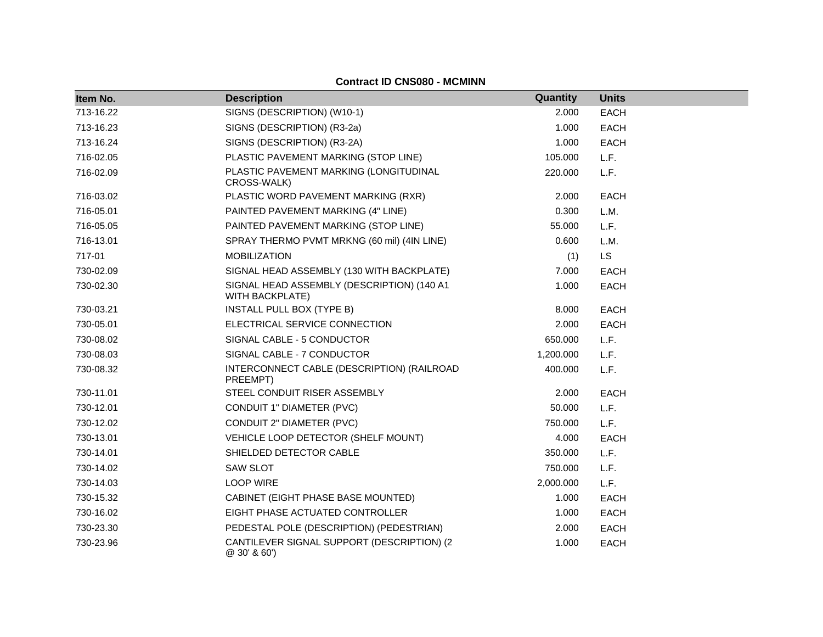#### **Contract ID CNS080 - MCMINN**

| Item No.  | <b>Description</b>                                            | Quantity  | <b>Units</b> |
|-----------|---------------------------------------------------------------|-----------|--------------|
| 713-16.22 | SIGNS (DESCRIPTION) (W10-1)                                   | 2.000     | <b>EACH</b>  |
| 713-16.23 | SIGNS (DESCRIPTION) (R3-2a)                                   | 1.000     | <b>EACH</b>  |
| 713-16.24 | SIGNS (DESCRIPTION) (R3-2A)                                   | 1.000     | <b>EACH</b>  |
| 716-02.05 | PLASTIC PAVEMENT MARKING (STOP LINE)                          | 105.000   | L.F.         |
| 716-02.09 | PLASTIC PAVEMENT MARKING (LONGITUDINAL<br>CROSS-WALK)         | 220.000   | L.F.         |
| 716-03.02 | PLASTIC WORD PAVEMENT MARKING (RXR)                           | 2.000     | <b>EACH</b>  |
| 716-05.01 | PAINTED PAVEMENT MARKING (4" LINE)                            | 0.300     | L.M.         |
| 716-05.05 | PAINTED PAVEMENT MARKING (STOP LINE)                          | 55.000    | L.F.         |
| 716-13.01 | SPRAY THERMO PVMT MRKNG (60 mil) (4IN LINE)                   | 0.600     | L.M.         |
| 717-01    | <b>MOBILIZATION</b>                                           | (1)       | <b>LS</b>    |
| 730-02.09 | SIGNAL HEAD ASSEMBLY (130 WITH BACKPLATE)                     | 7.000     | <b>EACH</b>  |
| 730-02.30 | SIGNAL HEAD ASSEMBLY (DESCRIPTION) (140 A1<br>WITH BACKPLATE) | 1.000     | <b>EACH</b>  |
| 730-03.21 | INSTALL PULL BOX (TYPE B)                                     | 8.000     | <b>EACH</b>  |
| 730-05.01 | ELECTRICAL SERVICE CONNECTION                                 | 2.000     | <b>EACH</b>  |
| 730-08.02 | SIGNAL CABLE - 5 CONDUCTOR                                    | 650.000   | L.F.         |
| 730-08.03 | SIGNAL CABLE - 7 CONDUCTOR                                    | 1,200.000 | L.F.         |
| 730-08.32 | INTERCONNECT CABLE (DESCRIPTION) (RAILROAD<br>PREEMPT)        | 400.000   | L.F.         |
| 730-11.01 | STEEL CONDUIT RISER ASSEMBLY                                  | 2.000     | <b>EACH</b>  |
| 730-12.01 | CONDUIT 1" DIAMETER (PVC)                                     | 50.000    | L.F.         |
| 730-12.02 | CONDUIT 2" DIAMETER (PVC)                                     | 750.000   | L.F.         |
| 730-13.01 | VEHICLE LOOP DETECTOR (SHELF MOUNT)                           | 4.000     | <b>EACH</b>  |
| 730-14.01 | SHIELDED DETECTOR CABLE                                       | 350.000   | L.F.         |
| 730-14.02 | <b>SAW SLOT</b>                                               | 750.000   | L.F.         |
| 730-14.03 | <b>LOOP WIRE</b>                                              | 2,000.000 | L.F.         |
| 730-15.32 | CABINET (EIGHT PHASE BASE MOUNTED)                            | 1.000     | <b>EACH</b>  |
| 730-16.02 | EIGHT PHASE ACTUATED CONTROLLER                               | 1.000     | <b>EACH</b>  |
| 730-23.30 | PEDESTAL POLE (DESCRIPTION) (PEDESTRIAN)                      | 2.000     | EACH         |
| 730-23.96 | CANTILEVER SIGNAL SUPPORT (DESCRIPTION) (2<br>@30'860'        | 1.000     | <b>EACH</b>  |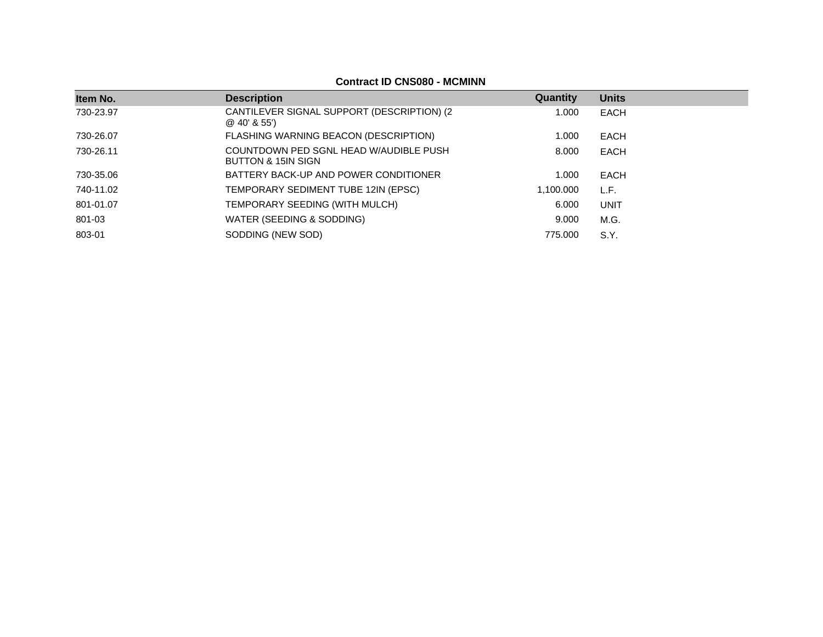## **Contract ID CNS080 - MCMINN**

| Item No.  | <b>Description</b>                                            | Quantity  | <b>Units</b> |
|-----------|---------------------------------------------------------------|-----------|--------------|
| 730-23.97 | CANTILEVER SIGNAL SUPPORT (DESCRIPTION) (2)<br>$@$ 40' & 55') | 1.000     | EACH         |
| 730-26.07 | FLASHING WARNING BEACON (DESCRIPTION)                         | 1.000     | EACH         |
| 730-26.11 | COUNTDOWN PED SGNL HEAD W/AUDIBLE PUSH<br>BUTTON & 15IN SIGN  | 8.000     | EACH         |
| 730-35.06 | BATTERY BACK-UP AND POWER CONDITIONER                         | 1.000     | EACH         |
| 740-11.02 | TEMPORARY SEDIMENT TUBE 12IN (EPSC)                           | 1.100.000 | L.F.         |
| 801-01.07 | TEMPORARY SEEDING (WITH MULCH)                                | 6.000     | <b>UNIT</b>  |
| 801-03    | WATER (SEEDING & SODDING)                                     | 9.000     | M.G.         |
| 803-01    | SODDING (NEW SOD)                                             | 775.000   | S.Y.         |
|           |                                                               |           |              |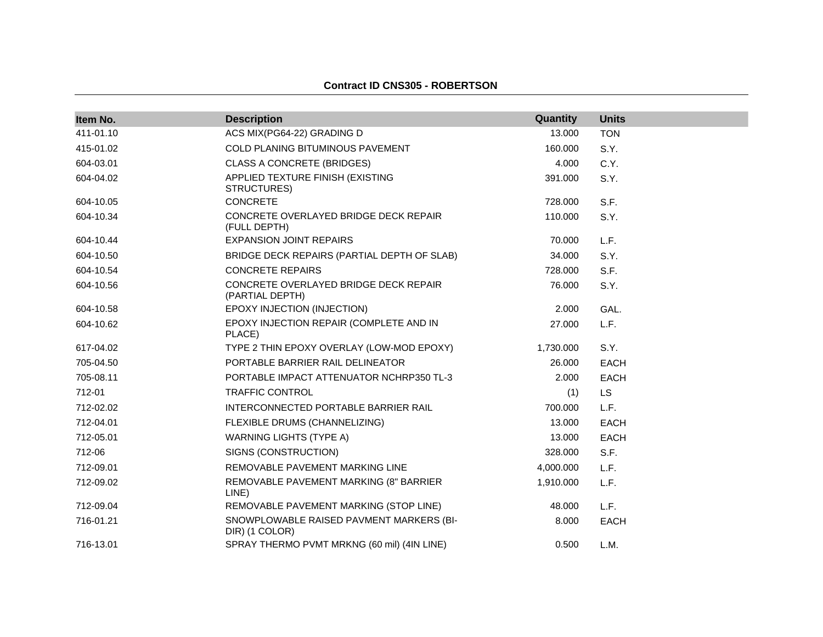#### **Contract ID CNS305 - ROBERTSON**

| Item No.  | <b>Description</b>                                         | Quantity  | <b>Units</b> |
|-----------|------------------------------------------------------------|-----------|--------------|
| 411-01.10 | ACS MIX(PG64-22) GRADING D                                 | 13.000    | <b>TON</b>   |
| 415-01.02 | COLD PLANING BITUMINOUS PAVEMENT                           | 160.000   | S.Y.         |
| 604-03.01 | <b>CLASS A CONCRETE (BRIDGES)</b>                          | 4.000     | C.Y.         |
| 604-04.02 | APPLIED TEXTURE FINISH (EXISTING<br>STRUCTURES)            | 391.000   | S.Y.         |
| 604-10.05 | <b>CONCRETE</b>                                            | 728.000   | S.F.         |
| 604-10.34 | CONCRETE OVERLAYED BRIDGE DECK REPAIR<br>(FULL DEPTH)      | 110.000   | S.Y.         |
| 604-10.44 | <b>EXPANSION JOINT REPAIRS</b>                             | 70.000    | L.F.         |
| 604-10.50 | BRIDGE DECK REPAIRS (PARTIAL DEPTH OF SLAB)                | 34.000    | S.Y.         |
| 604-10.54 | <b>CONCRETE REPAIRS</b>                                    | 728.000   | S.F.         |
| 604-10.56 | CONCRETE OVERLAYED BRIDGE DECK REPAIR<br>(PARTIAL DEPTH)   | 76.000    | S.Y.         |
| 604-10.58 | EPOXY INJECTION (INJECTION)                                | 2.000     | GAL.         |
| 604-10.62 | EPOXY INJECTION REPAIR (COMPLETE AND IN<br>PLACE)          | 27,000    | L.F.         |
| 617-04.02 | TYPE 2 THIN EPOXY OVERLAY (LOW-MOD EPOXY)                  | 1,730.000 | S.Y.         |
| 705-04.50 | PORTABLE BARRIER RAIL DELINEATOR                           | 26.000    | <b>EACH</b>  |
| 705-08.11 | PORTABLE IMPACT ATTENUATOR NCHRP350 TL-3                   | 2.000     | <b>EACH</b>  |
| 712-01    | <b>TRAFFIC CONTROL</b>                                     | (1)       | <b>LS</b>    |
| 712-02.02 | INTERCONNECTED PORTABLE BARRIER RAIL                       | 700.000   | L.F.         |
| 712-04.01 | FLEXIBLE DRUMS (CHANNELIZING)                              | 13.000    | <b>EACH</b>  |
| 712-05.01 | <b>WARNING LIGHTS (TYPE A)</b>                             | 13.000    | <b>EACH</b>  |
| 712-06    | SIGNS (CONSTRUCTION)                                       | 328.000   | S.F.         |
| 712-09.01 | REMOVABLE PAVEMENT MARKING LINE                            | 4,000.000 | L.F.         |
| 712-09.02 | REMOVABLE PAVEMENT MARKING (8" BARRIER<br>LINE)            | 1,910.000 | L.F.         |
| 712-09.04 | REMOVABLE PAVEMENT MARKING (STOP LINE)                     | 48.000    | L.F.         |
| 716-01.21 | SNOWPLOWABLE RAISED PAVMENT MARKERS (BI-<br>DIR) (1 COLOR) | 8.000     | EACH         |
| 716-13.01 | SPRAY THERMO PVMT MRKNG (60 mil) (4IN LINE)                | 0.500     | L.M.         |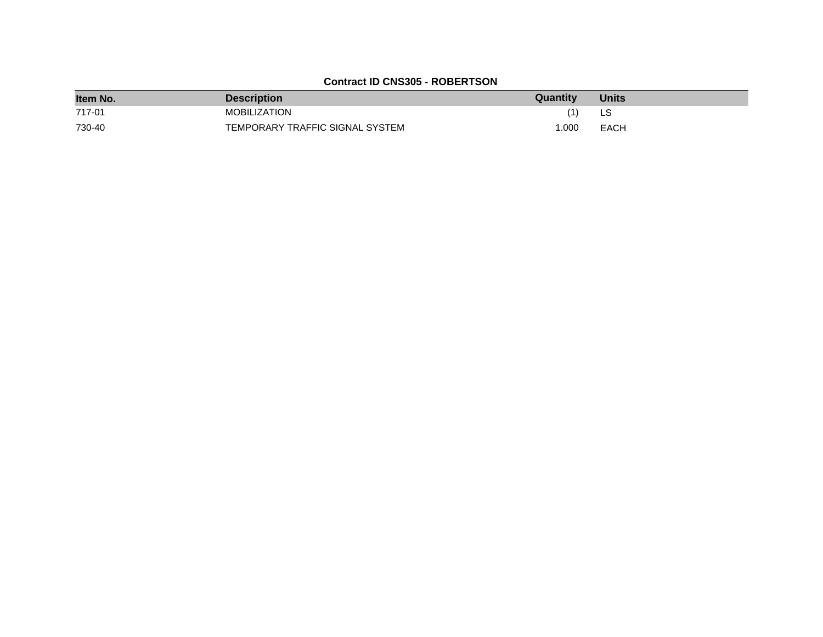# **Contract ID CNS305 - ROBERTSON**

| Item No. | <b>Description</b>              | Quantity | <b>Units</b> |
|----------|---------------------------------|----------|--------------|
| 717-01   | MOBILIZATION                    | (1)      | LS           |
| 730-40   | TEMPORARY TRAFFIC SIGNAL SYSTEM | 1.000    | EACH         |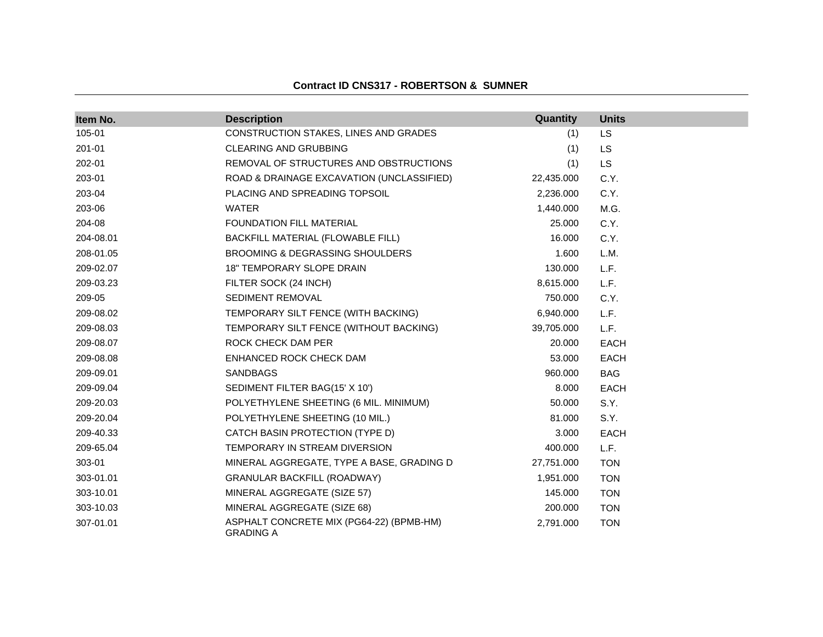### **Contract ID CNS317 - ROBERTSON & SUMNER**

| Item No.  | <b>Description</b>                                           | Quantity   | <b>Units</b> |
|-----------|--------------------------------------------------------------|------------|--------------|
| 105-01    | CONSTRUCTION STAKES, LINES AND GRADES                        | (1)        | <b>LS</b>    |
| 201-01    | CLEARING AND GRUBBING                                        | (1)        | LS           |
| 202-01    | REMOVAL OF STRUCTURES AND OBSTRUCTIONS                       | (1)        | <b>LS</b>    |
| 203-01    | ROAD & DRAINAGE EXCAVATION (UNCLASSIFIED)                    | 22,435.000 | C.Y.         |
| 203-04    | PLACING AND SPREADING TOPSOIL                                | 2,236.000  | C.Y.         |
| 203-06    | <b>WATER</b>                                                 | 1,440.000  | M.G.         |
| 204-08    | <b>FOUNDATION FILL MATERIAL</b>                              | 25.000     | C.Y.         |
| 204-08.01 | BACKFILL MATERIAL (FLOWABLE FILL)                            | 16.000     | C.Y.         |
| 208-01.05 | <b>BROOMING &amp; DEGRASSING SHOULDERS</b>                   | 1.600      | L.M.         |
| 209-02.07 | 18" TEMPORARY SLOPE DRAIN                                    | 130.000    | L.F.         |
| 209-03.23 | FILTER SOCK (24 INCH)                                        | 8,615.000  | L.F.         |
| 209-05    | SEDIMENT REMOVAL                                             | 750.000    | C.Y.         |
| 209-08.02 | TEMPORARY SILT FENCE (WITH BACKING)                          | 6,940.000  | L.F.         |
| 209-08.03 | TEMPORARY SILT FENCE (WITHOUT BACKING)                       | 39,705.000 | L.F.         |
| 209-08.07 | ROCK CHECK DAM PER                                           | 20.000     | <b>EACH</b>  |
| 209-08.08 | ENHANCED ROCK CHECK DAM                                      | 53.000     | <b>EACH</b>  |
| 209-09.01 | <b>SANDBAGS</b>                                              | 960.000    | <b>BAG</b>   |
| 209-09.04 | SEDIMENT FILTER BAG(15' X 10')                               | 8.000      | <b>EACH</b>  |
| 209-20.03 | POLYETHYLENE SHEETING (6 MIL. MINIMUM)                       | 50.000     | S.Y.         |
| 209-20.04 | POLYETHYLENE SHEETING (10 MIL.)                              | 81.000     | S.Y.         |
| 209-40.33 | CATCH BASIN PROTECTION (TYPE D)                              | 3.000      | <b>EACH</b>  |
| 209-65.04 | TEMPORARY IN STREAM DIVERSION                                | 400.000    | L.F.         |
| 303-01    | MINERAL AGGREGATE, TYPE A BASE, GRADING D                    | 27,751.000 | <b>TON</b>   |
| 303-01.01 | GRANULAR BACKFILL (ROADWAY)                                  | 1,951.000  | <b>TON</b>   |
| 303-10.01 | MINERAL AGGREGATE (SIZE 57)                                  | 145.000    | <b>TON</b>   |
| 303-10.03 | MINERAL AGGREGATE (SIZE 68)                                  | 200.000    | <b>TON</b>   |
| 307-01.01 | ASPHALT CONCRETE MIX (PG64-22) (BPMB-HM)<br><b>GRADING A</b> | 2,791.000  | <b>TON</b>   |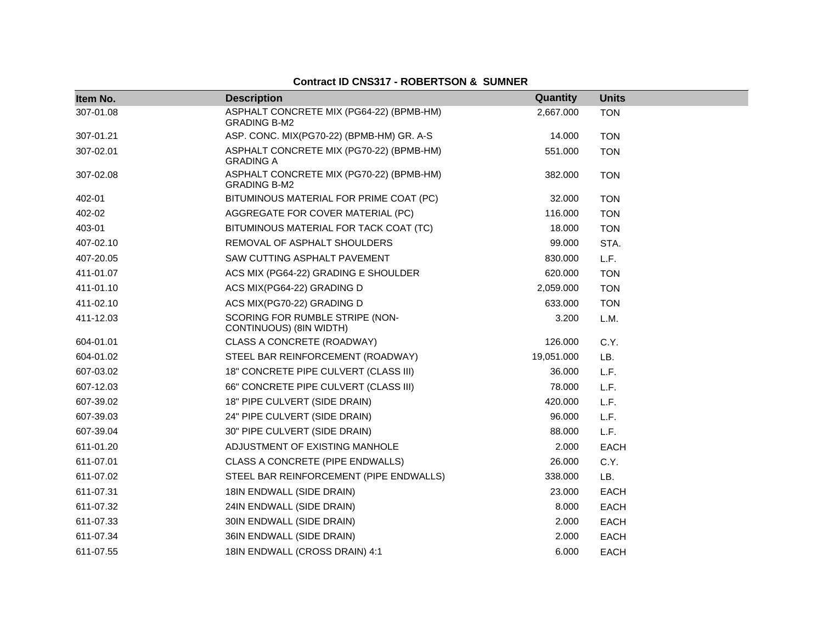| Item No.  | <b>Description</b>                                              | Quantity   | <b>Units</b> |  |
|-----------|-----------------------------------------------------------------|------------|--------------|--|
| 307-01.08 | ASPHALT CONCRETE MIX (PG64-22) (BPMB-HM)<br><b>GRADING B-M2</b> | 2,667.000  | <b>TON</b>   |  |
| 307-01.21 | ASP. CONC. MIX(PG70-22) (BPMB-HM) GR. A-S                       | 14.000     | <b>TON</b>   |  |
| 307-02.01 | ASPHALT CONCRETE MIX (PG70-22) (BPMB-HM)<br><b>GRADING A</b>    | 551.000    | <b>TON</b>   |  |
| 307-02.08 | ASPHALT CONCRETE MIX (PG70-22) (BPMB-HM)<br><b>GRADING B-M2</b> | 382.000    | <b>TON</b>   |  |
| 402-01    | BITUMINOUS MATERIAL FOR PRIME COAT (PC)                         | 32.000     | <b>TON</b>   |  |
| 402-02    | AGGREGATE FOR COVER MATERIAL (PC)                               | 116.000    | <b>TON</b>   |  |
| 403-01    | BITUMINOUS MATERIAL FOR TACK COAT (TC)                          | 18.000     | <b>TON</b>   |  |
| 407-02.10 | REMOVAL OF ASPHALT SHOULDERS                                    | 99.000     | STA.         |  |
| 407-20.05 | SAW CUTTING ASPHALT PAVEMENT                                    | 830.000    | L.F.         |  |
| 411-01.07 | ACS MIX (PG64-22) GRADING E SHOULDER                            | 620.000    | <b>TON</b>   |  |
| 411-01.10 | ACS MIX(PG64-22) GRADING D                                      | 2,059.000  | <b>TON</b>   |  |
| 411-02.10 | ACS MIX(PG70-22) GRADING D                                      | 633.000    | <b>TON</b>   |  |
| 411-12.03 | SCORING FOR RUMBLE STRIPE (NON-<br>CONTINUOUS) (8IN WIDTH)      | 3.200      | L.M.         |  |
| 604-01.01 | CLASS A CONCRETE (ROADWAY)                                      | 126.000    | C.Y.         |  |
| 604-01.02 | STEEL BAR REINFORCEMENT (ROADWAY)                               | 19,051.000 | LB.          |  |
| 607-03.02 | 18" CONCRETE PIPE CULVERT (CLASS III)                           | 36.000     | L.F.         |  |
| 607-12.03 | 66" CONCRETE PIPE CULVERT (CLASS III)                           | 78.000     | L.F.         |  |
| 607-39.02 | 18" PIPE CULVERT (SIDE DRAIN)                                   | 420.000    | L.F.         |  |
| 607-39.03 | 24" PIPE CULVERT (SIDE DRAIN)                                   | 96.000     | L.F.         |  |
| 607-39.04 | 30" PIPE CULVERT (SIDE DRAIN)                                   | 88.000     | L.F.         |  |
| 611-01.20 | ADJUSTMENT OF EXISTING MANHOLE                                  | 2.000      | <b>EACH</b>  |  |
| 611-07.01 | CLASS A CONCRETE (PIPE ENDWALLS)                                | 26.000     | C.Y.         |  |
| 611-07.02 | STEEL BAR REINFORCEMENT (PIPE ENDWALLS)                         | 338.000    | LB.          |  |
| 611-07.31 | 18IN ENDWALL (SIDE DRAIN)                                       | 23.000     | <b>EACH</b>  |  |
| 611-07.32 | 24IN ENDWALL (SIDE DRAIN)                                       | 8.000      | EACH         |  |
| 611-07.33 | 30IN ENDWALL (SIDE DRAIN)                                       | 2.000      | <b>EACH</b>  |  |
| 611-07.34 | 36IN ENDWALL (SIDE DRAIN)                                       | 2.000      | <b>EACH</b>  |  |
| 611-07.55 | 18IN ENDWALL (CROSS DRAIN) 4:1                                  | 6.000      | <b>EACH</b>  |  |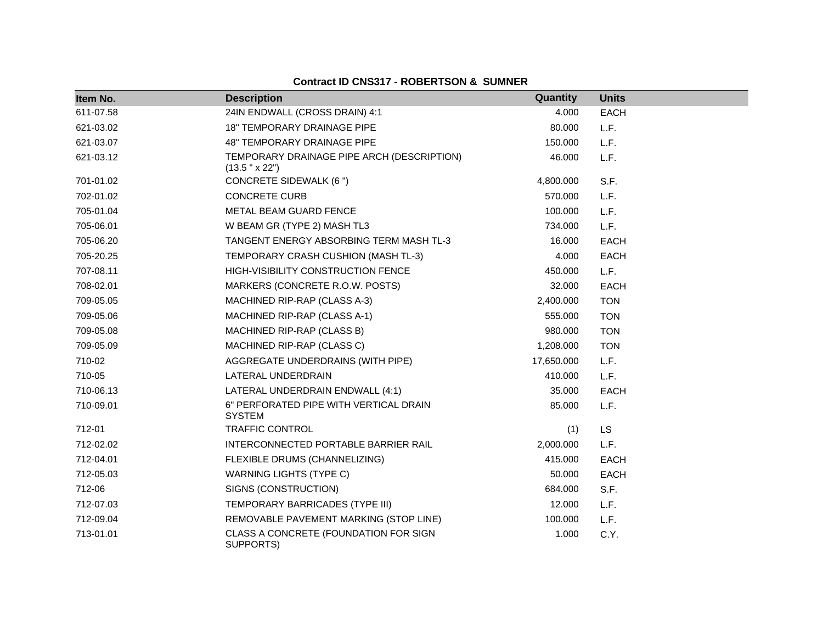| Item No.  | <b>Description</b>                                           | Quantity   | <b>Units</b> |
|-----------|--------------------------------------------------------------|------------|--------------|
| 611-07.58 | 24IN ENDWALL (CROSS DRAIN) 4:1                               | 4.000      | <b>EACH</b>  |
| 621-03.02 | <b>18" TEMPORARY DRAINAGE PIPE</b>                           | 80.000     | L.F.         |
| 621-03.07 | <b>48" TEMPORARY DRAINAGE PIPE</b>                           | 150.000    | L.F.         |
| 621-03.12 | TEMPORARY DRAINAGE PIPE ARCH (DESCRIPTION)<br>(13.5 " x 22") | 46.000     | L.F.         |
| 701-01.02 | CONCRETE SIDEWALK (6")                                       | 4,800.000  | S.F.         |
| 702-01.02 | <b>CONCRETE CURB</b>                                         | 570.000    | L.F.         |
| 705-01.04 | METAL BEAM GUARD FENCE                                       | 100.000    | L.F.         |
| 705-06.01 | W BEAM GR (TYPE 2) MASH TL3                                  | 734.000    | L.F.         |
| 705-06.20 | TANGENT ENERGY ABSORBING TERM MASH TL-3                      | 16.000     | <b>EACH</b>  |
| 705-20.25 | TEMPORARY CRASH CUSHION (MASH TL-3)                          | 4.000      | <b>EACH</b>  |
| 707-08.11 | HIGH-VISIBILITY CONSTRUCTION FENCE                           | 450.000    | L.F.         |
| 708-02.01 | MARKERS (CONCRETE R.O.W. POSTS)                              | 32.000     | EACH         |
| 709-05.05 | MACHINED RIP-RAP (CLASS A-3)                                 | 2,400.000  | <b>TON</b>   |
| 709-05.06 | MACHINED RIP-RAP (CLASS A-1)                                 | 555.000    | <b>TON</b>   |
| 709-05.08 | MACHINED RIP-RAP (CLASS B)                                   | 980.000    | <b>TON</b>   |
| 709-05.09 | MACHINED RIP-RAP (CLASS C)                                   | 1,208.000  | <b>TON</b>   |
| 710-02    | AGGREGATE UNDERDRAINS (WITH PIPE)                            | 17,650.000 | L.F.         |
| 710-05    | LATERAL UNDERDRAIN                                           | 410.000    | L.F.         |
| 710-06.13 | LATERAL UNDERDRAIN ENDWALL (4:1)                             | 35.000     | <b>EACH</b>  |
| 710-09.01 | 6" PERFORATED PIPE WITH VERTICAL DRAIN<br><b>SYSTEM</b>      | 85,000     | L.F.         |
| 712-01    | <b>TRAFFIC CONTROL</b>                                       | (1)        | LS           |
| 712-02.02 | INTERCONNECTED PORTABLE BARRIER RAIL                         | 2,000.000  | L.F.         |
| 712-04.01 | FLEXIBLE DRUMS (CHANNELIZING)                                | 415.000    | EACH         |
| 712-05.03 | <b>WARNING LIGHTS (TYPE C)</b>                               | 50.000     | <b>EACH</b>  |
| 712-06    | SIGNS (CONSTRUCTION)                                         | 684.000    | S.F.         |
| 712-07.03 | TEMPORARY BARRICADES (TYPE III)                              | 12.000     | L.F.         |
| 712-09.04 | REMOVABLE PAVEMENT MARKING (STOP LINE)                       | 100.000    | L.F.         |
| 713-01.01 | CLASS A CONCRETE (FOUNDATION FOR SIGN<br>SUPPORTS)           | 1.000      | C.Y.         |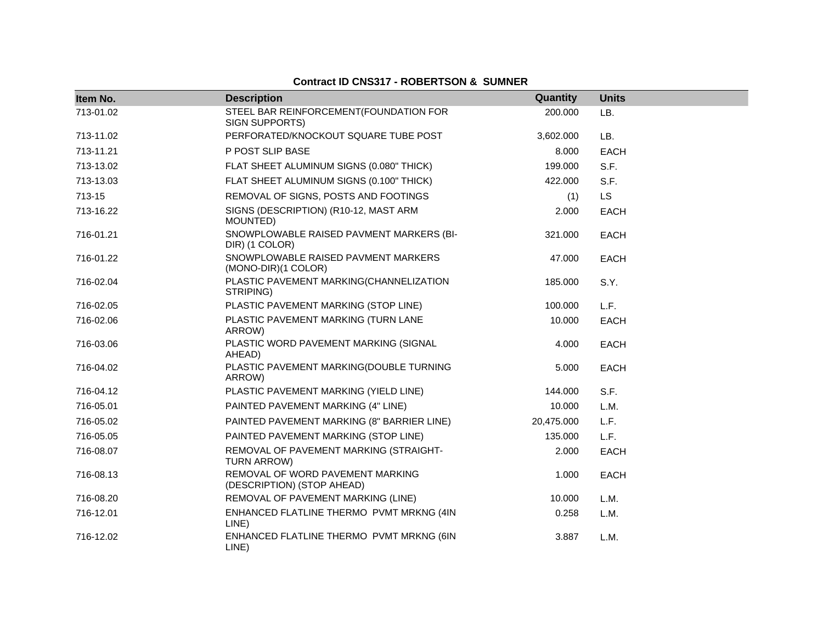| Item No.  | <b>Description</b>                                             | Quantity       | <b>Units</b> |
|-----------|----------------------------------------------------------------|----------------|--------------|
| 713-01.02 | STEEL BAR REINFORCEMENT(FOUNDATION FOR<br>SIGN SUPPORTS)       | 200.000<br>LB. |              |
| 713-11.02 | PERFORATED/KNOCKOUT SQUARE TUBE POST                           | 3,602.000      | LB.          |
| 713-11.21 | P POST SLIP BASE                                               | 8.000          | <b>EACH</b>  |
| 713-13.02 | FLAT SHEET ALUMINUM SIGNS (0.080" THICK)                       | 199.000        | S.F.         |
| 713-13.03 | FLAT SHEET ALUMINUM SIGNS (0.100" THICK)                       | 422.000        | S.F.         |
| 713-15    | REMOVAL OF SIGNS, POSTS AND FOOTINGS                           | (1)            | <b>LS</b>    |
| 713-16.22 | SIGNS (DESCRIPTION) (R10-12, MAST ARM<br>MOUNTED)              | 2.000          | EACH         |
| 716-01.21 | SNOWPLOWABLE RAISED PAVMENT MARKERS (BI-<br>DIR) (1 COLOR)     | 321.000        | EACH         |
| 716-01.22 | SNOWPLOWABLE RAISED PAVMENT MARKERS<br>(MONO-DIR)(1 COLOR)     | 47.000         | EACH         |
| 716-02.04 | PLASTIC PAVEMENT MARKING(CHANNELIZATION<br>STRIPING)           | 185.000        | S.Y.         |
| 716-02.05 | PLASTIC PAVEMENT MARKING (STOP LINE)                           | 100.000        | L.F.         |
| 716-02.06 | PLASTIC PAVEMENT MARKING (TURN LANE<br>ARROW)                  | 10.000         | <b>EACH</b>  |
| 716-03.06 | PLASTIC WORD PAVEMENT MARKING (SIGNAL<br>AHEAD)                | 4.000          | <b>EACH</b>  |
| 716-04.02 | PLASTIC PAVEMENT MARKING(DOUBLE TURNING<br>ARROW)              | 5.000          | EACH         |
| 716-04.12 | PLASTIC PAVEMENT MARKING (YIELD LINE)                          | 144.000        | S.F.         |
| 716-05.01 | PAINTED PAVEMENT MARKING (4" LINE)                             | 10.000         | L.M.         |
| 716-05.02 | PAINTED PAVEMENT MARKING (8" BARRIER LINE)                     | 20,475.000     | L.F.         |
| 716-05.05 | PAINTED PAVEMENT MARKING (STOP LINE)                           | 135.000        | L.F.         |
| 716-08.07 | REMOVAL OF PAVEMENT MARKING (STRAIGHT-<br>TURN ARROW)          | 2.000          | <b>EACH</b>  |
| 716-08.13 | REMOVAL OF WORD PAVEMENT MARKING<br>(DESCRIPTION) (STOP AHEAD) | 1.000          | EACH         |
| 716-08.20 | REMOVAL OF PAVEMENT MARKING (LINE)                             | 10.000         | L.M.         |
| 716-12.01 | ENHANCED FLATLINE THERMO PVMT MRKNG (4IN<br>LINE)              | 0.258          | L.M.         |
| 716-12.02 | ENHANCED FLATLINE THERMO PVMT MRKNG (6IN<br>LINE)              | 3.887          | L.M.         |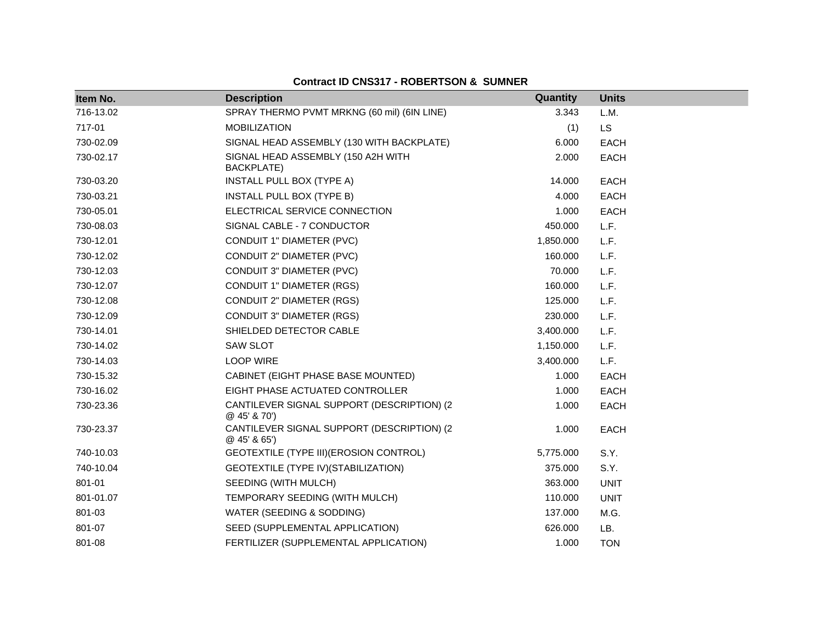| Item No.  | <b>Description</b>                                     | Quantity  | <b>Units</b> |  |
|-----------|--------------------------------------------------------|-----------|--------------|--|
| 716-13.02 | SPRAY THERMO PVMT MRKNG (60 mil) (6IN LINE)            | 3.343     | L.M.         |  |
| 717-01    | <b>MOBILIZATION</b>                                    | (1)       | <b>LS</b>    |  |
| 730-02.09 | SIGNAL HEAD ASSEMBLY (130 WITH BACKPLATE)              | 6.000     | <b>EACH</b>  |  |
| 730-02.17 | SIGNAL HEAD ASSEMBLY (150 A2H WITH<br>BACKPLATE)       | 2.000     | <b>EACH</b>  |  |
| 730-03.20 | INSTALL PULL BOX (TYPE A)                              | 14.000    | <b>EACH</b>  |  |
| 730-03.21 | INSTALL PULL BOX (TYPE B)                              | 4.000     | <b>EACH</b>  |  |
| 730-05.01 | ELECTRICAL SERVICE CONNECTION                          | 1.000     | <b>EACH</b>  |  |
| 730-08.03 | SIGNAL CABLE - 7 CONDUCTOR                             | 450.000   | L.F.         |  |
| 730-12.01 | CONDUIT 1" DIAMETER (PVC)                              | 1,850.000 | L.F.         |  |
| 730-12.02 | CONDUIT 2" DIAMETER (PVC)                              | 160.000   | L.F.         |  |
| 730-12.03 | CONDUIT 3" DIAMETER (PVC)                              | 70.000    | L.F.         |  |
| 730-12.07 | <b>CONDUIT 1" DIAMETER (RGS)</b>                       | 160.000   | L.F.         |  |
| 730-12.08 | CONDUIT 2" DIAMETER (RGS)                              | 125.000   | L.F.         |  |
| 730-12.09 | <b>CONDUIT 3" DIAMETER (RGS)</b>                       | 230.000   | L.F.         |  |
| 730-14.01 | SHIELDED DETECTOR CABLE                                | 3,400.000 | L.F.         |  |
| 730-14.02 | <b>SAW SLOT</b>                                        | 1,150.000 | L.F.         |  |
| 730-14.03 | <b>LOOP WIRE</b>                                       | 3,400.000 | L.F.         |  |
| 730-15.32 | CABINET (EIGHT PHASE BASE MOUNTED)                     | 1.000     | <b>EACH</b>  |  |
| 730-16.02 | EIGHT PHASE ACTUATED CONTROLLER                        | 1.000     | <b>EACH</b>  |  |
| 730-23.36 | CANTILEVER SIGNAL SUPPORT (DESCRIPTION) (2<br>@45'870' | 1.000     | <b>EACH</b>  |  |
| 730-23.37 | CANTILEVER SIGNAL SUPPORT (DESCRIPTION) (2<br>@45'865' | 1.000     | <b>EACH</b>  |  |
| 740-10.03 | GEOTEXTILE (TYPE III) (EROSION CONTROL)                | 5,775.000 | S.Y.         |  |
| 740-10.04 | GEOTEXTILE (TYPE IV) (STABILIZATION)                   | 375.000   | S.Y.         |  |
| 801-01    | SEEDING (WITH MULCH)                                   | 363.000   | <b>UNIT</b>  |  |
| 801-01.07 | TEMPORARY SEEDING (WITH MULCH)                         | 110.000   | <b>UNIT</b>  |  |
| 801-03    | WATER (SEEDING & SODDING)                              | 137.000   | M.G.         |  |
| 801-07    | SEED (SUPPLEMENTAL APPLICATION)                        | 626.000   | LB.          |  |
| 801-08    | FERTILIZER (SUPPLEMENTAL APPLICATION)                  | 1.000     | <b>TON</b>   |  |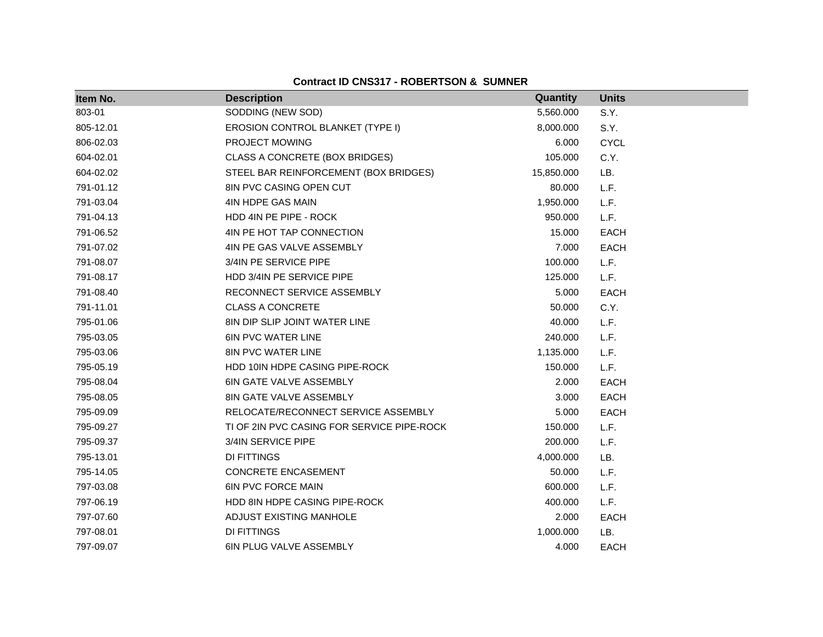| Item No.  | <b>Description</b>                         | Quantity   | <b>Units</b> |  |
|-----------|--------------------------------------------|------------|--------------|--|
| 803-01    | SODDING (NEW SOD)                          | 5,560.000  | S.Y.         |  |
| 805-12.01 | EROSION CONTROL BLANKET (TYPE I)           | 8,000.000  | S.Y.         |  |
| 806-02.03 | PROJECT MOWING                             | 6.000      | <b>CYCL</b>  |  |
| 604-02.01 | CLASS A CONCRETE (BOX BRIDGES)             | 105.000    | C.Y.         |  |
| 604-02.02 | STEEL BAR REINFORCEMENT (BOX BRIDGES)      | 15,850.000 | LB.          |  |
| 791-01.12 | 8IN PVC CASING OPEN CUT                    | 80.000     | L.F.         |  |
| 791-03.04 | 4IN HDPE GAS MAIN                          | 1,950.000  | L.F.         |  |
| 791-04.13 | HDD 4IN PE PIPE - ROCK                     | 950.000    | L.F.         |  |
| 791-06.52 | 4IN PE HOT TAP CONNECTION                  | 15.000     | <b>EACH</b>  |  |
| 791-07.02 | 4IN PE GAS VALVE ASSEMBLY                  | 7.000      | <b>EACH</b>  |  |
| 791-08.07 | 3/4IN PE SERVICE PIPE                      | 100.000    | L.F.         |  |
| 791-08.17 | HDD 3/4IN PE SERVICE PIPE                  | 125.000    | L.F.         |  |
| 791-08.40 | RECONNECT SERVICE ASSEMBLY                 | 5.000      | <b>EACH</b>  |  |
| 791-11.01 | <b>CLASS A CONCRETE</b>                    | 50.000     | C.Y.         |  |
| 795-01.06 | 8IN DIP SLIP JOINT WATER LINE              | 40.000     | L.F.         |  |
| 795-03.05 | <b>6IN PVC WATER LINE</b>                  | 240.000    | L.F.         |  |
| 795-03.06 | <b>8IN PVC WATER LINE</b>                  | 1,135.000  | L.F.         |  |
| 795-05.19 | HDD 10IN HDPE CASING PIPE-ROCK             | 150.000    | L.F.         |  |
| 795-08.04 | 6IN GATE VALVE ASSEMBLY                    | 2.000      | <b>EACH</b>  |  |
| 795-08.05 | 8IN GATE VALVE ASSEMBLY                    | 3.000      | <b>EACH</b>  |  |
| 795-09.09 | RELOCATE/RECONNECT SERVICE ASSEMBLY        | 5.000      | <b>EACH</b>  |  |
| 795-09.27 | TI OF 2IN PVC CASING FOR SERVICE PIPE-ROCK | 150.000    | L.F.         |  |
| 795-09.37 | 3/4IN SERVICE PIPE                         | 200.000    | L.F.         |  |
| 795-13.01 | <b>DI FITTINGS</b>                         | 4,000.000  | LB.          |  |
| 795-14.05 | <b>CONCRETE ENCASEMENT</b>                 | 50.000     | L.F.         |  |
| 797-03.08 | <b>6IN PVC FORCE MAIN</b>                  | 600.000    | L.F.         |  |
| 797-06.19 | HDD 8IN HDPE CASING PIPE-ROCK              | 400.000    | L.F.         |  |
| 797-07.60 | ADJUST EXISTING MANHOLE                    | 2.000      | <b>EACH</b>  |  |
| 797-08.01 | <b>DI FITTINGS</b>                         | 1,000.000  | LB.          |  |
| 797-09.07 | <b>6IN PLUG VALVE ASSEMBLY</b>             | 4.000      | <b>EACH</b>  |  |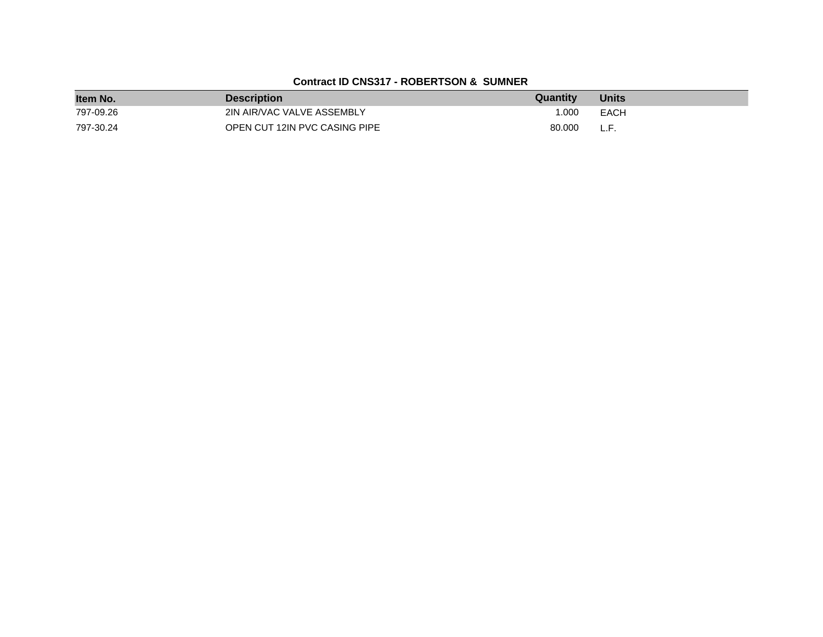| Item No.  | <b>Description</b>            | <b>Quantity</b> | <b>Units</b> |
|-----------|-------------------------------|-----------------|--------------|
| 797-09.26 | 2IN AIR/VAC VALVE ASSEMBLY    | 1.000           | EACH         |
| 797-30.24 | OPEN CUT 12IN PVC CASING PIPE | 80.000          | L.F.         |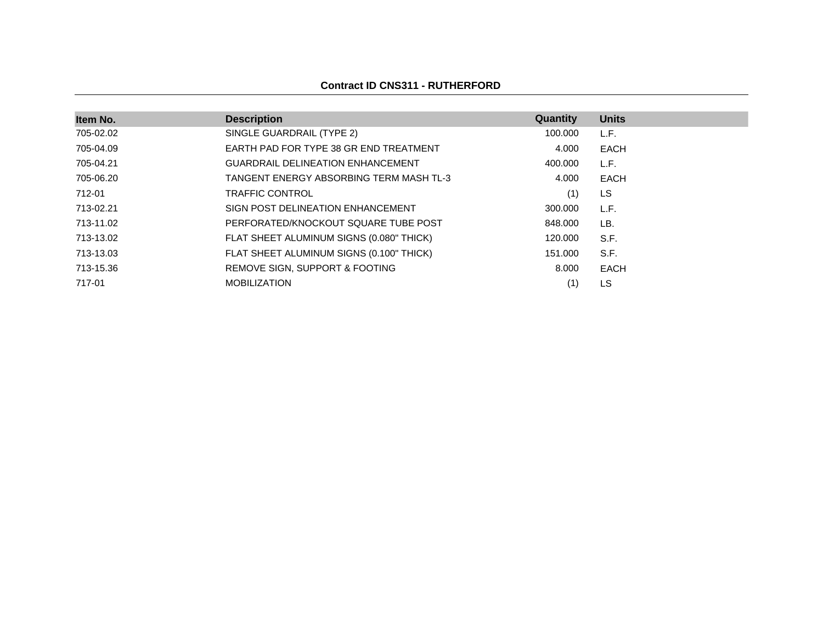### **Contract ID CNS311 - RUTHERFORD**

| Item No.  | <b>Description</b>                       | Quantity | <b>Units</b> |
|-----------|------------------------------------------|----------|--------------|
| 705-02.02 | SINGLE GUARDRAIL (TYPE 2)                | 100.000  | L.F.         |
| 705-04.09 | EARTH PAD FOR TYPE 38 GR END TREATMENT   | 4.000    | EACH         |
| 705-04.21 | <b>GUARDRAIL DELINEATION ENHANCEMENT</b> | 400.000  | L.F.         |
| 705-06.20 | TANGENT ENERGY ABSORBING TERM MASH TL-3  | 4.000    | EACH         |
| 712-01    | <b>TRAFFIC CONTROL</b>                   | (1)      | LS           |
| 713-02.21 | SIGN POST DELINEATION ENHANCEMENT        | 300,000  | L.F.         |
| 713-11.02 | PERFORATED/KNOCKOUT SQUARE TUBE POST     | 848.000  | LB.          |
| 713-13.02 | FLAT SHEET ALUMINUM SIGNS (0.080" THICK) | 120,000  | S.F.         |
| 713-13.03 | FLAT SHEET ALUMINUM SIGNS (0.100" THICK) | 151.000  | S.F.         |
| 713-15.36 | REMOVE SIGN, SUPPORT & FOOTING           | 8.000    | <b>EACH</b>  |
| 717-01    | <b>MOBILIZATION</b>                      | (1)      | LS           |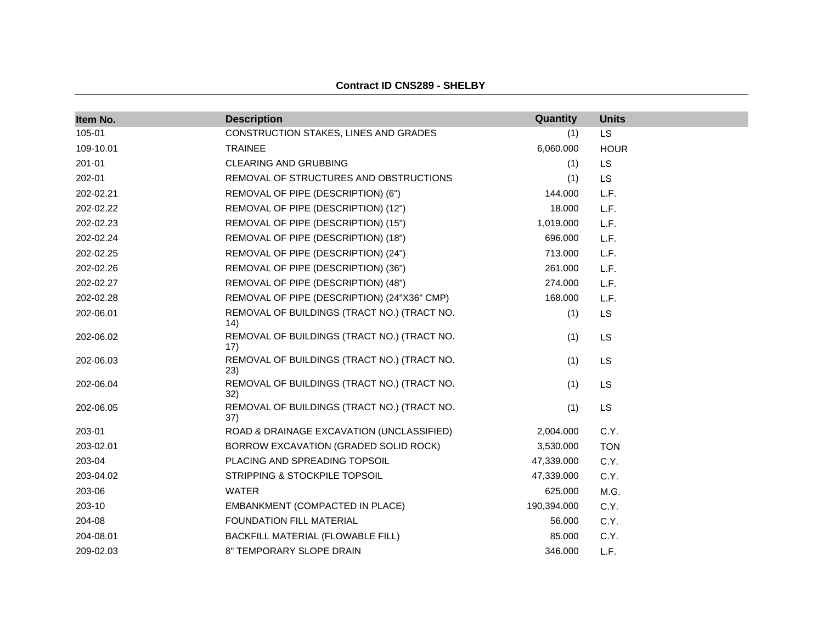| Item No.  | <b>Description</b>                                  | Quantity    | <b>Units</b> |  |
|-----------|-----------------------------------------------------|-------------|--------------|--|
| 105-01    | CONSTRUCTION STAKES, LINES AND GRADES               | (1)         | LS           |  |
| 109-10.01 | <b>TRAINEE</b>                                      | 6,060.000   | <b>HOUR</b>  |  |
| 201-01    | <b>CLEARING AND GRUBBING</b>                        | (1)         | <b>LS</b>    |  |
| 202-01    | REMOVAL OF STRUCTURES AND OBSTRUCTIONS              | (1)         | <b>LS</b>    |  |
| 202-02.21 | REMOVAL OF PIPE (DESCRIPTION) (6")                  | 144.000     | L.F.         |  |
| 202-02.22 | REMOVAL OF PIPE (DESCRIPTION) (12")                 | 18.000      | L.F.         |  |
| 202-02.23 | REMOVAL OF PIPE (DESCRIPTION) (15")                 | 1,019.000   | L.F.         |  |
| 202-02.24 | REMOVAL OF PIPE (DESCRIPTION) (18")                 | 696.000     | L.F.         |  |
| 202-02.25 | REMOVAL OF PIPE (DESCRIPTION) (24")                 | 713.000     | L.F.         |  |
| 202-02.26 | REMOVAL OF PIPE (DESCRIPTION) (36")                 | 261.000     | L.F.         |  |
| 202-02.27 | REMOVAL OF PIPE (DESCRIPTION) (48")                 | 274.000     | L.F.         |  |
| 202-02.28 | REMOVAL OF PIPE (DESCRIPTION) (24"X36" CMP)         | 168.000     | L.F.         |  |
| 202-06.01 | REMOVAL OF BUILDINGS (TRACT NO.) (TRACT NO.<br>(14) | (1)         | <b>LS</b>    |  |
| 202-06.02 | REMOVAL OF BUILDINGS (TRACT NO.) (TRACT NO.<br>17)  | (1)         | LS           |  |
| 202-06.03 | REMOVAL OF BUILDINGS (TRACT NO.) (TRACT NO.<br>23)  | (1)         | LS           |  |
| 202-06.04 | REMOVAL OF BUILDINGS (TRACT NO.) (TRACT NO.<br>32)  | (1)         | LS           |  |
| 202-06.05 | REMOVAL OF BUILDINGS (TRACT NO.) (TRACT NO.<br>37)  | (1)         | LS           |  |
| 203-01    | ROAD & DRAINAGE EXCAVATION (UNCLASSIFIED)           | 2,004.000   | C.Y.         |  |
| 203-02.01 | BORROW EXCAVATION (GRADED SOLID ROCK)               | 3,530.000   | <b>TON</b>   |  |
| 203-04    | PLACING AND SPREADING TOPSOIL                       | 47,339.000  | C.Y.         |  |
| 203-04.02 | STRIPPING & STOCKPILE TOPSOIL                       | 47,339.000  | C.Y.         |  |
| 203-06    | <b>WATER</b>                                        | 625.000     | M.G.         |  |
| 203-10    | EMBANKMENT (COMPACTED IN PLACE)                     | 190,394.000 | C.Y.         |  |
| 204-08    | FOUNDATION FILL MATERIAL                            | 56.000      | C.Y.         |  |
| 204-08.01 | BACKFILL MATERIAL (FLOWABLE FILL)                   | 85,000      | C.Y.         |  |
| 209-02.03 | 8" TEMPORARY SLOPE DRAIN                            | 346.000     | L.F.         |  |

**Contract ID CNS289 - SHELBY**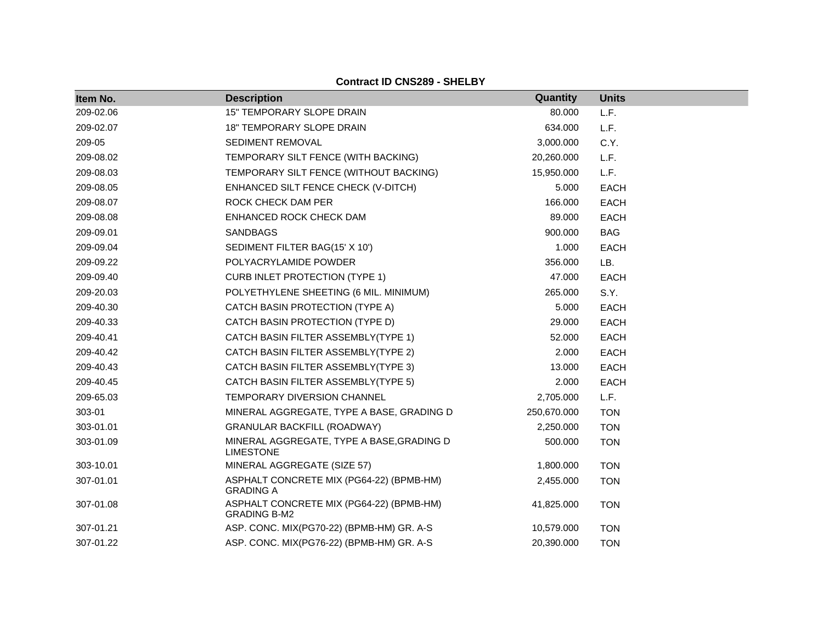| Item No.  | <b>Description</b>                                              | Quantity    | <b>Units</b> |
|-----------|-----------------------------------------------------------------|-------------|--------------|
| 209-02.06 | 15" TEMPORARY SLOPE DRAIN                                       | 80.000      | L.F.         |
| 209-02.07 | <b>18" TEMPORARY SLOPE DRAIN</b>                                | 634.000     | L.F.         |
| 209-05    | SEDIMENT REMOVAL                                                | 3,000.000   | C.Y.         |
| 209-08.02 | TEMPORARY SILT FENCE (WITH BACKING)                             | 20,260.000  | L.F.         |
| 209-08.03 | TEMPORARY SILT FENCE (WITHOUT BACKING)                          | 15,950.000  | L.F.         |
| 209-08.05 | ENHANCED SILT FENCE CHECK (V-DITCH)                             | 5.000       | <b>EACH</b>  |
| 209-08.07 | ROCK CHECK DAM PER                                              | 166.000     | <b>EACH</b>  |
| 209-08.08 | ENHANCED ROCK CHECK DAM                                         | 89.000      | EACH         |
| 209-09.01 | <b>SANDBAGS</b>                                                 | 900.000     | <b>BAG</b>   |
| 209-09.04 | SEDIMENT FILTER BAG(15' X 10')                                  | 1.000       | <b>EACH</b>  |
| 209-09.22 | POLYACRYLAMIDE POWDER                                           | 356.000     | LB.          |
| 209-09.40 | <b>CURB INLET PROTECTION (TYPE 1)</b>                           | 47.000      | <b>EACH</b>  |
| 209-20.03 | POLYETHYLENE SHEETING (6 MIL. MINIMUM)                          | 265.000     | S.Y.         |
| 209-40.30 | CATCH BASIN PROTECTION (TYPE A)                                 | 5.000       | <b>EACH</b>  |
| 209-40.33 | CATCH BASIN PROTECTION (TYPE D)                                 | 29.000      | EACH         |
| 209-40.41 | CATCH BASIN FILTER ASSEMBLY(TYPE 1)                             | 52.000      | EACH         |
| 209-40.42 | CATCH BASIN FILTER ASSEMBLY(TYPE 2)                             | 2.000       | <b>EACH</b>  |
| 209-40.43 | CATCH BASIN FILTER ASSEMBLY(TYPE 3)                             | 13.000      | <b>EACH</b>  |
| 209-40.45 | CATCH BASIN FILTER ASSEMBLY(TYPE 5)                             | 2.000       | <b>EACH</b>  |
| 209-65.03 | TEMPORARY DIVERSION CHANNEL                                     | 2,705.000   | L.F.         |
| 303-01    | MINERAL AGGREGATE, TYPE A BASE, GRADING D                       | 250,670.000 | <b>TON</b>   |
| 303-01.01 | <b>GRANULAR BACKFILL (ROADWAY)</b>                              | 2,250.000   | <b>TON</b>   |
| 303-01.09 | MINERAL AGGREGATE, TYPE A BASE, GRADING D<br><b>LIMESTONE</b>   | 500.000     | <b>TON</b>   |
| 303-10.01 | MINERAL AGGREGATE (SIZE 57)                                     | 1,800.000   | <b>TON</b>   |
| 307-01.01 | ASPHALT CONCRETE MIX (PG64-22) (BPMB-HM)<br><b>GRADING A</b>    | 2,455.000   | <b>TON</b>   |
| 307-01.08 | ASPHALT CONCRETE MIX (PG64-22) (BPMB-HM)<br><b>GRADING B-M2</b> | 41,825.000  | <b>TON</b>   |
| 307-01.21 | ASP. CONC. MIX(PG70-22) (BPMB-HM) GR. A-S                       | 10,579.000  | <b>TON</b>   |
| 307-01.22 | ASP. CONC. MIX(PG76-22) (BPMB-HM) GR. A-S                       | 20,390.000  | <b>TON</b>   |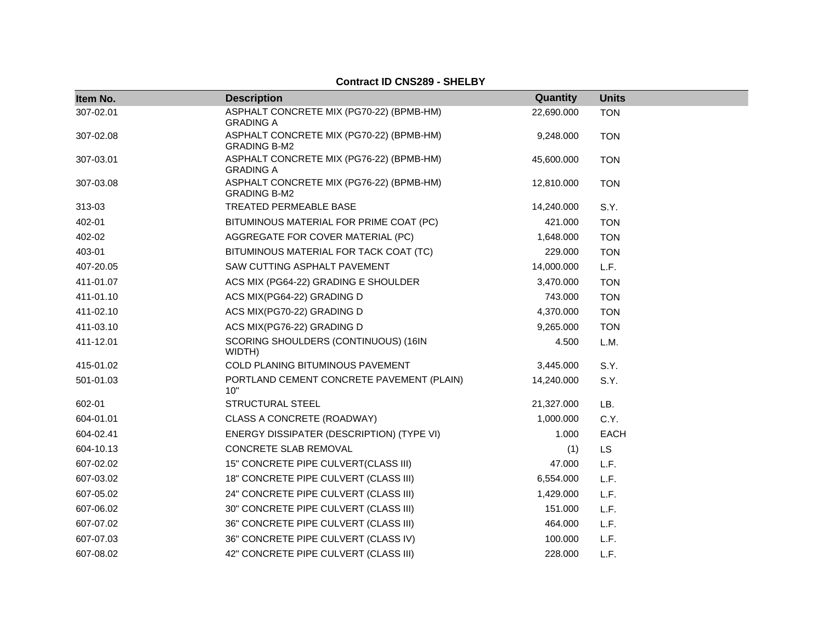| Item No.  | <b>Description</b>                                              | Quantity   | <b>Units</b> |
|-----------|-----------------------------------------------------------------|------------|--------------|
| 307-02.01 | ASPHALT CONCRETE MIX (PG70-22) (BPMB-HM)<br><b>GRADING A</b>    | 22,690.000 | <b>TON</b>   |
| 307-02.08 | ASPHALT CONCRETE MIX (PG70-22) (BPMB-HM)<br><b>GRADING B-M2</b> | 9,248.000  | <b>TON</b>   |
| 307-03.01 | ASPHALT CONCRETE MIX (PG76-22) (BPMB-HM)<br><b>GRADING A</b>    | 45,600.000 | <b>TON</b>   |
| 307-03.08 | ASPHALT CONCRETE MIX (PG76-22) (BPMB-HM)<br><b>GRADING B-M2</b> | 12,810.000 | <b>TON</b>   |
| 313-03    | TREATED PERMEABLE BASE                                          | 14,240.000 | S.Y.         |
| 402-01    | BITUMINOUS MATERIAL FOR PRIME COAT (PC)                         | 421.000    | <b>TON</b>   |
| 402-02    | AGGREGATE FOR COVER MATERIAL (PC)                               | 1,648.000  | <b>TON</b>   |
| 403-01    | BITUMINOUS MATERIAL FOR TACK COAT (TC)                          | 229.000    | <b>TON</b>   |
| 407-20.05 | SAW CUTTING ASPHALT PAVEMENT                                    | 14,000.000 | L.F.         |
| 411-01.07 | ACS MIX (PG64-22) GRADING E SHOULDER                            | 3,470.000  | <b>TON</b>   |
| 411-01.10 | ACS MIX(PG64-22) GRADING D                                      | 743.000    | <b>TON</b>   |
| 411-02.10 | ACS MIX(PG70-22) GRADING D                                      | 4,370.000  | <b>TON</b>   |
| 411-03.10 | ACS MIX(PG76-22) GRADING D                                      | 9,265.000  | <b>TON</b>   |
| 411-12.01 | SCORING SHOULDERS (CONTINUOUS) (16IN<br>WIDTH)                  | 4.500      | L.M.         |
| 415-01.02 | COLD PLANING BITUMINOUS PAVEMENT                                | 3,445.000  | S.Y.         |
| 501-01.03 | PORTLAND CEMENT CONCRETE PAVEMENT (PLAIN)<br>10"                | 14,240.000 | S.Y.         |
| 602-01    | <b>STRUCTURAL STEEL</b>                                         | 21,327.000 | LB.          |
| 604-01.01 | CLASS A CONCRETE (ROADWAY)                                      | 1,000.000  | C.Y.         |
| 604-02.41 | ENERGY DISSIPATER (DESCRIPTION) (TYPE VI)                       | 1.000      | EACH         |
| 604-10.13 | <b>CONCRETE SLAB REMOVAL</b>                                    | (1)        | <b>LS</b>    |
| 607-02.02 | 15" CONCRETE PIPE CULVERT(CLASS III)                            | 47.000     | L.F.         |
| 607-03.02 | 18" CONCRETE PIPE CULVERT (CLASS III)                           | 6,554.000  | L.F.         |
| 607-05.02 | 24" CONCRETE PIPE CULVERT (CLASS III)                           | 1,429.000  | L.F.         |
| 607-06.02 | 30" CONCRETE PIPE CULVERT (CLASS III)                           | 151.000    | L.F.         |
| 607-07.02 | 36" CONCRETE PIPE CULVERT (CLASS III)                           | 464.000    | L.F.         |
| 607-07.03 | 36" CONCRETE PIPE CULVERT (CLASS IV)                            | 100.000    | L.F.         |
| 607-08.02 | 42" CONCRETE PIPE CULVERT (CLASS III)                           | 228.000    | L.F.         |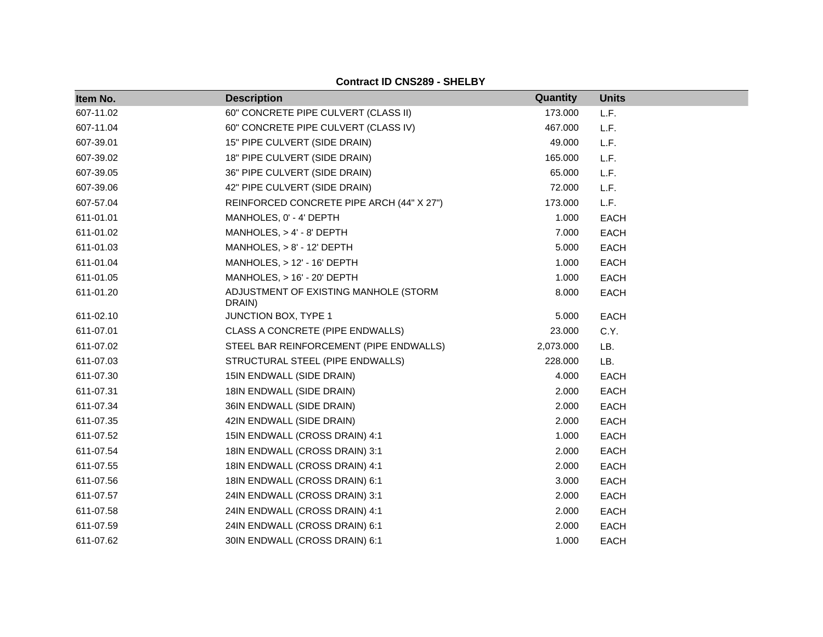|  |  |  | <b>Contract ID CNS289 - SHELBY</b> |
|--|--|--|------------------------------------|
|--|--|--|------------------------------------|

| Item No.  | <b>Description</b>                              | Quantity  | <b>Units</b> |  |
|-----------|-------------------------------------------------|-----------|--------------|--|
| 607-11.02 | 60" CONCRETE PIPE CULVERT (CLASS II)            | 173.000   | L.F.         |  |
| 607-11.04 | 60" CONCRETE PIPE CULVERT (CLASS IV)            | 467.000   | L.F.         |  |
| 607-39.01 | 15" PIPE CULVERT (SIDE DRAIN)                   | 49.000    | L.F.         |  |
| 607-39.02 | 18" PIPE CULVERT (SIDE DRAIN)                   | 165.000   | L.F.         |  |
| 607-39.05 | 36" PIPE CULVERT (SIDE DRAIN)                   | 65.000    | L.F.         |  |
| 607-39.06 | 42" PIPE CULVERT (SIDE DRAIN)                   | 72.000    | L.F.         |  |
| 607-57.04 | REINFORCED CONCRETE PIPE ARCH (44" X 27")       | 173.000   | L.F.         |  |
| 611-01.01 | MANHOLES, 0' - 4' DEPTH                         | 1.000     | EACH         |  |
| 611-01.02 | MANHOLES, $> 4' - 8'$ DEPTH                     | 7.000     | <b>EACH</b>  |  |
| 611-01.03 | $MANHOLES, > 8' - 12' DEPTH$                    | 5.000     | <b>EACH</b>  |  |
| 611-01.04 | MANHOLES, > 12' - 16' DEPTH                     | 1.000     | <b>EACH</b>  |  |
| 611-01.05 | $MANHOLES, > 16' - 20' DEPTH$                   | 1.000     | <b>EACH</b>  |  |
| 611-01.20 | ADJUSTMENT OF EXISTING MANHOLE (STORM<br>DRAIN) | 8.000     | EACH         |  |
| 611-02.10 | JUNCTION BOX, TYPE 1                            | 5.000     | <b>EACH</b>  |  |
| 611-07.01 | CLASS A CONCRETE (PIPE ENDWALLS)                | 23.000    | C.Y.         |  |
| 611-07.02 | STEEL BAR REINFORCEMENT (PIPE ENDWALLS)         | 2,073.000 | LB.          |  |
| 611-07.03 | STRUCTURAL STEEL (PIPE ENDWALLS)                | 228.000   | LB.          |  |
| 611-07.30 | 15IN ENDWALL (SIDE DRAIN)                       | 4.000     | <b>EACH</b>  |  |
| 611-07.31 | 18IN ENDWALL (SIDE DRAIN)                       | 2.000     | EACH         |  |
| 611-07.34 | 36IN ENDWALL (SIDE DRAIN)                       | 2.000     | EACH         |  |
| 611-07.35 | 42IN ENDWALL (SIDE DRAIN)                       | 2.000     | <b>EACH</b>  |  |
| 611-07.52 | 15IN ENDWALL (CROSS DRAIN) 4:1                  | 1.000     | EACH         |  |
| 611-07.54 | 18IN ENDWALL (CROSS DRAIN) 3:1                  | 2.000     | <b>EACH</b>  |  |
| 611-07.55 | 18IN ENDWALL (CROSS DRAIN) 4:1                  | 2.000     | EACH         |  |
| 611-07.56 | 18IN ENDWALL (CROSS DRAIN) 6:1                  | 3.000     | EACH         |  |
| 611-07.57 | 24IN ENDWALL (CROSS DRAIN) 3:1                  | 2.000     | EACH         |  |
| 611-07.58 | 24IN ENDWALL (CROSS DRAIN) 4:1                  | 2.000     | <b>EACH</b>  |  |
| 611-07.59 | 24IN ENDWALL (CROSS DRAIN) 6:1                  | 2.000     | <b>EACH</b>  |  |
| 611-07.62 | 30IN ENDWALL (CROSS DRAIN) 6:1                  | 1.000     | <b>EACH</b>  |  |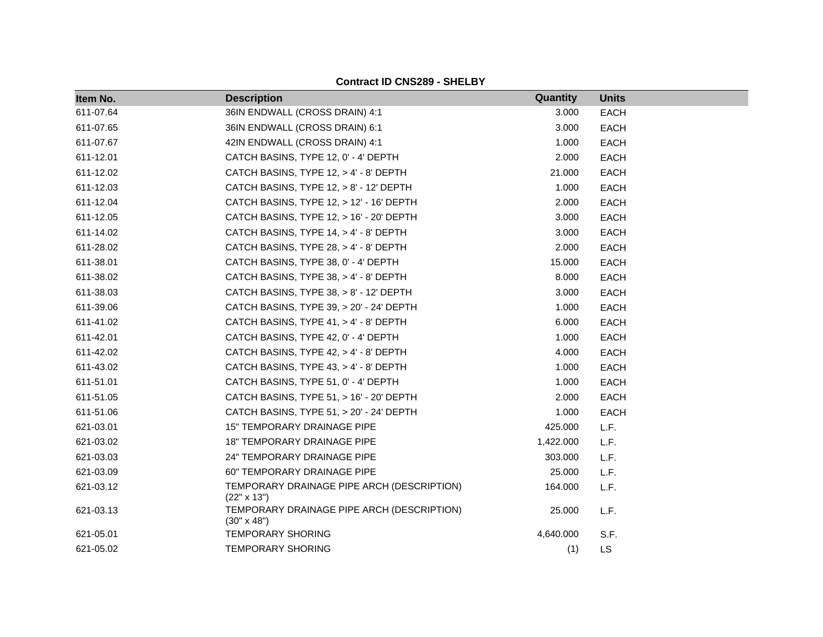| Item No.  | <b>Description</b>                                               | <b>Quantity</b> | <b>Units</b> |
|-----------|------------------------------------------------------------------|-----------------|--------------|
| 611-07.64 | 36IN ENDWALL (CROSS DRAIN) 4:1                                   | 3.000           | <b>EACH</b>  |
| 611-07.65 | 36IN ENDWALL (CROSS DRAIN) 6:1                                   | 3.000           | <b>EACH</b>  |
| 611-07.67 | 42IN ENDWALL (CROSS DRAIN) 4:1                                   | 1.000           | <b>EACH</b>  |
| 611-12.01 | CATCH BASINS, TYPE 12, 0' - 4' DEPTH                             | 2.000           | <b>EACH</b>  |
| 611-12.02 | CATCH BASINS, TYPE 12, > 4' - 8' DEPTH                           | 21.000          | <b>EACH</b>  |
| 611-12.03 | CATCH BASINS, TYPE 12, > 8' - 12' DEPTH                          | 1.000           | <b>EACH</b>  |
| 611-12.04 | CATCH BASINS, TYPE 12, > 12' - 16' DEPTH                         | 2.000           | <b>EACH</b>  |
| 611-12.05 | CATCH BASINS, TYPE 12, > 16' - 20' DEPTH                         | 3.000           | <b>EACH</b>  |
| 611-14.02 | CATCH BASINS, TYPE 14, > 4' - 8' DEPTH                           | 3.000           | <b>EACH</b>  |
| 611-28.02 | CATCH BASINS, TYPE 28, > 4' - 8' DEPTH                           | 2.000           | <b>EACH</b>  |
| 611-38.01 | CATCH BASINS, TYPE 38, 0' - 4' DEPTH                             | 15.000          | <b>EACH</b>  |
| 611-38.02 | CATCH BASINS, TYPE 38, > 4' - 8' DEPTH                           | 8.000           | <b>EACH</b>  |
| 611-38.03 | CATCH BASINS, TYPE 38, > 8' - 12' DEPTH                          | 3.000           | <b>EACH</b>  |
| 611-39.06 | CATCH BASINS, TYPE 39, > 20' - 24' DEPTH                         | 1.000           | <b>EACH</b>  |
| 611-41.02 | CATCH BASINS, TYPE 41, > 4' - 8' DEPTH                           | 6.000           | <b>EACH</b>  |
| 611-42.01 | CATCH BASINS, TYPE 42, 0' - 4' DEPTH                             | 1.000           | <b>EACH</b>  |
| 611-42.02 | CATCH BASINS, TYPE 42, > 4' - 8' DEPTH                           | 4.000           | EACH         |
| 611-43.02 | CATCH BASINS, TYPE 43, > 4' - 8' DEPTH                           | 1.000           | <b>EACH</b>  |
| 611-51.01 | CATCH BASINS, TYPE 51, 0' - 4' DEPTH                             | 1.000           | <b>EACH</b>  |
| 611-51.05 | CATCH BASINS, TYPE 51, > 16' - 20' DEPTH                         | 2.000           | EACH         |
| 611-51.06 | CATCH BASINS, TYPE 51, > 20' - 24' DEPTH                         | 1.000           | <b>EACH</b>  |
| 621-03.01 | <b>15" TEMPORARY DRAINAGE PIPE</b>                               | 425.000         | L.F.         |
| 621-03.02 | 18" TEMPORARY DRAINAGE PIPE                                      | 1,422.000       | L.F.         |
| 621-03.03 | 24" TEMPORARY DRAINAGE PIPE                                      | 303.000         | L.F.         |
| 621-03.09 | 60" TEMPORARY DRAINAGE PIPE                                      | 25,000          | L.F.         |
| 621-03.12 | TEMPORARY DRAINAGE PIPE ARCH (DESCRIPTION)<br>$(22" \times 13")$ | 164.000         | L.F.         |
| 621-03.13 | TEMPORARY DRAINAGE PIPE ARCH (DESCRIPTION)<br>$(30" \times 48")$ | 25.000          | L.F.         |
| 621-05.01 | <b>TEMPORARY SHORING</b>                                         | 4,640.000       | S.F.         |
| 621-05.02 | <b>TEMPORARY SHORING</b>                                         | (1)             | <b>LS</b>    |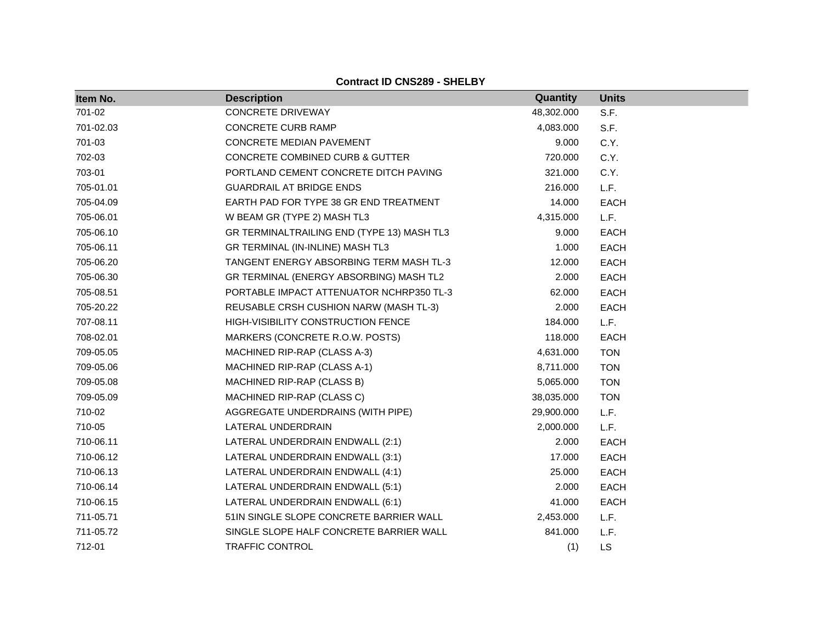| Item No.  | <b>Description</b>                         | Quantity   | <b>Units</b> |
|-----------|--------------------------------------------|------------|--------------|
| 701-02    | <b>CONCRETE DRIVEWAY</b>                   | 48,302.000 | S.F.         |
| 701-02.03 | <b>CONCRETE CURB RAMP</b>                  | 4,083.000  | S.F.         |
| 701-03    | <b>CONCRETE MEDIAN PAVEMENT</b>            | 9.000      | C.Y.         |
| 702-03    | CONCRETE COMBINED CURB & GUTTER            | 720.000    | C.Y.         |
| 703-01    | PORTLAND CEMENT CONCRETE DITCH PAVING      | 321.000    | C.Y.         |
| 705-01.01 | <b>GUARDRAIL AT BRIDGE ENDS</b>            | 216.000    | L.F.         |
| 705-04.09 | EARTH PAD FOR TYPE 38 GR END TREATMENT     | 14.000     | <b>EACH</b>  |
| 705-06.01 | W BEAM GR (TYPE 2) MASH TL3                | 4,315.000  | L.F.         |
| 705-06.10 | GR TERMINALTRAILING END (TYPE 13) MASH TL3 | 9.000      | <b>EACH</b>  |
| 705-06.11 | GR TERMINAL (IN-INLINE) MASH TL3           | 1.000      | <b>EACH</b>  |
| 705-06.20 | TANGENT ENERGY ABSORBING TERM MASH TL-3    | 12.000     | <b>EACH</b>  |
| 705-06.30 | GR TERMINAL (ENERGY ABSORBING) MASH TL2    | 2.000      | <b>EACH</b>  |
| 705-08.51 | PORTABLE IMPACT ATTENUATOR NCHRP350 TL-3   | 62.000     | <b>EACH</b>  |
| 705-20.22 | REUSABLE CRSH CUSHION NARW (MASH TL-3)     | 2.000      | <b>EACH</b>  |
| 707-08.11 | <b>HIGH-VISIBILITY CONSTRUCTION FENCE</b>  | 184.000    | L.F.         |
| 708-02.01 | MARKERS (CONCRETE R.O.W. POSTS)            | 118.000    | <b>EACH</b>  |
| 709-05.05 | MACHINED RIP-RAP (CLASS A-3)               | 4,631.000  | <b>TON</b>   |
| 709-05.06 | MACHINED RIP-RAP (CLASS A-1)               | 8,711.000  | <b>TON</b>   |
| 709-05.08 | MACHINED RIP-RAP (CLASS B)                 | 5,065.000  | <b>TON</b>   |
| 709-05.09 | MACHINED RIP-RAP (CLASS C)                 | 38,035.000 | <b>TON</b>   |
| 710-02    | AGGREGATE UNDERDRAINS (WITH PIPE)          | 29,900.000 | L.F.         |
| 710-05    | LATERAL UNDERDRAIN                         | 2,000.000  | L.F.         |
| 710-06.11 | LATERAL UNDERDRAIN ENDWALL (2:1)           | 2.000      | <b>EACH</b>  |
| 710-06.12 | LATERAL UNDERDRAIN ENDWALL (3:1)           | 17.000     | <b>EACH</b>  |
| 710-06.13 | LATERAL UNDERDRAIN ENDWALL (4:1)           | 25.000     | <b>EACH</b>  |
| 710-06.14 | LATERAL UNDERDRAIN ENDWALL (5:1)           | 2.000      | <b>EACH</b>  |
| 710-06.15 | LATERAL UNDERDRAIN ENDWALL (6:1)           | 41.000     | <b>EACH</b>  |
| 711-05.71 | 51IN SINGLE SLOPE CONCRETE BARRIER WALL    | 2,453.000  | L.F.         |
| 711-05.72 | SINGLE SLOPE HALF CONCRETE BARRIER WALL    | 841.000    | L.F.         |
| 712-01    | TRAFFIC CONTROL                            | (1)        | <b>LS</b>    |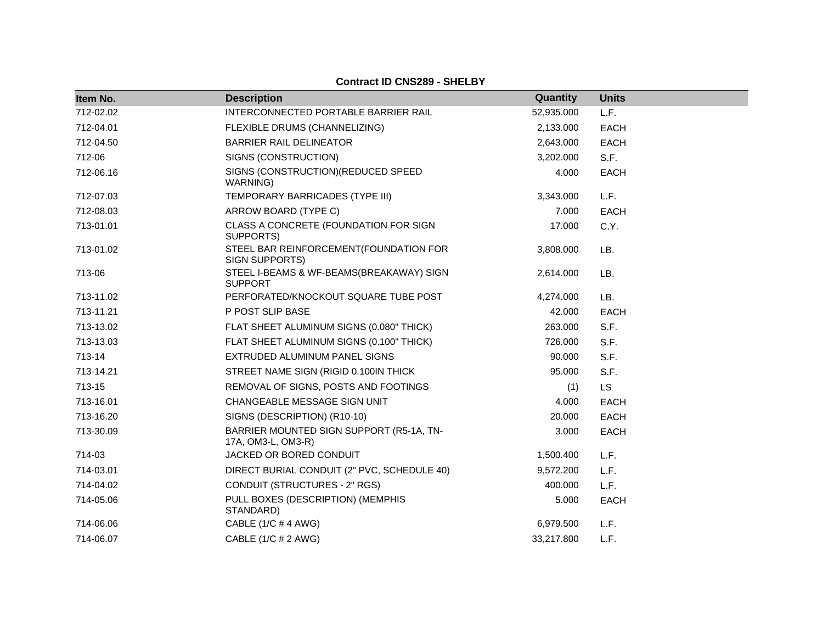| Item No.  | <b>Description</b>                                             | Quantity   | <b>Units</b> |
|-----------|----------------------------------------------------------------|------------|--------------|
| 712-02.02 | INTERCONNECTED PORTABLE BARRIER RAIL                           | 52,935.000 | L.F.         |
| 712-04.01 | FLEXIBLE DRUMS (CHANNELIZING)                                  | 2,133.000  | <b>EACH</b>  |
| 712-04.50 | <b>BARRIER RAIL DELINEATOR</b>                                 | 2,643.000  | <b>EACH</b>  |
| 712-06    | SIGNS (CONSTRUCTION)                                           | 3,202.000  | S.F.         |
| 712-06.16 | SIGNS (CONSTRUCTION) (REDUCED SPEED<br>WARNING)                | 4.000      | <b>EACH</b>  |
| 712-07.03 | TEMPORARY BARRICADES (TYPE III)                                | 3,343.000  | L.F.         |
| 712-08.03 | ARROW BOARD (TYPE C)                                           | 7.000      | <b>EACH</b>  |
| 713-01.01 | CLASS A CONCRETE (FOUNDATION FOR SIGN<br>SUPPORTS)             | 17.000     | C.Y.         |
| 713-01.02 | STEEL BAR REINFORCEMENT(FOUNDATION FOR<br>SIGN SUPPORTS)       | 3,808.000  | LB.          |
| 713-06    | STEEL I-BEAMS & WF-BEAMS(BREAKAWAY) SIGN<br><b>SUPPORT</b>     | 2,614.000  | LB.          |
| 713-11.02 | PERFORATED/KNOCKOUT SQUARE TUBE POST                           | 4,274.000  | LB.          |
| 713-11.21 | P POST SLIP BASE                                               | 42.000     | <b>EACH</b>  |
| 713-13.02 | FLAT SHEET ALUMINUM SIGNS (0.080" THICK)                       | 263.000    | S.F.         |
| 713-13.03 | FLAT SHEET ALUMINUM SIGNS (0.100" THICK)                       | 726.000    | S.F.         |
| 713-14    | EXTRUDED ALUMINUM PANEL SIGNS                                  | 90.000     | S.F.         |
| 713-14.21 | STREET NAME SIGN (RIGID 0.100IN THICK)                         | 95.000     | S.F.         |
| 713-15    | REMOVAL OF SIGNS, POSTS AND FOOTINGS                           | (1)        | <b>LS</b>    |
| 713-16.01 | CHANGEABLE MESSAGE SIGN UNIT                                   | 4.000      | <b>EACH</b>  |
| 713-16.20 | SIGNS (DESCRIPTION) (R10-10)                                   | 20.000     | EACH         |
| 713-30.09 | BARRIER MOUNTED SIGN SUPPORT (R5-1A, TN-<br>17A, OM3-L, OM3-R) | 3.000      | <b>EACH</b>  |
| 714-03    | JACKED OR BORED CONDUIT                                        | 1,500.400  | L.F.         |
| 714-03.01 | DIRECT BURIAL CONDUIT (2" PVC, SCHEDULE 40)                    | 9,572.200  | L.F.         |
| 714-04.02 | CONDUIT (STRUCTURES - 2" RGS)                                  | 400.000    | L.F.         |
| 714-05.06 | PULL BOXES (DESCRIPTION) (MEMPHIS<br>STANDARD)                 | 5.000      | <b>EACH</b>  |
| 714-06.06 | CABLE (1/C # 4 AWG)                                            | 6,979.500  | L.F.         |
| 714-06.07 | CABLE (1/C # 2 AWG)                                            | 33,217.800 | L.F.         |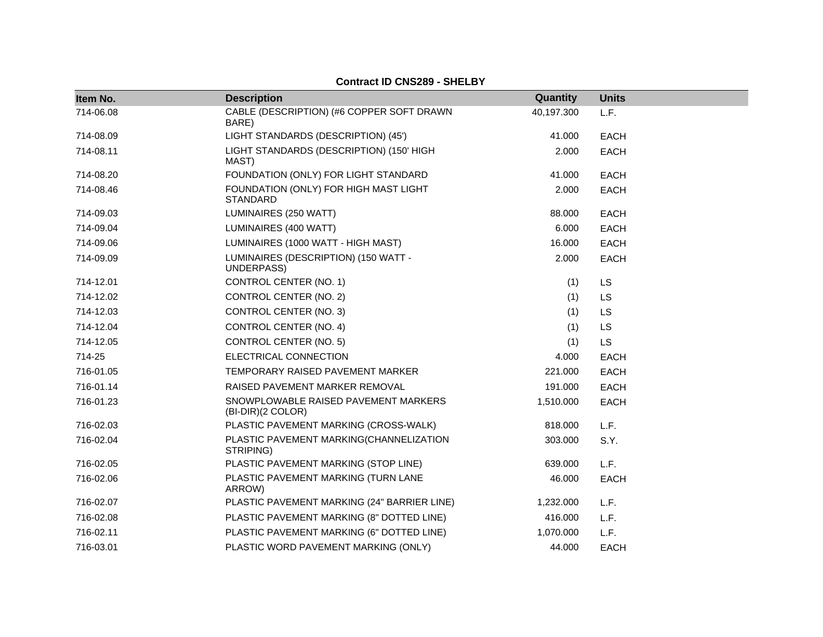| Item No.  | <b>Description</b>                                        | Quantity   | <b>Units</b> |
|-----------|-----------------------------------------------------------|------------|--------------|
| 714-06.08 | CABLE (DESCRIPTION) (#6 COPPER SOFT DRAWN<br>BARE)        | 40,197.300 | L.F.         |
| 714-08.09 | LIGHT STANDARDS (DESCRIPTION) (45')                       | 41.000     | <b>EACH</b>  |
| 714-08.11 | LIGHT STANDARDS (DESCRIPTION) (150' HIGH<br>MAST)         | 2.000      | <b>EACH</b>  |
| 714-08.20 | FOUNDATION (ONLY) FOR LIGHT STANDARD                      | 41.000     | <b>EACH</b>  |
| 714-08.46 | FOUNDATION (ONLY) FOR HIGH MAST LIGHT<br><b>STANDARD</b>  | 2.000      | <b>EACH</b>  |
| 714-09.03 | LUMINAIRES (250 WATT)                                     | 88.000     | <b>EACH</b>  |
| 714-09.04 | LUMINAIRES (400 WATT)                                     | 6.000      | <b>EACH</b>  |
| 714-09.06 | LUMINAIRES (1000 WATT - HIGH MAST)                        | 16.000     | <b>EACH</b>  |
| 714-09.09 | LUMINAIRES (DESCRIPTION) (150 WATT -<br>UNDERPASS)        | 2.000      | <b>EACH</b>  |
| 714-12.01 | CONTROL CENTER (NO. 1)                                    | (1)        | <b>LS</b>    |
| 714-12.02 | CONTROL CENTER (NO. 2)                                    | (1)        | LS           |
| 714-12.03 | <b>CONTROL CENTER (NO. 3)</b>                             | (1)        | LS           |
| 714-12.04 | CONTROL CENTER (NO. 4)                                    | (1)        | <b>LS</b>    |
| 714-12.05 | CONTROL CENTER (NO. 5)                                    | (1)        | <b>LS</b>    |
| 714-25    | ELECTRICAL CONNECTION                                     | 4.000      | <b>EACH</b>  |
| 716-01.05 | TEMPORARY RAISED PAVEMENT MARKER                          | 221.000    | <b>EACH</b>  |
| 716-01.14 | RAISED PAVEMENT MARKER REMOVAL                            | 191.000    | <b>EACH</b>  |
| 716-01.23 | SNOWPLOWABLE RAISED PAVEMENT MARKERS<br>(BI-DIR)(2 COLOR) | 1,510.000  | <b>EACH</b>  |
| 716-02.03 | PLASTIC PAVEMENT MARKING (CROSS-WALK)                     | 818.000    | L.F.         |
| 716-02.04 | PLASTIC PAVEMENT MARKING(CHANNELIZATION<br>STRIPING)      | 303.000    | S.Y.         |
| 716-02.05 | PLASTIC PAVEMENT MARKING (STOP LINE)                      | 639.000    | L.F.         |
| 716-02.06 | PLASTIC PAVEMENT MARKING (TURN LANE<br>ARROW)             | 46.000     | <b>EACH</b>  |
| 716-02.07 | PLASTIC PAVEMENT MARKING (24" BARRIER LINE)               | 1,232.000  | L.F.         |
| 716-02.08 | PLASTIC PAVEMENT MARKING (8" DOTTED LINE)                 | 416.000    | L.F.         |
| 716-02.11 | PLASTIC PAVEMENT MARKING (6" DOTTED LINE)                 | 1,070.000  | L.F.         |
| 716-03.01 | PLASTIC WORD PAVEMENT MARKING (ONLY)                      | 44.000     | <b>EACH</b>  |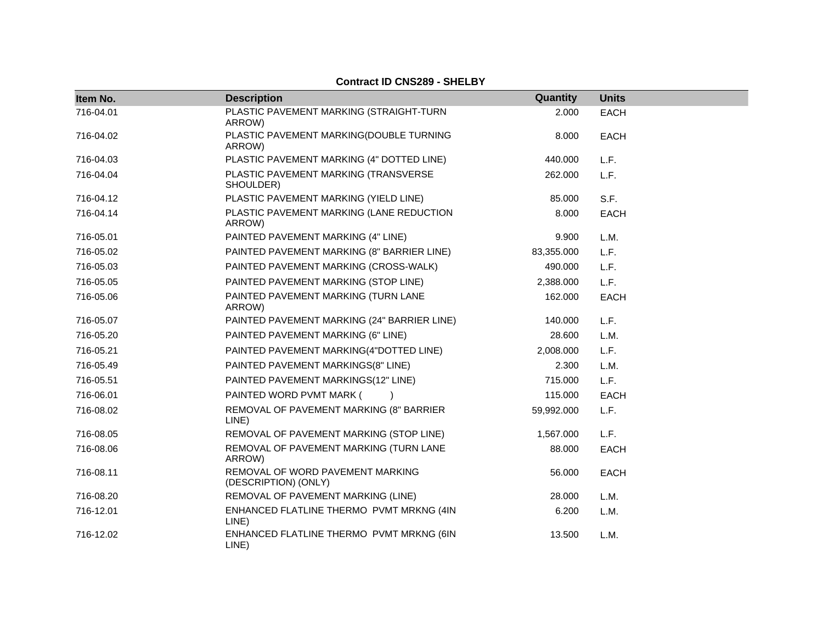| Item No.  | <b>Description</b>                                       | Quantity   | <b>Units</b> |
|-----------|----------------------------------------------------------|------------|--------------|
| 716-04.01 | PLASTIC PAVEMENT MARKING (STRAIGHT-TURN<br>ARROW)        | 2.000      | <b>EACH</b>  |
| 716-04.02 | PLASTIC PAVEMENT MARKING(DOUBLE TURNING<br>ARROW)        | 8.000      | <b>EACH</b>  |
| 716-04.03 | PLASTIC PAVEMENT MARKING (4" DOTTED LINE)                | 440.000    | L.F.         |
| 716-04.04 | PLASTIC PAVEMENT MARKING (TRANSVERSE<br>SHOULDER)        | 262.000    | L.F.         |
| 716-04.12 | PLASTIC PAVEMENT MARKING (YIELD LINE)                    | 85.000     | S.F.         |
| 716-04.14 | PLASTIC PAVEMENT MARKING (LANE REDUCTION<br>ARROW)       | 8.000      | <b>EACH</b>  |
| 716-05.01 | PAINTED PAVEMENT MARKING (4" LINE)                       | 9.900      | L.M.         |
| 716-05.02 | PAINTED PAVEMENT MARKING (8" BARRIER LINE)               | 83,355.000 | L.F.         |
| 716-05.03 | PAINTED PAVEMENT MARKING (CROSS-WALK)                    | 490.000    | L.F.         |
| 716-05.05 | PAINTED PAVEMENT MARKING (STOP LINE)                     | 2,388.000  | L.F.         |
| 716-05.06 | PAINTED PAVEMENT MARKING (TURN LANE<br>ARROW)            | 162.000    | <b>EACH</b>  |
| 716-05.07 | PAINTED PAVEMENT MARKING (24" BARRIER LINE)              | 140.000    | L.F.         |
| 716-05.20 | PAINTED PAVEMENT MARKING (6" LINE)                       | 28.600     | L.M.         |
| 716-05.21 | PAINTED PAVEMENT MARKING(4"DOTTED LINE)                  | 2,008.000  | L.F.         |
| 716-05.49 | PAINTED PAVEMENT MARKINGS(8" LINE)                       | 2.300      | L.M.         |
| 716-05.51 | PAINTED PAVEMENT MARKINGS(12" LINE)                      | 715.000    | L.F.         |
| 716-06.01 | PAINTED WORD PVMT MARK (                                 | 115.000    | <b>EACH</b>  |
| 716-08.02 | REMOVAL OF PAVEMENT MARKING (8" BARRIER<br>LINE)         | 59,992.000 | L.F.         |
| 716-08.05 | REMOVAL OF PAVEMENT MARKING (STOP LINE)                  | 1,567.000  | L.F.         |
| 716-08.06 | REMOVAL OF PAVEMENT MARKING (TURN LANE<br>ARROW)         | 88.000     | <b>EACH</b>  |
| 716-08.11 | REMOVAL OF WORD PAVEMENT MARKING<br>(DESCRIPTION) (ONLY) | 56.000     | <b>EACH</b>  |
| 716-08.20 | REMOVAL OF PAVEMENT MARKING (LINE)                       | 28.000     | L.M.         |
| 716-12.01 | ENHANCED FLATLINE THERMO PVMT MRKNG (4IN<br>LINE)        | 6.200      | L.M.         |
| 716-12.02 | ENHANCED FLATLINE THERMO PVMT MRKNG (6IN<br>LINE)        | 13.500     | L.M.         |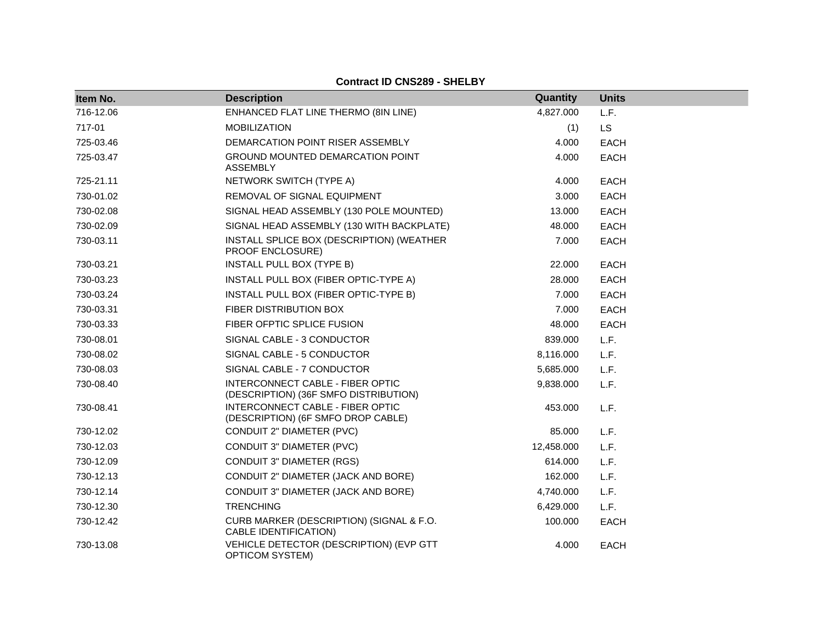| Item No.  | <b>Description</b>                                                        | Quantity   | <b>Units</b> |
|-----------|---------------------------------------------------------------------------|------------|--------------|
| 716-12.06 | ENHANCED FLAT LINE THERMO (8IN LINE)                                      | 4,827.000  | L.F.         |
| 717-01    | <b>MOBILIZATION</b>                                                       | (1)        | <b>LS</b>    |
| 725-03.46 | DEMARCATION POINT RISER ASSEMBLY                                          | 4.000      | <b>EACH</b>  |
| 725-03.47 | GROUND MOUNTED DEMARCATION POINT<br><b>ASSEMBLY</b>                       | 4.000      | <b>EACH</b>  |
| 725-21.11 | NETWORK SWITCH (TYPE A)                                                   | 4.000      | <b>EACH</b>  |
| 730-01.02 | REMOVAL OF SIGNAL EQUIPMENT                                               | 3.000      | <b>EACH</b>  |
| 730-02.08 | SIGNAL HEAD ASSEMBLY (130 POLE MOUNTED)                                   | 13.000     | <b>EACH</b>  |
| 730-02.09 | SIGNAL HEAD ASSEMBLY (130 WITH BACKPLATE)                                 | 48.000     | <b>EACH</b>  |
| 730-03.11 | INSTALL SPLICE BOX (DESCRIPTION) (WEATHER<br><b>PROOF ENCLOSURE)</b>      | 7.000      | <b>EACH</b>  |
| 730-03.21 | <b>INSTALL PULL BOX (TYPE B)</b>                                          | 22.000     | <b>EACH</b>  |
| 730-03.23 | INSTALL PULL BOX (FIBER OPTIC-TYPE A)                                     | 28,000     | <b>EACH</b>  |
| 730-03.24 | INSTALL PULL BOX (FIBER OPTIC-TYPE B)                                     | 7.000      | <b>EACH</b>  |
| 730-03.31 | FIBER DISTRIBUTION BOX                                                    | 7.000      | <b>EACH</b>  |
| 730-03.33 | FIBER OFPTIC SPLICE FUSION                                                | 48.000     | <b>EACH</b>  |
| 730-08.01 | SIGNAL CABLE - 3 CONDUCTOR                                                | 839.000    | L.F.         |
| 730-08.02 | SIGNAL CABLE - 5 CONDUCTOR                                                | 8,116.000  | L.F.         |
| 730-08.03 | SIGNAL CABLE - 7 CONDUCTOR                                                | 5,685.000  | L.F.         |
| 730-08.40 | INTERCONNECT CABLE - FIBER OPTIC<br>(DESCRIPTION) (36F SMFO DISTRIBUTION) | 9,838.000  | L.F.         |
| 730-08.41 | INTERCONNECT CABLE - FIBER OPTIC<br>(DESCRIPTION) (6F SMFO DROP CABLE)    | 453.000    | L.F.         |
| 730-12.02 | CONDUIT 2" DIAMETER (PVC)                                                 | 85.000     | L.F.         |
| 730-12.03 | CONDUIT 3" DIAMETER (PVC)                                                 | 12,458.000 | L.F.         |
| 730-12.09 | <b>CONDUIT 3" DIAMETER (RGS)</b>                                          | 614.000    | L.F.         |
| 730-12.13 | CONDUIT 2" DIAMETER (JACK AND BORE)                                       | 162.000    | L.F.         |
| 730-12.14 | CONDUIT 3" DIAMETER (JACK AND BORE)                                       | 4,740.000  | L.F.         |
| 730-12.30 | <b>TRENCHING</b>                                                          | 6,429.000  | L.F.         |
| 730-12.42 | CURB MARKER (DESCRIPTION) (SIGNAL & F.O.<br>CABLE IDENTIFICATION)         | 100.000    | <b>EACH</b>  |
| 730-13.08 | VEHICLE DETECTOR (DESCRIPTION) (EVP GTT<br><b>OPTICOM SYSTEM)</b>         | 4.000      | <b>EACH</b>  |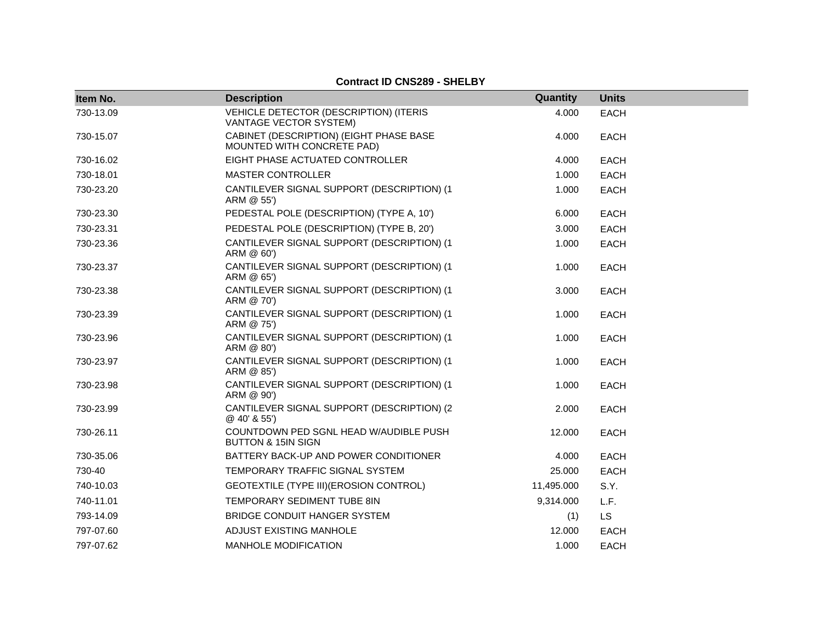| Item No.  | <b>Description</b>                                                      | Quantity   | <b>Units</b> |
|-----------|-------------------------------------------------------------------------|------------|--------------|
| 730-13.09 | VEHICLE DETECTOR (DESCRIPTION) (ITERIS<br>VANTAGE VECTOR SYSTEM)        | 4.000      | <b>EACH</b>  |
| 730-15.07 | CABINET (DESCRIPTION) (EIGHT PHASE BASE<br>MOUNTED WITH CONCRETE PAD)   | 4.000      | <b>EACH</b>  |
| 730-16.02 | EIGHT PHASE ACTUATED CONTROLLER                                         | 4.000      | <b>EACH</b>  |
| 730-18.01 | <b>MASTER CONTROLLER</b>                                                | 1.000      | <b>EACH</b>  |
| 730-23.20 | CANTILEVER SIGNAL SUPPORT (DESCRIPTION) (1<br>ARM @ 55')                | 1.000      | <b>EACH</b>  |
| 730-23.30 | PEDESTAL POLE (DESCRIPTION) (TYPE A, 10')                               | 6.000      | <b>EACH</b>  |
| 730-23.31 | PEDESTAL POLE (DESCRIPTION) (TYPE B, 20')                               | 3.000      | <b>EACH</b>  |
| 730-23.36 | CANTILEVER SIGNAL SUPPORT (DESCRIPTION) (1<br>ARM @ 60')                | 1.000      | <b>EACH</b>  |
| 730-23.37 | CANTILEVER SIGNAL SUPPORT (DESCRIPTION) (1<br>ARM @ 65')                | 1.000      | <b>EACH</b>  |
| 730-23.38 | CANTILEVER SIGNAL SUPPORT (DESCRIPTION) (1<br>ARM @ 70')                | 3.000      | <b>EACH</b>  |
| 730-23.39 | CANTILEVER SIGNAL SUPPORT (DESCRIPTION) (1<br>ARM @ 75')                | 1.000      | <b>EACH</b>  |
| 730-23.96 | CANTILEVER SIGNAL SUPPORT (DESCRIPTION) (1<br>ARM @ 80')                | 1.000      | <b>EACH</b>  |
| 730-23.97 | CANTILEVER SIGNAL SUPPORT (DESCRIPTION) (1<br>ARM @ 85')                | 1.000      | <b>EACH</b>  |
| 730-23.98 | CANTILEVER SIGNAL SUPPORT (DESCRIPTION) (1<br>ARM @ 90')                | 1.000      | <b>EACH</b>  |
| 730-23.99 | CANTILEVER SIGNAL SUPPORT (DESCRIPTION) (2<br>@ 40' & 55')              | 2.000      | <b>EACH</b>  |
| 730-26.11 | COUNTDOWN PED SGNL HEAD W/AUDIBLE PUSH<br><b>BUTTON &amp; 15IN SIGN</b> | 12.000     | <b>EACH</b>  |
| 730-35.06 | BATTERY BACK-UP AND POWER CONDITIONER                                   | 4.000      | <b>EACH</b>  |
| 730-40    | TEMPORARY TRAFFIC SIGNAL SYSTEM                                         | 25.000     | <b>EACH</b>  |
| 740-10.03 | GEOTEXTILE (TYPE III) (EROSION CONTROL)                                 | 11,495.000 | S.Y.         |
| 740-11.01 | TEMPORARY SEDIMENT TUBE 8IN                                             | 9,314.000  | L.F.         |
| 793-14.09 | BRIDGE CONDUIT HANGER SYSTEM                                            | (1)        | <b>LS</b>    |
| 797-07.60 | ADJUST EXISTING MANHOLE                                                 | 12.000     | <b>EACH</b>  |
| 797-07.62 | MANHOLE MODIFICATION                                                    | 1.000      | <b>EACH</b>  |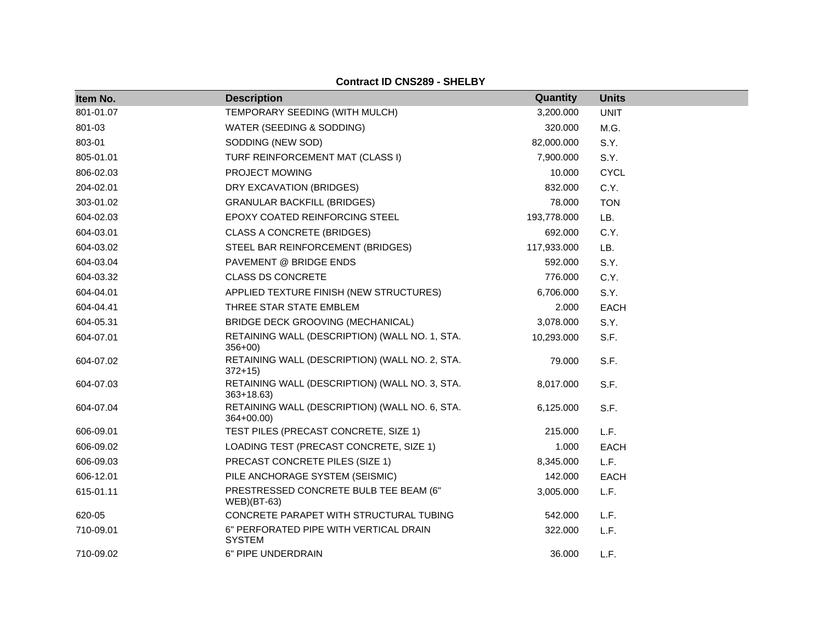| Item No.  | <b>Description</b>                                              | Quantity    | <b>Units</b> |
|-----------|-----------------------------------------------------------------|-------------|--------------|
| 801-01.07 | TEMPORARY SEEDING (WITH MULCH)                                  | 3,200.000   | <b>UNIT</b>  |
| 801-03    | WATER (SEEDING & SODDING)                                       | 320.000     | M.G.         |
| 803-01    | SODDING (NEW SOD)                                               | 82,000.000  | S.Y.         |
| 805-01.01 | TURF REINFORCEMENT MAT (CLASS I)                                | 7,900.000   | S.Y.         |
| 806-02.03 | PROJECT MOWING                                                  | 10.000      | <b>CYCL</b>  |
| 204-02.01 | DRY EXCAVATION (BRIDGES)                                        | 832.000     | C.Y.         |
| 303-01.02 | <b>GRANULAR BACKFILL (BRIDGES)</b>                              | 78.000      | <b>TON</b>   |
| 604-02.03 | EPOXY COATED REINFORCING STEEL                                  | 193,778.000 | LB.          |
| 604-03.01 | <b>CLASS A CONCRETE (BRIDGES)</b>                               | 692.000     | C.Y.         |
| 604-03.02 | STEEL BAR REINFORCEMENT (BRIDGES)                               | 117,933.000 | LB.          |
| 604-03.04 | PAVEMENT @ BRIDGE ENDS                                          | 592.000     | S.Y.         |
| 604-03.32 | <b>CLASS DS CONCRETE</b>                                        | 776.000     | C.Y.         |
| 604-04.01 | APPLIED TEXTURE FINISH (NEW STRUCTURES)                         | 6,706.000   | S.Y.         |
| 604-04.41 | THREE STAR STATE EMBLEM                                         | 2.000       | <b>EACH</b>  |
| 604-05.31 | BRIDGE DECK GROOVING (MECHANICAL)                               | 3,078.000   | S.Y.         |
| 604-07.01 | RETAINING WALL (DESCRIPTION) (WALL NO. 1, STA.<br>$356+00$      | 10,293.000  | S.F.         |
| 604-07.02 | RETAINING WALL (DESCRIPTION) (WALL NO. 2, STA.<br>$372 + 15$    | 79.000      | S.F.         |
| 604-07.03 | RETAINING WALL (DESCRIPTION) (WALL NO. 3, STA.<br>$363 + 18.63$ | 8,017.000   | S.F.         |
| 604-07.04 | RETAINING WALL (DESCRIPTION) (WALL NO. 6, STA.<br>$364+00.00$   | 6,125.000   | S.F.         |
| 606-09.01 | TEST PILES (PRECAST CONCRETE, SIZE 1)                           | 215.000     | L.F.         |
| 606-09.02 | LOADING TEST (PRECAST CONCRETE, SIZE 1)                         | 1.000       | <b>EACH</b>  |
| 606-09.03 | PRECAST CONCRETE PILES (SIZE 1)                                 | 8,345.000   | L.F.         |
| 606-12.01 | PILE ANCHORAGE SYSTEM (SEISMIC)                                 | 142.000     | <b>EACH</b>  |
| 615-01.11 | PRESTRESSED CONCRETE BULB TEE BEAM (6"<br>$WEB$ )(BT-63)        | 3,005.000   | L.F.         |
| 620-05    | CONCRETE PARAPET WITH STRUCTURAL TUBING                         | 542.000     | L.F.         |
| 710-09.01 | 6" PERFORATED PIPE WITH VERTICAL DRAIN<br><b>SYSTEM</b>         | 322.000     | L.F.         |
| 710-09.02 | 6" PIPE UNDERDRAIN                                              | 36.000      | L.F.         |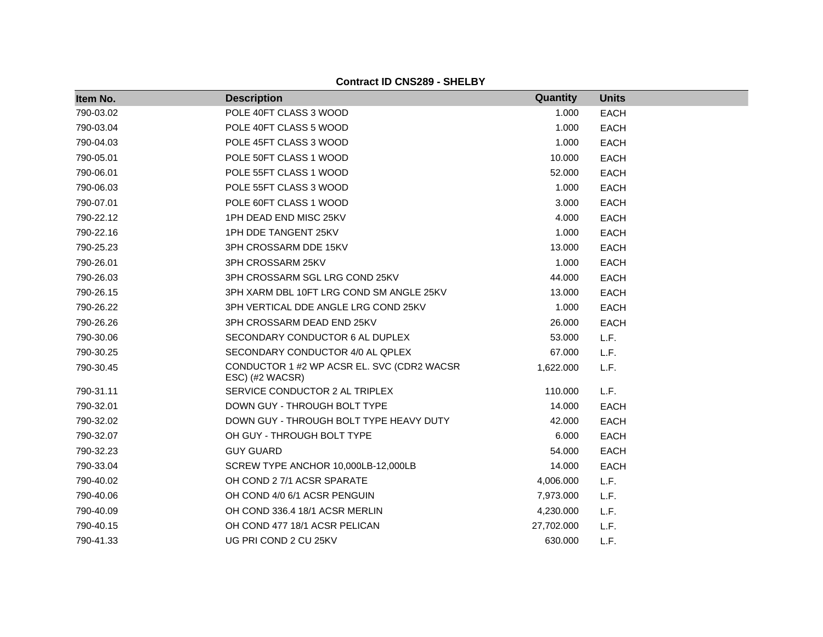| Item No.  | <b>Description</b>                                            | Quantity   | <b>Units</b> |
|-----------|---------------------------------------------------------------|------------|--------------|
| 790-03.02 | POLE 40FT CLASS 3 WOOD                                        | 1.000      | <b>EACH</b>  |
| 790-03.04 | POLE 40FT CLASS 5 WOOD                                        | 1.000      | <b>EACH</b>  |
| 790-04.03 | POLE 45FT CLASS 3 WOOD                                        | 1.000      | <b>EACH</b>  |
| 790-05.01 | POLE 50FT CLASS 1 WOOD                                        | 10.000     | <b>EACH</b>  |
| 790-06.01 | POLE 55FT CLASS 1 WOOD                                        | 52.000     | <b>EACH</b>  |
| 790-06.03 | POLE 55FT CLASS 3 WOOD                                        | 1.000      | <b>EACH</b>  |
| 790-07.01 | POLE 60FT CLASS 1 WOOD                                        | 3.000      | <b>EACH</b>  |
| 790-22.12 | 1PH DEAD END MISC 25KV                                        | 4.000      | <b>EACH</b>  |
| 790-22.16 | 1PH DDE TANGENT 25KV                                          | 1.000      | <b>EACH</b>  |
| 790-25.23 | 3PH CROSSARM DDE 15KV                                         | 13.000     | <b>EACH</b>  |
| 790-26.01 | 3PH CROSSARM 25KV                                             | 1.000      | <b>EACH</b>  |
| 790-26.03 | 3PH CROSSARM SGL LRG COND 25KV                                | 44.000     | <b>EACH</b>  |
| 790-26.15 | 3PH XARM DBL 10FT LRG COND SM ANGLE 25KV                      | 13.000     | <b>EACH</b>  |
| 790-26.22 | 3PH VERTICAL DDE ANGLE LRG COND 25KV                          | 1.000      | <b>EACH</b>  |
| 790-26.26 | 3PH CROSSARM DEAD END 25KV                                    | 26.000     | <b>EACH</b>  |
| 790-30.06 | SECONDARY CONDUCTOR 6 AL DUPLEX                               | 53.000     | L.F.         |
| 790-30.25 | SECONDARY CONDUCTOR 4/0 AL QPLEX                              | 67.000     | L.F.         |
| 790-30.45 | CONDUCTOR 1 #2 WP ACSR EL. SVC (CDR2 WACSR<br>ESC) (#2 WACSR) | 1,622.000  | L.F.         |
| 790-31.11 | SERVICE CONDUCTOR 2 AL TRIPLEX                                | 110.000    | L.F.         |
| 790-32.01 | DOWN GUY - THROUGH BOLT TYPE                                  | 14.000     | <b>EACH</b>  |
| 790-32.02 | DOWN GUY - THROUGH BOLT TYPE HEAVY DUTY                       | 42.000     | <b>EACH</b>  |
| 790-32.07 | OH GUY - THROUGH BOLT TYPE                                    | 6.000      | <b>EACH</b>  |
| 790-32.23 | <b>GUY GUARD</b>                                              | 54.000     | <b>EACH</b>  |
| 790-33.04 | SCREW TYPE ANCHOR 10,000LB-12,000LB                           | 14.000     | <b>EACH</b>  |
| 790-40.02 | OH COND 2 7/1 ACSR SPARATE                                    | 4,006.000  | L.F.         |
| 790-40.06 | OH COND 4/0 6/1 ACSR PENGUIN                                  | 7,973.000  | L.F.         |
| 790-40.09 | OH COND 336.4 18/1 ACSR MERLIN                                | 4,230.000  | L.F.         |
| 790-40.15 | OH COND 477 18/1 ACSR PELICAN                                 | 27,702.000 | L.F.         |
| 790-41.33 | UG PRI COND 2 CU 25KV                                         | 630.000    | L.F.         |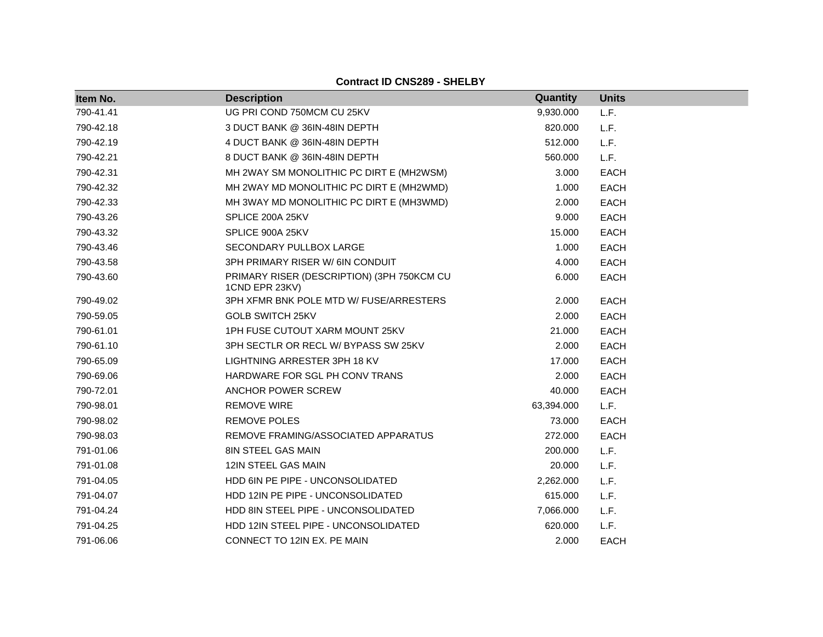| Item No.  | <b>Description</b>                                           | Quantity   | <b>Units</b> |
|-----------|--------------------------------------------------------------|------------|--------------|
| 790-41.41 | UG PRI COND 750MCM CU 25KV                                   | 9,930.000  | L.F.         |
| 790-42.18 | 3 DUCT BANK @ 36IN-48IN DEPTH                                | 820.000    | L.F.         |
| 790-42.19 | 4 DUCT BANK @ 36IN-48IN DEPTH                                | 512.000    | L.F.         |
| 790-42.21 | 8 DUCT BANK @ 36IN-48IN DEPTH                                | 560.000    | L.F.         |
| 790-42.31 | MH 2WAY SM MONOLITHIC PC DIRT E (MH2WSM)                     | 3.000      | <b>EACH</b>  |
| 790-42.32 | MH 2WAY MD MONOLITHIC PC DIRT E (MH2WMD)                     | 1.000      | <b>EACH</b>  |
| 790-42.33 | MH 3WAY MD MONOLITHIC PC DIRT E (MH3WMD)                     | 2.000      | <b>EACH</b>  |
| 790-43.26 | SPLICE 200A 25KV                                             | 9.000      | <b>EACH</b>  |
| 790-43.32 | SPLICE 900A 25KV                                             | 15.000     | <b>EACH</b>  |
| 790-43.46 | SECONDARY PULLBOX LARGE                                      | 1.000      | <b>EACH</b>  |
| 790-43.58 | 3PH PRIMARY RISER W/6IN CONDUIT                              | 4.000      | <b>EACH</b>  |
| 790-43.60 | PRIMARY RISER (DESCRIPTION) (3PH 750KCM CU<br>1CND EPR 23KV) | 6.000      | <b>EACH</b>  |
| 790-49.02 | 3PH XFMR BNK POLE MTD W/ FUSE/ARRESTERS                      | 2.000      | <b>EACH</b>  |
| 790-59.05 | <b>GOLB SWITCH 25KV</b>                                      | 2.000      | <b>EACH</b>  |
| 790-61.01 | 1PH FUSE CUTOUT XARM MOUNT 25KV                              | 21.000     | <b>EACH</b>  |
| 790-61.10 | 3PH SECTLR OR RECL W/ BYPASS SW 25KV                         | 2.000      | <b>EACH</b>  |
| 790-65.09 | LIGHTNING ARRESTER 3PH 18 KV                                 | 17.000     | <b>EACH</b>  |
| 790-69.06 | HARDWARE FOR SGL PH CONV TRANS                               | 2.000      | <b>EACH</b>  |
| 790-72.01 | ANCHOR POWER SCREW                                           | 40.000     | <b>EACH</b>  |
| 790-98.01 | <b>REMOVE WIRE</b>                                           | 63,394.000 | L.F.         |
| 790-98.02 | <b>REMOVE POLES</b>                                          | 73.000     | <b>EACH</b>  |
| 790-98.03 | REMOVE FRAMING/ASSOCIATED APPARATUS                          | 272.000    | <b>EACH</b>  |
| 791-01.06 | <b>8IN STEEL GAS MAIN</b>                                    | 200.000    | L.F.         |
| 791-01.08 | 12IN STEEL GAS MAIN                                          | 20.000     | L.F.         |
| 791-04.05 | HDD 6IN PE PIPE - UNCONSOLIDATED                             | 2,262.000  | L.F.         |
| 791-04.07 | HDD 12IN PE PIPE - UNCONSOLIDATED                            | 615.000    | L.F.         |
| 791-04.24 | HDD 8IN STEEL PIPE - UNCONSOLIDATED                          | 7,066.000  | L.F.         |
| 791-04.25 | HDD 12IN STEEL PIPE - UNCONSOLIDATED                         | 620,000    | L.F.         |
| 791-06.06 | CONNECT TO 12IN EX. PE MAIN                                  | 2.000      | <b>EACH</b>  |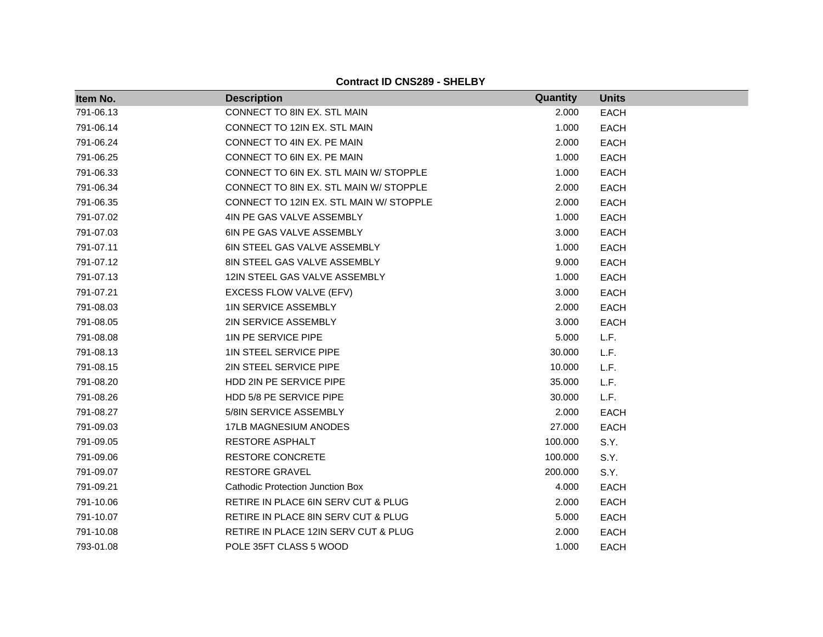| Item No.  | <b>Description</b>                      | Quantity | <b>Units</b> |
|-----------|-----------------------------------------|----------|--------------|
| 791-06.13 | CONNECT TO 8IN EX. STL MAIN             | 2.000    | <b>EACH</b>  |
| 791-06.14 | CONNECT TO 12IN EX. STL MAIN            | 1.000    | <b>EACH</b>  |
| 791-06.24 | CONNECT TO 4IN EX. PE MAIN              | 2.000    | <b>EACH</b>  |
| 791-06.25 | CONNECT TO 6IN EX. PE MAIN              | 1.000    | <b>EACH</b>  |
| 791-06.33 | CONNECT TO 6IN EX. STL MAIN W/ STOPPLE  | 1.000    | <b>EACH</b>  |
| 791-06.34 | CONNECT TO 8IN EX. STL MAIN W/ STOPPLE  | 2.000    | <b>EACH</b>  |
| 791-06.35 | CONNECT TO 12IN EX. STL MAIN W/ STOPPLE | 2.000    | <b>EACH</b>  |
| 791-07.02 | 4IN PE GAS VALVE ASSEMBLY               | 1.000    | <b>EACH</b>  |
| 791-07.03 | 6IN PE GAS VALVE ASSEMBLY               | 3.000    | <b>EACH</b>  |
| 791-07.11 | 6IN STEEL GAS VALVE ASSEMBLY            | 1.000    | <b>EACH</b>  |
| 791-07.12 | 8IN STEEL GAS VALVE ASSEMBLY            | 9.000    | <b>EACH</b>  |
| 791-07.13 | 12IN STEEL GAS VALVE ASSEMBLY           | 1.000    | <b>EACH</b>  |
| 791-07.21 | EXCESS FLOW VALVE (EFV)                 | 3.000    | <b>EACH</b>  |
| 791-08.03 | <b>1IN SERVICE ASSEMBLY</b>             | 2.000    | <b>EACH</b>  |
| 791-08.05 | 2IN SERVICE ASSEMBLY                    | 3.000    | <b>EACH</b>  |
| 791-08.08 | 1IN PE SERVICE PIPE                     | 5.000    | L.F.         |
| 791-08.13 | 1IN STEEL SERVICE PIPE                  | 30.000   | L.F.         |
| 791-08.15 | 2IN STEEL SERVICE PIPE                  | 10.000   | L.F.         |
| 791-08.20 | HDD 2IN PE SERVICE PIPE                 | 35.000   | L.F.         |
| 791-08.26 | HDD 5/8 PE SERVICE PIPE                 | 30.000   | L.F.         |
| 791-08.27 | 5/8IN SERVICE ASSEMBLY                  | 2.000    | <b>EACH</b>  |
| 791-09.03 | 17LB MAGNESIUM ANODES                   | 27.000   | <b>EACH</b>  |
| 791-09.05 | <b>RESTORE ASPHALT</b>                  | 100.000  | S.Y.         |
| 791-09.06 | <b>RESTORE CONCRETE</b>                 | 100.000  | S.Y.         |
| 791-09.07 | <b>RESTORE GRAVEL</b>                   | 200.000  | S.Y.         |
| 791-09.21 | <b>Cathodic Protection Junction Box</b> | 4.000    | <b>EACH</b>  |
| 791-10.06 | RETIRE IN PLACE 6IN SERV CUT & PLUG     | 2.000    | <b>EACH</b>  |
| 791-10.07 | RETIRE IN PLACE 8IN SERV CUT & PLUG     | 5.000    | <b>EACH</b>  |
| 791-10.08 | RETIRE IN PLACE 12IN SERV CUT & PLUG    | 2.000    | <b>EACH</b>  |
| 793-01.08 | POLE 35FT CLASS 5 WOOD                  | 1.000    | <b>EACH</b>  |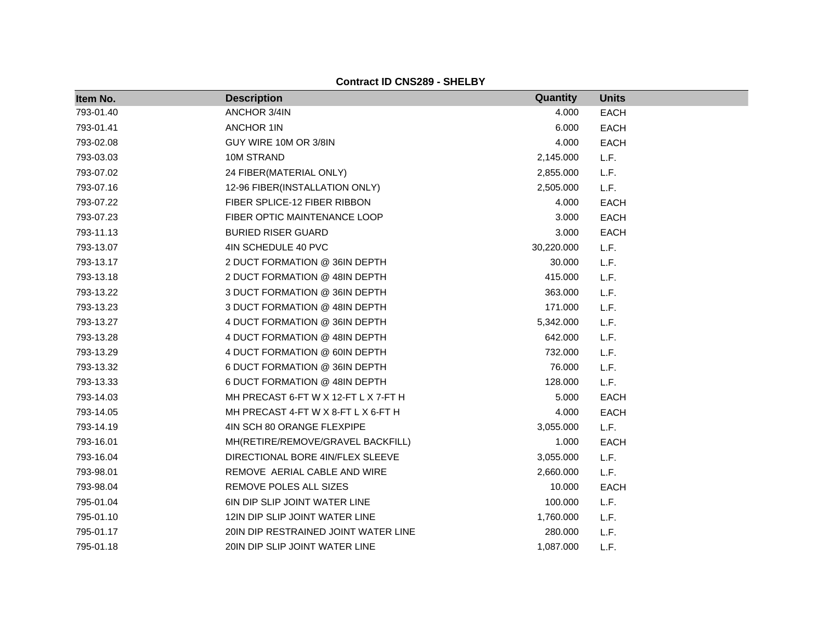| Item No.  | <b>Description</b>                   | Quantity   | <b>Units</b> |
|-----------|--------------------------------------|------------|--------------|
| 793-01.40 | ANCHOR 3/4IN                         | 4.000      | <b>EACH</b>  |
| 793-01.41 | <b>ANCHOR 1IN</b>                    | 6.000      | <b>EACH</b>  |
| 793-02.08 | GUY WIRE 10M OR 3/8IN                | 4.000      | <b>EACH</b>  |
| 793-03.03 | 10M STRAND                           | 2,145.000  | L.F.         |
| 793-07.02 | 24 FIBER(MATERIAL ONLY)              | 2,855.000  | L.F.         |
| 793-07.16 | 12-96 FIBER(INSTALLATION ONLY)       | 2,505.000  | L.F.         |
| 793-07.22 | FIBER SPLICE-12 FIBER RIBBON         | 4.000      | <b>EACH</b>  |
| 793-07.23 | FIBER OPTIC MAINTENANCE LOOP         | 3.000      | <b>EACH</b>  |
| 793-11.13 | <b>BURIED RISER GUARD</b>            | 3.000      | <b>EACH</b>  |
| 793-13.07 | 4IN SCHEDULE 40 PVC                  | 30,220.000 | L.F.         |
| 793-13.17 | 2 DUCT FORMATION @ 36IN DEPTH        | 30.000     | L.F.         |
| 793-13.18 | 2 DUCT FORMATION @ 48IN DEPTH        | 415.000    | L.F.         |
| 793-13.22 | 3 DUCT FORMATION @ 36IN DEPTH        | 363.000    | L.F.         |
| 793-13.23 | 3 DUCT FORMATION @ 48IN DEPTH        | 171.000    | L.F.         |
| 793-13.27 | 4 DUCT FORMATION @ 36IN DEPTH        | 5,342.000  | L.F.         |
| 793-13.28 | 4 DUCT FORMATION @ 48IN DEPTH        | 642.000    | L.F.         |
| 793-13.29 | 4 DUCT FORMATION @ 60IN DEPTH        | 732.000    | L.F.         |
| 793-13.32 | 6 DUCT FORMATION @ 36IN DEPTH        | 76.000     | L.F.         |
| 793-13.33 | 6 DUCT FORMATION @ 48IN DEPTH        | 128.000    | L.F.         |
| 793-14.03 | MH PRECAST 6-FT W X 12-FT L X 7-FT H | 5.000      | <b>EACH</b>  |
| 793-14.05 | MH PRECAST 4-FT W X 8-FT L X 6-FT H  | 4.000      | <b>EACH</b>  |
| 793-14.19 | 4IN SCH 80 ORANGE FLEXPIPE           | 3,055.000  | L.F.         |
| 793-16.01 | MH(RETIRE/REMOVE/GRAVEL BACKFILL)    | 1.000      | <b>EACH</b>  |
| 793-16.04 | DIRECTIONAL BORE 4IN/FLEX SLEEVE     | 3,055.000  | L.F.         |
| 793-98.01 | REMOVE AERIAL CABLE AND WIRE         | 2,660.000  | L.F.         |
| 793-98.04 | REMOVE POLES ALL SIZES               | 10.000     | <b>EACH</b>  |
| 795-01.04 | 6IN DIP SLIP JOINT WATER LINE        | 100.000    | L.F.         |
| 795-01.10 | 12IN DIP SLIP JOINT WATER LINE       | 1,760.000  | L.F.         |
| 795-01.17 | 20IN DIP RESTRAINED JOINT WATER LINE | 280.000    | L.F.         |
| 795-01.18 | 20IN DIP SLIP JOINT WATER LINE       | 1,087.000  | L.F.         |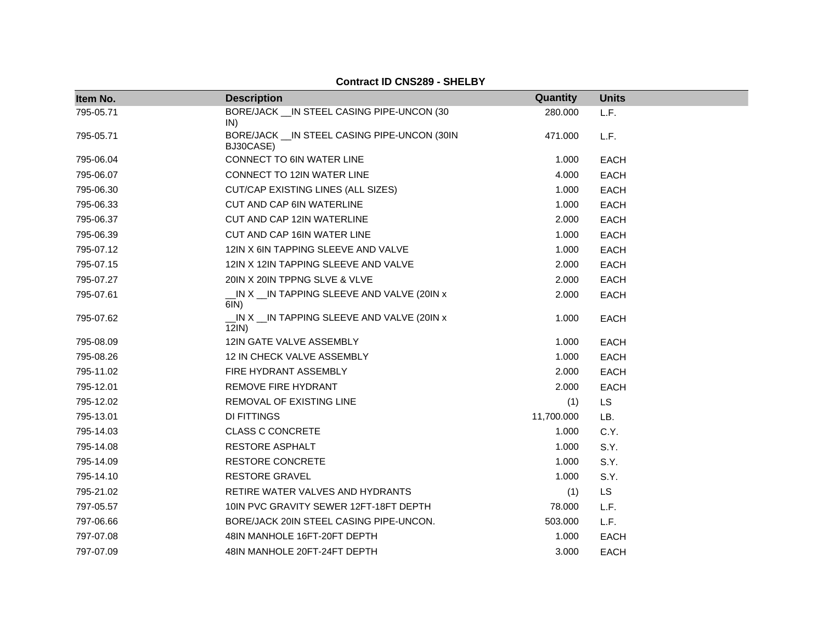| Item No.  | <b>Description</b>                                                | Quantity   | <b>Units</b> |
|-----------|-------------------------------------------------------------------|------------|--------------|
| 795-05.71 | BORE/JACK __ IN STEEL CASING PIPE-UNCON (30<br>IN)                | 280.000    | L.F.         |
| 795-05.71 | BORE/JACK __ IN STEEL CASING PIPE-UNCON (30IN<br>BJ30CASE)        | 471.000    | L.F.         |
| 795-06.04 | CONNECT TO 6IN WATER LINE                                         | 1.000      | <b>EACH</b>  |
| 795-06.07 | CONNECT TO 12IN WATER LINE                                        | 4.000      | <b>EACH</b>  |
| 795-06.30 | CUT/CAP EXISTING LINES (ALL SIZES)                                | 1.000      | <b>EACH</b>  |
| 795-06.33 | <b>CUT AND CAP 6IN WATERLINE</b>                                  | 1.000      | <b>EACH</b>  |
| 795-06.37 | CUT AND CAP 12IN WATERLINE                                        | 2.000      | <b>EACH</b>  |
| 795-06.39 | CUT AND CAP 16IN WATER LINE                                       | 1.000      | <b>EACH</b>  |
| 795-07.12 | 12IN X 6IN TAPPING SLEEVE AND VALVE                               | 1.000      | <b>EACH</b>  |
| 795-07.15 | 12IN X 12IN TAPPING SLEEVE AND VALVE                              | 2.000      | <b>EACH</b>  |
| 795-07.27 | 20IN X 20IN TPPNG SLVE & VLVE                                     | 2.000      | <b>EACH</b>  |
| 795-07.61 | $\lfloor N X \rfloor$ IN TAPPING SLEEVE AND VALVE (20IN x<br>6IN) | 2.000      | <b>EACH</b>  |
| 795-07.62 | _IN X _IN TAPPING SLEEVE AND VALVE (20IN x<br>12IN)               | 1.000      | <b>EACH</b>  |
| 795-08.09 | 12IN GATE VALVE ASSEMBLY                                          | 1.000      | <b>EACH</b>  |
| 795-08.26 | 12 IN CHECK VALVE ASSEMBLY                                        | 1.000      | <b>EACH</b>  |
| 795-11.02 | FIRE HYDRANT ASSEMBLY                                             | 2.000      | <b>EACH</b>  |
| 795-12.01 | REMOVE FIRE HYDRANT                                               | 2.000      | EACH         |
| 795-12.02 | REMOVAL OF EXISTING LINE                                          | (1)        | LS           |
| 795-13.01 | DI FITTINGS                                                       | 11,700.000 | LB.          |
| 795-14.03 | <b>CLASS C CONCRETE</b>                                           | 1.000      | C.Y.         |
| 795-14.08 | <b>RESTORE ASPHALT</b>                                            | 1.000      | S.Y.         |
| 795-14.09 | <b>RESTORE CONCRETE</b>                                           | 1.000      | S.Y.         |
| 795-14.10 | <b>RESTORE GRAVEL</b>                                             | 1.000      | S.Y.         |
| 795-21.02 | RETIRE WATER VALVES AND HYDRANTS                                  | (1)        | <b>LS</b>    |
| 797-05.57 | 10IN PVC GRAVITY SEWER 12FT-18FT DEPTH                            | 78.000     | L.F.         |
| 797-06.66 | BORE/JACK 20IN STEEL CASING PIPE-UNCON.                           | 503.000    | L.F.         |
| 797-07.08 | 48IN MANHOLE 16FT-20FT DEPTH                                      | 1.000      | <b>EACH</b>  |
| 797-07.09 | 48IN MANHOLE 20FT-24FT DEPTH                                      | 3.000      | <b>EACH</b>  |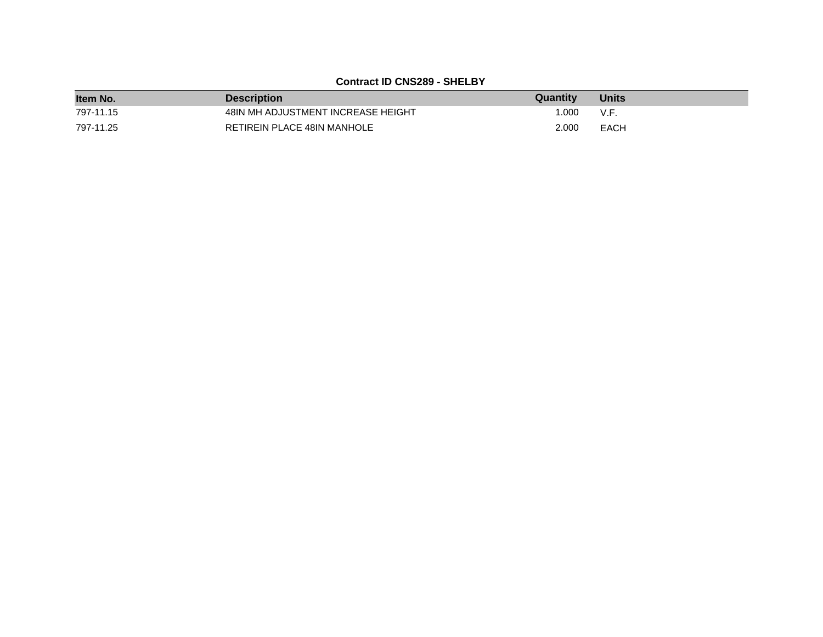| Item No.  | <b>Description</b>                 | <b>Quantity</b> | <b>Units</b> |
|-----------|------------------------------------|-----------------|--------------|
| 797-11.15 | 48IN MH ADJUSTMENT INCREASE HEIGHT | 1.000           | V.F.         |
| 797-11.25 | RETIREIN PLACE 48IN MANHOLE        | 2.000           | <b>EACH</b>  |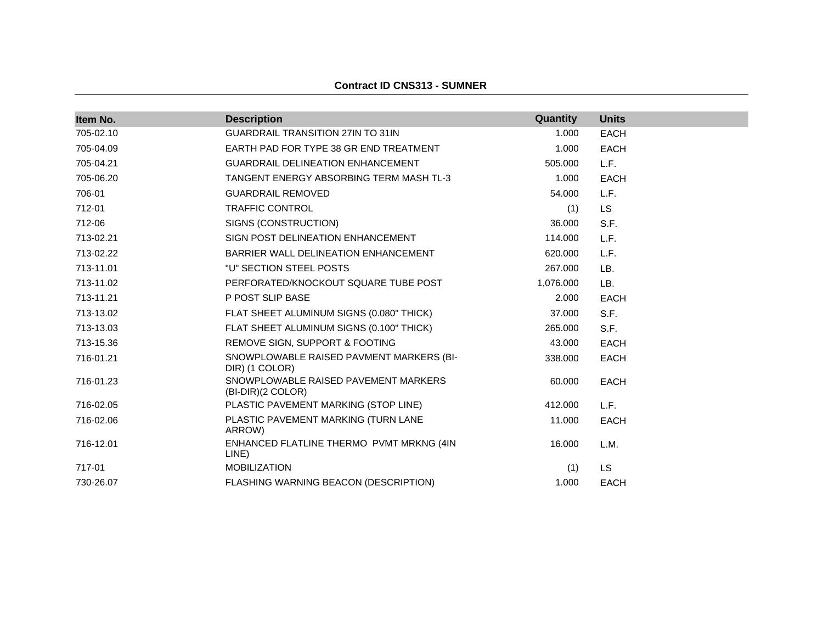| Item No.  | <b>Description</b>                                         | Quantity  | <b>Units</b> |
|-----------|------------------------------------------------------------|-----------|--------------|
| 705-02.10 | <b>GUARDRAIL TRANSITION 27IN TO 31IN</b>                   | 1.000     | <b>EACH</b>  |
| 705-04.09 | EARTH PAD FOR TYPE 38 GR END TREATMENT                     | 1.000     | <b>EACH</b>  |
| 705-04.21 | <b>GUARDRAIL DELINEATION ENHANCEMENT</b>                   | 505.000   | L.F.         |
| 705-06.20 | TANGENT ENERGY ABSORBING TERM MASH TL-3                    | 1.000     | <b>EACH</b>  |
| 706-01    | <b>GUARDRAIL REMOVED</b>                                   | 54.000    | L.F.         |
| 712-01    | <b>TRAFFIC CONTROL</b>                                     | (1)       | <b>LS</b>    |
| 712-06    | SIGNS (CONSTRUCTION)                                       | 36.000    | S.F.         |
| 713-02.21 | SIGN POST DELINEATION ENHANCEMENT                          | 114.000   | L.F.         |
| 713-02.22 | BARRIER WALL DELINEATION ENHANCEMENT                       | 620.000   | L.F.         |
| 713-11.01 | "U" SECTION STEEL POSTS                                    | 267.000   | LB.          |
| 713-11.02 | PERFORATED/KNOCKOUT SQUARE TUBE POST                       | 1,076.000 | LB.          |
| 713-11.21 | P POST SLIP BASE                                           | 2.000     | <b>EACH</b>  |
| 713-13.02 | FLAT SHEET ALUMINUM SIGNS (0.080" THICK)                   | 37.000    | S.F.         |
| 713-13.03 | FLAT SHEET ALUMINUM SIGNS (0.100" THICK)                   | 265,000   | S.F.         |
| 713-15.36 | REMOVE SIGN, SUPPORT & FOOTING                             | 43.000    | <b>EACH</b>  |
| 716-01.21 | SNOWPLOWABLE RAISED PAVMENT MARKERS (BI-<br>DIR) (1 COLOR) | 338.000   | <b>EACH</b>  |
| 716-01.23 | SNOWPLOWABLE RAISED PAVEMENT MARKERS<br>(BI-DIR)(2 COLOR)  | 60.000    | <b>EACH</b>  |
| 716-02.05 | PLASTIC PAVEMENT MARKING (STOP LINE)                       | 412.000   | L.F.         |
| 716-02.06 | PLASTIC PAVEMENT MARKING (TURN LANE<br>ARROW)              | 11.000    | <b>EACH</b>  |
| 716-12.01 | ENHANCED FLATLINE THERMO PVMT MRKNG (4IN<br>LINE)          | 16.000    | L.M.         |
| 717-01    | <b>MOBILIZATION</b>                                        | (1)       | <b>LS</b>    |
| 730-26.07 | FLASHING WARNING BEACON (DESCRIPTION)                      | 1.000     | <b>EACH</b>  |

#### **Contract ID CNS313 - SUMNER**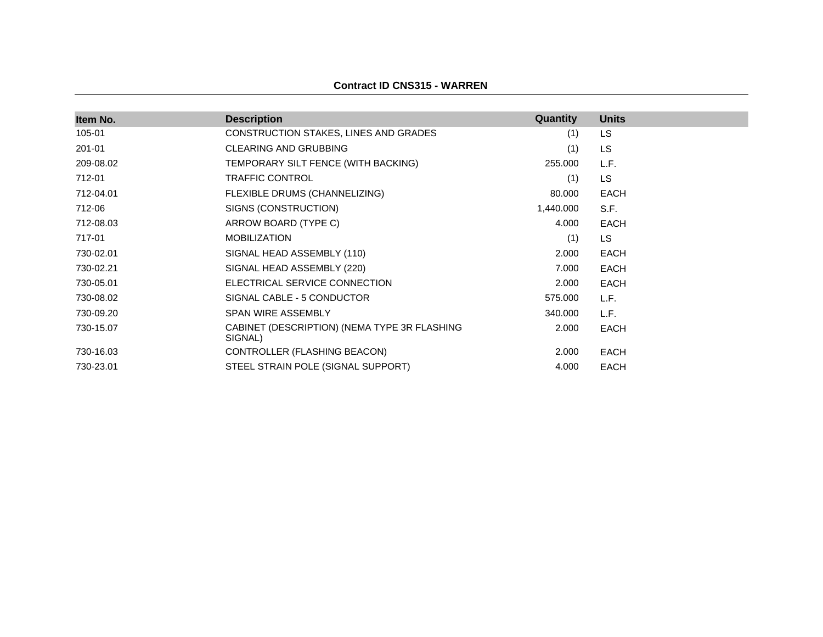#### **Contract ID CNS315 - WARREN**

| Item No.  | <b>Description</b>                                      | <b>Quantity</b> | <b>Units</b> |
|-----------|---------------------------------------------------------|-----------------|--------------|
| 105-01    | CONSTRUCTION STAKES, LINES AND GRADES                   | (1)             | LS.          |
| 201-01    | <b>CLEARING AND GRUBBING</b>                            | (1)             | LS.          |
| 209-08.02 | TEMPORARY SILT FENCE (WITH BACKING)                     | 255.000         | L.F.         |
| 712-01    | <b>TRAFFIC CONTROL</b>                                  | (1)             | LS.          |
| 712-04.01 | FLEXIBLE DRUMS (CHANNELIZING)                           | 80.000          | <b>EACH</b>  |
| 712-06    | SIGNS (CONSTRUCTION)                                    | 1,440.000       | S.F.         |
| 712-08.03 | ARROW BOARD (TYPE C)                                    | 4.000           | <b>EACH</b>  |
| 717-01    | <b>MOBILIZATION</b>                                     | (1)             | LS.          |
| 730-02.01 | SIGNAL HEAD ASSEMBLY (110)                              | 2.000           | <b>EACH</b>  |
| 730-02.21 | SIGNAL HEAD ASSEMBLY (220)                              | 7.000           | <b>EACH</b>  |
| 730-05.01 | ELECTRICAL SERVICE CONNECTION                           | 2.000           | <b>EACH</b>  |
| 730-08.02 | SIGNAL CABLE - 5 CONDUCTOR                              | 575.000         | L.F.         |
| 730-09.20 | <b>SPAN WIRE ASSEMBLY</b>                               | 340.000         | L.F.         |
| 730-15.07 | CABINET (DESCRIPTION) (NEMA TYPE 3R FLASHING<br>SIGNAL) | 2.000           | EACH         |
| 730-16.03 | CONTROLLER (FLASHING BEACON)                            | 2.000           | <b>EACH</b>  |
| 730-23.01 | STEEL STRAIN POLE (SIGNAL SUPPORT)                      | 4.000           | EACH         |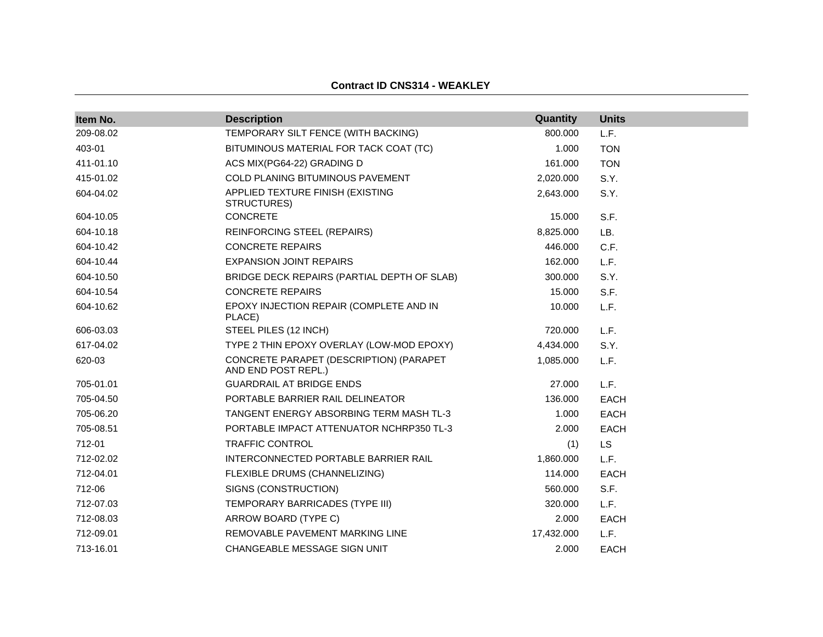| Item No.  | <b>Description</b>                                             | Quantity   | <b>Units</b> |
|-----------|----------------------------------------------------------------|------------|--------------|
| 209-08.02 | TEMPORARY SILT FENCE (WITH BACKING)                            | 800.000    | L.F.         |
| 403-01    | BITUMINOUS MATERIAL FOR TACK COAT (TC)                         | 1.000      | <b>TON</b>   |
| 411-01.10 | ACS MIX(PG64-22) GRADING D                                     | 161.000    | <b>TON</b>   |
| 415-01.02 | <b>COLD PLANING BITUMINOUS PAVEMENT</b>                        | 2,020.000  | S.Y.         |
| 604-04.02 | APPLIED TEXTURE FINISH (EXISTING<br>STRUCTURES)                | 2,643.000  | S.Y.         |
| 604-10.05 | <b>CONCRETE</b>                                                | 15.000     | S.F.         |
| 604-10.18 | <b>REINFORCING STEEL (REPAIRS)</b>                             | 8,825.000  | LB.          |
| 604-10.42 | <b>CONCRETE REPAIRS</b>                                        | 446.000    | C.F.         |
| 604-10.44 | <b>EXPANSION JOINT REPAIRS</b>                                 | 162.000    | L.F.         |
| 604-10.50 | BRIDGE DECK REPAIRS (PARTIAL DEPTH OF SLAB)                    | 300.000    | S.Y.         |
| 604-10.54 | <b>CONCRETE REPAIRS</b>                                        | 15.000     | S.F.         |
| 604-10.62 | EPOXY INJECTION REPAIR (COMPLETE AND IN<br>PLACE)              | 10.000     | L.F.         |
| 606-03.03 | STEEL PILES (12 INCH)                                          | 720.000    | L.F.         |
| 617-04.02 | TYPE 2 THIN EPOXY OVERLAY (LOW-MOD EPOXY)                      | 4,434.000  | S.Y.         |
| 620-03    | CONCRETE PARAPET (DESCRIPTION) (PARAPET<br>AND END POST REPL.) | 1,085.000  | L.F.         |
| 705-01.01 | <b>GUARDRAIL AT BRIDGE ENDS</b>                                | 27,000     | L.F.         |
| 705-04.50 | PORTABLE BARRIER RAIL DELINEATOR                               | 136,000    | <b>EACH</b>  |
| 705-06.20 | TANGENT ENERGY ABSORBING TERM MASH TL-3                        | 1.000      | <b>EACH</b>  |
| 705-08.51 | PORTABLE IMPACT ATTENUATOR NCHRP350 TL-3                       | 2.000      | <b>EACH</b>  |
| 712-01    | <b>TRAFFIC CONTROL</b>                                         | (1)        | <b>LS</b>    |
| 712-02.02 | INTERCONNECTED PORTABLE BARRIER RAIL                           | 1,860.000  | L.F.         |
| 712-04.01 | FLEXIBLE DRUMS (CHANNELIZING)                                  | 114.000    | <b>EACH</b>  |
| 712-06    | SIGNS (CONSTRUCTION)                                           | 560.000    | S.F.         |
| 712-07.03 | TEMPORARY BARRICADES (TYPE III)                                | 320.000    | L.F.         |
| 712-08.03 | ARROW BOARD (TYPE C)                                           | 2.000      | <b>EACH</b>  |
| 712-09.01 | REMOVABLE PAVEMENT MARKING LINE                                | 17,432.000 | L.F.         |
| 713-16.01 | CHANGEABLE MESSAGE SIGN UNIT                                   | 2.000      | <b>EACH</b>  |

**Contract ID CNS314 - WEAKLEY**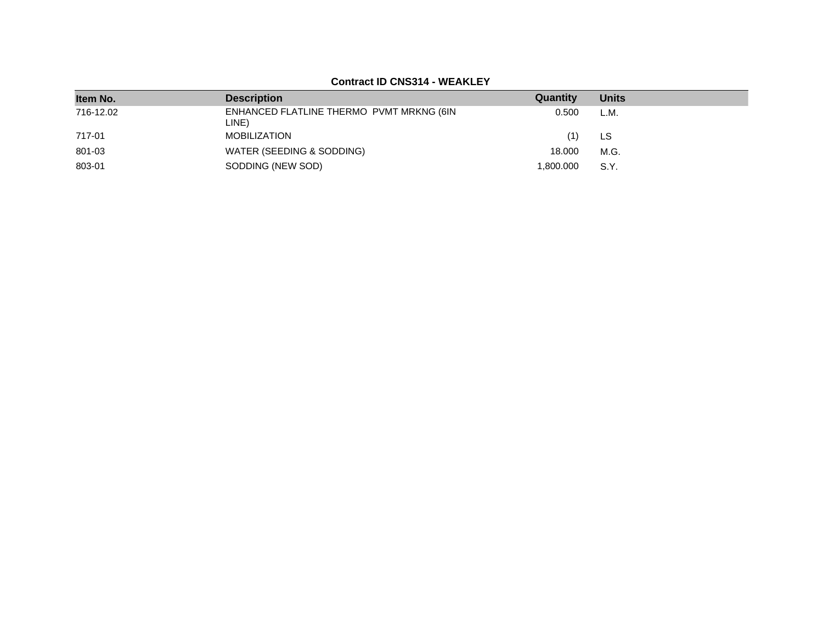**Contract ID CNS314 - WEAKLEY**

| Item No.  | <b>Description</b>                                | Quantity  | <b>Units</b> |
|-----------|---------------------------------------------------|-----------|--------------|
| 716-12.02 | ENHANCED FLATLINE THERMO PVMT MRKNG (6IN<br>LINE) | 0.500     | L.M.         |
| 717-01    | MOBILIZATION                                      | '1)       | LS           |
| 801-03    | WATER (SEEDING & SODDING)                         | 18.000    | M.G.         |
| 803-01    | SODDING (NEW SOD)                                 | 1.800.000 | S.Y.         |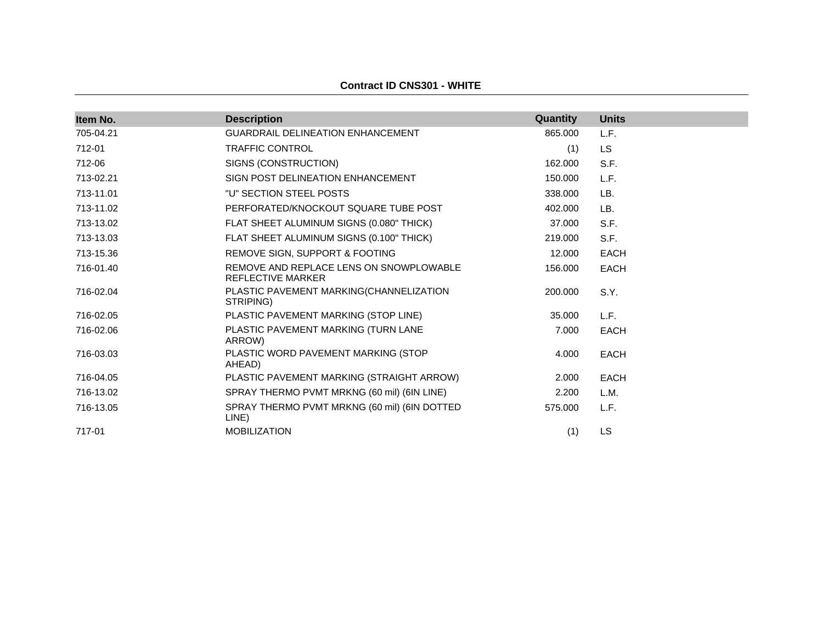| Item No.  | <b>Description</b>                                                  | Quantity | <b>Units</b> |
|-----------|---------------------------------------------------------------------|----------|--------------|
| 705-04.21 | <b>GUARDRAIL DELINEATION ENHANCEMENT</b>                            | 865,000  | L.F.         |
| 712-01    | <b>TRAFFIC CONTROL</b>                                              | (1)      | <b>LS</b>    |
| 712-06    | SIGNS (CONSTRUCTION)                                                | 162.000  | S.F.         |
| 713-02.21 | SIGN POST DELINEATION ENHANCEMENT                                   | 150.000  | L.F.         |
| 713-11.01 | "U" SECTION STEEL POSTS                                             | 338.000  | LB.          |
| 713-11.02 | PERFORATED/KNOCKOUT SQUARE TUBE POST                                | 402.000  | LB.          |
| 713-13.02 | FLAT SHEET ALUMINUM SIGNS (0.080" THICK)                            | 37,000   | S.F.         |
| 713-13.03 | FLAT SHEET ALUMINUM SIGNS (0.100" THICK)                            | 219,000  | S.F.         |
| 713-15.36 | REMOVE SIGN, SUPPORT & FOOTING                                      | 12.000   | <b>EACH</b>  |
| 716-01.40 | REMOVE AND REPLACE LENS ON SNOWPLOWABLE<br><b>REFLECTIVE MARKER</b> | 156,000  | <b>EACH</b>  |
| 716-02.04 | PLASTIC PAVEMENT MARKING(CHANNELIZATION<br>STRIPING)                | 200,000  | S.Y.         |
| 716-02.05 | PLASTIC PAVEMENT MARKING (STOP LINE)                                | 35.000   | L.F.         |
| 716-02.06 | PLASTIC PAVEMENT MARKING (TURN LANE<br>ARROW)                       | 7.000    | <b>EACH</b>  |
| 716-03.03 | PLASTIC WORD PAVEMENT MARKING (STOP<br>AHEAD)                       | 4.000    | <b>EACH</b>  |
| 716-04.05 | PLASTIC PAVEMENT MARKING (STRAIGHT ARROW)                           | 2.000    | <b>EACH</b>  |
| 716-13.02 | SPRAY THERMO PVMT MRKNG (60 mil) (6IN LINE)                         | 2.200    | L.M.         |
| 716-13.05 | SPRAY THERMO PVMT MRKNG (60 mil) (6IN DOTTED<br>LINE)               | 575,000  | L.F.         |
| 717-01    | <b>MOBILIZATION</b>                                                 | (1)      | <b>LS</b>    |

**Contract ID CNS301 - WHITE**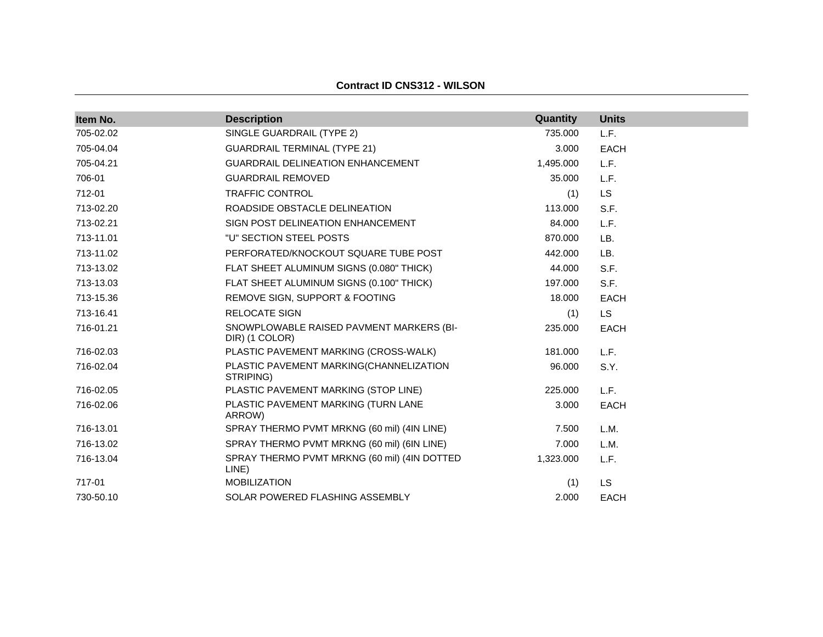| Item No.  | <b>Description</b>                                         | Quantity  | <b>Units</b> |
|-----------|------------------------------------------------------------|-----------|--------------|
| 705-02.02 | SINGLE GUARDRAIL (TYPE 2)                                  | 735.000   | L.F.         |
| 705-04.04 | <b>GUARDRAIL TERMINAL (TYPE 21)</b>                        | 3.000     | <b>EACH</b>  |
| 705-04.21 | <b>GUARDRAIL DELINEATION ENHANCEMENT</b>                   | 1,495.000 | L.F.         |
| 706-01    | <b>GUARDRAIL REMOVED</b>                                   | 35.000    | L.F.         |
| 712-01    | <b>TRAFFIC CONTROL</b>                                     | (1)       | <b>LS</b>    |
| 713-02.20 | ROADSIDE OBSTACLE DELINEATION                              | 113.000   | S.F.         |
| 713-02.21 | SIGN POST DELINEATION ENHANCEMENT                          | 84.000    | L.F.         |
| 713-11.01 | "U" SECTION STEEL POSTS                                    | 870.000   | LB.          |
| 713-11.02 | PERFORATED/KNOCKOUT SQUARE TUBE POST                       | 442,000   | LB.          |
| 713-13.02 | FLAT SHEET ALUMINUM SIGNS (0.080" THICK)                   | 44.000    | S.F.         |
| 713-13.03 | FLAT SHEET ALUMINUM SIGNS (0.100" THICK)                   | 197.000   | S.F.         |
| 713-15.36 | REMOVE SIGN, SUPPORT & FOOTING                             | 18.000    | <b>EACH</b>  |
| 713-16.41 | <b>RELOCATE SIGN</b>                                       | (1)       | <b>LS</b>    |
| 716-01.21 | SNOWPLOWABLE RAISED PAVMENT MARKERS (BI-<br>DIR) (1 COLOR) | 235,000   | <b>EACH</b>  |
| 716-02.03 | PLASTIC PAVEMENT MARKING (CROSS-WALK)                      | 181.000   | L.F.         |
| 716-02.04 | PLASTIC PAVEMENT MARKING(CHANNELIZATION<br>STRIPING)       | 96.000    | S.Y.         |
| 716-02.05 | PLASTIC PAVEMENT MARKING (STOP LINE)                       | 225.000   | L.F.         |
| 716-02.06 | PLASTIC PAVEMENT MARKING (TURN LANE<br>ARROW)              | 3.000     | <b>EACH</b>  |
| 716-13.01 | SPRAY THERMO PVMT MRKNG (60 mil) (4IN LINE)                | 7.500     | L.M.         |
| 716-13.02 | SPRAY THERMO PVMT MRKNG (60 mil) (6IN LINE)                | 7.000     | L.M.         |
| 716-13.04 | SPRAY THERMO PVMT MRKNG (60 mil) (4IN DOTTED<br>LINE)      | 1,323.000 | L.F.         |
| 717-01    | <b>MOBILIZATION</b>                                        | (1)       | <b>LS</b>    |
| 730-50.10 | SOLAR POWERED FLASHING ASSEMBLY                            | 2.000     | <b>EACH</b>  |

**Contract ID CNS312 - WILSON**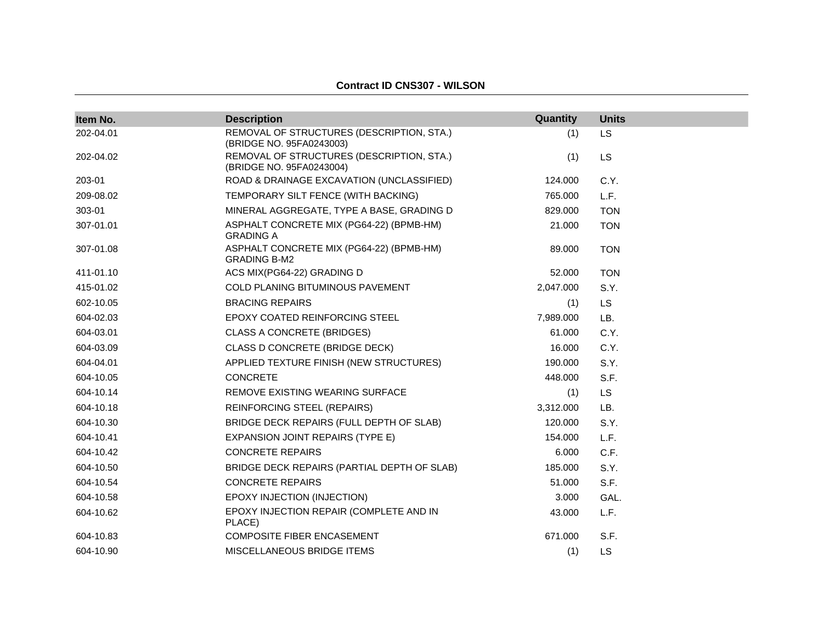#### **Contract ID CNS307 - WILSON**

| Item No.  | <b>Description</b>                                                    | Quantity  | <b>Units</b> |
|-----------|-----------------------------------------------------------------------|-----------|--------------|
| 202-04.01 | REMOVAL OF STRUCTURES (DESCRIPTION, STA.)<br>(BRIDGE NO. 95FA0243003) | (1)       | <b>LS</b>    |
| 202-04.02 | REMOVAL OF STRUCTURES (DESCRIPTION, STA.)<br>(BRIDGE NO. 95FA0243004) | (1)       | <b>LS</b>    |
| 203-01    | ROAD & DRAINAGE EXCAVATION (UNCLASSIFIED)                             | 124.000   | C.Y.         |
| 209-08.02 | TEMPORARY SILT FENCE (WITH BACKING)                                   | 765.000   | L.F.         |
| 303-01    | MINERAL AGGREGATE, TYPE A BASE, GRADING D                             | 829,000   | <b>TON</b>   |
| 307-01.01 | ASPHALT CONCRETE MIX (PG64-22) (BPMB-HM)<br><b>GRADING A</b>          | 21.000    | <b>TON</b>   |
| 307-01.08 | ASPHALT CONCRETE MIX (PG64-22) (BPMB-HM)<br><b>GRADING B-M2</b>       | 89.000    | <b>TON</b>   |
| 411-01.10 | ACS MIX(PG64-22) GRADING D                                            | 52.000    | <b>TON</b>   |
| 415-01.02 | COLD PLANING BITUMINOUS PAVEMENT                                      | 2,047.000 | S.Y.         |
| 602-10.05 | <b>BRACING REPAIRS</b>                                                | (1)       | <b>LS</b>    |
| 604-02.03 | <b>EPOXY COATED REINFORCING STEEL</b>                                 | 7,989.000 | LB.          |
| 604-03.01 | <b>CLASS A CONCRETE (BRIDGES)</b>                                     | 61.000    | C.Y.         |
| 604-03.09 | CLASS D CONCRETE (BRIDGE DECK)                                        | 16.000    | C.Y.         |
| 604-04.01 | APPLIED TEXTURE FINISH (NEW STRUCTURES)                               | 190.000   | S.Y.         |
| 604-10.05 | <b>CONCRETE</b>                                                       | 448,000   | S.F.         |
| 604-10.14 | REMOVE EXISTING WEARING SURFACE                                       | (1)       | LS.          |
| 604-10.18 | <b>REINFORCING STEEL (REPAIRS)</b>                                    | 3,312.000 | LB.          |
| 604-10.30 | BRIDGE DECK REPAIRS (FULL DEPTH OF SLAB)                              | 120.000   | S.Y.         |
| 604-10.41 | EXPANSION JOINT REPAIRS (TYPE E)                                      | 154.000   | L.F.         |
| 604-10.42 | <b>CONCRETE REPAIRS</b>                                               | 6.000     | C.F.         |
| 604-10.50 | BRIDGE DECK REPAIRS (PARTIAL DEPTH OF SLAB)                           | 185.000   | S.Y.         |
| 604-10.54 | <b>CONCRETE REPAIRS</b>                                               | 51.000    | S.F.         |
| 604-10.58 | EPOXY INJECTION (INJECTION)                                           | 3.000     | GAL.         |
| 604-10.62 | EPOXY INJECTION REPAIR (COMPLETE AND IN<br>PLACE)                     | 43.000    | L.F.         |
| 604-10.83 | <b>COMPOSITE FIBER ENCASEMENT</b>                                     | 671.000   | S.F.         |
| 604-10.90 | MISCELLANEOUS BRIDGE ITEMS                                            | (1)       | <b>LS</b>    |